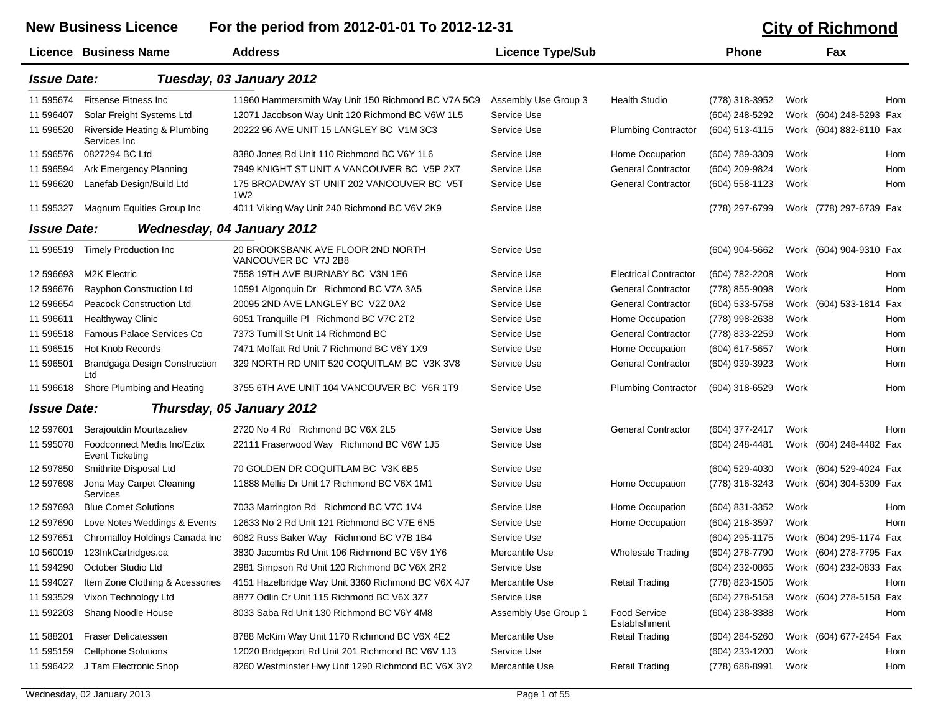New Business Licence For the period from 2012-01-01 To 2012-12-31 **City of Richmond** 

|                    | Licence Business Name                                 | <b>Address</b>                                               | <b>Licence Type/Sub</b> |                                      | <b>Phone</b>     |      | Fax                                    |
|--------------------|-------------------------------------------------------|--------------------------------------------------------------|-------------------------|--------------------------------------|------------------|------|----------------------------------------|
| <b>Issue Date:</b> |                                                       | Tuesday, 03 January 2012                                     |                         |                                      |                  |      |                                        |
| 11 595674          | Fitsense Fitness Inc.                                 | 11960 Hammersmith Way Unit 150 Richmond BC V7A 5C9           | Assembly Use Group 3    | <b>Health Studio</b>                 | (778) 318-3952   | Work | Hom                                    |
| 11 596407          | Solar Freight Systems Ltd                             | 12071 Jacobson Way Unit 120 Richmond BC V6W 1L5              | Service Use             |                                      | (604) 248-5292   |      | Work (604) 248-5293 Fax                |
| 11 596520          | Riverside Heating & Plumbing<br>Services Inc          | 20222 96 AVE UNIT 15 LANGLEY BC V1M 3C3                      | Service Use             | <b>Plumbing Contractor</b>           | (604) 513-4115   |      | Work (604) 882-8110 Fax                |
| 11 596576          | 0827294 BC Ltd                                        | 8380 Jones Rd Unit 110 Richmond BC V6Y 1L6                   | Service Use             | Home Occupation                      | (604) 789-3309   | Work | Hom                                    |
| 11 59 6594         | Ark Emergency Planning                                | 7949 KNIGHT ST UNIT A VANCOUVER BC V5P 2X7                   | Service Use             | <b>General Contractor</b>            | (604) 209-9824   | Work | Hom                                    |
| 11 596620          | Lanefab Design/Build Ltd                              | 175 BROADWAY ST UNIT 202 VANCOUVER BC V5T<br>1W <sub>2</sub> | Service Use             | <b>General Contractor</b>            | (604) 558-1123   | Work | Hom                                    |
| 11 595327          | Magnum Equities Group Inc                             | 4011 Viking Way Unit 240 Richmond BC V6V 2K9                 | Service Use             |                                      | (778) 297-6799   |      | Work (778) 297-6739 Fax                |
| <b>Issue Date:</b> |                                                       | <b>Wednesday, 04 January 2012</b>                            |                         |                                      |                  |      |                                        |
| 11 596519          | <b>Timely Production Inc</b>                          | 20 BROOKSBANK AVE FLOOR 2ND NORTH<br>VANCOUVER BC V7J 2B8    | Service Use             |                                      | (604) 904-5662   |      | Work (604) 904-9310 Fax                |
| 12 596693          | <b>M2K Electric</b>                                   | 7558 19TH AVE BURNABY BC V3N 1E6                             | Service Use             | <b>Electrical Contractor</b>         | (604) 782-2208   | Work | Hom                                    |
| 12 59 6676         | Rayphon Construction Ltd                              | 10591 Algonquin Dr Richmond BC V7A 3A5                       | Service Use             | <b>General Contractor</b>            | (778) 855-9098   | Work | Hom                                    |
| 12 596654          | Peacock Construction Ltd                              | 20095 2ND AVE LANGLEY BC V2Z 0A2                             | Service Use             | <b>General Contractor</b>            | (604) 533-5758   |      | Work (604) 533-1814<br>Fax             |
| 11 59 6611         | <b>Healthyway Clinic</b>                              | 6051 Tranquille PI Richmond BC V7C 2T2                       | Service Use             | Home Occupation                      | (778) 998-2638   | Work | Hom                                    |
| 11 59 6518         | <b>Famous Palace Services Co</b>                      | 7373 Turnill St Unit 14 Richmond BC                          | Service Use             | <b>General Contractor</b>            | (778) 833-2259   | Work | Hom                                    |
| 11 59 6515         | <b>Hot Knob Records</b>                               | 7471 Moffatt Rd Unit 7 Richmond BC V6Y 1X9                   | Service Use             | Home Occupation                      | (604) 617-5657   | Work | Hom                                    |
| 11 596501          | Brandgaga Design Construction<br>Ltd                  | 329 NORTH RD UNIT 520 COQUITLAM BC V3K 3V8                   | Service Use             | <b>General Contractor</b>            | (604) 939-3923   | Work | Hom                                    |
| 11 596618          | Shore Plumbing and Heating                            | 3755 6TH AVE UNIT 104 VANCOUVER BC V6R 1T9                   | Service Use             | <b>Plumbing Contractor</b>           | (604) 318-6529   | Work | Hom                                    |
| <b>Issue Date:</b> |                                                       | Thursday, 05 January 2012                                    |                         |                                      |                  |      |                                        |
| 12 597601          | Serajoutdin Mourtazaliev                              | 2720 No 4 Rd Richmond BC V6X 2L5                             | Service Use             | <b>General Contractor</b>            | (604) 377-2417   | Work | Hom                                    |
| 11 595078          | Foodconnect Media Inc/Eztix<br><b>Event Ticketing</b> | 22111 Fraserwood Way Richmond BC V6W 1J5                     | Service Use             |                                      | (604) 248-4481   |      | Work (604) 248-4482 Fax                |
| 12 597850          | Smithrite Disposal Ltd                                | 70 GOLDEN DR COQUITLAM BC V3K 6B5                            | Service Use             |                                      | $(604)$ 529-4030 |      | Work (604) 529-4024 Fax                |
| 12 597698          | Jona May Carpet Cleaning<br>Services                  | 11888 Mellis Dr Unit 17 Richmond BC V6X 1M1                  | Service Use             | Home Occupation                      | (778) 316-3243   |      | Work (604) 304-5309 Fax                |
| 12 597693          | <b>Blue Comet Solutions</b>                           | 7033 Marrington Rd Richmond BC V7C 1V4                       | Service Use             | Home Occupation                      | (604) 831-3352   | Work | Hom                                    |
| 12 597690          | Love Notes Weddings & Events                          | 12633 No 2 Rd Unit 121 Richmond BC V7E 6N5                   | Service Use             | Home Occupation                      | (604) 218-3597   | Work | Hom                                    |
| 12 597651          | Chromalloy Holdings Canada Inc                        | 6082 Russ Baker Way Richmond BC V7B 1B4                      | Service Use             |                                      | (604) 295-1175   |      | Work (604) 295-1174 Fax                |
| 10 560019          | 123InkCartridges.ca                                   | 3830 Jacombs Rd Unit 106 Richmond BC V6V 1Y6                 | Mercantile Use          | Wholesale Trading                    | (604) 278-7790   |      | Work (604) 278-7795 Fax                |
| 11 594290          | October Studio Ltd                                    | 2981 Simpson Rd Unit 120 Richmond BC V6X 2R2                 | Service Use             |                                      |                  |      | (604) 232-0865 Work (604) 232-0833 Fax |
| 11 594027          | Item Zone Clothing & Acessories                       | 4151 Hazelbridge Way Unit 3360 Richmond BC V6X 4J7           | Mercantile Use          | <b>Retail Trading</b>                | (778) 823-1505   | Work | Hom                                    |
| 11 593529          | Vixon Technology Ltd                                  | 8877 Odlin Cr Unit 115 Richmond BC V6X 3Z7                   | Service Use             |                                      | (604) 278-5158   |      | Work (604) 278-5158 Fax                |
| 11 592203          | Shang Noodle House                                    | 8033 Saba Rd Unit 130 Richmond BC V6Y 4M8                    | Assembly Use Group 1    | <b>Food Service</b><br>Establishment | (604) 238-3388   | Work | Hom                                    |
| 11 588201          | Fraser Delicatessen                                   | 8788 McKim Way Unit 1170 Richmond BC V6X 4E2                 | Mercantile Use          | Retail Trading                       | (604) 284-5260   |      | Work (604) 677-2454 Fax                |
| 11 595159          | <b>Cellphone Solutions</b>                            | 12020 Bridgeport Rd Unit 201 Richmond BC V6V 1J3             | Service Use             |                                      | (604) 233-1200   | Work | Hom                                    |
|                    | 11 596422 J Tam Electronic Shop                       | 8260 Westminster Hwy Unit 1290 Richmond BC V6X 3Y2           | Mercantile Use          | <b>Retail Trading</b>                | (778) 688-8991   | Work | Hom                                    |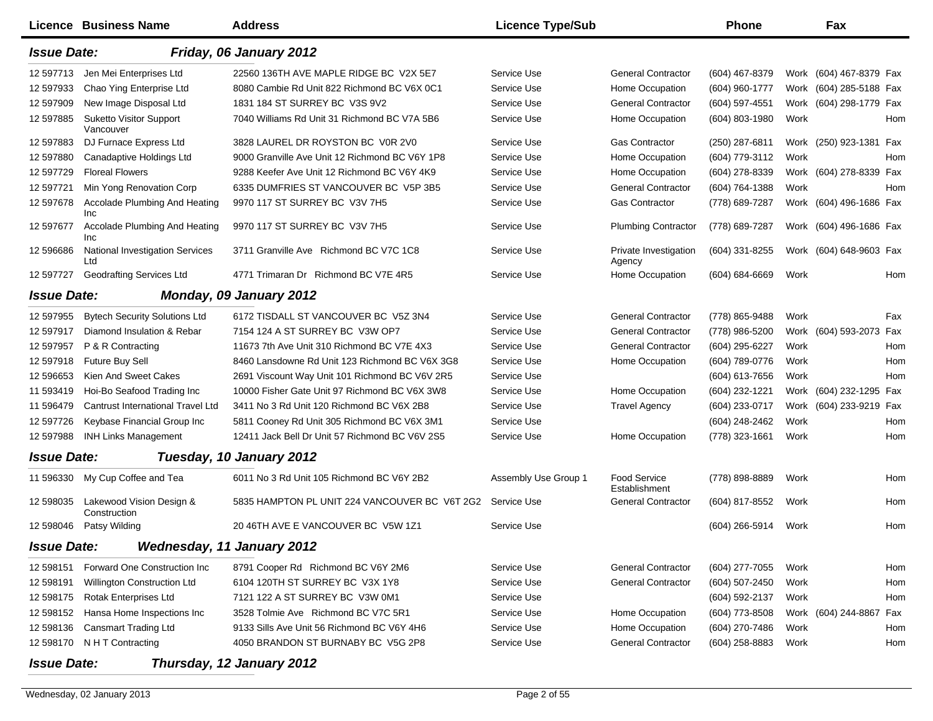|                    | <b>Licence Business Name</b>                  | <b>Address</b>                                 | <b>Licence Type/Sub</b> |                                 | <b>Phone</b>       |      | Fax                     |     |
|--------------------|-----------------------------------------------|------------------------------------------------|-------------------------|---------------------------------|--------------------|------|-------------------------|-----|
| <b>Issue Date:</b> |                                               | Friday, 06 January 2012                        |                         |                                 |                    |      |                         |     |
| 12 597713          | Jen Mei Enterprises Ltd                       | 22560 136TH AVE MAPLE RIDGE BC V2X 5E7         | Service Use             | <b>General Contractor</b>       | (604) 467-8379     |      | Work (604) 467-8379 Fax |     |
| 12 597933          | Chao Ying Enterprise Ltd                      | 8080 Cambie Rd Unit 822 Richmond BC V6X 0C1    | Service Use             | Home Occupation                 | (604) 960-1777     |      | Work (604) 285-5188 Fax |     |
| 12 597909          | New Image Disposal Ltd                        | 1831 184 ST SURREY BC V3S 9V2                  | Service Use             | <b>General Contractor</b>       | (604) 597-4551     |      | Work (604) 298-1779 Fax |     |
| 12 597885          | <b>Suketto Visitor Support</b><br>Vancouver   | 7040 Williams Rd Unit 31 Richmond BC V7A 5B6   | Service Use             | Home Occupation                 | (604) 803-1980     | Work |                         | Hom |
| 12 597883          | DJ Furnace Express Ltd                        | 3828 LAUREL DR ROYSTON BC V0R 2V0              | Service Use             | <b>Gas Contractor</b>           | (250) 287-6811     |      | Work (250) 923-1381     | Fax |
| 12 597880          | Canadaptive Holdings Ltd                      | 9000 Granville Ave Unit 12 Richmond BC V6Y 1P8 | Service Use             | Home Occupation                 | (604) 779-3112     | Work |                         | Hom |
| 12 597729          | <b>Floreal Flowers</b>                        | 9288 Keefer Ave Unit 12 Richmond BC V6Y 4K9    | Service Use             | Home Occupation                 | (604) 278-8339     |      | Work (604) 278-8339 Fax |     |
| 12 597721          | Min Yong Renovation Corp                      | 6335 DUMFRIES ST VANCOUVER BC V5P 3B5          | Service Use             | <b>General Contractor</b>       | (604) 764-1388     | Work |                         | Hom |
| 12 597678          | Accolade Plumbing And Heating<br>Inc          | 9970 117 ST SURREY BC V3V 7H5                  | Service Use             | <b>Gas Contractor</b>           | (778) 689-7287     |      | Work (604) 496-1686 Fax |     |
| 12 597677          | Accolade Plumbing And Heating<br><b>Inc</b>   | 9970 117 ST SURREY BC V3V 7H5                  | Service Use             | <b>Plumbing Contractor</b>      | (778) 689-7287     |      | Work (604) 496-1686 Fax |     |
| 12 59 6686         | <b>National Investigation Services</b><br>Ltd | 3711 Granville Ave Richmond BC V7C 1C8         | Service Use             | Private Investigation<br>Agency | (604) 331-8255     |      | Work (604) 648-9603 Fax |     |
| 12 597727          | <b>Geodrafting Services Ltd</b>               | 4771 Trimaran Dr Richmond BC V7E 4R5           | Service Use             | Home Occupation                 | $(604) 684 - 6669$ | Work |                         | Hom |
| <b>Issue Date:</b> |                                               | Monday, 09 January 2012                        |                         |                                 |                    |      |                         |     |
| 12 597955          | <b>Bytech Security Solutions Ltd</b>          | 6172 TISDALL ST VANCOUVER BC V5Z 3N4           | Service Use             | <b>General Contractor</b>       | (778) 865-9488     | Work |                         | Fax |
| 12 597917          | Diamond Insulation & Rebar                    | 7154 124 A ST SURREY BC V3W OP7                | Service Use             | <b>General Contractor</b>       | (778) 986-5200     |      | Work (604) 593-2073     | Fax |
| 12 597957          | P & R Contracting                             | 11673 7th Ave Unit 310 Richmond BC V7E 4X3     | Service Use             | <b>General Contractor</b>       | (604) 295-6227     | Work |                         | Hom |
| 12 597918          | <b>Future Buy Sell</b>                        | 8460 Lansdowne Rd Unit 123 Richmond BC V6X 3G8 | Service Use             | Home Occupation                 | (604) 789-0776     | Work |                         | Hom |
| 12 59 6653         | Kien And Sweet Cakes                          | 2691 Viscount Way Unit 101 Richmond BC V6V 2R5 | Service Use             |                                 | (604) 613-7656     | Work |                         | Hom |
| 11 593419          | Hoi-Bo Seafood Trading Inc                    | 10000 Fisher Gate Unit 97 Richmond BC V6X 3W8  | Service Use             | Home Occupation                 | (604) 232-1221     |      | Work (604) 232-1295 Fax |     |
| 11 596479          | Cantrust International Travel Ltd             | 3411 No 3 Rd Unit 120 Richmond BC V6X 2B8      | Service Use             | <b>Travel Agency</b>            | (604) 233-0717     |      | Work (604) 233-9219 Fax |     |
| 12 597726          | Keybase Financial Group Inc                   | 5811 Cooney Rd Unit 305 Richmond BC V6X 3M1    | Service Use             |                                 | (604) 248-2462     | Work |                         | Hom |
| 12 597988          | <b>INH Links Management</b>                   | 12411 Jack Bell Dr Unit 57 Richmond BC V6V 2S5 | Service Use             | Home Occupation                 | (778) 323-1661     | Work |                         | Hom |
| <b>Issue Date:</b> |                                               | Tuesday, 10 January 2012                       |                         |                                 |                    |      |                         |     |
| 11 596330          | My Cup Coffee and Tea                         | 6011 No 3 Rd Unit 105 Richmond BC V6Y 2B2      | Assembly Use Group 1    | Food Service<br>Establishment   | (778) 898-8889     | Work |                         | Hom |
| 12 598035          | Lakewood Vision Design &<br>Construction      | 5835 HAMPTON PL UNIT 224 VANCOUVER BC V6T 2G2  | Service Use             | <b>General Contractor</b>       | (604) 817-8552     | Work |                         | Hom |
| 12 598046          | Patsy Wilding                                 | 20 46TH AVE E VANCOUVER BC V5W 1Z1             | Service Use             |                                 | (604) 266-5914     | Work |                         | Hom |
| <b>Issue Date:</b> |                                               | <b>Wednesday, 11 January 2012</b>              |                         |                                 |                    |      |                         |     |
| 12 598151          | Forward One Construction Inc                  | 8791 Cooper Rd Richmond BC V6Y 2M6             | Service Use             | <b>General Contractor</b>       | (604) 277-7055     | Work |                         | Hom |
| 12 598191          | Willington Construction Ltd                   | 6104 120TH ST SURREY BC V3X 1Y8                | Service Use             | <b>General Contractor</b>       | (604) 507-2450     | Work |                         | Hom |
| 12 598175          | Rotak Enterprises Ltd                         | 7121 122 A ST SURREY BC V3W 0M1                | Service Use             |                                 | (604) 592-2137     | Work |                         | Hom |
| 12 598152          | Hansa Home Inspections Inc                    | 3528 Tolmie Ave Richmond BC V7C 5R1            | Service Use             | Home Occupation                 | (604) 773-8508     |      | Work (604) 244-8867 Fax |     |
| 12 598136          | <b>Cansmart Trading Ltd</b>                   | 9133 Sills Ave Unit 56 Richmond BC V6Y 4H6     | Service Use             | Home Occupation                 | (604) 270-7486     | Work |                         | Hom |
| 12 598170          | N H T Contracting                             | 4050 BRANDON ST BURNABY BC V5G 2P8             | Service Use             | <b>General Contractor</b>       | (604) 258-8883     | Work |                         | Hom |
| <b>Issue Date:</b> |                                               | Thursday, 12 January 2012                      |                         |                                 |                    |      |                         |     |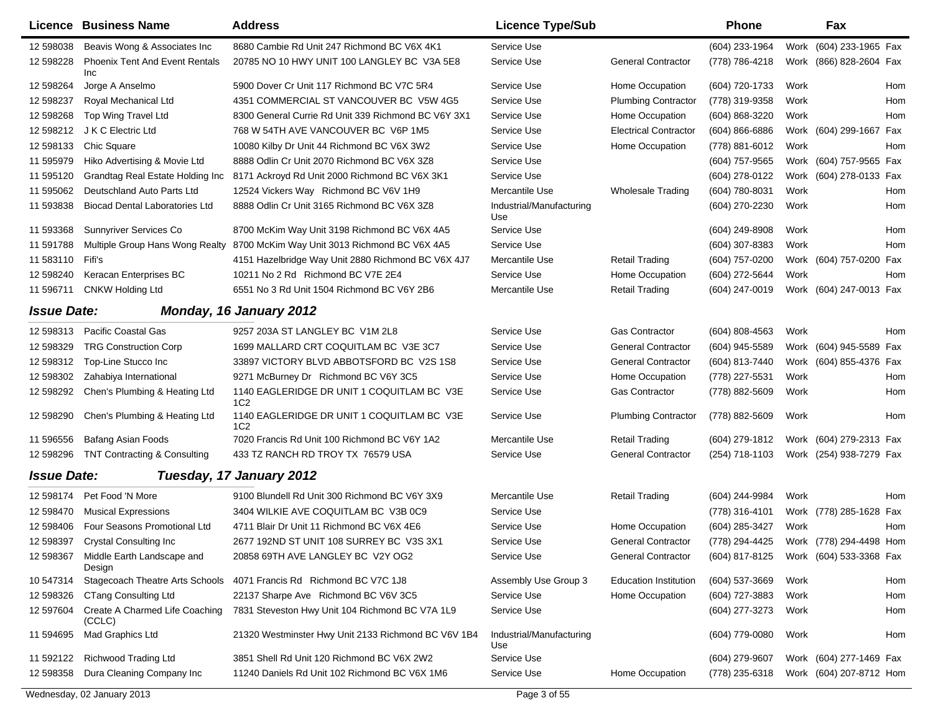|                    | Licence Business Name                          | <b>Address</b>                                                | <b>Licence Type/Sub</b>         |                              | <b>Phone</b>                           |      | Fax                     |     |
|--------------------|------------------------------------------------|---------------------------------------------------------------|---------------------------------|------------------------------|----------------------------------------|------|-------------------------|-----|
| 12 598038          | Beavis Wong & Associates Inc                   | 8680 Cambie Rd Unit 247 Richmond BC V6X 4K1                   | Service Use                     |                              | (604) 233-1964                         | Work | (604) 233-1965 Fax      |     |
| 12 598228          | <b>Phoenix Tent And Event Rentals</b><br>Inc   | 20785 NO 10 HWY UNIT 100 LANGLEY BC V3A 5E8                   | Service Use                     | <b>General Contractor</b>    | (778) 786-4218                         | Work | (866) 828-2604 Fax      |     |
| 12 598264          | Jorge A Anselmo                                | 5900 Dover Cr Unit 117 Richmond BC V7C 5R4                    | Service Use                     | Home Occupation              | (604) 720-1733                         | Work |                         | Hom |
| 12 598237          | Royal Mechanical Ltd                           | 4351 COMMERCIAL ST VANCOUVER BC V5W 4G5                       | Service Use                     | <b>Plumbing Contractor</b>   | (778) 319-9358                         | Work |                         | Hom |
| 12 598268          | Top Wing Travel Ltd                            | 8300 General Currie Rd Unit 339 Richmond BC V6Y 3X1           | Service Use                     | Home Occupation              | (604) 868-3220                         | Work |                         | Hom |
| 12 598212          | J K C Electric Ltd                             | 768 W 54TH AVE VANCOUVER BC V6P 1M5                           | Service Use                     | <b>Electrical Contractor</b> | $(604)866-6886$                        |      | Work (604) 299-1667 Fax |     |
| 12 598133          | Chic Square                                    | 10080 Kilby Dr Unit 44 Richmond BC V6X 3W2                    | Service Use                     | Home Occupation              | (778) 881-6012                         | Work |                         | Hom |
| 11 595979          | Hiko Advertising & Movie Ltd                   | 8888 Odlin Cr Unit 2070 Richmond BC V6X 3Z8                   | Service Use                     |                              | (604) 757-9565                         | Work | (604) 757-9565 Fax      |     |
| 11 595120          | Grandtag Real Estate Holding Inc               | 8171 Ackroyd Rd Unit 2000 Richmond BC V6X 3K1                 | Service Use                     |                              | (604) 278-0122                         |      | Work (604) 278-0133 Fax |     |
| 11 595062          | Deutschland Auto Parts Ltd                     | 12524 Vickers Way Richmond BC V6V 1H9                         | Mercantile Use                  | <b>Wholesale Trading</b>     | (604) 780-8031                         | Work |                         | Hom |
| 11 593838          | <b>Biocad Dental Laboratories Ltd</b>          | 8888 Odlin Cr Unit 3165 Richmond BC V6X 3Z8                   | Industrial/Manufacturing<br>Use |                              | (604) 270-2230                         | Work |                         | Hom |
| 11 593368          | Sunnyriver Services Co                         | 8700 McKim Way Unit 3198 Richmond BC V6X 4A5                  | Service Use                     |                              | (604) 249-8908                         | Work |                         | Hom |
| 11 591788          | Multiple Group Hans Wong Realty                | 8700 McKim Way Unit 3013 Richmond BC V6X 4A5                  | Service Use                     |                              | $(604)$ 307-8383                       | Work |                         | Hom |
| 11 583110          | Fifi's                                         | 4151 Hazelbridge Way Unit 2880 Richmond BC V6X 4J7            | Mercantile Use                  | <b>Retail Trading</b>        | (604) 757-0200                         | Work | (604) 757-0200          | Fax |
| 12 598240          | Keracan Enterprises BC                         | 10211 No 2 Rd Richmond BC V7E 2E4                             | Service Use                     | Home Occupation              | (604) 272-5644                         | Work |                         | Hom |
| 11 596711          | <b>CNKW Holding Ltd</b>                        | 6551 No 3 Rd Unit 1504 Richmond BC V6Y 2B6                    | Mercantile Use                  | <b>Retail Trading</b>        | $(604)$ 247-0019                       |      | Work (604) 247-0013 Fax |     |
| <b>Issue Date:</b> |                                                | Monday, 16 January 2012                                       |                                 |                              |                                        |      |                         |     |
| 12 598313          | Pacific Coastal Gas                            | 9257 203A ST LANGLEY BC V1M 2L8                               | Service Use                     | <b>Gas Contractor</b>        | $(604)$ 808-4563                       | Work |                         | Hom |
| 12 598329          | <b>TRG Construction Corp</b>                   | 1699 MALLARD CRT COQUITLAM BC V3E 3C7                         | Service Use                     | <b>General Contractor</b>    | (604) 945-5589                         |      | Work (604) 945-5589 Fax |     |
| 12 598312          | Top-Line Stucco Inc                            | 33897 VICTORY BLVD ABBOTSFORD BC V2S 1S8                      | Service Use                     | <b>General Contractor</b>    | (604) 813-7440                         |      | Work (604) 855-4376 Fax |     |
| 12 598302          | Zahabiya International                         | 9271 McBurney Dr Richmond BC V6Y 3C5                          | Service Use                     | Home Occupation              | (778) 227-5531                         | Work |                         | Hom |
| 12 598292          | Chen's Plumbing & Heating Ltd                  | 1140 EAGLERIDGE DR UNIT 1 COQUITLAM BC V3E<br>1C <sub>2</sub> | Service Use                     | <b>Gas Contractor</b>        | (778) 882-5609                         | Work |                         | Hom |
| 12 598290          | Chen's Plumbing & Heating Ltd                  | 1140 EAGLERIDGE DR UNIT 1 COQUITLAM BC V3E<br>1C2             | Service Use                     | <b>Plumbing Contractor</b>   | (778) 882-5609                         | Work |                         | Hom |
| 11 596556          | <b>Bafang Asian Foods</b>                      | 7020 Francis Rd Unit 100 Richmond BC V6Y 1A2                  | Mercantile Use                  | <b>Retail Trading</b>        | (604) 279-1812                         |      | Work (604) 279-2313 Fax |     |
| 12 598296          | TNT Contracting & Consulting                   | 433 TZ RANCH RD TROY TX 76579 USA                             | Service Use                     | <b>General Contractor</b>    | (254) 718-1103                         |      | Work (254) 938-7279 Fax |     |
| <b>Issue Date:</b> |                                                | Tuesday, 17 January 2012                                      |                                 |                              |                                        |      |                         |     |
| 12 598174          | Pet Food 'N More                               | 9100 Blundell Rd Unit 300 Richmond BC V6Y 3X9                 | Mercantile Use                  | <b>Retail Trading</b>        | (604) 244-9984                         | Work |                         | Hom |
| 12 598470          | <b>Musical Expressions</b>                     | 3404 WILKIE AVE COQUITLAM BC V3B 0C9                          | Service Use                     |                              | (778) 316-4101                         |      | Work (778) 285-1628 Fax |     |
| 12 598406          | Four Seasons Promotional Ltd                   | 4711 Blair Dr Unit 11 Richmond BC V6X 4E6                     | Service Use                     | Home Occupation              | (604) 285-3427                         | Work |                         | Hom |
| 12 598397          | <b>Crystal Consulting Inc</b>                  | 2677 192ND ST UNIT 108 SURREY BC V3S 3X1                      | Service Use                     | <b>General Contractor</b>    | (778) 294-4425                         |      | Work (778) 294-4498 Hom |     |
|                    | 12 598367 Middle Earth Landscape and<br>Design | 20858 69TH AVE LANGLEY BC V2Y OG2                             | Service Use                     | <b>General Contractor</b>    | (604) 817-8125 Work (604) 533-3368 Fax |      |                         |     |
| 10 547314          | <b>Stagecoach Theatre Arts Schools</b>         | 4071 Francis Rd Richmond BC V7C 1J8                           | Assembly Use Group 3            | <b>Education Institution</b> | (604) 537-3669                         | Work |                         | Hom |
| 12 598326          | <b>CTang Consulting Ltd</b>                    | 22137 Sharpe Ave Richmond BC V6V 3C5                          | Service Use                     | Home Occupation              | (604) 727-3883                         | Work |                         | Hom |
| 12 597604          | Create A Charmed Life Coaching<br>(CCLC)       | 7831 Steveston Hwy Unit 104 Richmond BC V7A 1L9               | Service Use                     |                              | (604) 277-3273                         | Work |                         | Hom |
| 11 594695          | Mad Graphics Ltd                               | 21320 Westminster Hwy Unit 2133 Richmond BC V6V 1B4           | Industrial/Manufacturing<br>Use |                              | (604) 779-0080                         | Work |                         | Hom |
| 11 592122          | <b>Richwood Trading Ltd</b>                    | 3851 Shell Rd Unit 120 Richmond BC V6X 2W2                    | Service Use                     |                              | (604) 279-9607                         |      | Work (604) 277-1469 Fax |     |
| 12 598358          | Dura Cleaning Company Inc                      | 11240 Daniels Rd Unit 102 Richmond BC V6X 1M6                 | Service Use                     | Home Occupation              | (778) 235-6318                         |      | Work (604) 207-8712 Hom |     |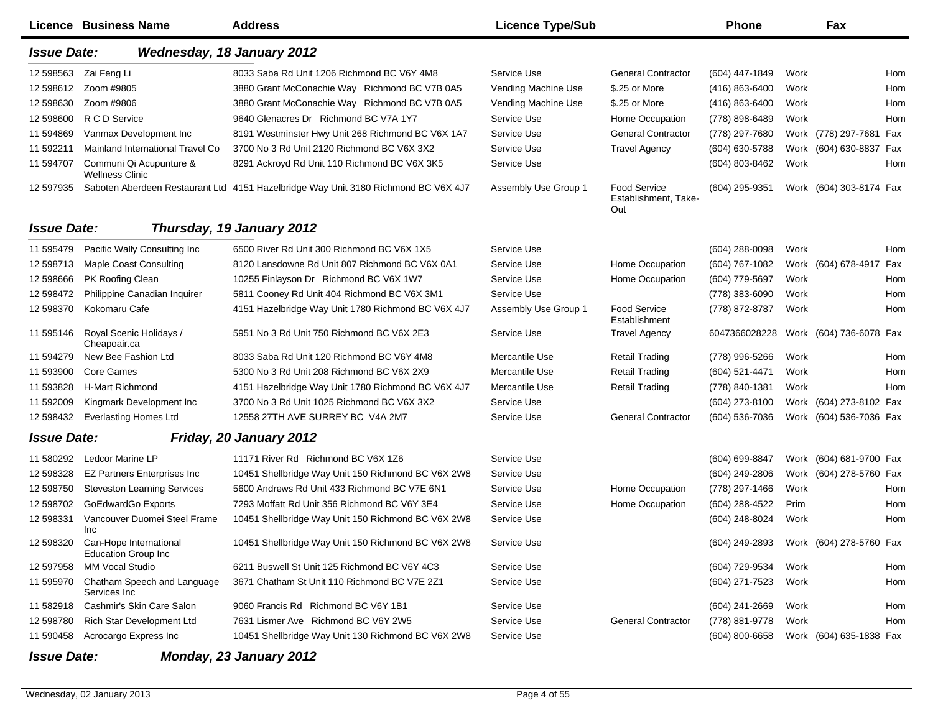|                    | Licence Business Name                                          | <b>Address</b>                                                                     | <b>Licence Type/Sub</b> |                                                    | <b>Phone</b>                           |      | Fax                     |     |
|--------------------|----------------------------------------------------------------|------------------------------------------------------------------------------------|-------------------------|----------------------------------------------------|----------------------------------------|------|-------------------------|-----|
| <b>Issue Date:</b> |                                                                | <b>Wednesday, 18 January 2012</b>                                                  |                         |                                                    |                                        |      |                         |     |
| 12 598563          | Zai Feng Li                                                    | 8033 Saba Rd Unit 1206 Richmond BC V6Y 4M8                                         | Service Use             | <b>General Contractor</b>                          | (604) 447-1849                         | Work |                         | Hom |
| 12 598612          | Zoom #9805                                                     | 3880 Grant McConachie Way Richmond BC V7B 0A5                                      | Vending Machine Use     | \$.25 or More                                      | $(416) 863 - 6400$                     | Work |                         | Hom |
| 12 598630          | Zoom #9806                                                     | 3880 Grant McConachie Way Richmond BC V7B 0A5                                      | Vending Machine Use     | \$.25 or More                                      | (416) 863-6400                         | Work |                         | Hom |
| 12 598600          | R C D Service                                                  | 9640 Glenacres Dr Richmond BC V7A 1Y7                                              | Service Use             | Home Occupation                                    | (778) 898-6489                         | Work |                         | Hom |
| 11 594869          | Vanmax Development Inc                                         | 8191 Westminster Hwy Unit 268 Richmond BC V6X 1A7                                  | Service Use             | <b>General Contractor</b>                          | (778) 297-7680                         |      | Work (778) 297-7681 Fax |     |
| 11 592211          | Mainland International Travel Co                               | 3700 No 3 Rd Unit 2120 Richmond BC V6X 3X2                                         | Service Use             | <b>Travel Agency</b>                               | (604) 630-5788                         |      | Work (604) 630-8837 Fax |     |
| 11 594707          | Communi Qi Acupunture &<br><b>Wellness Clinic</b>              | 8291 Ackroyd Rd Unit 110 Richmond BC V6X 3K5                                       | Service Use             |                                                    | (604) 803-8462                         | Work |                         | Hom |
| 12 597935          |                                                                | Saboten Aberdeen Restaurant Ltd 4151 Hazelbridge Way Unit 3180 Richmond BC V6X 4J7 | Assembly Use Group 1    | <b>Food Service</b><br>Establishment, Take-<br>Out | $(604)$ 295-9351                       |      | Work (604) 303-8174 Fax |     |
| <b>Issue Date:</b> |                                                                | Thursday, 19 January 2012                                                          |                         |                                                    |                                        |      |                         |     |
| 11 595479          | Pacific Wally Consulting Inc                                   | 6500 River Rd Unit 300 Richmond BC V6X 1X5                                         | Service Use             |                                                    | $(604)$ 288-0098                       | Work |                         | Hom |
| 12 598713          | <b>Maple Coast Consulting</b>                                  | 8120 Lansdowne Rd Unit 807 Richmond BC V6X 0A1                                     | Service Use             | Home Occupation                                    | (604) 767-1082                         |      | Work (604) 678-4917     | Fax |
| 12 598666          | PK Roofing Clean                                               | 10255 Finlayson Dr Richmond BC V6X 1W7                                             | Service Use             | Home Occupation                                    | (604) 779-5697                         | Work |                         | Hom |
| 12 598472          | Philippine Canadian Inquirer                                   | 5811 Cooney Rd Unit 404 Richmond BC V6X 3M1                                        | Service Use             |                                                    | (778) 383-6090                         | Work |                         | Hom |
| 12 598370          | Kokomaru Cafe                                                  | 4151 Hazelbridge Way Unit 1780 Richmond BC V6X 4J7                                 | Assembly Use Group 1    | <b>Food Service</b><br>Establishment               | (778) 872-8787                         | Work |                         | Hom |
| 11 595146          | Royal Scenic Holidays /<br>Cheapoair.ca                        | 5951 No 3 Rd Unit 750 Richmond BC V6X 2E3                                          | Service Use             | <b>Travel Agency</b>                               | 6047366028228                          |      | Work (604) 736-6078 Fax |     |
| 11 594279          | New Bee Fashion Ltd                                            | 8033 Saba Rd Unit 120 Richmond BC V6Y 4M8                                          | Mercantile Use          | <b>Retail Trading</b>                              | (778) 996-5266                         | Work |                         | Hom |
| 11 593900          | Core Games                                                     | 5300 No 3 Rd Unit 208 Richmond BC V6X 2X9                                          | Mercantile Use          | <b>Retail Trading</b>                              | (604) 521-4471                         | Work |                         | Hom |
| 11 593828          | <b>H-Mart Richmond</b>                                         | 4151 Hazelbridge Way Unit 1780 Richmond BC V6X 4J7                                 | Mercantile Use          | <b>Retail Trading</b>                              | (778) 840-1381                         | Work |                         | Hom |
| 11 592009          | Kingmark Development Inc                                       | 3700 No 3 Rd Unit 1025 Richmond BC V6X 3X2                                         | Service Use             |                                                    | (604) 273-8100                         |      | Work (604) 273-8102 Fax |     |
| 12 598432          | <b>Everlasting Homes Ltd</b>                                   | 12558 27TH AVE SURREY BC V4A 2M7                                                   | Service Use             | <b>General Contractor</b>                          | (604) 536-7036                         |      | Work (604) 536-7036 Fax |     |
| <b>Issue Date:</b> |                                                                | Friday, 20 January 2012                                                            |                         |                                                    |                                        |      |                         |     |
| 11 580292          | Ledcor Marine LP                                               | 11171 River Rd Richmond BC V6X 1Z6                                                 | Service Use             |                                                    | (604) 699-8847                         |      | Work (604) 681-9700 Fax |     |
| 12 598328          | <b>EZ Partners Enterprises Inc</b>                             | 10451 Shellbridge Way Unit 150 Richmond BC V6X 2W8                                 | Service Use             |                                                    | (604) 249-2806                         |      | Work (604) 278-5760 Fax |     |
| 12 598750          | <b>Steveston Learning Services</b>                             | 5600 Andrews Rd Unit 433 Richmond BC V7E 6N1                                       | Service Use             | Home Occupation                                    | (778) 297-1466                         | Work |                         | Hom |
| 12 598702          | GoEdwardGo Exports                                             | 7293 Moffatt Rd Unit 356 Richmond BC V6Y 3E4                                       | Service Use             | Home Occupation                                    | (604) 288-4522                         | Prim |                         | Hom |
| 12 598331          | Vancouver Duomei Steel Frame<br>Inc                            | 10451 Shellbridge Way Unit 150 Richmond BC V6X 2W8                                 | Service Use             |                                                    | (604) 248-8024                         | Work |                         | Hom |
|                    | 12 598320 Can-Hope International<br><b>Education Group Inc</b> | 10451 Shellbridge Way Unit 150 Richmond BC V6X 2W8                                 | Service Use             |                                                    | (604) 249-2893 Work (604) 278-5760 Fax |      |                         |     |
| 12 597958          | <b>MM Vocal Studio</b>                                         | 6211 Buswell St Unit 125 Richmond BC V6Y 4C3                                       | Service Use             |                                                    | (604) 729-9534                         | Work |                         | Hom |
| 11 595970          | Chatham Speech and Language<br>Services Inc                    | 3671 Chatham St Unit 110 Richmond BC V7E 2Z1                                       | Service Use             |                                                    | (604) 271-7523                         | Work |                         | Hom |
|                    | 11 582918 Cashmir's Skin Care Salon                            | 9060 Francis Rd Richmond BC V6Y 1B1                                                | Service Use             |                                                    | (604) 241-2669                         | Work |                         | Hom |
| 12 598780          | Rich Star Development Ltd                                      | 7631 Lismer Ave Richmond BC V6Y 2W5                                                | Service Use             | <b>General Contractor</b>                          | (778) 881-9778                         | Work |                         | Hom |
| 11 590458          | Acrocargo Express Inc                                          | 10451 Shellbridge Way Unit 130 Richmond BC V6X 2W8                                 | Service Use             |                                                    | (604) 800-6658                         |      | Work (604) 635-1838 Fax |     |
| <b>Issue Date:</b> |                                                                | Monday, 23 January 2012                                                            |                         |                                                    |                                        |      |                         |     |

*Monday, 23 January 2012*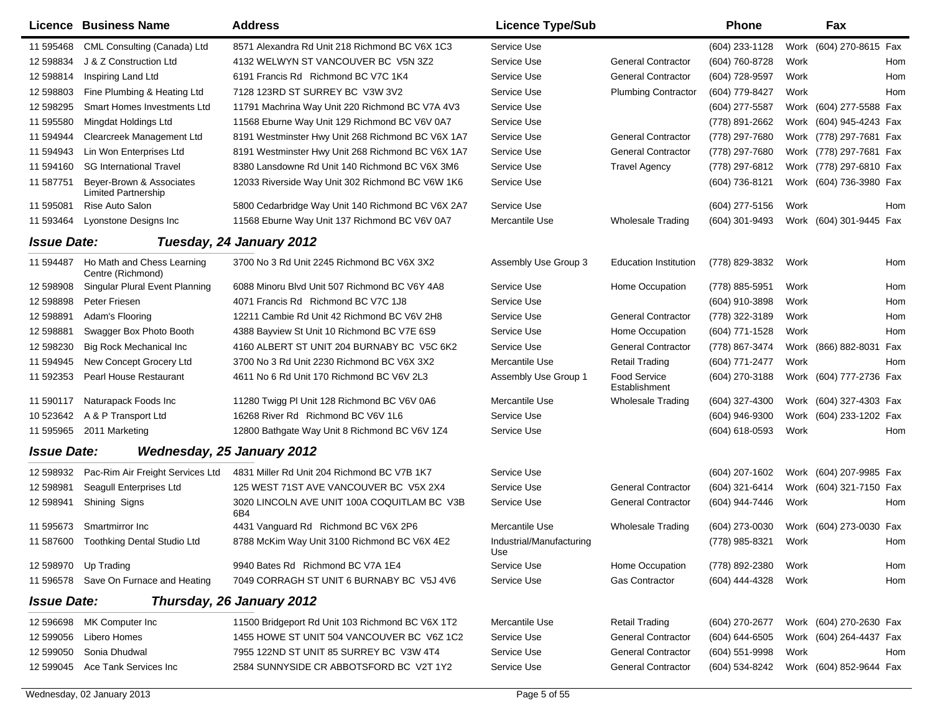|                    | <b>Licence Business Name</b>                    | <b>Address</b>                                     | <b>Licence Type/Sub</b>         |                                      | <b>Phone</b>     |      | Fax                        |  |
|--------------------|-------------------------------------------------|----------------------------------------------------|---------------------------------|--------------------------------------|------------------|------|----------------------------|--|
| 11 595468          | CML Consulting (Canada) Ltd                     | 8571 Alexandra Rd Unit 218 Richmond BC V6X 1C3     | Service Use                     |                                      | (604) 233-1128   |      | Work (604) 270-8615 Fax    |  |
| 12 598834          | J & Z Construction Ltd                          | 4132 WELWYN ST VANCOUVER BC V5N 3Z2                | Service Use                     | <b>General Contractor</b>            | (604) 760-8728   | Work | Hom                        |  |
| 12 598814          | Inspiring Land Ltd                              | 6191 Francis Rd Richmond BC V7C 1K4                | Service Use                     | <b>General Contractor</b>            | (604) 728-9597   | Work | Hom                        |  |
| 12 598803          | Fine Plumbing & Heating Ltd                     | 7128 123RD ST SURREY BC V3W 3V2                    | Service Use                     | <b>Plumbing Contractor</b>           | (604) 779-8427   | Work | Hom                        |  |
| 12 598295          | Smart Homes Investments Ltd                     | 11791 Machrina Way Unit 220 Richmond BC V7A 4V3    | Service Use                     |                                      | (604) 277-5587   |      | Work (604) 277-5588 Fax    |  |
| 11 595580          | Mingdat Holdings Ltd                            | 11568 Eburne Way Unit 129 Richmond BC V6V 0A7      | Service Use                     |                                      | (778) 891-2662   |      | Work (604) 945-4243 Fax    |  |
| 11 594944          | Clearcreek Management Ltd                       | 8191 Westminster Hwy Unit 268 Richmond BC V6X 1A7  | Service Use                     | <b>General Contractor</b>            | (778) 297-7680   |      | Work (778) 297-7681 Fax    |  |
| 11 594943          | Lin Won Enterprises Ltd                         | 8191 Westminster Hwy Unit 268 Richmond BC V6X 1A7  | Service Use                     | <b>General Contractor</b>            | (778) 297-7680   |      | Work (778) 297-7681 Fax    |  |
| 11 594160          | <b>SG International Travel</b>                  | 8380 Lansdowne Rd Unit 140 Richmond BC V6X 3M6     | Service Use                     | <b>Travel Agency</b>                 | (778) 297-6812   |      | Work (778) 297-6810 Fax    |  |
| 11 587751          | Bever-Brown & Associates<br>Limited Partnership | 12033 Riverside Way Unit 302 Richmond BC V6W 1K6   | Service Use                     |                                      | (604) 736-8121   |      | Work (604) 736-3980 Fax    |  |
| 11 595081          | Rise Auto Salon                                 | 5800 Cedarbridge Way Unit 140 Richmond BC V6X 2A7  | Service Use                     |                                      | (604) 277-5156   | Work | Hom                        |  |
| 11 593464          | Lyonstone Designs Inc                           | 11568 Eburne Way Unit 137 Richmond BC V6V 0A7      | Mercantile Use                  | <b>Wholesale Trading</b>             | $(604)$ 301-9493 |      | Work (604) 301-9445 Fax    |  |
| <b>Issue Date:</b> |                                                 | Tuesday, 24 January 2012                           |                                 |                                      |                  |      |                            |  |
| 11 594487          | Ho Math and Chess Learning<br>Centre (Richmond) | 3700 No 3 Rd Unit 2245 Richmond BC V6X 3X2         | Assembly Use Group 3            | <b>Education Institution</b>         | (778) 829-3832   | Work | Hom                        |  |
| 12 598908          | Singular Plural Event Planning                  | 6088 Minoru Blvd Unit 507 Richmond BC V6Y 4A8      | Service Use                     | Home Occupation                      | (778) 885-5951   | Work | Hom                        |  |
| 12 598898          | Peter Friesen                                   | 4071 Francis Rd Richmond BC V7C 1J8                | Service Use                     |                                      | (604) 910-3898   | Work | Hom                        |  |
| 12 598891          | Adam's Flooring                                 | 12211 Cambie Rd Unit 42 Richmond BC V6V 2H8        | Service Use                     | <b>General Contractor</b>            | (778) 322-3189   | Work | Hom                        |  |
| 12 598881          | Swagger Box Photo Booth                         | 4388 Bayview St Unit 10 Richmond BC V7E 6S9        | Service Use                     | Home Occupation                      | (604) 771-1528   | Work | Hom                        |  |
| 12 598230          | <b>Big Rock Mechanical Inc.</b>                 | 4160 ALBERT ST UNIT 204 BURNABY BC V5C 6K2         | Service Use                     | <b>General Contractor</b>            | (778) 867-3474   |      | Work (866) 882-8031<br>Fax |  |
| 11 594945          | New Concept Grocery Ltd                         | 3700 No 3 Rd Unit 2230 Richmond BC V6X 3X2         | Mercantile Use                  | <b>Retail Trading</b>                | (604) 771-2477   | Work | Hom                        |  |
| 11 592353          | Pearl House Restaurant                          | 4611 No 6 Rd Unit 170 Richmond BC V6V 2L3          | Assembly Use Group 1            | <b>Food Service</b><br>Establishment | (604) 270-3188   |      | Work (604) 777-2736 Fax    |  |
| 11 590117          | Naturapack Foods Inc                            | 11280 Twigg PI Unit 128 Richmond BC V6V 0A6        | Mercantile Use                  | <b>Wholesale Trading</b>             | (604) 327-4300   |      | Work (604) 327-4303 Fax    |  |
| 10 523642          | A & P Transport Ltd                             | 16268 River Rd Richmond BC V6V 1L6                 | Service Use                     |                                      | (604) 946-9300   |      | Work (604) 233-1202 Fax    |  |
| 11 595965          | 2011 Marketing                                  | 12800 Bathgate Way Unit 8 Richmond BC V6V 1Z4      | Service Use                     |                                      | (604) 618-0593   | Work | Hom                        |  |
| <b>Issue Date:</b> |                                                 | <b>Wednesday, 25 January 2012</b>                  |                                 |                                      |                  |      |                            |  |
| 12 598932          | Pac-Rim Air Freight Services Ltd                | 4831 Miller Rd Unit 204 Richmond BC V7B 1K7        | Service Use                     |                                      | (604) 207-1602   |      | Work (604) 207-9985 Fax    |  |
| 12 598981          | Seagull Enterprises Ltd                         | 125 WEST 71ST AVE VANCOUVER BC V5X 2X4             | Service Use                     | <b>General Contractor</b>            | (604) 321-6414   |      | Work (604) 321-7150 Fax    |  |
| 12 598941          | Shining Signs                                   | 3020 LINCOLN AVE UNIT 100A COQUITLAM BC V3B<br>6B4 | Service Use                     | <b>General Contractor</b>            | (604) 944-7446   | Work | Hom                        |  |
| 11 595673          | Smartmirror Inc                                 | 4431 Vanguard Rd Richmond BC V6X 2P6               | Mercantile Use                  | <b>Wholesale Trading</b>             | (604) 273-0030   |      | Work (604) 273-0030 Fax    |  |
|                    | 11 587600 Toothking Dental Studio Ltd           | 8788 McKim Way Unit 3100 Richmond BC V6X 4E2       | Industrial/Manufacturing<br>Use |                                      | (778) 985-8321   | Work | Hom                        |  |
|                    | 12 598970 Up Trading                            | 9940 Bates Rd Richmond BC V7A 1E4                  | Service Use                     | Home Occupation                      | (778) 892-2380   | Work | Hom                        |  |
|                    | 11 596578 Save On Furnace and Heating           | 7049 CORRAGH ST UNIT 6 BURNABY BC V5J 4V6          | Service Use                     | Gas Contractor                       | (604) 444-4328   | Work | Hom                        |  |
| <b>Issue Date:</b> |                                                 | Thursday, 26 January 2012                          |                                 |                                      |                  |      |                            |  |
| 12 596698          | MK Computer Inc                                 | 11500 Bridgeport Rd Unit 103 Richmond BC V6X 1T2   | Mercantile Use                  | <b>Retail Trading</b>                | (604) 270-2677   |      | Work (604) 270-2630 Fax    |  |
| 12 599056          | Libero Homes                                    | 1455 HOWE ST UNIT 504 VANCOUVER BC V6Z 1C2         | Service Use                     | <b>General Contractor</b>            | (604) 644-6505   |      | Work (604) 264-4437 Fax    |  |
| 12 599050          | Sonia Dhudwal                                   | 7955 122ND ST UNIT 85 SURREY BC V3W 4T4            | Service Use                     | <b>General Contractor</b>            | $(604)$ 551-9998 | Work | Hom                        |  |
| 12 599045          | Ace Tank Services Inc                           | 2584 SUNNYSIDE CR ABBOTSFORD BC V2T 1Y2            | Service Use                     | <b>General Contractor</b>            | (604) 534-8242   |      | Work (604) 852-9644 Fax    |  |
|                    |                                                 |                                                    |                                 |                                      |                  |      |                            |  |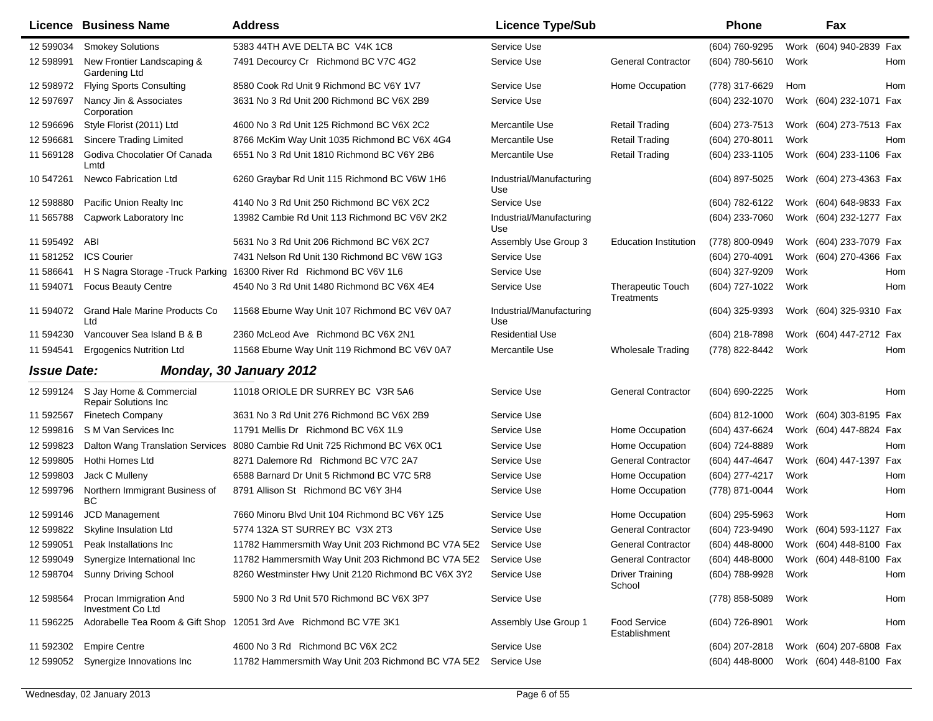|                    | Licence Business Name                                            | <b>Address</b>                                                               | <b>Licence Type/Sub</b>         |                                        | <b>Phone</b>                           |      | Fax                     |     |
|--------------------|------------------------------------------------------------------|------------------------------------------------------------------------------|---------------------------------|----------------------------------------|----------------------------------------|------|-------------------------|-----|
| 12 599034          | <b>Smokey Solutions</b>                                          | 5383 44TH AVE DELTA BC V4K 1C8                                               | Service Use                     |                                        | (604) 760-9295                         | Work | (604) 940-2839 Fax      |     |
| 12 598991          | New Frontier Landscaping &<br>Gardening Ltd                      | 7491 Decourcy Cr Richmond BC V7C 4G2                                         | Service Use                     | <b>General Contractor</b>              | (604) 780-5610                         | Work |                         | Hom |
| 12 598972          | <b>Flying Sports Consulting</b>                                  | 8580 Cook Rd Unit 9 Richmond BC V6Y 1V7                                      | Service Use                     | Home Occupation                        | (778) 317-6629                         | Hom  |                         | Hom |
| 12 597697          | Nancy Jin & Associates<br>Corporation                            | 3631 No 3 Rd Unit 200 Richmond BC V6X 2B9                                    | Service Use                     |                                        | $(604)$ 232-1070                       |      | Work (604) 232-1071 Fax |     |
| 12 59 669 6        | Style Florist (2011) Ltd                                         | 4600 No 3 Rd Unit 125 Richmond BC V6X 2C2                                    | Mercantile Use                  | <b>Retail Trading</b>                  | (604) 273-7513                         |      | Work (604) 273-7513 Fax |     |
| 12 59 6681         | <b>Sincere Trading Limited</b>                                   | 8766 McKim Way Unit 1035 Richmond BC V6X 4G4                                 | Mercantile Use                  | <b>Retail Trading</b>                  | (604) 270-8011                         | Work |                         | Hom |
| 11 569128          | Godiva Chocolatier Of Canada<br>Lmtd                             | 6551 No 3 Rd Unit 1810 Richmond BC V6Y 2B6                                   | Mercantile Use                  | <b>Retail Trading</b>                  | (604) 233-1105                         |      | Work (604) 233-1106 Fax |     |
| 10 547261          | Newco Fabrication Ltd                                            | 6260 Graybar Rd Unit 115 Richmond BC V6W 1H6                                 | Industrial/Manufacturing<br>Use |                                        | (604) 897-5025                         |      | Work (604) 273-4363 Fax |     |
| 12 598880          | Pacific Union Realty Inc                                         | 4140 No 3 Rd Unit 250 Richmond BC V6X 2C2                                    | Service Use                     |                                        | (604) 782-6122                         |      | Work (604) 648-9833 Fax |     |
| 11 565788          | Capwork Laboratory Inc                                           | 13982 Cambie Rd Unit 113 Richmond BC V6V 2K2                                 | Industrial/Manufacturing<br>Use |                                        | (604) 233-7060                         |      | Work (604) 232-1277 Fax |     |
| 11 595492          | ABI                                                              | 5631 No 3 Rd Unit 206 Richmond BC V6X 2C7                                    | Assembly Use Group 3            | <b>Education Institution</b>           | (778) 800-0949                         |      | Work (604) 233-7079 Fax |     |
| 11 581252          | <b>ICS Courier</b>                                               | 7431 Nelson Rd Unit 130 Richmond BC V6W 1G3                                  | Service Use                     |                                        | (604) 270-4091                         |      | Work (604) 270-4366 Fax |     |
| 11 586641          | H S Nagra Storage - Truck Parking                                | 16300 River Rd Richmond BC V6V 1L6                                           | Service Use                     |                                        | (604) 327-9209                         | Work |                         | Hom |
| 11 594071          | <b>Focus Beauty Centre</b>                                       | 4540 No 3 Rd Unit 1480 Richmond BC V6X 4E4                                   | Service Use                     | <b>Therapeutic Touch</b><br>Treatments | (604) 727-1022                         | Work |                         | Hom |
| 11 594072          | Grand Hale Marine Products Co<br>Ltd                             | 11568 Eburne Way Unit 107 Richmond BC V6V 0A7                                | Industrial/Manufacturing<br>Use |                                        | $(604)$ 325-9393                       |      | Work (604) 325-9310 Fax |     |
| 11 594230          | Vancouver Sea Island B & B                                       | 2360 McLeod Ave Richmond BC V6X 2N1                                          | <b>Residential Use</b>          |                                        | (604) 218-7898                         |      | Work (604) 447-2712 Fax |     |
| 11 594541          | <b>Ergogenics Nutrition Ltd</b>                                  | 11568 Eburne Way Unit 119 Richmond BC V6V 0A7                                | Mercantile Use                  | <b>Wholesale Trading</b>               | (778) 822-8442                         | Work |                         | Hom |
| <b>Issue Date:</b> |                                                                  | <b>Monday, 30 January 2012</b>                                               |                                 |                                        |                                        |      |                         |     |
|                    | 12 599124 S Jay Home & Commercial<br><b>Repair Solutions Inc</b> | 11018 ORIOLE DR SURREY BC V3R 5A6                                            | Service Use                     | <b>General Contractor</b>              | (604) 690-2225                         | Work |                         | Hom |
| 11 592567          | <b>Finetech Company</b>                                          | 3631 No 3 Rd Unit 276 Richmond BC V6X 2B9                                    | Service Use                     |                                        | $(604)$ 812-1000                       |      | Work (604) 303-8195 Fax |     |
| 12 599816          | S M Van Services Inc                                             | 11791 Mellis Dr Richmond BC V6X 1L9                                          | Service Use                     | Home Occupation                        | (604) 437-6624                         |      | Work (604) 447-8824 Fax |     |
| 12 599823          |                                                                  | Dalton Wang Translation Services 8080 Cambie Rd Unit 725 Richmond BC V6X 0C1 | Service Use                     | Home Occupation                        | (604) 724-8889                         | Work |                         | Hom |
| 12 599805          | Hothi Homes Ltd                                                  | 8271 Dalemore Rd Richmond BC V7C 2A7                                         | Service Use                     | <b>General Contractor</b>              | (604) 447-4647                         |      | Work (604) 447-1397 Fax |     |
| 12 599803          | Jack C Mulleny                                                   | 6588 Barnard Dr Unit 5 Richmond BC V7C 5R8                                   | Service Use                     | Home Occupation                        | (604) 277-4217                         | Work |                         | Hom |
| 12 599796          | Northern Immigrant Business of<br>BC                             | 8791 Allison St Richmond BC V6Y 3H4                                          | Service Use                     | Home Occupation                        | (778) 871-0044                         | Work |                         | Hom |
| 12 599146          | JCD Management                                                   | 7660 Minoru Blvd Unit 104 Richmond BC V6Y 1Z5                                | Service Use                     | Home Occupation                        | (604) 295-5963                         | Work |                         | Hom |
|                    | 12 599822 Skyline Insulation Ltd                                 | 5774 132A ST SURREY BC V3X 2T3                                               | Service Use                     | <b>General Contractor</b>              | (604) 723-9490                         |      | Work (604) 593-1127 Fax |     |
|                    | 12 599051 Peak Installations Inc                                 | 11782 Hammersmith Way Unit 203 Richmond BC V7A 5E2                           | Service Use                     | <b>General Contractor</b>              | (604) 448-8000 Work (604) 448-8100 Fax |      |                         |     |
| 12 599049          | Synergize International Inc                                      | 11782 Hammersmith Way Unit 203 Richmond BC V7A 5E2                           | Service Use                     | <b>General Contractor</b>              | (604) 448-8000                         |      | Work (604) 448-8100 Fax |     |
| 12 598704          | Sunny Driving School                                             | 8260 Westminster Hwy Unit 2120 Richmond BC V6X 3Y2                           | Service Use                     | <b>Driver Training</b><br>School       | (604) 788-9928                         | Work |                         | Hom |
| 12 598564          | Procan Immigration And<br>Investment Co Ltd                      | 5900 No 3 Rd Unit 570 Richmond BC V6X 3P7                                    | Service Use                     |                                        | (778) 858-5089                         | Work |                         | Hom |
| 11 596225          |                                                                  | Adorabelle Tea Room & Gift Shop 12051 3rd Ave Richmond BC V7E 3K1            | Assembly Use Group 1            | <b>Food Service</b><br>Establishment   | (604) 726-8901                         | Work |                         | Hom |
| 11 592302          | <b>Empire Centre</b>                                             | 4600 No 3 Rd Richmond BC V6X 2C2                                             | Service Use                     |                                        | (604) 207-2818                         |      | Work (604) 207-6808 Fax |     |
| 12 599052          | Synergize Innovations Inc                                        | 11782 Hammersmith Way Unit 203 Richmond BC V7A 5E2                           | Service Use                     |                                        | (604) 448-8000                         |      | Work (604) 448-8100 Fax |     |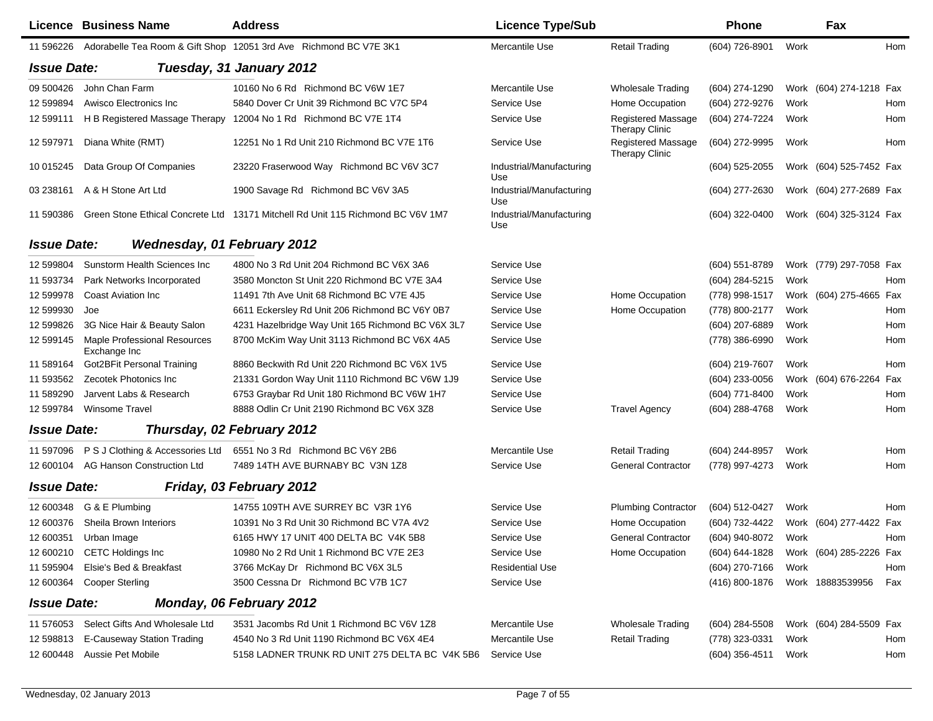|                    | <b>Licence Business Name</b>                        | <b>Address</b>                                                                  | <b>Licence Type/Sub</b>         |                                      | <b>Phone</b>                           |      | Fax                     |            |
|--------------------|-----------------------------------------------------|---------------------------------------------------------------------------------|---------------------------------|--------------------------------------|----------------------------------------|------|-------------------------|------------|
| 11 596226          |                                                     | Adorabelle Tea Room & Gift Shop 12051 3rd Ave Richmond BC V7E 3K1               | Mercantile Use                  | <b>Retail Trading</b>                | (604) 726-8901                         | Work |                         | Hom        |
| <b>Issue Date:</b> |                                                     | Tuesday, 31 January 2012                                                        |                                 |                                      |                                        |      |                         |            |
| 09 500426          | John Chan Farm                                      | 10160 No 6 Rd Richmond BC V6W 1E7                                               | Mercantile Use                  | <b>Wholesale Trading</b>             | (604) 274-1290                         |      | Work (604) 274-1218 Fax |            |
| 12 599894          | Awisco Electronics Inc.                             | 5840 Dover Cr Unit 39 Richmond BC V7C 5P4                                       | Service Use                     | Home Occupation                      | (604) 272-9276                         | Work |                         | Hom        |
| 12 599111          | H B Registered Massage Therapy                      | 12004 No 1 Rd Richmond BC V7E 1T4                                               | Service Use                     | Registered Massage<br>Therapy Clinic | (604) 274-7224                         | Work |                         | Hom        |
| 12 597971          | Diana White (RMT)                                   | 12251 No 1 Rd Unit 210 Richmond BC V7E 1T6                                      | Service Use                     | Registered Massage<br>Therapy Clinic | (604) 272-9995                         | Work |                         | Hom        |
| 10 015245          | Data Group Of Companies                             | 23220 Fraserwood Way Richmond BC V6V 3C7                                        | Industrial/Manufacturing<br>Use |                                      | $(604)$ 525-2055                       |      | Work (604) 525-7452 Fax |            |
| 03 238161          | A & H Stone Art Ltd                                 | 1900 Savage Rd Richmond BC V6V 3A5                                              | Industrial/Manufacturing<br>Use |                                      | (604) 277-2630                         |      | Work (604) 277-2689 Fax |            |
| 11 590386          |                                                     | Green Stone Ethical Concrete Ltd 13171 Mitchell Rd Unit 115 Richmond BC V6V 1M7 | Industrial/Manufacturing<br>Use |                                      | (604) 322-0400                         |      | Work (604) 325-3124 Fax |            |
| <b>Issue Date:</b> | Wednesday, 01 February 2012                         |                                                                                 |                                 |                                      |                                        |      |                         |            |
| 12 599804          | Sunstorm Health Sciences Inc                        | 4800 No 3 Rd Unit 204 Richmond BC V6X 3A6                                       | Service Use                     |                                      | (604) 551-8789                         |      | Work (779) 297-7058 Fax |            |
| 11 593734          | Park Networks Incorporated                          | 3580 Moncton St Unit 220 Richmond BC V7E 3A4                                    | Service Use                     |                                      | (604) 284-5215                         | Work |                         | <b>Hom</b> |
| 12 599978          | <b>Coast Aviation Inc.</b>                          | 11491 7th Ave Unit 68 Richmond BC V7E 4J5                                       | Service Use                     | Home Occupation                      | (778) 998-1517                         |      | Work (604) 275-4665 Fax |            |
| 12 599930          | Joe                                                 | 6611 Eckersley Rd Unit 206 Richmond BC V6Y 0B7                                  | Service Use                     | Home Occupation                      | (778) 800-2177                         | Work |                         | Hom        |
| 12 599826          | 3G Nice Hair & Beauty Salon                         | 4231 Hazelbridge Way Unit 165 Richmond BC V6X 3L7                               | Service Use                     |                                      | (604) 207-6889                         | Work |                         | Hom        |
| 12 599145          | <b>Maple Professional Resources</b><br>Exchange Inc | 8700 McKim Way Unit 3113 Richmond BC V6X 4A5                                    | Service Use                     |                                      | (778) 386-6990                         | Work |                         | Hom        |
| 11 589164          | <b>Got2BFit Personal Training</b>                   | 8860 Beckwith Rd Unit 220 Richmond BC V6X 1V5                                   | Service Use                     |                                      | (604) 219-7607                         | Work |                         | Hom        |
| 11 593562          | Zecotek Photonics Inc                               | 21331 Gordon Way Unit 1110 Richmond BC V6W 1J9                                  | Service Use                     |                                      | (604) 233-0056                         |      | Work (604) 676-2264 Fax |            |
| 11 589290          | Jarvent Labs & Research                             | 6753 Graybar Rd Unit 180 Richmond BC V6W 1H7                                    | Service Use                     |                                      | (604) 771-8400                         | Work |                         | Hom        |
| 12 599784          | <b>Winsome Travel</b>                               | 8888 Odlin Cr Unit 2190 Richmond BC V6X 3Z8                                     | Service Use                     | <b>Travel Agency</b>                 | (604) 288-4768                         | Work |                         | Hom        |
| <b>Issue Date:</b> |                                                     | Thursday, 02 February 2012                                                      |                                 |                                      |                                        |      |                         |            |
| 11 597096          | P S J Clothing & Accessories Ltd                    | 6551 No 3 Rd Richmond BC V6Y 2B6                                                | Mercantile Use                  | <b>Retail Trading</b>                | (604) 244-8957                         | Work |                         | Hom        |
| 12 600104          | AG Hanson Construction Ltd                          | 7489 14TH AVE BURNABY BC V3N 1Z8                                                | Service Use                     | <b>General Contractor</b>            | (778) 997-4273                         | Work |                         | Hom        |
| <b>Issue Date:</b> |                                                     | Friday, 03 February 2012                                                        |                                 |                                      |                                        |      |                         |            |
| 12 600348          | G & E Plumbing                                      | 14755 109TH AVE SURREY BC V3R 1Y6                                               | Service Use                     | <b>Plumbing Contractor</b>           | (604) 512-0427                         | Work |                         | Hom        |
| 12 600376          | Sheila Brown Interiors                              | 10391 No 3 Rd Unit 30 Richmond BC V7A 4V2                                       | Service Use                     | Home Occupation                      | (604) 732-4422                         | Work | (604) 277-4422          | Fax        |
| 12 600351          | Urban Image                                         | 6165 HWY 17 UNIT 400 DELTA BC V4K 5B8                                           | Service Use                     | <b>General Contractor</b>            | (604) 940-8072                         | Work |                         | Hom        |
|                    | 12 600210 CETC Holdings Inc                         | 10980 No 2 Rd Unit 1 Richmond BC V7E 2E3                                        | Service Use                     | Home Occupation                      | (604) 644-1828 Work (604) 285-2226 Fax |      |                         |            |
| 11 595904          | Elsie's Bed & Breakfast                             | 3766 McKay Dr Richmond BC V6X 3L5                                               | <b>Residential Use</b>          |                                      | (604) 270-7166                         | Work |                         | Hom        |
| 12 600364          | <b>Cooper Sterling</b>                              | 3500 Cessna Dr Richmond BC V7B 1C7                                              | Service Use                     |                                      | (416) 800-1876                         |      | Work 18883539956        | Fax        |
| <b>Issue Date:</b> |                                                     | Monday, 06 February 2012                                                        |                                 |                                      |                                        |      |                         |            |
|                    | 11 576053 Select Gifts And Wholesale Ltd            | 3531 Jacombs Rd Unit 1 Richmond BC V6V 1Z8                                      | Mercantile Use                  | Wholesale Trading                    | $(604)$ 284-5508                       |      | Work (604) 284-5509 Fax |            |
| 12 598813          | E-Causeway Station Trading                          | 4540 No 3 Rd Unit 1190 Richmond BC V6X 4E4                                      | Mercantile Use                  | <b>Retail Trading</b>                | (778) 323-0331                         | Work |                         | Hom        |
| 12 600448          | Aussie Pet Mobile                                   | 5158 LADNER TRUNK RD UNIT 275 DELTA BC V4K 5B6                                  | Service Use                     |                                      | (604) 356-4511                         | Work |                         | Hom        |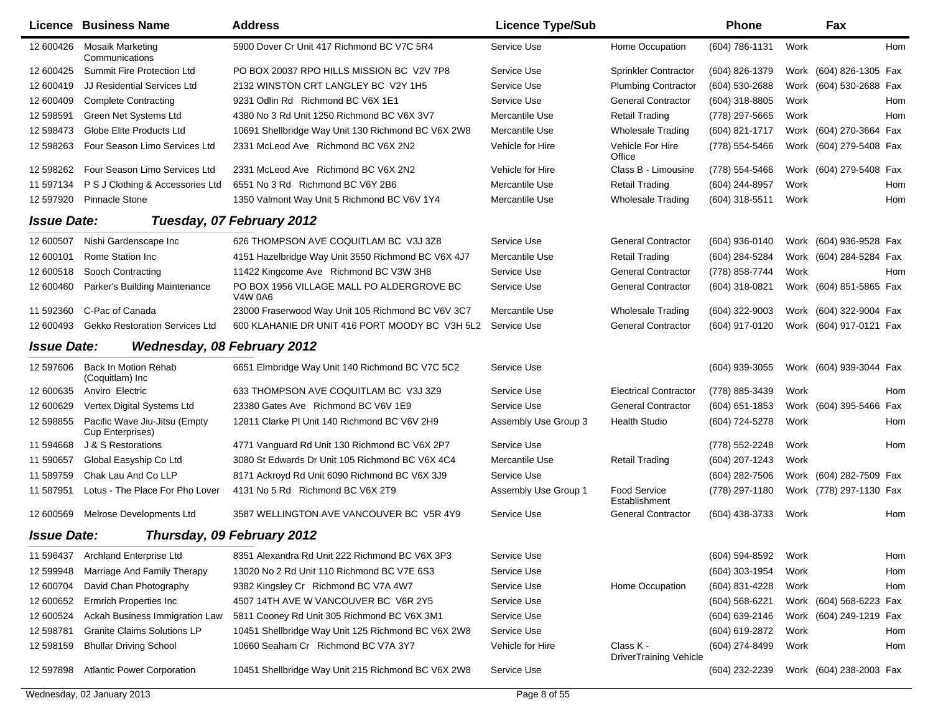|                    | Licence Business Name                             | <b>Address</b>                                              | <b>Licence Type/Sub</b> |                                            | Phone          |      | Fax                     |     |
|--------------------|---------------------------------------------------|-------------------------------------------------------------|-------------------------|--------------------------------------------|----------------|------|-------------------------|-----|
| 12 600426          | <b>Mosaik Marketing</b><br>Communications         | 5900 Dover Cr Unit 417 Richmond BC V7C 5R4                  | Service Use             | Home Occupation                            | (604) 786-1131 | Work |                         | Hom |
| 12 600425          | <b>Summit Fire Protection Ltd</b>                 | PO BOX 20037 RPO HILLS MISSION BC V2V 7P8                   | Service Use             | <b>Sprinkler Contractor</b>                | (604) 826-1379 |      | Work (604) 826-1305 Fax |     |
| 12 600419          | JJ Residential Services Ltd                       | 2132 WINSTON CRT LANGLEY BC V2Y 1H5                         | Service Use             | <b>Plumbing Contractor</b>                 | (604) 530-2688 | Work | (604) 530-2688 Fax      |     |
| 12 600409          | <b>Complete Contracting</b>                       | 9231 Odlin Rd Richmond BC V6X 1E1                           | Service Use             | <b>General Contractor</b>                  | (604) 318-8805 | Work |                         | Hom |
| 12 598591          | Green Net Systems Ltd                             | 4380 No 3 Rd Unit 1250 Richmond BC V6X 3V7                  | Mercantile Use          | <b>Retail Trading</b>                      | (778) 297-5665 | Work |                         | Hom |
| 12 598473          | Globe Elite Products Ltd                          | 10691 Shellbridge Way Unit 130 Richmond BC V6X 2W8          | Mercantile Use          | <b>Wholesale Trading</b>                   | (604) 821-1717 |      | Work (604) 270-3664 Fax |     |
| 12 598263          | Four Season Limo Services Ltd                     | 2331 McLeod Ave Richmond BC V6X 2N2                         | Vehicle for Hire        | Vehicle For Hire<br>Office                 | (778) 554-5466 |      | Work (604) 279-5408 Fax |     |
| 12 598262          | Four Season Limo Services Ltd                     | 2331 McLeod Ave Richmond BC V6X 2N2                         | Vehicle for Hire        | Class B - Limousine                        | (778) 554-5466 |      | Work (604) 279-5408 Fax |     |
| 11 597134          | P S J Clothing & Accessories Ltd                  | 6551 No 3 Rd Richmond BC V6Y 2B6                            | Mercantile Use          | <b>Retail Trading</b>                      | (604) 244-8957 | Work |                         | Hom |
| 12 597920          | <b>Pinnacle Stone</b>                             | 1350 Valmont Way Unit 5 Richmond BC V6V 1Y4                 | Mercantile Use          | <b>Wholesale Trading</b>                   | (604) 318-5511 | Work |                         | Hom |
| <b>Issue Date:</b> |                                                   | Tuesday, 07 February 2012                                   |                         |                                            |                |      |                         |     |
| 12 600507          | Nishi Gardenscape Inc                             | 626 THOMPSON AVE COQUITLAM BC V3J 3Z8                       | Service Use             | <b>General Contractor</b>                  | (604) 936-0140 |      | Work (604) 936-9528 Fax |     |
| 12 600101          | Rome Station Inc                                  | 4151 Hazelbridge Way Unit 3550 Richmond BC V6X 4J7          | Mercantile Use          | <b>Retail Trading</b>                      | (604) 284-5284 |      | Work (604) 284-5284 Fax |     |
| 12 600518          | Sooch Contracting                                 | 11422 Kingcome Ave Richmond BC V3W 3H8                      | Service Use             | <b>General Contractor</b>                  | (778) 858-7744 | Work |                         | Hom |
| 12 600460          | Parker's Building Maintenance                     | PO BOX 1956 VILLAGE MALL PO ALDERGROVE BC<br><b>V4W 0A6</b> | Service Use             | <b>General Contractor</b>                  | (604) 318-0821 |      | Work (604) 851-5865 Fax |     |
| 11 592360          | C-Pac of Canada                                   | 23000 Fraserwood Way Unit 105 Richmond BC V6V 3C7           | Mercantile Use          | <b>Wholesale Trading</b>                   | (604) 322-9003 |      | Work (604) 322-9004 Fax |     |
| 12 600493          | <b>Gekko Restoration Services Ltd</b>             | 600 KLAHANIE DR UNIT 416 PORT MOODY BC V3H 5L2              | Service Use             | <b>General Contractor</b>                  | (604) 917-0120 |      | Work (604) 917-0121 Fax |     |
| <b>Issue Date:</b> | <b>Wednesday, 08 February 2012</b>                |                                                             |                         |                                            |                |      |                         |     |
| 12 597606          | <b>Back In Motion Rehab</b><br>(Coquitlam) Inc    | 6651 Elmbridge Way Unit 140 Richmond BC V7C 5C2             | Service Use             |                                            | (604) 939-3055 |      | Work (604) 939-3044 Fax |     |
| 12 600635          | Anviro Electric                                   | 633 THOMPSON AVE COQUITLAM BC V3J 3Z9                       | Service Use             | <b>Electrical Contractor</b>               | (778) 885-3439 | Work |                         | Hom |
| 12 600629          | Vertex Digital Systems Ltd                        | 23380 Gates Ave Richmond BC V6V 1E9                         | Service Use             | <b>General Contractor</b>                  | (604) 651-1853 |      | Work (604) 395-5466 Fax |     |
| 12 598855          | Pacific Wave Jiu-Jitsu (Empty<br>Cup Enterprises) | 12811 Clarke PI Unit 140 Richmond BC V6V 2H9                | Assembly Use Group 3    | <b>Health Studio</b>                       | (604) 724-5278 | Work |                         | Hom |
| 11 594668          | J & S Restorations                                | 4771 Vanguard Rd Unit 130 Richmond BC V6X 2P7               | Service Use             |                                            | (778) 552-2248 | Work |                         | Hom |
| 11 590657          | Global Easyship Co Ltd                            | 3080 St Edwards Dr Unit 105 Richmond BC V6X 4C4             | Mercantile Use          | <b>Retail Trading</b>                      | (604) 207-1243 | Work |                         |     |
| 11 589759          | Chak Lau And Co LLP                               | 8171 Ackroyd Rd Unit 6090 Richmond BC V6X 3J9               | Service Use             |                                            | (604) 282-7506 |      | Work (604) 282-7509 Fax |     |
| 11 587951          | Lotus - The Place For Pho Lover                   | 4131 No 5 Rd Richmond BC V6X 2T9                            | Assembly Use Group 1    | <b>Food Service</b><br>Establishment       | (778) 297-1180 |      | Work (778) 297-1130 Fax |     |
| 12 600569          | Melrose Developments Ltd                          | 3587 WELLINGTON AVE VANCOUVER BC V5R 4Y9                    | Service Use             | <b>General Contractor</b>                  | (604) 438-3733 | Work |                         | Hom |
| <b>Issue Date:</b> |                                                   | Thursday, 09 February 2012                                  |                         |                                            |                |      |                         |     |
| 11 596437          | <b>Archland Enterprise Ltd</b>                    | 8351 Alexandra Rd Unit 222 Richmond BC V6X 3P3              | Service Use             |                                            | (604) 594-8592 | Work |                         | Hom |
| 12 599948          | Marriage And Family Therapy                       | 13020 No 2 Rd Unit 110 Richmond BC V7E 6S3                  | Service Use             |                                            | (604) 303-1954 | Work |                         | Hom |
| 12 600704          | David Chan Photography                            | 9382 Kingsley Cr Richmond BC V7A 4W7                        | Service Use             | Home Occupation                            | (604) 831-4228 | Work |                         | Hom |
| 12 600652          | Ermrich Properties Inc                            | 4507 14TH AVE W VANCOUVER BC V6R 2Y5                        | Service Use             |                                            | (604) 568-6221 |      | Work (604) 568-6223 Fax |     |
| 12 600524          | Ackah Business Immigration Law                    | 5811 Cooney Rd Unit 305 Richmond BC V6X 3M1                 | Service Use             |                                            | (604) 639-2146 |      | Work (604) 249-1219 Fax |     |
| 12 598781          | <b>Granite Claims Solutions LP</b>                | 10451 Shellbridge Way Unit 125 Richmond BC V6X 2W8          | Service Use             |                                            | (604) 619-2872 | Work |                         | Hom |
| 12 598159          | <b>Bhullar Driving School</b>                     | 10660 Seaham Cr Richmond BC V7A 3Y7                         | Vehicle for Hire        | Class K -<br><b>DriverTraining Vehicle</b> | (604) 274-8499 | Work |                         | Hom |
| 12 597898          | <b>Atlantic Power Corporation</b>                 | 10451 Shellbridge Way Unit 215 Richmond BC V6X 2W8          | Service Use             |                                            | (604) 232-2239 |      | Work (604) 238-2003 Fax |     |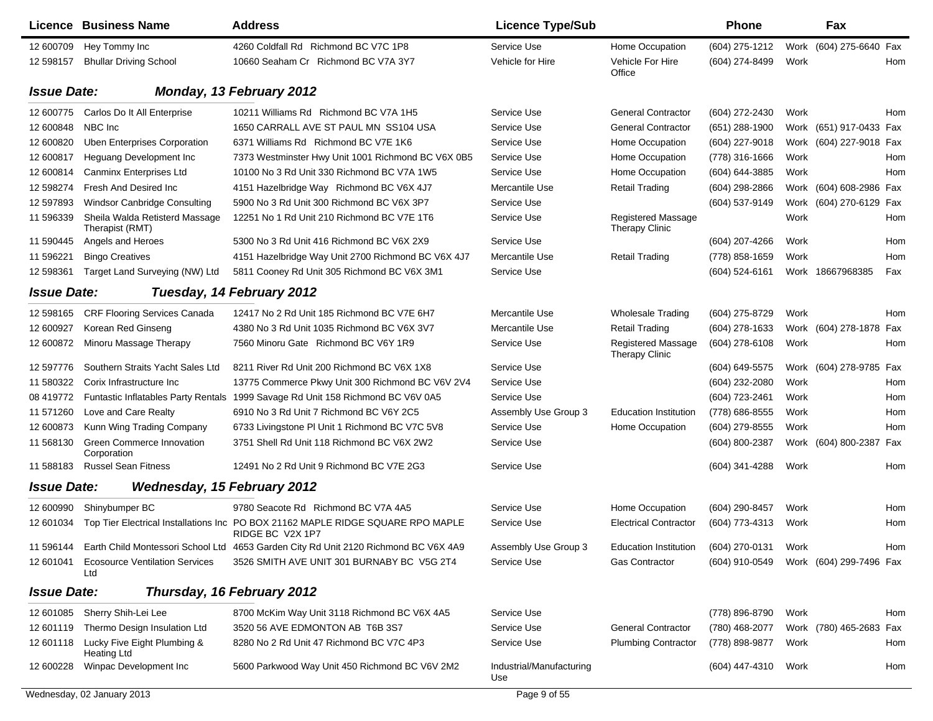|                    | Licence Business Name                             | <b>Address</b>                                                                                      | <b>Licence Type/Sub</b>         |                                             | <b>Phone</b>     |      | Fax                     |            |
|--------------------|---------------------------------------------------|-----------------------------------------------------------------------------------------------------|---------------------------------|---------------------------------------------|------------------|------|-------------------------|------------|
| 12 600709          | Hey Tommy Inc                                     | 4260 Coldfall Rd Richmond BC V7C 1P8                                                                | Service Use                     | Home Occupation                             | (604) 275-1212   |      | Work (604) 275-6640 Fax |            |
| 12 598157          | <b>Bhullar Driving School</b>                     | 10660 Seaham Cr Richmond BC V7A 3Y7                                                                 | Vehicle for Hire                | <b>Vehicle For Hire</b><br>Office           | (604) 274-8499   | Work |                         | Hom        |
| <b>Issue Date:</b> |                                                   | Monday, 13 February 2012                                                                            |                                 |                                             |                  |      |                         |            |
| 12 600775          | Carlos Do It All Enterprise                       | 10211 Williams Rd Richmond BC V7A 1H5                                                               | Service Use                     | <b>General Contractor</b>                   | (604) 272-2430   | Work |                         | Hom        |
| 12 600848          | NBC Inc                                           | 1650 CARRALL AVE ST PAUL MN SS104 USA                                                               | Service Use                     | <b>General Contractor</b>                   | $(651)$ 288-1900 |      | Work (651) 917-0433 Fax |            |
| 12 600820          | <b>Uben Enterprises Corporation</b>               | 6371 Williams Rd Richmond BC V7E 1K6                                                                | Service Use                     | Home Occupation                             | (604) 227-9018   |      | Work (604) 227-9018 Fax |            |
| 12 600817          | Heguang Development Inc                           | 7373 Westminster Hwy Unit 1001 Richmond BC V6X 0B5                                                  | Service Use                     | Home Occupation                             | (778) 316-1666   | Work |                         | Hom        |
| 12 600814          | Canminx Enterprises Ltd                           | 10100 No 3 Rd Unit 330 Richmond BC V7A 1W5                                                          | Service Use                     | Home Occupation                             | (604) 644-3885   | Work |                         | Hom        |
| 12 598274          | Fresh And Desired Inc                             | 4151 Hazelbridge Way Richmond BC V6X 4J7                                                            | Mercantile Use                  | <b>Retail Trading</b>                       | $(604)$ 298-2866 | Work | (604) 608-2986 Fax      |            |
| 12 597893          | Windsor Canbridge Consulting                      | 5900 No 3 Rd Unit 300 Richmond BC V6X 3P7                                                           | Service Use                     |                                             | (604) 537-9149   |      | Work (604) 270-6129 Fax |            |
| 11 596339          | Sheila Walda Retisterd Massage<br>Therapist (RMT) | 12251 No 1 Rd Unit 210 Richmond BC V7E 1T6                                                          | Service Use                     | <b>Registered Massage</b><br>Therapy Clinic |                  | Work |                         | Hom        |
| 11 590445          | Angels and Heroes                                 | 5300 No 3 Rd Unit 416 Richmond BC V6X 2X9                                                           | Service Use                     |                                             | (604) 207-4266   | Work |                         | Hom        |
| 11 59 6221         | <b>Bingo Creatives</b>                            | 4151 Hazelbridge Way Unit 2700 Richmond BC V6X 4J7                                                  | Mercantile Use                  | <b>Retail Trading</b>                       | (778) 858-1659   | Work |                         | Hom        |
| 12 598361          | Target Land Surveying (NW) Ltd                    | 5811 Cooney Rd Unit 305 Richmond BC V6X 3M1                                                         | Service Use                     |                                             | (604) 524-6161   |      | Work 18667968385        | Fax        |
| <b>Issue Date:</b> |                                                   | Tuesday, 14 February 2012                                                                           |                                 |                                             |                  |      |                         |            |
| 12 598165          | <b>CRF Flooring Services Canada</b>               | 12417 No 2 Rd Unit 185 Richmond BC V7E 6H7                                                          | Mercantile Use                  | <b>Wholesale Trading</b>                    | (604) 275-8729   | Work |                         | Hom        |
| 12 600927          | Korean Red Ginseng                                | 4380 No 3 Rd Unit 1035 Richmond BC V6X 3V7                                                          | Mercantile Use                  | <b>Retail Trading</b>                       | (604) 278-1633   |      | Work (604) 278-1878     | Fax        |
| 12 600872          | Minoru Massage Therapy                            | 7560 Minoru Gate Richmond BC V6Y 1R9                                                                | Service Use                     | Registered Massage<br><b>Therapy Clinic</b> | (604) 278-6108   | Work |                         | Hom        |
| 12 597776          | Southern Straits Yacht Sales Ltd                  | 8211 River Rd Unit 200 Richmond BC V6X 1X8                                                          | Service Use                     |                                             | (604) 649-5575   | Work | (604) 278-9785 Fax      |            |
| 11 580322          | Corix Infrastructure Inc                          | 13775 Commerce Pkwy Unit 300 Richmond BC V6V 2V4                                                    | Service Use                     |                                             | (604) 232-2080   | Work |                         | Hom        |
| 08 419772          |                                                   | Funtastic Inflatables Party Rentals 1999 Savage Rd Unit 158 Richmond BC V6V 0A5                     | Service Use                     |                                             | (604) 723-2461   | Work |                         | Hom        |
| 11 571 260         | Love and Care Realty                              | 6910 No 3 Rd Unit 7 Richmond BC V6Y 2C5                                                             | Assembly Use Group 3            | <b>Education Institution</b>                | (778) 686-8555   | Work |                         | Hom        |
| 12 600873          | Kunn Wing Trading Company                         | 6733 Livingstone PI Unit 1 Richmond BC V7C 5V8                                                      | Service Use                     | Home Occupation                             | (604) 279-8555   | Work |                         | <b>Hom</b> |
| 11 568130          | Green Commerce Innovation<br>Corporation          | 3751 Shell Rd Unit 118 Richmond BC V6X 2W2                                                          | Service Use                     |                                             | (604) 800-2387   |      | Work (604) 800-2387 Fax |            |
| 11 588183          | <b>Russel Sean Fitness</b>                        | 12491 No 2 Rd Unit 9 Richmond BC V7E 2G3                                                            | Service Use                     |                                             | (604) 341-4288   | Work |                         | Hom        |
| <b>Issue Date:</b> | <b>Wednesday, 15 February 2012</b>                |                                                                                                     |                                 |                                             |                  |      |                         |            |
| 12 600990          | Shinybumper BC                                    | 9780 Seacote Rd Richmond BC V7A 4A5                                                                 | Service Use                     | Home Occupation                             | (604) 290-8457   | Work |                         | Hom        |
| 12 601034          |                                                   | Top Tier Electrical Installations Inc PO BOX 21162 MAPLE RIDGE SQUARE RPO MAPLE<br>RIDGE BC V2X 1P7 | Service Use                     | <b>Electrical Contractor</b>                | (604) 773-4313   | Work |                         | Hom        |
| 11 596144          |                                                   | Earth Child Montessori School Ltd 4653 Garden City Rd Unit 2120 Richmond BC V6X 4A9                 | Assembly Use Group 3            | Education Institution                       | (604) 270-0131   | Work |                         | Hom        |
| 12 601041          | <b>Ecosource Ventilation Services</b><br>Ltd      | 3526 SMITH AVE UNIT 301 BURNABY BC V5G 2T4                                                          | Service Use                     | Gas Contractor                              | (604) 910-0549   |      | Work (604) 299-7496 Fax |            |
| <b>Issue Date:</b> |                                                   | Thursday, 16 February 2012                                                                          |                                 |                                             |                  |      |                         |            |
| 12 601085          | Sherry Shih-Lei Lee                               | 8700 McKim Way Unit 3118 Richmond BC V6X 4A5                                                        | Service Use                     |                                             | (778) 896-8790   | Work |                         | Hom        |
| 12 601119          | Thermo Design Insulation Ltd                      | 3520 56 AVE EDMONTON AB T6B 3S7                                                                     | Service Use                     | <b>General Contractor</b>                   | (780) 468-2077   |      | Work (780) 465-2683 Fax |            |
| 12 601118          | Lucky Five Eight Plumbing &<br><b>Heating Ltd</b> | 8280 No 2 Rd Unit 47 Richmond BC V7C 4P3                                                            | Service Use                     | <b>Plumbing Contractor</b>                  | (778) 898-9877   | Work |                         | Hom        |
| 12 600228          | Winpac Development Inc                            | 5600 Parkwood Way Unit 450 Richmond BC V6V 2M2                                                      | Industrial/Manufacturing<br>Use |                                             | (604) 447-4310   | Work |                         | Hom        |
|                    | Wednesday, 02 January 2013                        |                                                                                                     | Page 9 of 55                    |                                             |                  |      |                         |            |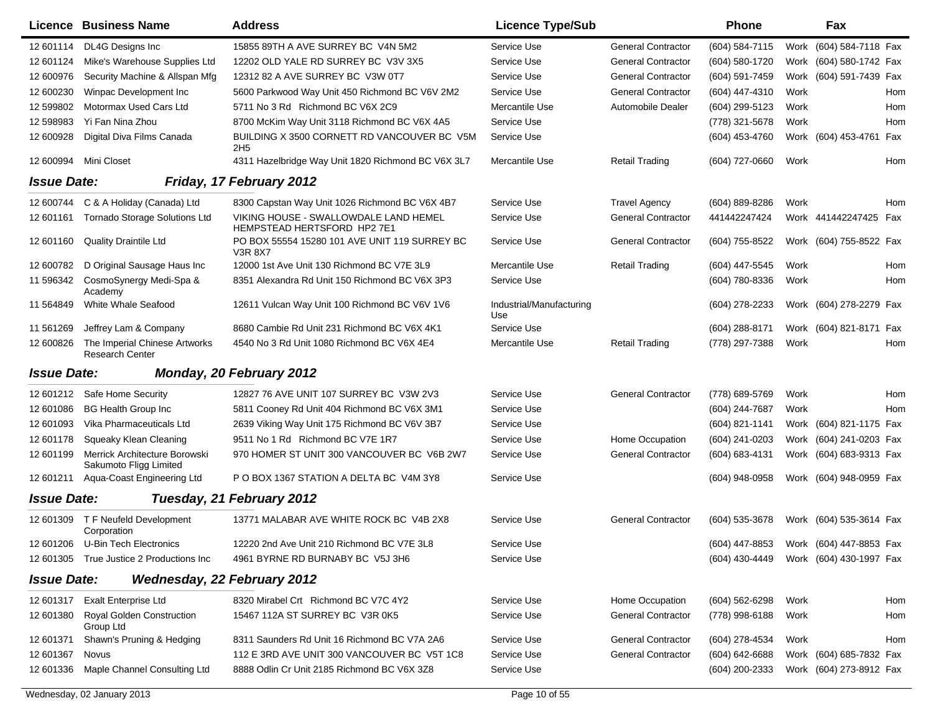|                    | Licence Business Name                                   | <b>Address</b>                                                       | <b>Licence Type/Sub</b>         |                           | <b>Phone</b>       | <b>Fax</b>                             |            |
|--------------------|---------------------------------------------------------|----------------------------------------------------------------------|---------------------------------|---------------------------|--------------------|----------------------------------------|------------|
| 12 601114          | DL4G Designs Inc                                        | 15855 89TH A AVE SURREY BC V4N 5M2                                   | Service Use                     | <b>General Contractor</b> | $(604)$ 584-7115   | (604) 584-7118 Fax<br>Work             |            |
| 12 601124          | Mike's Warehouse Supplies Ltd                           | 12202 OLD YALE RD SURREY BC V3V 3X5                                  | Service Use                     | <b>General Contractor</b> | (604) 580-1720     | Work (604) 580-1742 Fax                |            |
| 12 600976          | Security Machine & Allspan Mfg                          | 12312 82 A AVE SURREY BC V3W 0T7                                     | Service Use                     | <b>General Contractor</b> | (604) 591-7459     | Work (604) 591-7439 Fax                |            |
| 12 600230          | Winpac Development Inc.                                 | 5600 Parkwood Way Unit 450 Richmond BC V6V 2M2                       | Service Use                     | <b>General Contractor</b> | (604) 447-4310     | Work                                   | Hom        |
| 12 599802          | Motormax Used Cars Ltd                                  | 5711 No 3 Rd Richmond BC V6X 2C9                                     | Mercantile Use                  | <b>Automobile Dealer</b>  | (604) 299-5123     | Work                                   | Hom        |
| 12 598983          | Yi Fan Nina Zhou                                        | 8700 McKim Way Unit 3118 Richmond BC V6X 4A5                         | Service Use                     |                           | (778) 321-5678     | Work                                   | Hom        |
| 12 600928          | Digital Diva Films Canada                               | BUILDING X 3500 CORNETT RD VANCOUVER BC V5M<br>2H <sub>5</sub>       | Service Use                     |                           | (604) 453-4760     | Work (604) 453-4761 Fax                |            |
| 12 600994          | Mini Closet                                             | 4311 Hazelbridge Way Unit 1820 Richmond BC V6X 3L7                   | Mercantile Use                  | <b>Retail Trading</b>     | (604) 727-0660     | Work                                   | Hom        |
| <b>Issue Date:</b> |                                                         | Friday, 17 February 2012                                             |                                 |                           |                    |                                        |            |
| 12 600744          | C & A Holiday (Canada) Ltd                              | 8300 Capstan Way Unit 1026 Richmond BC V6X 4B7                       | Service Use                     | <b>Travel Agency</b>      | $(604) 889 - 8286$ | Work                                   | Hom        |
| 12 601161          | <b>Tornado Storage Solutions Ltd</b>                    | VIKING HOUSE - SWALLOWDALE LAND HEMEL<br>HEMPSTEAD HERTSFORD HP2 7E1 | Service Use                     | <b>General Contractor</b> | 441442247424       | Work 441442247425                      | Fax        |
| 12 601160          | Quality Draintile Ltd                                   | PO BOX 55554 15280 101 AVE UNIT 119 SURREY BC<br><b>V3R 8X7</b>      | Service Use                     | <b>General Contractor</b> | (604) 755-8522     | Work (604) 755-8522 Fax                |            |
| 12 600782          | D Original Sausage Haus Inc                             | 12000 1st Ave Unit 130 Richmond BC V7E 3L9                           | Mercantile Use                  | <b>Retail Trading</b>     | (604) 447-5545     | Work                                   | Hom        |
| 11 596342          | CosmoSynergy Medi-Spa &<br>Academy                      | 8351 Alexandra Rd Unit 150 Richmond BC V6X 3P3                       | Service Use                     |                           | (604) 780-8336     | Work                                   | Hom        |
| 11 564849          | White Whale Seafood                                     | 12611 Vulcan Way Unit 100 Richmond BC V6V 1V6                        | Industrial/Manufacturing<br>Use |                           | (604) 278-2233     | Work (604) 278-2279 Fax                |            |
| 11 561269          | Jeffrey Lam & Company                                   | 8680 Cambie Rd Unit 231 Richmond BC V6X 4K1                          | Service Use                     |                           | (604) 288-8171     | Work (604) 821-8171 Fax                |            |
| 12 600826          | The Imperial Chinese Artworks<br><b>Research Center</b> | 4540 No 3 Rd Unit 1080 Richmond BC V6X 4E4                           | Mercantile Use                  | <b>Retail Trading</b>     | (778) 297-7388     | Work                                   | Hom        |
| <b>Issue Date:</b> |                                                         | Monday, 20 February 2012                                             |                                 |                           |                    |                                        |            |
| 12 601212          | Safe Home Security                                      | 12827 76 AVE UNIT 107 SURREY BC V3W 2V3                              | Service Use                     | <b>General Contractor</b> | (778) 689-5769     | Work                                   | <b>Hom</b> |
| 12 601086          | <b>BG Health Group Inc</b>                              | 5811 Cooney Rd Unit 404 Richmond BC V6X 3M1                          | Service Use                     |                           | (604) 244-7687     | Work                                   | Hom        |
| 12 601093          | Vika Pharmaceuticals Ltd                                | 2639 Viking Way Unit 175 Richmond BC V6V 3B7                         | Service Use                     |                           | (604) 821-1141     | Work (604) 821-1175 Fax                |            |
| 12 601178          | Squeaky Klean Cleaning                                  | 9511 No 1 Rd Richmond BC V7E 1R7                                     | Service Use                     | Home Occupation           | (604) 241-0203     | Work (604) 241-0203 Fax                |            |
| 12 601199          | Merrick Architecture Borowski<br>Sakumoto Fligg Limited | 970 HOMER ST UNIT 300 VANCOUVER BC V6B 2W7                           | Service Use                     | <b>General Contractor</b> | (604) 683-4131     | Work (604) 683-9313 Fax                |            |
| 12 601211          | Aqua-Coast Engineering Ltd                              | P O BOX 1367 STATION A DELTA BC V4M 3Y8                              | Service Use                     |                           | $(604)$ 948-0958   | Work (604) 948-0959 Fax                |            |
| <b>Issue Date:</b> |                                                         | Tuesday, 21 February 2012                                            |                                 |                           |                    |                                        |            |
| 12 601309          | T F Neufeld Development<br>Corporation                  | 13771 MALABAR AVE WHITE ROCK BC V4B 2X8                              | Service Use                     | <b>General Contractor</b> | $(604)$ 535-3678   | Work (604) 535-3614 Fax                |            |
|                    | 12 601206 U-Bin Tech Electronics                        | 12220 2nd Ave Unit 210 Richmond BC V7E 3L8                           | Service Use                     |                           |                    | (604) 447-8853 Work (604) 447-8853 Fax |            |
|                    | 12 601305 True Justice 2 Productions Inc                | 4961 BYRNE RD BURNABY BC V5J 3H6                                     | Service Use                     |                           |                    | (604) 430-4449 Work (604) 430-1997 Fax |            |
| <b>Issue Date:</b> | <b>Wednesday, 22 February 2012</b>                      |                                                                      |                                 |                           |                    |                                        |            |
| 12 601317          | <b>Exalt Enterprise Ltd</b>                             | 8320 Mirabel Crt Richmond BC V7C 4Y2                                 | Service Use                     | Home Occupation           | (604) 562-6298     | Work                                   | Hom        |
| 12 601380          | <b>Royal Golden Construction</b><br>Group Ltd           | 15467 112A ST SURREY BC V3R 0K5                                      | Service Use                     | <b>General Contractor</b> | (778) 998-6188     | Work                                   | Hom        |
| 12 601371          | Shawn's Pruning & Hedging                               | 8311 Saunders Rd Unit 16 Richmond BC V7A 2A6                         | Service Use                     | <b>General Contractor</b> | (604) 278-4534     | Work                                   | Hom        |
| 12 601367          | Novus                                                   | 112 E 3RD AVE UNIT 300 VANCOUVER BC V5T 1C8                          | Service Use                     | <b>General Contractor</b> | $(604) 642 - 6688$ | Work (604) 685-7832 Fax                |            |
| 12 601336          | Maple Channel Consulting Ltd                            | 8888 Odlin Cr Unit 2185 Richmond BC V6X 3Z8                          | Service Use                     |                           | (604) 200-2333     | Work (604) 273-8912 Fax                |            |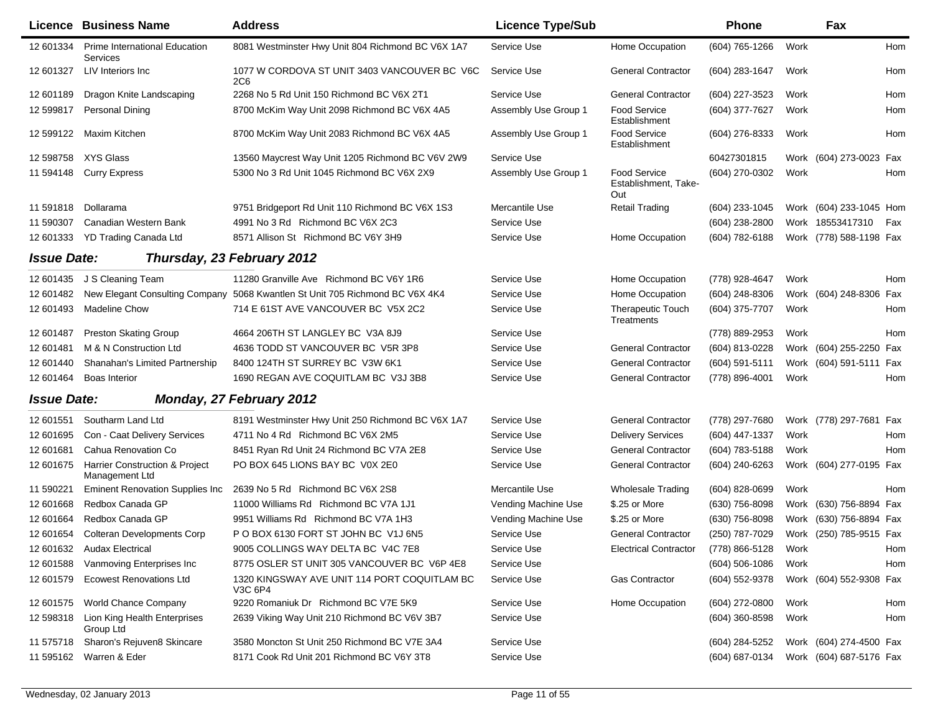|                    | Licence Business Name                            | <b>Address</b>                                                               | <b>Licence Type/Sub</b> |                                                    | Phone            |      | Fax                     |            |
|--------------------|--------------------------------------------------|------------------------------------------------------------------------------|-------------------------|----------------------------------------------------|------------------|------|-------------------------|------------|
| 12 601334          | Prime International Education<br>Services        | 8081 Westminster Hwy Unit 804 Richmond BC V6X 1A7                            | Service Use             | Home Occupation                                    | (604) 765-1266   | Work |                         | Hom        |
| 12 601327          | LIV Interiors Inc.                               | 1077 W CORDOVA ST UNIT 3403 VANCOUVER BC V6C<br>2C6                          | Service Use             | <b>General Contractor</b>                          | (604) 283-1647   | Work |                         | Hom        |
| 12 601189          | Dragon Knite Landscaping                         | 2268 No 5 Rd Unit 150 Richmond BC V6X 2T1                                    | Service Use             | <b>General Contractor</b>                          | (604) 227-3523   | Work |                         | Hom        |
| 12 599817          | <b>Personal Dining</b>                           | 8700 McKim Way Unit 2098 Richmond BC V6X 4A5                                 | Assembly Use Group 1    | <b>Food Service</b><br>Establishment               | (604) 377-7627   | Work |                         | Hom        |
| 12 599122          | Maxim Kitchen                                    | 8700 McKim Way Unit 2083 Richmond BC V6X 4A5                                 | Assembly Use Group 1    | <b>Food Service</b><br>Establishment               | (604) 276-8333   | Work |                         | <b>Hom</b> |
| 12 598758          | XYS Glass                                        | 13560 Maycrest Way Unit 1205 Richmond BC V6V 2W9                             | Service Use             |                                                    | 60427301815      | Work | (604) 273-0023 Fax      |            |
| 11 594148          | <b>Curry Express</b>                             | 5300 No 3 Rd Unit 1045 Richmond BC V6X 2X9                                   | Assembly Use Group 1    | <b>Food Service</b><br>Establishment, Take-<br>Out | (604) 270-0302   | Work |                         | <b>Hom</b> |
| 11 591818          | Dollarama                                        | 9751 Bridgeport Rd Unit 110 Richmond BC V6X 1S3                              | Mercantile Use          | <b>Retail Trading</b>                              | (604) 233-1045   |      | Work (604) 233-1045 Hom |            |
| 11 590307          | Canadian Western Bank                            | 4991 No 3 Rd Richmond BC V6X 2C3                                             | Service Use             |                                                    | (604) 238-2800   |      | Work 18553417310        | Fax        |
| 12 601333          | YD Trading Canada Ltd                            | 8571 Allison St Richmond BC V6Y 3H9                                          | Service Use             | Home Occupation                                    | (604) 782-6188   |      | Work (778) 588-1198 Fax |            |
| <b>Issue Date:</b> |                                                  | Thursday, 23 February 2012                                                   |                         |                                                    |                  |      |                         |            |
| 12 601435          | J S Cleaning Team                                | 11280 Granville Ave Richmond BC V6Y 1R6                                      | Service Use             | Home Occupation                                    | (778) 928-4647   | Work |                         | <b>Hom</b> |
| 12 601482          |                                                  | New Elegant Consulting Company 5068 Kwantlen St Unit 705 Richmond BC V6X 4K4 | Service Use             | Home Occupation                                    | (604) 248-8306   |      | Work (604) 248-8306 Fax |            |
| 12 601493          | <b>Madeline Chow</b>                             | 714 E 61ST AVE VANCOUVER BC V5X 2C2                                          | Service Use             | Therapeutic Touch<br>Treatments                    | (604) 375-7707   | Work |                         | Hom        |
| 12 601487          | <b>Preston Skating Group</b>                     | 4664 206TH ST LANGLEY BC V3A 8J9                                             | Service Use             |                                                    | (778) 889-2953   | Work |                         | Hom        |
| 12 601481          | M & N Construction Ltd                           | 4636 TODD ST VANCOUVER BC V5R 3P8                                            | Service Use             | <b>General Contractor</b>                          | (604) 813-0228   | Work | (604) 255-2250 Fax      |            |
| 12 601440          | Shanahan's Limited Partnership                   | 8400 124TH ST SURREY BC V3W 6K1                                              | Service Use             | <b>General Contractor</b>                          | (604) 591-5111   |      | Work (604) 591-5111 Fax |            |
| 12 601464          | <b>Boas Interior</b>                             | 1690 REGAN AVE COQUITLAM BC V3J 3B8                                          | Service Use             | <b>General Contractor</b>                          | (778) 896-4001   | Work |                         | Hom        |
| <b>Issue Date:</b> |                                                  | Monday, 27 February 2012                                                     |                         |                                                    |                  |      |                         |            |
| 12 601551          | Southarm Land Ltd                                | 8191 Westminster Hwy Unit 250 Richmond BC V6X 1A7                            | Service Use             | <b>General Contractor</b>                          | (778) 297-7680   |      | Work (778) 297-7681 Fax |            |
| 12 601695          | Con - Caat Delivery Services                     | 4711 No 4 Rd Richmond BC V6X 2M5                                             | Service Use             | <b>Delivery Services</b>                           | (604) 447-1337   | Work |                         | Hom        |
| 12 601681          | Cahua Renovation Co                              | 8451 Ryan Rd Unit 24 Richmond BC V7A 2E8                                     | Service Use             | <b>General Contractor</b>                          | (604) 783-5188   | Work |                         | <b>Hom</b> |
| 12 601675          | Harrier Construction & Project<br>Management Ltd | PO BOX 645 LIONS BAY BC V0X 2E0                                              | Service Use             | <b>General Contractor</b>                          | (604) 240-6263   | Work | (604) 277-0195 Fax      |            |
| 11 590221          | <b>Eminent Renovation Supplies Inc</b>           | 2639 No 5 Rd Richmond BC V6X 2S8                                             | Mercantile Use          | <b>Wholesale Trading</b>                           | (604) 828-0699   | Work |                         | Hom        |
| 12 601668          | Redbox Canada GP                                 | 11000 Williams Rd Richmond BC V7A 1J1                                        | Vending Machine Use     | \$.25 or More                                      | (630) 756-8098   | Work | (630) 756-8894 Fax      |            |
| 12 601664          | Redbox Canada GP                                 | 9951 Williams Rd Richmond BC V7A 1H3                                         | Vending Machine Use     | \$.25 or More                                      | (630) 756-8098   | Work | (630) 756-8894 Fax      |            |
| 12 601654          | <b>Colteran Developments Corp</b>                | PO BOX 6130 FORT ST JOHN BC V1J 6N5                                          | Service Use             | <b>General Contractor</b>                          | (250) 787-7029   |      | Work (250) 785-9515 Fax |            |
| 12 601632          | <b>Audax Electrical</b>                          | 9005 COLLINGS WAY DELTA BC V4C 7E8                                           | Service Use             | <b>Electrical Contractor</b>                       | (778) 866-5128   | Work |                         | Hom        |
| 12 601588          | Vanmoving Enterprises Inc                        | 8775 OSLER ST UNIT 305 VANCOUVER BC V6P 4E8                                  | Service Use             |                                                    | $(604)$ 506-1086 | Work |                         | Hom        |
| 12 601579          | <b>Ecowest Renovations Ltd</b>                   | 1320 KINGSWAY AVE UNIT 114 PORT COQUITLAM BC<br>V3C 6P4                      | Service Use             | <b>Gas Contractor</b>                              | (604) 552-9378   |      | Work (604) 552-9308 Fax |            |
| 12 601575          | <b>World Chance Company</b>                      | 9220 Romaniuk Dr Richmond BC V7E 5K9                                         | Service Use             | Home Occupation                                    | (604) 272-0800   | Work |                         | Hom        |
| 12 598318          | Lion King Health Enterprises<br>Group Ltd        | 2639 Viking Way Unit 210 Richmond BC V6V 3B7                                 | Service Use             |                                                    | (604) 360-8598   | Work |                         | Hom        |
| 11 575718          | Sharon's Rejuven8 Skincare                       | 3580 Moncton St Unit 250 Richmond BC V7E 3A4                                 | Service Use             |                                                    | (604) 284-5252   |      | Work (604) 274-4500 Fax |            |
| 11 595162          | Warren & Eder                                    | 8171 Cook Rd Unit 201 Richmond BC V6Y 3T8                                    | Service Use             |                                                    | (604) 687-0134   |      | Work (604) 687-5176 Fax |            |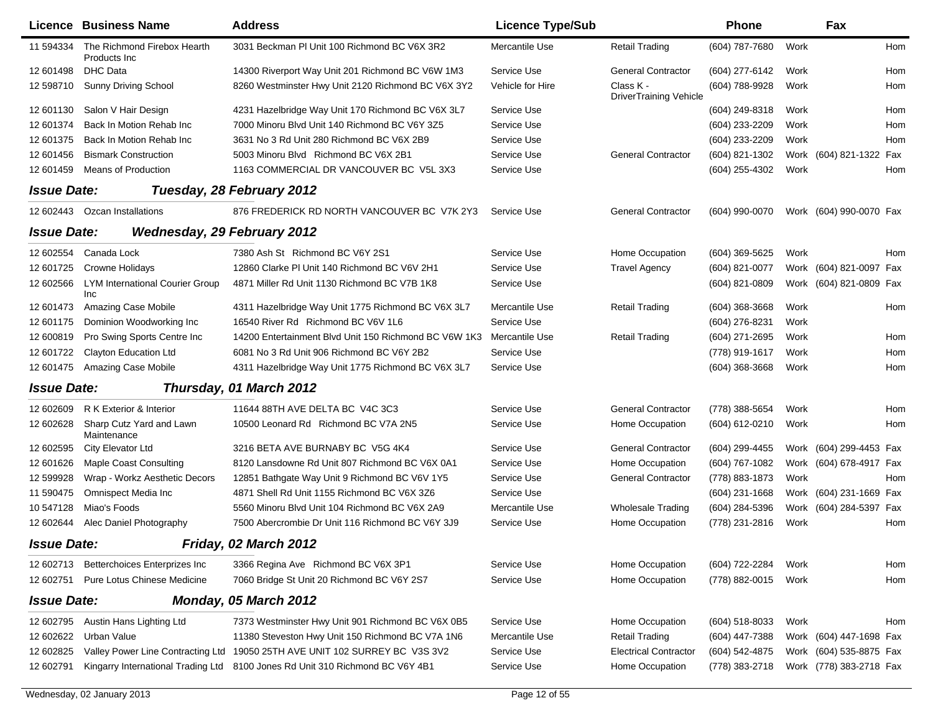|                    | <b>Licence Business Name</b>                  | <b>Address</b>                                                                | <b>Licence Type/Sub</b> |                                            | <b>Phone</b>     |      | Fax                     |     |
|--------------------|-----------------------------------------------|-------------------------------------------------------------------------------|-------------------------|--------------------------------------------|------------------|------|-------------------------|-----|
| 11 594334          | The Richmond Firebox Hearth<br>Products Inc.  | 3031 Beckman PI Unit 100 Richmond BC V6X 3R2                                  | Mercantile Use          | <b>Retail Trading</b>                      | (604) 787-7680   | Work |                         | Hom |
| 12 601498          | <b>DHC Data</b>                               | 14300 Riverport Way Unit 201 Richmond BC V6W 1M3                              | Service Use             | <b>General Contractor</b>                  | (604) 277-6142   | Work |                         | Hom |
| 12 598710          | Sunny Driving School                          | 8260 Westminster Hwy Unit 2120 Richmond BC V6X 3Y2                            | Vehicle for Hire        | Class K -<br><b>DriverTraining Vehicle</b> | (604) 788-9928   | Work |                         | Hom |
| 12 601130          | Salon V Hair Design                           | 4231 Hazelbridge Way Unit 170 Richmond BC V6X 3L7                             | Service Use             |                                            | (604) 249-8318   | Work |                         | Hom |
| 12 601374          | Back In Motion Rehab Inc                      | 7000 Minoru Blvd Unit 140 Richmond BC V6Y 3Z5                                 | Service Use             |                                            | (604) 233-2209   | Work |                         | Hom |
| 12 601375          | Back In Motion Rehab Inc                      | 3631 No 3 Rd Unit 280 Richmond BC V6X 2B9                                     | Service Use             |                                            | (604) 233-2209   | Work |                         | Hom |
| 12 601456          | <b>Bismark Construction</b>                   | 5003 Minoru Blvd Richmond BC V6X 2B1                                          | Service Use             | <b>General Contractor</b>                  | (604) 821-1302   |      | Work (604) 821-1322 Fax |     |
| 12 601459          | <b>Means of Production</b>                    | 1163 COMMERCIAL DR VANCOUVER BC V5L 3X3                                       | Service Use             |                                            | (604) 255-4302   | Work |                         | Hom |
| <b>Issue Date:</b> |                                               | Tuesday, 28 February 2012                                                     |                         |                                            |                  |      |                         |     |
| 12 602443          | Ozcan Installations                           | 876 FREDERICK RD NORTH VANCOUVER BC V7K 2Y3                                   | Service Use             | <b>General Contractor</b>                  | (604) 990-0070   |      | Work (604) 990-0070 Fax |     |
| <b>Issue Date:</b> | <b>Wednesday, 29 February 2012</b>            |                                                                               |                         |                                            |                  |      |                         |     |
| 12 602554          | Canada Lock                                   | 7380 Ash St Richmond BC V6Y 2S1                                               | Service Use             | Home Occupation                            | (604) 369-5625   | Work |                         | Hom |
| 12 601725          | Crowne Holidays                               | 12860 Clarke PI Unit 140 Richmond BC V6V 2H1                                  | Service Use             | <b>Travel Agency</b>                       | (604) 821-0077   |      | Work (604) 821-0097 Fax |     |
| 12 602566          | <b>LYM International Courier Group</b><br>Inc | 4871 Miller Rd Unit 1130 Richmond BC V7B 1K8                                  | Service Use             |                                            | (604) 821-0809   |      | Work (604) 821-0809 Fax |     |
| 12 601473          | Amazing Case Mobile                           | 4311 Hazelbridge Way Unit 1775 Richmond BC V6X 3L7                            | Mercantile Use          | <b>Retail Trading</b>                      | $(604)$ 368-3668 | Work |                         | Hom |
| 12 601175          | Dominion Woodworking Inc                      | 16540 River Rd Richmond BC V6V 1L6                                            | Service Use             |                                            | (604) 276-8231   | Work |                         |     |
| 12 600819          | Pro Swing Sports Centre Inc                   | 14200 Entertainment Blvd Unit 150 Richmond BC V6W 1K3                         | Mercantile Use          | Retail Trading                             | (604) 271-2695   | Work |                         | Hom |
| 12 601722          | <b>Clayton Education Ltd</b>                  | 6081 No 3 Rd Unit 906 Richmond BC V6Y 2B2                                     | Service Use             |                                            | (778) 919-1617   | Work |                         | Hom |
| 12 601475          | Amazing Case Mobile                           | 4311 Hazelbridge Way Unit 1775 Richmond BC V6X 3L7                            | Service Use             |                                            | $(604)$ 368-3668 | Work |                         | Hom |
| <b>Issue Date:</b> |                                               | Thursday, 01 March 2012                                                       |                         |                                            |                  |      |                         |     |
| 12 602609          | R K Exterior & Interior                       | 11644 88TH AVE DELTA BC V4C 3C3                                               | Service Use             | <b>General Contractor</b>                  | (778) 388-5654   | Work |                         | Hom |
| 12 602628          | Sharp Cutz Yard and Lawn<br>Maintenance       | 10500 Leonard Rd Richmond BC V7A 2N5                                          | Service Use             | Home Occupation                            | (604) 612-0210   | Work |                         | Hom |
| 12 602595          | City Elevator Ltd                             | 3216 BETA AVE BURNABY BC V5G 4K4                                              | Service Use             | <b>General Contractor</b>                  | (604) 299-4455   |      | Work (604) 299-4453 Fax |     |
| 12 601626          | <b>Maple Coast Consulting</b>                 | 8120 Lansdowne Rd Unit 807 Richmond BC V6X 0A1                                | Service Use             | Home Occupation                            | (604) 767-1082   |      | Work (604) 678-4917 Fax |     |
| 12 599928          | Wrap - Workz Aesthetic Decors                 | 12851 Bathgate Way Unit 9 Richmond BC V6V 1Y5                                 | Service Use             | <b>General Contractor</b>                  | (778) 883-1873   | Work |                         | Hom |
| 11 590475          | Omnispect Media Inc                           | 4871 Shell Rd Unit 1155 Richmond BC V6X 3Z6                                   | Service Use             |                                            | $(604)$ 231-1668 |      | Work (604) 231-1669 Fax |     |
| 10 547128          | Miao's Foods                                  | 5560 Minoru Blvd Unit 104 Richmond BC V6X 2A9                                 | Mercantile Use          | <b>Wholesale Trading</b>                   | (604) 284-5396   |      | Work (604) 284-5397 Fax |     |
| 12 602644          | Alec Daniel Photography                       | 7500 Abercrombie Dr Unit 116 Richmond BC V6Y 3J9                              | Service Use             | Home Occupation                            | (778) 231-2816   | Work |                         | Hom |
| <b>Issue Date:</b> |                                               | Friday, 02 March 2012                                                         |                         |                                            |                  |      |                         |     |
| 12 602713          | Betterchoices Enterprizes Inc                 | 3366 Regina Ave Richmond BC V6X 3P1                                           | Service Use             | Home Occupation                            | (604) 722-2284   | Work |                         | Hom |
| 12 602751          | Pure Lotus Chinese Medicine                   | 7060 Bridge St Unit 20 Richmond BC V6Y 2S7                                    | Service Use             | Home Occupation                            | (778) 882-0015   | Work |                         | Hom |
| <b>Issue Date:</b> |                                               | Monday, 05 March 2012                                                         |                         |                                            |                  |      |                         |     |
| 12 602795          | Austin Hans Lighting Ltd                      | 7373 Westminster Hwy Unit 901 Richmond BC V6X 0B5                             | Service Use             | Home Occupation                            | (604) 518-8033   | Work |                         | Hom |
| 12 602622          | Urban Value                                   | 11380 Steveston Hwy Unit 150 Richmond BC V7A 1N6                              | Mercantile Use          | <b>Retail Trading</b>                      | (604) 447-7388   |      | Work (604) 447-1698 Fax |     |
| 12 602825          | Valley Power Line Contracting Ltd             | 19050 25TH AVE UNIT 102 SURREY BC V3S 3V2                                     | Service Use             | <b>Electrical Contractor</b>               | (604) 542-4875   |      | Work (604) 535-8875 Fax |     |
| 12 602791          |                                               | Kingarry International Trading Ltd 8100 Jones Rd Unit 310 Richmond BC V6Y 4B1 | Service Use             | Home Occupation                            | (778) 383-2718   |      | Work (778) 383-2718 Fax |     |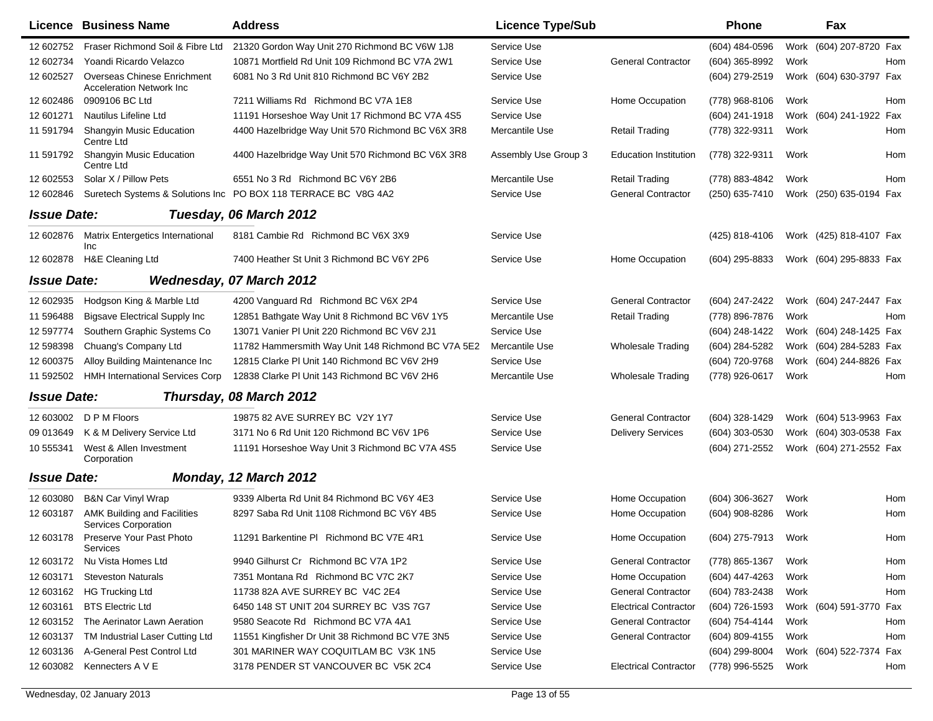|                    | Licence Business Name                                           | <b>Address</b>                                                 | <b>Licence Type/Sub</b> |                              | <b>Phone</b>   |      | Fax                     |     |
|--------------------|-----------------------------------------------------------------|----------------------------------------------------------------|-------------------------|------------------------------|----------------|------|-------------------------|-----|
| 12 602752          | Fraser Richmond Soil & Fibre Ltd                                | 21320 Gordon Way Unit 270 Richmond BC V6W 1J8                  | Service Use             |                              | (604) 484-0596 |      | Work (604) 207-8720 Fax |     |
| 12 602734          | Yoandi Ricardo Velazco                                          | 10871 Mortfield Rd Unit 109 Richmond BC V7A 2W1                | Service Use             | <b>General Contractor</b>    | (604) 365-8992 | Work |                         | Hom |
| 12 602527          | Overseas Chinese Enrichment<br><b>Acceleration Network Inc.</b> | 6081 No 3 Rd Unit 810 Richmond BC V6Y 2B2                      | Service Use             |                              | (604) 279-2519 |      | Work (604) 630-3797 Fax |     |
| 12 602486          | 0909106 BC Ltd                                                  | 7211 Williams Rd Richmond BC V7A 1E8                           | Service Use             | Home Occupation              | (778) 968-8106 | Work |                         | Hom |
| 12 601271          | Nautilus Lifeline Ltd                                           | 11191 Horseshoe Way Unit 17 Richmond BC V7A 4S5                | Service Use             |                              | (604) 241-1918 |      | Work (604) 241-1922 Fax |     |
| 11 591794          | Shangyin Music Education<br>Centre Ltd                          | 4400 Hazelbridge Way Unit 570 Richmond BC V6X 3R8              | Mercantile Use          | <b>Retail Trading</b>        | (778) 322-9311 | Work |                         | Hom |
| 11 591792          | <b>Shangyin Music Education</b><br>Centre Ltd                   | 4400 Hazelbridge Way Unit 570 Richmond BC V6X 3R8              | Assembly Use Group 3    | <b>Education Institution</b> | (778) 322-9311 | Work |                         | Hom |
| 12 602553          | Solar X / Pillow Pets                                           | 6551 No 3 Rd Richmond BC V6Y 2B6                               | Mercantile Use          | <b>Retail Trading</b>        | (778) 883-4842 | Work |                         | Hom |
| 12 602846          |                                                                 | Suretech Systems & Solutions Inc PO BOX 118 TERRACE BC V8G 4A2 | Service Use             | <b>General Contractor</b>    | (250) 635-7410 |      | Work (250) 635-0194 Fax |     |
| <b>Issue Date:</b> |                                                                 | Tuesday, 06 March 2012                                         |                         |                              |                |      |                         |     |
| 12 602876          | Matrix Entergetics International<br>Inc                         | 8181 Cambie Rd Richmond BC V6X 3X9                             | Service Use             |                              | (425) 818-4106 |      | Work (425) 818-4107 Fax |     |
| 12 602878          | H&E Cleaning Ltd                                                | 7400 Heather St Unit 3 Richmond BC V6Y 2P6                     | Service Use             | Home Occupation              | (604) 295-8833 |      | Work (604) 295-8833 Fax |     |
| <b>Issue Date:</b> |                                                                 | <b>Wednesday, 07 March 2012</b>                                |                         |                              |                |      |                         |     |
| 12 602935          | Hodgson King & Marble Ltd                                       | 4200 Vanguard Rd Richmond BC V6X 2P4                           | Service Use             | <b>General Contractor</b>    | (604) 247-2422 |      | Work (604) 247-2447 Fax |     |
| 11 59 6488         | <b>Bigsave Electrical Supply Inc.</b>                           | 12851 Bathgate Way Unit 8 Richmond BC V6V 1Y5                  | Mercantile Use          | <b>Retail Trading</b>        | (778) 896-7876 | Work |                         | Hom |
| 12 597774          | Southern Graphic Systems Co                                     | 13071 Vanier PI Unit 220 Richmond BC V6V 2J1                   | Service Use             |                              | (604) 248-1422 |      | Work (604) 248-1425 Fax |     |
| 12 598398          | Chuang's Company Ltd                                            | 11782 Hammersmith Way Unit 148 Richmond BC V7A 5E2             | Mercantile Use          | <b>Wholesale Trading</b>     | (604) 284-5282 | Work | (604) 284-5283 Fax      |     |
| 12 600375          | Alloy Building Maintenance Inc                                  | 12815 Clarke PI Unit 140 Richmond BC V6V 2H9                   | Service Use             |                              | (604) 720-9768 |      | Work (604) 244-8826 Fax |     |
| 11 592502          | <b>HMH International Services Corp</b>                          | 12838 Clarke PI Unit 143 Richmond BC V6V 2H6                   | Mercantile Use          | <b>Wholesale Trading</b>     | (778) 926-0617 | Work |                         | Hom |
| <b>Issue Date:</b> |                                                                 | Thursday, 08 March 2012                                        |                         |                              |                |      |                         |     |
| 12 603002          | D P M Floors                                                    | 19875 82 AVE SURREY BC V2Y 1Y7                                 | Service Use             | <b>General Contractor</b>    | (604) 328-1429 |      | Work (604) 513-9963 Fax |     |
| 09 013649          | K & M Delivery Service Ltd                                      | 3171 No 6 Rd Unit 120 Richmond BC V6V 1P6                      | Service Use             | <b>Delivery Services</b>     | (604) 303-0530 |      | Work (604) 303-0538 Fax |     |
| 10 555341          | West & Allen Investment<br>Corporation                          | 11191 Horseshoe Way Unit 3 Richmond BC V7A 4S5                 | Service Use             |                              | (604) 271-2552 |      | Work (604) 271-2552 Fax |     |
| <b>Issue Date:</b> |                                                                 | Monday, 12 March 2012                                          |                         |                              |                |      |                         |     |
| 12 603080          | <b>B&amp;N Car Vinyl Wrap</b>                                   | 9339 Alberta Rd Unit 84 Richmond BC V6Y 4E3                    | Service Use             | Home Occupation              | (604) 306-3627 | Work |                         | Hom |
| 12 603187          | <b>AMK Building and Facilities</b><br>Services Corporation      | 8297 Saba Rd Unit 1108 Richmond BC V6Y 4B5                     | Service Use             | Home Occupation              | (604) 908-8286 | Work |                         | Hom |
| 12 603178          | Preserve Your Past Photo<br>Services                            | 11291 Barkentine PI Richmond BC V7E 4R1                        | Service Use             | Home Occupation              | (604) 275-7913 | Work |                         | Hom |
| 12 603172          | Nu Vista Homes Ltd                                              | 9940 Gilhurst Cr Richmond BC V7A 1P2                           | Service Use             | <b>General Contractor</b>    | (778) 865-1367 | Work |                         | Hom |
| 12 603171          | <b>Steveston Naturals</b>                                       | 7351 Montana Rd Richmond BC V7C 2K7                            | Service Use             | Home Occupation              | (604) 447-4263 | Work |                         | Hom |
| 12 603162          | <b>HG Trucking Ltd</b>                                          | 11738 82A AVE SURREY BC V4C 2E4                                | Service Use             | <b>General Contractor</b>    | (604) 783-2438 | Work |                         | Hom |
| 12 603161          | <b>BTS Electric Ltd</b>                                         | 6450 148 ST UNIT 204 SURREY BC V3S 7G7                         | Service Use             | <b>Electrical Contractor</b> | (604) 726-1593 |      | Work (604) 591-3770 Fax |     |
| 12 603152          | The Aerinator Lawn Aeration                                     | 9580 Seacote Rd Richmond BC V7A 4A1                            | Service Use             | <b>General Contractor</b>    | (604) 754-4144 | Work |                         | Hom |
| 12 603137          | TM Industrial Laser Cutting Ltd                                 | 11551 Kingfisher Dr Unit 38 Richmond BC V7E 3N5                | Service Use             | <b>General Contractor</b>    | (604) 809-4155 | Work |                         | Hom |
| 12 603136          | A-General Pest Control Ltd                                      | 301 MARINER WAY COQUITLAM BC V3K 1N5                           | Service Use             |                              | (604) 299-8004 |      | Work (604) 522-7374 Fax |     |
| 12 603082          | Kennecters A V E                                                | 3178 PENDER ST VANCOUVER BC V5K 2C4                            | Service Use             | <b>Electrical Contractor</b> | (778) 996-5525 | Work |                         | Hom |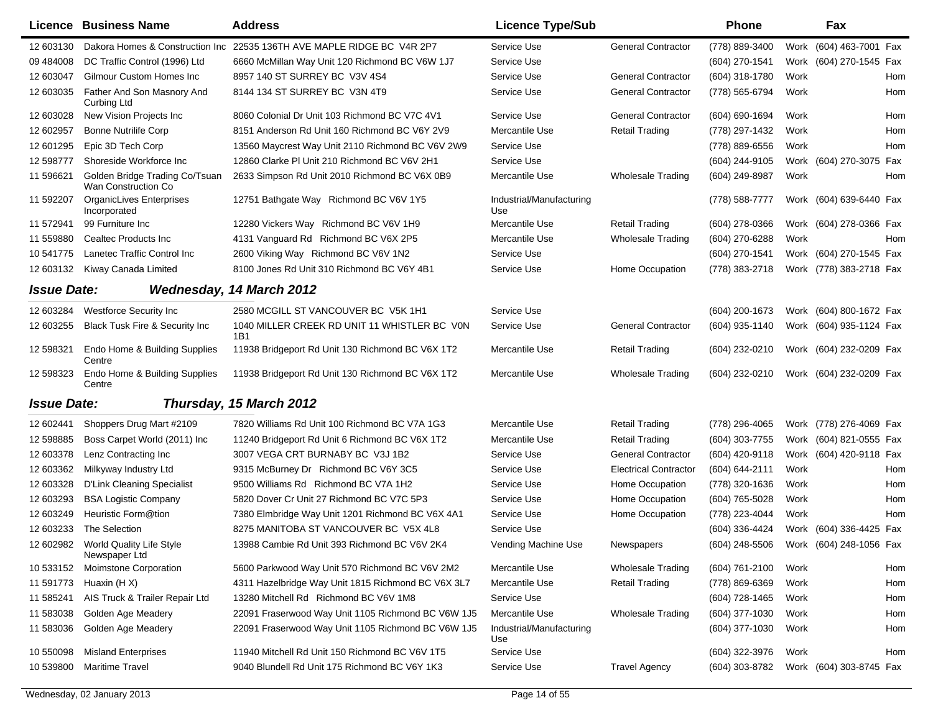|                           | <b>Licence Business Name</b>                          | <b>Address</b>                                                         | <b>Licence Type/Sub</b>         |                              | <b>Phone</b>   |      | Fax                                    |
|---------------------------|-------------------------------------------------------|------------------------------------------------------------------------|---------------------------------|------------------------------|----------------|------|----------------------------------------|
| 12 603130                 |                                                       | Dakora Homes & Construction Inc 22535 136TH AVE MAPLE RIDGE BC V4R 2P7 | Service Use                     | <b>General Contractor</b>    | (778) 889-3400 |      | Work (604) 463-7001 Fax                |
| 09 484008                 | DC Traffic Control (1996) Ltd                         | 6660 McMillan Way Unit 120 Richmond BC V6W 1J7                         | Service Use                     |                              | (604) 270-1541 |      | Work (604) 270-1545 Fax                |
| 12 603047                 | Gilmour Custom Homes Inc                              | 8957 140 ST SURREY BC V3V 4S4                                          | Service Use                     | <b>General Contractor</b>    | (604) 318-1780 | Work | Hom                                    |
| 12 603035                 | Father And Son Masnory And<br><b>Curbing Ltd</b>      | 8144 134 ST SURREY BC V3N 4T9                                          | Service Use                     | <b>General Contractor</b>    | (778) 565-6794 | Work | Hom                                    |
| 12 603028                 | New Vision Projects Inc                               | 8060 Colonial Dr Unit 103 Richmond BC V7C 4V1                          | Service Use                     | <b>General Contractor</b>    | (604) 690-1694 | Work | Hom                                    |
| 12 602957                 | <b>Bonne Nutrilife Corp</b>                           | 8151 Anderson Rd Unit 160 Richmond BC V6Y 2V9                          | Mercantile Use                  | <b>Retail Trading</b>        | (778) 297-1432 | Work | Hom                                    |
| 12 601295                 | Epic 3D Tech Corp                                     | 13560 Maycrest Way Unit 2110 Richmond BC V6V 2W9                       | Service Use                     |                              | (778) 889-6556 | Work | Hom                                    |
| 12 598777                 | Shoreside Workforce Inc                               | 12860 Clarke PI Unit 210 Richmond BC V6V 2H1                           | Service Use                     |                              | (604) 244-9105 |      | Work (604) 270-3075 Fax                |
| 11 596621                 | Golden Bridge Trading Co/Tsuan<br>Wan Construction Co | 2633 Simpson Rd Unit 2010 Richmond BC V6X 0B9                          | Mercantile Use                  | <b>Wholesale Trading</b>     | (604) 249-8987 | Work | Hom                                    |
| 11 592207                 | <b>OrganicLives Enterprises</b><br>Incorporated       | 12751 Bathgate Way Richmond BC V6V 1Y5                                 | Industrial/Manufacturing<br>Use |                              | (778) 588-7777 |      | Work (604) 639-6440 Fax                |
| 11 572941                 | 99 Furniture Inc                                      | 12280 Vickers Way Richmond BC V6V 1H9                                  | Mercantile Use                  | <b>Retail Trading</b>        | (604) 278-0366 |      | Work (604) 278-0366 Fax                |
| 11 559880                 | Cealtec Products Inc.                                 | 4131 Vanguard Rd Richmond BC V6X 2P5                                   | Mercantile Use                  | <b>Wholesale Trading</b>     | (604) 270-6288 | Work | Hom                                    |
| 10 541775                 | Lanetec Traffic Control Inc                           | 2600 Viking Way Richmond BC V6V 1N2                                    | Service Use                     |                              | (604) 270-1541 |      | Work (604) 270-1545 Fax                |
| 12 603132                 | Kiway Canada Limited                                  | 8100 Jones Rd Unit 310 Richmond BC V6Y 4B1                             | Service Use                     | Home Occupation              | (778) 383-2718 |      | Work (778) 383-2718 Fax                |
| <i><b>Issue Date:</b></i> |                                                       | Wednesday, 14 March 2012                                               |                                 |                              |                |      |                                        |
| 12 603284                 | <b>Westforce Security Inc</b>                         | 2580 MCGILL ST VANCOUVER BC V5K 1H1                                    | Service Use                     |                              | (604) 200-1673 |      | Work (604) 800-1672 Fax                |
| 12 603255                 | <b>Black Tusk Fire &amp; Security Inc</b>             | 1040 MILLER CREEK RD UNIT 11 WHISTLER BC VON<br>1B1                    | Service Use                     | <b>General Contractor</b>    | (604) 935-1140 |      | Work (604) 935-1124 Fax                |
| 12 598321                 | Endo Home & Building Supplies<br>Centre               | 11938 Bridgeport Rd Unit 130 Richmond BC V6X 1T2                       | Mercantile Use                  | <b>Retail Trading</b>        | (604) 232-0210 |      | Work (604) 232-0209 Fax                |
| 12 598323                 | Endo Home & Building Supplies<br>Centre               | 11938 Bridgeport Rd Unit 130 Richmond BC V6X 1T2                       | Mercantile Use                  | <b>Wholesale Trading</b>     | (604) 232-0210 |      | Work (604) 232-0209 Fax                |
| <b>Issue Date:</b>        |                                                       | Thursday, 15 March 2012                                                |                                 |                              |                |      |                                        |
| 12 602441                 | Shoppers Drug Mart #2109                              | 7820 Williams Rd Unit 100 Richmond BC V7A 1G3                          | Mercantile Use                  | <b>Retail Trading</b>        | (778) 296-4065 |      | Work (778) 276-4069 Fax                |
| 12 598885                 | Boss Carpet World (2011) Inc                          | 11240 Bridgeport Rd Unit 6 Richmond BC V6X 1T2                         | Mercantile Use                  | <b>Retail Trading</b>        | (604) 303-7755 |      | Work (604) 821-0555 Fax                |
| 12 603378                 | Lenz Contracting Inc                                  | 3007 VEGA CRT BURNABY BC V3J 1B2                                       | Service Use                     | <b>General Contractor</b>    | (604) 420-9118 |      | Work (604) 420-9118 Fax                |
| 12 603362                 | Milkyway Industry Ltd                                 | 9315 McBurney Dr Richmond BC V6Y 3C5                                   | Service Use                     | <b>Electrical Contractor</b> | (604) 644-2111 | Work | Hom                                    |
| 12 603328                 | <b>D'Link Cleaning Specialist</b>                     | 9500 Williams Rd Richmond BC V7A 1H2                                   | Service Use                     | Home Occupation              | (778) 320-1636 | Work | Hom                                    |
| 12 603293                 | <b>BSA Logistic Company</b>                           | 5820 Dover Cr Unit 27 Richmond BC V7C 5P3                              | Service Use                     | Home Occupation              | (604) 765-5028 | Work | Hom                                    |
| 12 603249                 | Heuristic Form@tion                                   | 7380 Elmbridge Way Unit 1201 Richmond BC V6X 4A1                       | Service Use                     | Home Occupation              | (778) 223-4044 | Work | Hom                                    |
|                           | 12 603233 The Selection                               | 8275 MANITOBA ST VANCOUVER BC V5X 4L8                                  | Service Use                     |                              | (604) 336-4424 |      | Work (604) 336-4425 Fax                |
| 12 602982                 | World Quality Life Style<br>Newspaper Ltd             | 13988 Cambie Rd Unit 393 Richmond BC V6V 2K4                           | Vending Machine Use             | Newspapers                   |                |      | (604) 248-5506 Work (604) 248-1056 Fax |
| 10 533152                 | <b>Moimstone Corporation</b>                          | 5600 Parkwood Way Unit 570 Richmond BC V6V 2M2                         | Mercantile Use                  | <b>Wholesale Trading</b>     | (604) 761-2100 | Work | Hom                                    |
| 11 591773                 | Huaxin (H X)                                          | 4311 Hazelbridge Way Unit 1815 Richmond BC V6X 3L7                     | Mercantile Use                  | <b>Retail Trading</b>        | (778) 869-6369 | Work | Hom                                    |
| 11 585241                 | AIS Truck & Trailer Repair Ltd                        | 13280 Mitchell Rd Richmond BC V6V 1M8                                  | Service Use                     |                              | (604) 728-1465 | Work | Hom                                    |
| 11 583038                 | Golden Age Meadery                                    | 22091 Fraserwood Way Unit 1105 Richmond BC V6W 1J5                     | Mercantile Use                  | Wholesale Trading            | (604) 377-1030 | Work | Hom                                    |
| 11 583036                 | Golden Age Meadery                                    | 22091 Fraserwood Way Unit 1105 Richmond BC V6W 1J5                     | Industrial/Manufacturing<br>Use |                              | (604) 377-1030 | Work | Hom                                    |
| 10 550098                 | <b>Misland Enterprises</b>                            | 11940 Mitchell Rd Unit 150 Richmond BC V6V 1T5                         | Service Use                     |                              | (604) 322-3976 | Work | Hom                                    |
| 10 539800                 | <b>Maritime Travel</b>                                | 9040 Blundell Rd Unit 175 Richmond BC V6Y 1K3                          | Service Use                     | <b>Travel Agency</b>         | (604) 303-8782 |      | Work (604) 303-8745 Fax                |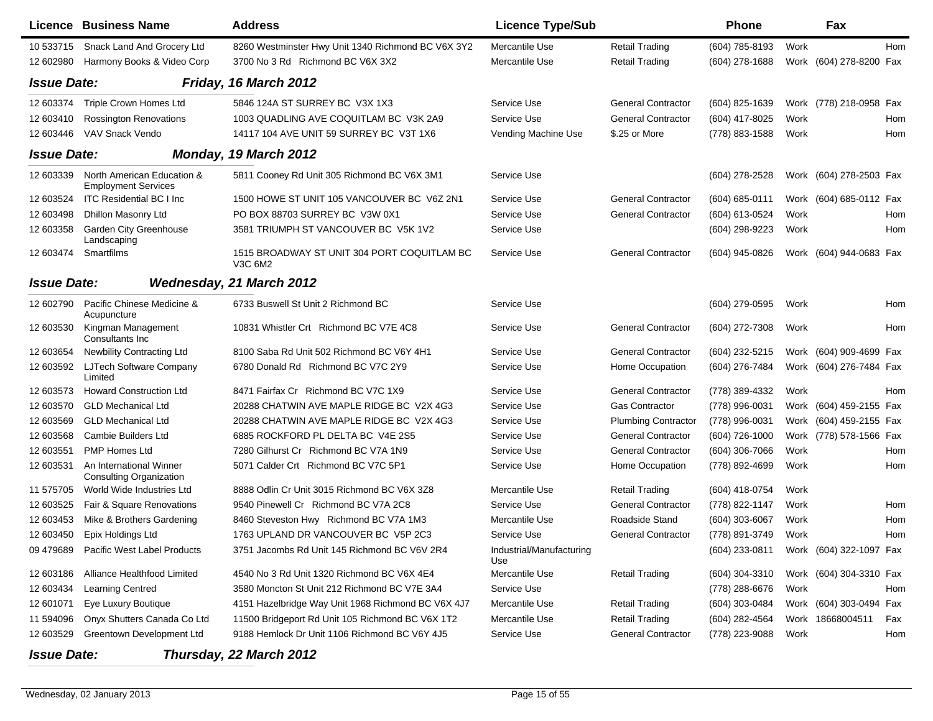|                    | Licence Business Name                                    | <b>Address</b>                                         | <b>Licence Type/Sub</b>         |                            | Phone            |      | Fax                     |     |
|--------------------|----------------------------------------------------------|--------------------------------------------------------|---------------------------------|----------------------------|------------------|------|-------------------------|-----|
| 10 533715          | Snack Land And Grocery Ltd                               | 8260 Westminster Hwy Unit 1340 Richmond BC V6X 3Y2     | Mercantile Use                  | <b>Retail Trading</b>      | (604) 785-8193   | Work |                         | Hom |
| 12 602980          | Harmony Books & Video Corp                               | 3700 No 3 Rd Richmond BC V6X 3X2                       | Mercantile Use                  | <b>Retail Trading</b>      | (604) 278-1688   |      | Work (604) 278-8200 Fax |     |
| <b>Issue Date:</b> |                                                          | Friday, 16 March 2012                                  |                                 |                            |                  |      |                         |     |
| 12 603374          | <b>Triple Crown Homes Ltd</b>                            | 5846 124A ST SURREY BC V3X 1X3                         | Service Use                     | <b>General Contractor</b>  | (604) 825-1639   |      | Work (778) 218-0958 Fax |     |
| 12 603410          | <b>Rossington Renovations</b>                            | 1003 QUADLING AVE COQUITLAM BC V3K 2A9                 | Service Use                     | <b>General Contractor</b>  | (604) 417-8025   | Work |                         | Hom |
| 12 603446          | VAV Snack Vendo                                          | 14117 104 AVE UNIT 59 SURREY BC V3T 1X6                | Vending Machine Use             | \$.25 or More              | (778) 883-1588   | Work |                         | Hom |
| <b>Issue Date:</b> |                                                          | Monday, 19 March 2012                                  |                                 |                            |                  |      |                         |     |
| 12 603339          | North American Education &<br><b>Employment Services</b> | 5811 Cooney Rd Unit 305 Richmond BC V6X 3M1            | Service Use                     |                            | $(604)$ 278-2528 |      | Work (604) 278-2503 Fax |     |
| 12 603524          | <b>ITC Residential BC I Inc.</b>                         | 1500 HOWE ST UNIT 105 VANCOUVER BC V6Z 2N1             | Service Use                     | <b>General Contractor</b>  | (604) 685-0111   |      | Work (604) 685-0112 Fax |     |
| 12 603498          | Dhillon Masonry Ltd                                      | PO BOX 88703 SURREY BC V3W 0X1                         | Service Use                     | <b>General Contractor</b>  | (604) 613-0524   | Work |                         | Hom |
| 12 603358          | <b>Garden City Greenhouse</b><br>Landscaping             | 3581 TRIUMPH ST VANCOUVER BC V5K 1V2                   | Service Use                     |                            | (604) 298-9223   | Work |                         | Hom |
| 12 603474          | Smartfilms                                               | 1515 BROADWAY ST UNIT 304 PORT COQUITLAM BC<br>V3C 6M2 | Service Use                     | <b>General Contractor</b>  | (604) 945-0826   |      | Work (604) 944-0683 Fax |     |
| <b>Issue Date:</b> |                                                          | Wednesday, 21 March 2012                               |                                 |                            |                  |      |                         |     |
| 12 602790          | Pacific Chinese Medicine &<br>Acupuncture                | 6733 Buswell St Unit 2 Richmond BC                     | Service Use                     |                            | (604) 279-0595   | Work |                         | Hom |
| 12 603530          | Kingman Management<br>Consultants Inc                    | 10831 Whistler Crt Richmond BC V7E 4C8                 | Service Use                     | <b>General Contractor</b>  | (604) 272-7308   | Work |                         | Hom |
| 12 603654          | <b>Newbility Contracting Ltd</b>                         | 8100 Saba Rd Unit 502 Richmond BC V6Y 4H1              | Service Use                     | <b>General Contractor</b>  | (604) 232-5215   |      | Work (604) 909-4699 Fax |     |
| 12 603592          | LJTech Software Company<br>Limited                       | 6780 Donald Rd Richmond BC V7C 2Y9                     | Service Use                     | Home Occupation            | (604) 276-7484   |      | Work (604) 276-7484 Fax |     |
| 12 603573          | <b>Howard Construction Ltd</b>                           | 8471 Fairfax Cr Richmond BC V7C 1X9                    | Service Use                     | <b>General Contractor</b>  | (778) 389-4332   | Work |                         | Hom |
| 12 603570          | <b>GLD Mechanical Ltd</b>                                | 20288 CHATWIN AVE MAPLE RIDGE BC V2X 4G3               | Service Use                     | <b>Gas Contractor</b>      | (778) 996-0031   |      | Work (604) 459-2155 Fax |     |
| 12 603569          | <b>GLD Mechanical Ltd</b>                                | 20288 CHATWIN AVE MAPLE RIDGE BC V2X 4G3               | Service Use                     | <b>Plumbing Contractor</b> | (778) 996-0031   | Work | (604) 459-2155 Fax      |     |
| 12 603568          | Cambie Builders Ltd                                      | 6885 ROCKFORD PL DELTA BC V4E 2S5                      | Service Use                     | <b>General Contractor</b>  | (604) 726-1000   |      | Work (778) 578-1566 Fax |     |
| 12 603551          | <b>PMP Homes Ltd</b>                                     | 7280 Gilhurst Cr Richmond BC V7A 1N9                   | Service Use                     | <b>General Contractor</b>  | (604) 306-7066   | Work |                         | Hom |
| 12 603531          | An International Winner<br>Consulting Organization       | 5071 Calder Crt Richmond BC V7C 5P1                    | Service Use                     | Home Occupation            | (778) 892-4699   | Work |                         | Hom |
| 11 575705          | World Wide Industries Ltd                                | 8888 Odlin Cr Unit 3015 Richmond BC V6X 3Z8            | Mercantile Use                  | <b>Retail Trading</b>      | (604) 418-0754   | Work |                         |     |
| 12 603525          | Fair & Square Renovations                                | 9540 Pinewell Cr Richmond BC V7A 2C8                   | Service Use                     | <b>General Contractor</b>  | (778) 822-1147   | Work |                         | Hom |
| 12 603453          | Mike & Brothers Gardening                                | 8460 Steveston Hwy Richmond BC V7A 1M3                 | Mercantile Use                  | Roadside Stand             | (604) 303-6067   | Work |                         | Hom |
| 12 603450          | Epix Holdings Ltd                                        | 1763 UPLAND DR VANCOUVER BC V5P 2C3                    | Service Use                     | <b>General Contractor</b>  | (778) 891-3749   | Work |                         | Hom |
|                    | 09 479689 Pacific West Label Products                    | 3751 Jacombs Rd Unit 145 Richmond BC V6V 2R4           | Industrial/Manufacturing<br>Use |                            | (604) 233-0811   |      | Work (604) 322-1097 Fax |     |
| 12 603186          | Alliance Healthfood Limited                              | 4540 No 3 Rd Unit 1320 Richmond BC V6X 4E4             | Mercantile Use                  | Retail Trading             | (604) 304-3310   |      | Work (604) 304-3310 Fax |     |
| 12 603434          | Learning Centred                                         | 3580 Moncton St Unit 212 Richmond BC V7E 3A4           | Service Use                     |                            | (778) 288-6676   | Work |                         | Hom |
| 12 601071          | Eye Luxury Boutique                                      | 4151 Hazelbridge Way Unit 1968 Richmond BC V6X 4J7     | Mercantile Use                  | <b>Retail Trading</b>      | (604) 303-0484   |      | Work (604) 303-0494 Fax |     |
| 11 594096          | Onyx Shutters Canada Co Ltd                              | 11500 Bridgeport Rd Unit 105 Richmond BC V6X 1T2       | Mercantile Use                  | <b>Retail Trading</b>      | (604) 282-4564   |      | Work 18668004511        | Fax |
| 12 603529          | <b>Greentown Development Ltd</b>                         | 9188 Hemlock Dr Unit 1106 Richmond BC V6Y 4J5          | Service Use                     | <b>General Contractor</b>  | (778) 223-9088   | Work |                         | Hom |
| <b>Issue Date:</b> |                                                          | Thursday, 22 March 2012                                |                                 |                            |                  |      |                         |     |

## *Thursday, 22 March 2012*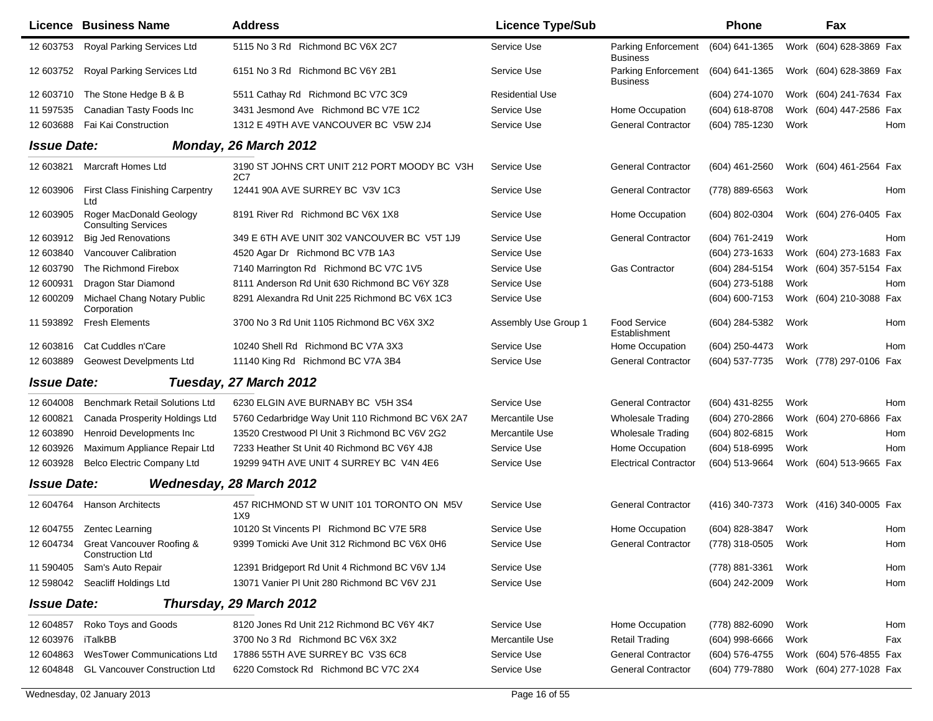|                    | <b>Licence Business Name</b>                            | <b>Address</b>                                      | <b>Licence Type/Sub</b> |                                        | <b>Phone</b>     |      | Fax                        |
|--------------------|---------------------------------------------------------|-----------------------------------------------------|-------------------------|----------------------------------------|------------------|------|----------------------------|
| 12 603753          | Royal Parking Services Ltd                              | 5115 No 3 Rd Richmond BC V6X 2C7                    | Service Use             | Parking Enforcement<br><b>Business</b> | (604) 641-1365   |      | Work (604) 628-3869 Fax    |
| 12 603752          | Royal Parking Services Ltd                              | 6151 No 3 Rd Richmond BC V6Y 2B1                    | Service Use             | Parking Enforcement<br><b>Business</b> | (604) 641-1365   |      | Work (604) 628-3869 Fax    |
| 12 603710          | The Stone Hedge B & B                                   | 5511 Cathay Rd Richmond BC V7C 3C9                  | <b>Residential Use</b>  |                                        | (604) 274-1070   |      | Work (604) 241-7634 Fax    |
| 11 597535          | Canadian Tasty Foods Inc                                | 3431 Jesmond Ave Richmond BC V7E 1C2                | Service Use             | Home Occupation                        | (604) 618-8708   | Work | (604) 447-2586 Fax         |
| 12 603688          | Fai Kai Construction                                    | 1312 E 49TH AVE VANCOUVER BC V5W 2J4                | Service Use             | <b>General Contractor</b>              | (604) 785-1230   | Work | Hom                        |
| <b>Issue Date:</b> |                                                         | Monday, 26 March 2012                               |                         |                                        |                  |      |                            |
| 12 603821          | <b>Marcraft Homes Ltd</b>                               | 3190 ST JOHNS CRT UNIT 212 PORT MOODY BC V3H<br>2C7 | Service Use             | <b>General Contractor</b>              | (604) 461-2560   |      | Work (604) 461-2564 Fax    |
| 12 603906          | <b>First Class Finishing Carpentry</b><br>Ltd           | 12441 90A AVE SURREY BC V3V 1C3                     | Service Use             | <b>General Contractor</b>              | (778) 889-6563   | Work | Hom                        |
| 12 603905          | Roger MacDonald Geology<br><b>Consulting Services</b>   | 8191 River Rd Richmond BC V6X 1X8                   | Service Use             | Home Occupation                        | (604) 802-0304   |      | Work (604) 276-0405 Fax    |
| 12 603912          | <b>Big Jed Renovations</b>                              | 349 E 6TH AVE UNIT 302 VANCOUVER BC V5T 1J9         | Service Use             | <b>General Contractor</b>              | (604) 761-2419   | Work | Hom                        |
| 12 603840          | <b>Vancouver Calibration</b>                            | 4520 Agar Dr Richmond BC V7B 1A3                    | Service Use             |                                        | (604) 273-1633   |      | Work (604) 273-1683 Fax    |
| 12 603790          | The Richmond Firebox                                    | 7140 Marrington Rd Richmond BC V7C 1V5              | Service Use             | <b>Gas Contractor</b>                  | (604) 284-5154   |      | Work (604) 357-5154 Fax    |
| 12 600931          | Dragon Star Diamond                                     | 8111 Anderson Rd Unit 630 Richmond BC V6Y 3Z8       | Service Use             |                                        | (604) 273-5188   | Work | Hom                        |
| 12 600209          | Michael Chang Notary Public<br>Corporation              | 8291 Alexandra Rd Unit 225 Richmond BC V6X 1C3      | Service Use             |                                        | (604) 600-7153   |      | Work (604) 210-3088 Fax    |
| 11 593892          | <b>Fresh Elements</b>                                   | 3700 No 3 Rd Unit 1105 Richmond BC V6X 3X2          | Assembly Use Group 1    | <b>Food Service</b><br>Establishment   | (604) 284-5382   | Work | Hom                        |
| 12 603816          | Cat Cuddles n'Care                                      | 10240 Shell Rd Richmond BC V7A 3X3                  | Service Use             | Home Occupation                        | (604) 250-4473   | Work | Hom                        |
| 12 603889          | <b>Geowest Develpments Ltd</b>                          | 11140 King Rd Richmond BC V7A 3B4                   | Service Use             | <b>General Contractor</b>              | (604) 537-7735   |      | Work (778) 297-0106<br>Fax |
| <b>Issue Date:</b> |                                                         | Tuesday, 27 March 2012                              |                         |                                        |                  |      |                            |
| 12 604008          | <b>Benchmark Retail Solutions Ltd</b>                   | 6230 ELGIN AVE BURNABY BC V5H 3S4                   | Service Use             | <b>General Contractor</b>              | (604) 431-8255   | Work | Hom                        |
| 12 600821          | Canada Prosperity Holdings Ltd                          | 5760 Cedarbridge Way Unit 110 Richmond BC V6X 2A7   | Mercantile Use          | <b>Wholesale Trading</b>               | (604) 270-2866   |      | Work (604) 270-6866<br>Fax |
| 12 603890          | Henroid Developments Inc                                | 13520 Crestwood PI Unit 3 Richmond BC V6V 2G2       | Mercantile Use          | <b>Wholesale Trading</b>               | (604) 802-6815   | Work | Hom                        |
| 12 603926          | Maximum Appliance Repair Ltd                            | 7233 Heather St Unit 40 Richmond BC V6Y 4J8         | Service Use             | Home Occupation                        | (604) 518-6995   | Work | <b>Hom</b>                 |
| 12 603928          | <b>Belco Electric Company Ltd</b>                       | 19299 94TH AVE UNIT 4 SURREY BC V4N 4E6             | Service Use             | <b>Electrical Contractor</b>           | (604) 513-9664   |      | Work (604) 513-9665 Fax    |
| <b>Issue Date:</b> |                                                         | <b>Wednesday, 28 March 2012</b>                     |                         |                                        |                  |      |                            |
| 12 604764          | <b>Hanson Architects</b>                                | 457 RICHMOND ST W UNIT 101 TORONTO ON M5V<br>1X9    | Service Use             | <b>General Contractor</b>              | (416) 340-7373   |      | Work (416) 340-0005 Fax    |
|                    | 12 604755  Zentec Learning                              | 10120 St Vincents PI Richmond BC V7E 5R8            | Service Use             | Home Occupation                        | (604) 828-3847   | Work | Hom                        |
|                    | 12 604734 Great Vancouver Roofing &<br>Construction Ltd | 9399 Tomicki Ave Unit 312 Richmond BC V6X 0H6       | Service Use             | <b>General Contractor</b>              | (778) 318-0505   | Work | Hom                        |
| 11 590405          | Sam's Auto Repair                                       | 12391 Bridgeport Rd Unit 4 Richmond BC V6V 1J4      | Service Use             |                                        | (778) 881-3361   | Work | Hom                        |
| 12 598042          | Seacliff Holdings Ltd                                   | 13071 Vanier PI Unit 280 Richmond BC V6V 2J1        | Service Use             |                                        | (604) 242-2009   | Work | Hom                        |
| <b>Issue Date:</b> |                                                         | Thursday, 29 March 2012                             |                         |                                        |                  |      |                            |
| 12 604857          | Roko Toys and Goods                                     | 8120 Jones Rd Unit 212 Richmond BC V6Y 4K7          | Service Use             | Home Occupation                        | (778) 882-6090   | Work | Hom                        |
| 12 603976          | iTalkBB                                                 | 3700 No 3 Rd Richmond BC V6X 3X2                    | Mercantile Use          | <b>Retail Trading</b>                  | $(604)$ 998-6666 | Work | Fax                        |
| 12 604863          | <b>WesTower Communications Ltd</b>                      | 17886 55TH AVE SURREY BC V3S 6C8                    | Service Use             | <b>General Contractor</b>              | (604) 576-4755   |      | Work (604) 576-4855 Fax    |
| 12 604848          | <b>GL Vancouver Construction Ltd</b>                    | 6220 Comstock Rd Richmond BC V7C 2X4                | Service Use             | <b>General Contractor</b>              | (604) 779-7880   |      | Work (604) 277-1028 Fax    |

 $\blacksquare$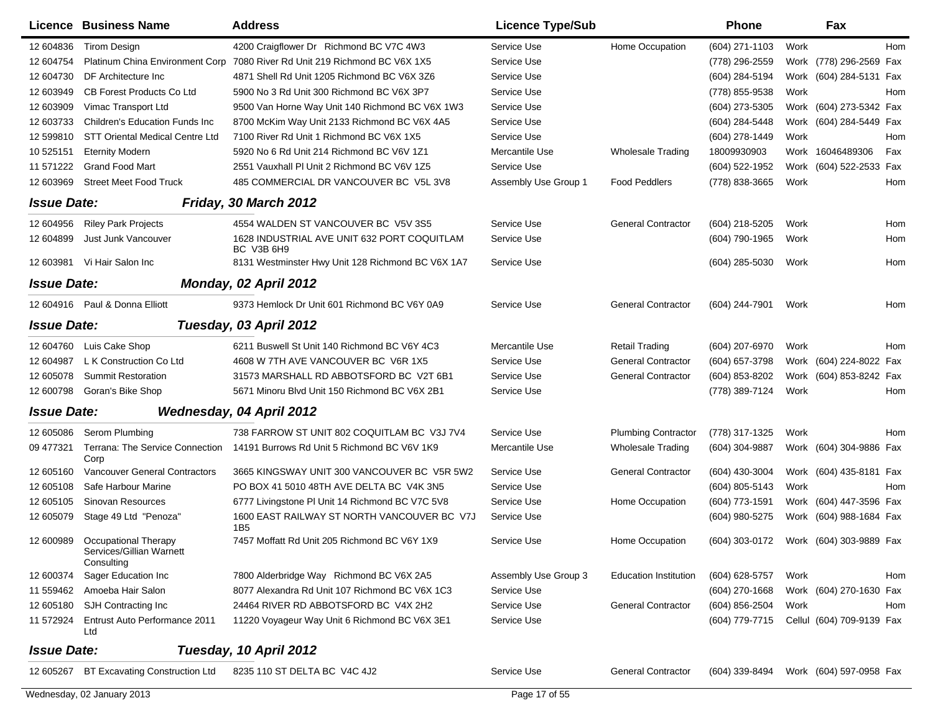|                    | Licence Business Name                                          | <b>Address</b>                                                 | <b>Licence Type/Sub</b> |                              | <b>Phone</b>     | Fax                       |     |
|--------------------|----------------------------------------------------------------|----------------------------------------------------------------|-------------------------|------------------------------|------------------|---------------------------|-----|
| 12 604836          | <b>Tirom Design</b>                                            | 4200 Craigflower Dr Richmond BC V7C 4W3                        | Service Use             | Home Occupation              | (604) 271-1103   | Work                      | Hom |
| 12 604754          | Platinum China Environment Corp                                | 7080 River Rd Unit 219 Richmond BC V6X 1X5                     | Service Use             |                              | (778) 296-2559   | Work (778) 296-2569 Fax   |     |
| 12 604730          | DF Architecture Inc.                                           | 4871 Shell Rd Unit 1205 Richmond BC V6X 3Z6                    | Service Use             |                              | (604) 284-5194   | Work (604) 284-5131 Fax   |     |
| 12 603949          | <b>CB Forest Products Co Ltd</b>                               | 5900 No 3 Rd Unit 300 Richmond BC V6X 3P7                      | Service Use             |                              | (778) 855-9538   | Work                      | Hom |
| 12 603909          | Vimac Transport Ltd                                            | 9500 Van Horne Way Unit 140 Richmond BC V6X 1W3                | Service Use             |                              | (604) 273-5305   | Work (604) 273-5342 Fax   |     |
| 12 603733          | <b>Children's Education Funds Inc.</b>                         | 8700 McKim Way Unit 2133 Richmond BC V6X 4A5                   | Service Use             |                              | (604) 284-5448   | Work (604) 284-5449 Fax   |     |
| 12 599810          | STT Oriental Medical Centre Ltd                                | 7100 River Rd Unit 1 Richmond BC V6X 1X5                       | Service Use             |                              | (604) 278-1449   | Work                      | Hom |
| 10 525151          | <b>Eternity Modern</b>                                         | 5920 No 6 Rd Unit 214 Richmond BC V6V 1Z1                      | Mercantile Use          | <b>Wholesale Trading</b>     | 18009930903      | Work 16046489306          | Fax |
| 11 571222          | <b>Grand Food Mart</b>                                         | 2551 Vauxhall PI Unit 2 Richmond BC V6V 1Z5                    | Service Use             |                              | (604) 522-1952   | Work (604) 522-2533 Fax   |     |
| 12 603969          | <b>Street Meet Food Truck</b>                                  | 485 COMMERCIAL DR VANCOUVER BC V5L 3V8                         | Assembly Use Group 1    | <b>Food Peddlers</b>         | (778) 838-3665   | Work                      | Hom |
| <b>Issue Date:</b> |                                                                | Friday, 30 March 2012                                          |                         |                              |                  |                           |     |
| 12 604956          | <b>Riley Park Projects</b>                                     | 4554 WALDEN ST VANCOUVER BC V5V 3S5                            | Service Use             | <b>General Contractor</b>    | (604) 218-5205   | Work                      | Hom |
| 12 604899          | Just Junk Vancouver                                            | 1628 INDUSTRIAL AVE UNIT 632 PORT COQUITLAM<br>BC V3B 6H9      | Service Use             |                              | (604) 790-1965   | Work                      | Hom |
|                    | 12 603981 Vi Hair Salon Inc                                    | 8131 Westminster Hwy Unit 128 Richmond BC V6X 1A7              | Service Use             |                              | $(604)$ 285-5030 | Work                      | Hom |
| <b>Issue Date:</b> |                                                                | Monday, 02 April 2012                                          |                         |                              |                  |                           |     |
|                    | 12 604916 Paul & Donna Elliott                                 | 9373 Hemlock Dr Unit 601 Richmond BC V6Y 0A9                   | Service Use             | <b>General Contractor</b>    | (604) 244-7901   | Work                      | Hom |
| <b>Issue Date:</b> |                                                                | Tuesday, 03 April 2012                                         |                         |                              |                  |                           |     |
| 12 604760          | Luis Cake Shop                                                 | 6211 Buswell St Unit 140 Richmond BC V6Y 4C3                   | Mercantile Use          | <b>Retail Trading</b>        | (604) 207-6970   | Work                      | Hom |
| 12 604987          | L K Construction Co Ltd                                        | 4608 W 7TH AVE VANCOUVER BC V6R 1X5                            | Service Use             | <b>General Contractor</b>    | (604) 657-3798   | Work (604) 224-8022 Fax   |     |
| 12 605078          | <b>Summit Restoration</b>                                      | 31573 MARSHALL RD ABBOTSFORD BC V2T 6B1                        | Service Use             | <b>General Contractor</b>    | (604) 853-8202   | Work (604) 853-8242 Fax   |     |
| 12 600798          | Goran's Bike Shop                                              | 5671 Minoru Blvd Unit 150 Richmond BC V6X 2B1                  | Service Use             |                              | (778) 389-7124   | Work                      | Hom |
| <b>Issue Date:</b> |                                                                | <b>Wednesday, 04 April 2012</b>                                |                         |                              |                  |                           |     |
| 12 605086          | Serom Plumbing                                                 | 738 FARROW ST UNIT 802 COQUITLAM BC V3J 7V4                    | Service Use             | <b>Plumbing Contractor</b>   | (778) 317-1325   | Work                      | Hom |
| 09 477321          | Terrana: The Service Connection<br>Corp                        | 14191 Burrows Rd Unit 5 Richmond BC V6V 1K9                    | Mercantile Use          | <b>Wholesale Trading</b>     | (604) 304-9887   | Work (604) 304-9886 Fax   |     |
| 12 605160          | Vancouver General Contractors                                  | 3665 KINGSWAY UNIT 300 VANCOUVER BC V5R 5W2                    | Service Use             | <b>General Contractor</b>    | (604) 430-3004   | Work (604) 435-8181 Fax   |     |
| 12 605108          | Safe Harbour Marine                                            | PO BOX 41 5010 48TH AVE DELTA BC V4K 3N5                       | Service Use             |                              | (604) 805-5143   | Work                      | Hom |
| 12 605105          | Sinovan Resources                                              | 6777 Livingstone PI Unit 14 Richmond BC V7C 5V8                | Service Use             | Home Occupation              | (604) 773-1591   | Work (604) 447-3596 Fax   |     |
| 12 605079          | Stage 49 Ltd "Penoza"                                          | 1600 EAST RAILWAY ST NORTH VANCOUVER BC V7J<br>1B <sub>5</sub> | Service Use             |                              | (604) 980-5275   | Work (604) 988-1684 Fax   |     |
| 12 600989          | Occupational Therapy<br>Services/Gillian Warnett<br>Consulting | 7457 Moffatt Rd Unit 205 Richmond BC V6Y 1X9                   | Service Use             | Home Occupation              | (604) 303-0172   | Work (604) 303-9889 Fax   |     |
| 12 600374          | Sager Education Inc                                            | 7800 Alderbridge Way Richmond BC V6X 2A5                       | Assembly Use Group 3    | <b>Education Institution</b> | (604) 628-5757   | Work                      | Hom |
| 11 559462          | Amoeba Hair Salon                                              | 8077 Alexandra Rd Unit 107 Richmond BC V6X 1C3                 | Service Use             |                              | (604) 270-1668   | Work (604) 270-1630 Fax   |     |
| 12 605180          | SJH Contracting Inc                                            | 24464 RIVER RD ABBOTSFORD BC V4X 2H2                           | Service Use             | <b>General Contractor</b>    | (604) 856-2504   | Work                      | Hom |
| 11 572924          | Entrust Auto Performance 2011<br>Ltd                           | 11220 Voyageur Way Unit 6 Richmond BC V6X 3E1                  | Service Use             |                              | (604) 779-7715   | Cellul (604) 709-9139 Fax |     |
| <b>Issue Date:</b> |                                                                | Tuesday, 10 April 2012                                         |                         |                              |                  |                           |     |
| 12 605267          | BT Excavating Construction Ltd                                 | 8235 110 ST DELTA BC V4C 4J2                                   | Service Use             | <b>General Contractor</b>    | (604) 339-8494   | Work (604) 597-0958 Fax   |     |
|                    | Wednesday, 02 January 2013                                     |                                                                | Page 17 of 55           |                              |                  |                           |     |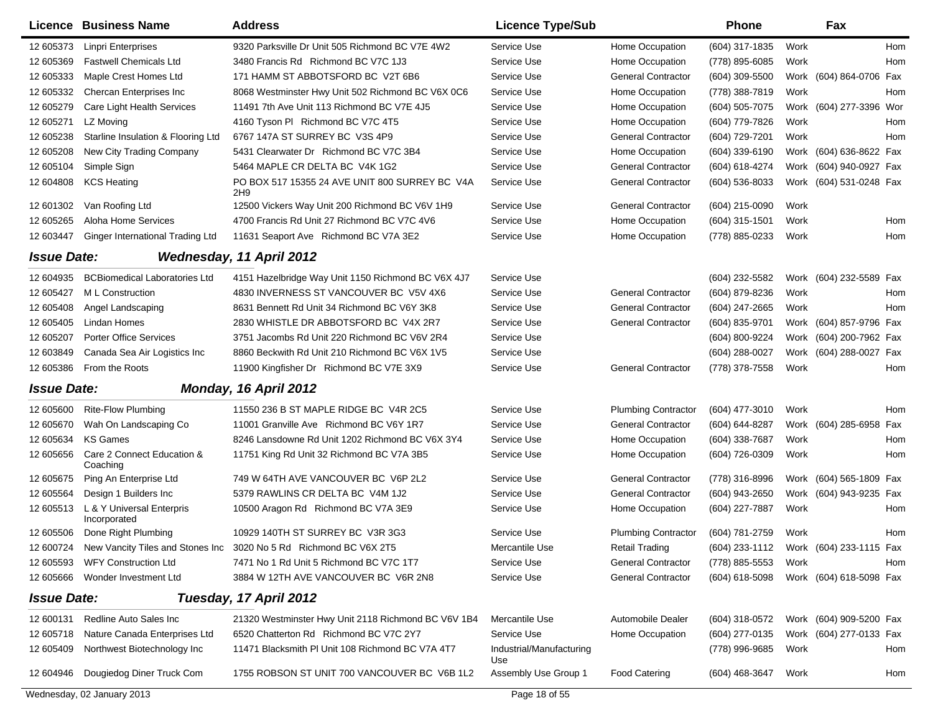|                    | Licence Business Name                     | <b>Address</b>                                        | <b>Licence Type/Sub</b>         |                            | <b>Phone</b>       | Fax                        |            |
|--------------------|-------------------------------------------|-------------------------------------------------------|---------------------------------|----------------------------|--------------------|----------------------------|------------|
| 12 605373          | <b>Linpri Enterprises</b>                 | 9320 Parksville Dr Unit 505 Richmond BC V7E 4W2       | Service Use                     | Home Occupation            | (604) 317-1835     | Work                       | <b>Hom</b> |
| 12 605369          | <b>Fastwell Chemicals Ltd</b>             | 3480 Francis Rd Richmond BC V7C 1J3                   | Service Use                     | Home Occupation            | (778) 895-6085     | Work                       | Hom        |
| 12 605333          | Maple Crest Homes Ltd                     | 171 HAMM ST ABBOTSFORD BC V2T 6B6                     | Service Use                     | <b>General Contractor</b>  | (604) 309-5500     | Work (604) 864-0706 Fax    |            |
| 12 605332          | Chercan Enterprises Inc                   | 8068 Westminster Hwy Unit 502 Richmond BC V6X 0C6     | Service Use                     | Home Occupation            | (778) 388-7819     | Work                       | Hom        |
| 12 605279          | Care Light Health Services                | 11491 7th Ave Unit 113 Richmond BC V7E 4J5            | Service Use                     | Home Occupation            | (604) 505-7075     | Work (604) 277-3396 Wor    |            |
| 12 605271          | LZ Moving                                 | 4160 Tyson PI Richmond BC V7C 4T5                     | Service Use                     | Home Occupation            | (604) 779-7826     | Work                       | Hom        |
| 12 605238          | Starline Insulation & Flooring Ltd        | 6767 147A ST SURREY BC V3S 4P9                        | Service Use                     | <b>General Contractor</b>  | (604) 729-7201     | Work                       | <b>Hom</b> |
| 12 605208          | New City Trading Company                  | 5431 Clearwater Dr Richmond BC V7C 3B4                | Service Use                     | Home Occupation            | (604) 339-6190     | (604) 636-8622 Fax<br>Work |            |
| 12 605104          | Simple Sign                               | 5464 MAPLE CR DELTA BC V4K 1G2                        | Service Use                     | <b>General Contractor</b>  | (604) 618-4274     | (604) 940-0927 Fax<br>Work |            |
| 12 604808          | <b>KCS Heating</b>                        | PO BOX 517 15355 24 AVE UNIT 800 SURREY BC V4A<br>2H9 | Service Use                     | <b>General Contractor</b>  | (604) 536-8033     | Work (604) 531-0248 Fax    |            |
| 12 601302          | Van Roofing Ltd                           | 12500 Vickers Way Unit 200 Richmond BC V6V 1H9        | Service Use                     | <b>General Contractor</b>  | (604) 215-0090     | Work                       |            |
| 12 605265          | Aloha Home Services                       | 4700 Francis Rd Unit 27 Richmond BC V7C 4V6           | Service Use                     | Home Occupation            | (604) 315-1501     | Work                       | Hom        |
| 12 603447          | Ginger International Trading Ltd          | 11631 Seaport Ave Richmond BC V7A 3E2                 | Service Use                     | Home Occupation            | (778) 885-0233     | Work                       | Hom        |
| <b>Issue Date:</b> |                                           | Wednesday, 11 April 2012                              |                                 |                            |                    |                            |            |
| 12 604935          | <b>BCBiomedical Laboratories Ltd</b>      | 4151 Hazelbridge Way Unit 1150 Richmond BC V6X 4J7    | Service Use                     |                            | (604) 232-5582     | Work (604) 232-5589 Fax    |            |
| 12 605427          | M L Construction                          | 4830 INVERNESS ST VANCOUVER BC V5V 4X6                | Service Use                     | <b>General Contractor</b>  | (604) 879-8236     | Work                       | Hom        |
| 12 605408          | Angel Landscaping                         | 8631 Bennett Rd Unit 34 Richmond BC V6Y 3K8           | Service Use                     | <b>General Contractor</b>  | (604) 247-2665     | Work                       | Hom        |
| 12 605405          | Lindan Homes                              | 2830 WHISTLE DR ABBOTSFORD BC V4X 2R7                 | Service Use                     | <b>General Contractor</b>  | (604) 835-9701     | (604) 857-9796 Fax<br>Work |            |
| 12 605207          | <b>Porter Office Services</b>             | 3751 Jacombs Rd Unit 220 Richmond BC V6V 2R4          | Service Use                     |                            | (604) 800-9224     | (604) 200-7962 Fax<br>Work |            |
| 12 603849          | Canada Sea Air Logistics Inc              | 8860 Beckwith Rd Unit 210 Richmond BC V6X 1V5         | Service Use                     |                            | (604) 288-0027     | (604) 288-0027 Fax<br>Work |            |
| 12 605386          | From the Roots                            | 11900 Kingfisher Dr Richmond BC V7E 3X9               | Service Use                     | <b>General Contractor</b>  | (778) 378-7558     | Work                       | Hom        |
| <b>Issue Date:</b> |                                           | Monday, 16 April 2012                                 |                                 |                            |                    |                            |            |
| 12 605600          | <b>Rite-Flow Plumbing</b>                 | 11550 236 B ST MAPLE RIDGE BC V4R 2C5                 | Service Use                     | <b>Plumbing Contractor</b> | (604) 477-3010     | Work                       | <b>Hom</b> |
| 12 605670          | Wah On Landscaping Co                     | 11001 Granville Ave Richmond BC V6Y 1R7               | Service Use                     | <b>General Contractor</b>  | $(604) 644 - 8287$ | (604) 285-6958<br>Work     | Fax        |
| 12 605634          | KS Games                                  | 8246 Lansdowne Rd Unit 1202 Richmond BC V6X 3Y4       | Service Use                     | Home Occupation            | (604) 338-7687     | Work                       | Hom        |
| 12 605656          | Care 2 Connect Education &<br>Coaching    | 11751 King Rd Unit 32 Richmond BC V7A 3B5             | Service Use                     | Home Occupation            | (604) 726-0309     | Work                       | Hom        |
| 12 605675          | Ping An Enterprise Ltd                    | 749 W 64TH AVE VANCOUVER BC V6P 2L2                   | Service Use                     | <b>General Contractor</b>  | (778) 316-8996     | (604) 565-1809 Fax<br>Work |            |
| 12 605564          | Design 1 Builders Inc                     | 5379 RAWLINS CR DELTA BC V4M 1J2                      | Service Use                     | <b>General Contractor</b>  | (604) 943-2650     | (604) 943-9235 Fax<br>Work |            |
| 12 605513          | L & Y Universal Enterpris<br>Incorporated | 10500 Aragon Rd Richmond BC V7A 3E9                   | Service Use                     | Home Occupation            | (604) 227-7887     | Work                       | Hom        |
| 12 605506          | Done Right Plumbing                       | 10929 140TH ST SURREY BC V3R 3G3                      | Service Use                     | <b>Plumbing Contractor</b> | (604) 781-2759     | Work                       | Hom        |
| 12 600724          | New Vancity Tiles and Stones Inc          | 3020 No 5 Rd Richmond BC V6X 2T5                      | Mercantile Use                  | <b>Retail Trading</b>      | (604) 233-1112     | Work (604) 233-1115 Fax    |            |
| 12 605593          | <b>WFY Construction Ltd</b>               | 7471 No 1 Rd Unit 5 Richmond BC V7C 1T7               | Service Use                     | <b>General Contractor</b>  | (778) 885-5553     | Work                       | Hom        |
| 12 605666          | Wonder Investment Ltd                     | 3884 W 12TH AVE VANCOUVER BC V6R 2N8                  | Service Use                     | <b>General Contractor</b>  | (604) 618-5098     | Work (604) 618-5098 Fax    |            |
| <b>Issue Date:</b> |                                           | Tuesday, 17 April 2012                                |                                 |                            |                    |                            |            |
| 12 600131          | Redline Auto Sales Inc                    | 21320 Westminster Hwy Unit 2118 Richmond BC V6V 1B4   | Mercantile Use                  | <b>Automobile Dealer</b>   | $(604)$ 318-0572   | Work (604) 909-5200 Fax    |            |
| 12 605718          | Nature Canada Enterprises Ltd             | 6520 Chatterton Rd Richmond BC V7C 2Y7                | Service Use                     | Home Occupation            | $(604)$ 277-0135   | Work (604) 277-0133 Fax    |            |
| 12 605409          | Northwest Biotechnology Inc               | 11471 Blacksmith PI Unit 108 Richmond BC V7A 4T7      | Industrial/Manufacturing<br>Use |                            | (778) 996-9685     | Work                       | Hom        |
| 12 604946          | Dougiedog Diner Truck Com                 | 1755 ROBSON ST UNIT 700 VANCOUVER BC V6B 1L2          | Assembly Use Group 1            | <b>Food Catering</b>       | (604) 468-3647     | Work                       | Hom        |
|                    | Wednesday, 02 January 2013                |                                                       | Page 18 of 55                   |                            |                    |                            |            |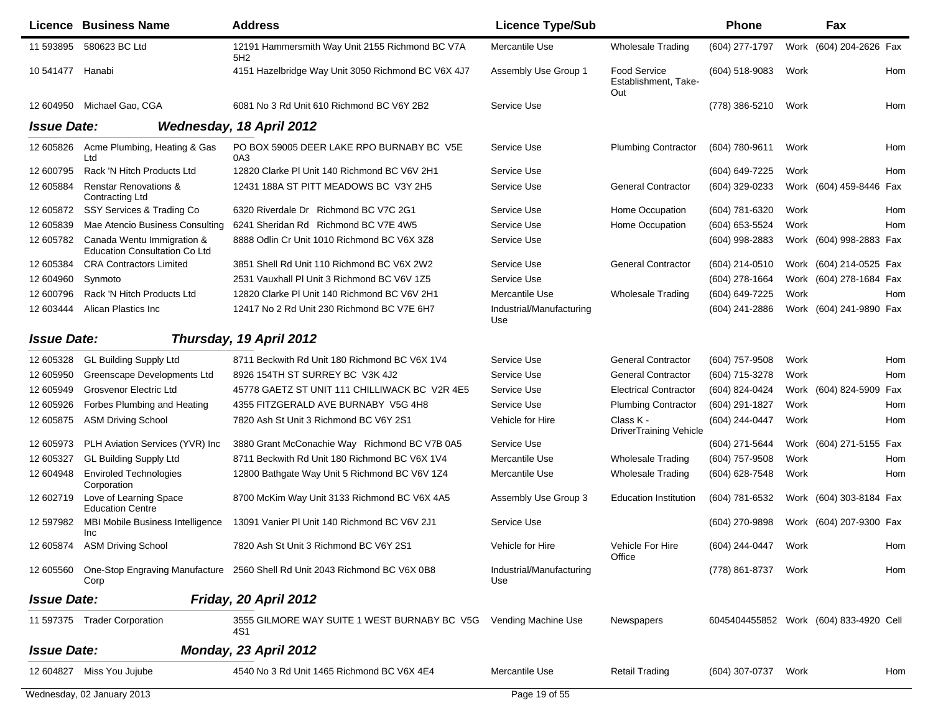|                    | <b>Licence Business Name</b>                                       | <b>Address</b>                                                                       | <b>Licence Type/Sub</b>         |                                                    | <b>Phone</b>        |      | <b>Fax</b>                             |     |
|--------------------|--------------------------------------------------------------------|--------------------------------------------------------------------------------------|---------------------------------|----------------------------------------------------|---------------------|------|----------------------------------------|-----|
| 11 593895          | 580623 BC Ltd                                                      | 12191 Hammersmith Way Unit 2155 Richmond BC V7A<br>5H <sub>2</sub>                   | Mercantile Use                  | <b>Wholesale Trading</b>                           | (604) 277-1797      |      | Work (604) 204-2626 Fax                |     |
| 10 541477          | Hanabi                                                             | 4151 Hazelbridge Way Unit 3050 Richmond BC V6X 4J7                                   | Assembly Use Group 1            | <b>Food Service</b><br>Establishment, Take-<br>Out | (604) 518-9083      | Work |                                        | Hom |
| 12 604950          | Michael Gao, CGA                                                   | 6081 No 3 Rd Unit 610 Richmond BC V6Y 2B2                                            | Service Use                     |                                                    | (778) 386-5210      | Work |                                        | Hom |
| <b>Issue Date:</b> |                                                                    | Wednesday, 18 April 2012                                                             |                                 |                                                    |                     |      |                                        |     |
| 12 605826          | Acme Plumbing, Heating & Gas<br>Ltd                                | PO BOX 59005 DEER LAKE RPO BURNABY BC V5E<br>0A3                                     | Service Use                     | <b>Plumbing Contractor</b>                         | (604) 780-9611      | Work |                                        | Hom |
| 12 600795          | Rack 'N Hitch Products Ltd                                         | 12820 Clarke PI Unit 140 Richmond BC V6V 2H1                                         | Service Use                     |                                                    | (604) 649-7225      | Work |                                        | Hom |
| 12 605884          | <b>Renstar Renovations &amp;</b><br>Contracting Ltd                | 12431 188A ST PITT MEADOWS BC V3Y 2H5                                                | Service Use                     | <b>General Contractor</b>                          | (604) 329-0233      |      | Work (604) 459-8446 Fax                |     |
| 12 605872          | SSY Services & Trading Co                                          | 6320 Riverdale Dr Richmond BC V7C 2G1                                                | Service Use                     | Home Occupation                                    | (604) 781-6320      | Work |                                        | Hom |
| 12 605839          | Mae Atencio Business Consulting                                    | 6241 Sheridan Rd Richmond BC V7E 4W5                                                 | Service Use                     | Home Occupation                                    | (604) 653-5524      | Work |                                        | Hom |
| 12 605782          | Canada Wentu Immigration &<br><b>Education Consultation Co Ltd</b> | 8888 Odlin Cr Unit 1010 Richmond BC V6X 3Z8                                          | Service Use                     |                                                    | (604) 998-2883      |      | Work (604) 998-2883 Fax                |     |
| 12 605384          | <b>CRA Contractors Limited</b>                                     | 3851 Shell Rd Unit 110 Richmond BC V6X 2W2                                           | Service Use                     | <b>General Contractor</b>                          | (604) 214-0510      |      | Work (604) 214-0525 Fax                |     |
| 12 604960          | Synmoto                                                            | 2531 Vauxhall PI Unit 3 Richmond BC V6V 1Z5                                          | Service Use                     |                                                    | (604) 278-1664      |      | Work (604) 278-1684 Fax                |     |
| 12 600796          | Rack 'N Hitch Products Ltd                                         | 12820 Clarke PI Unit 140 Richmond BC V6V 2H1                                         | Mercantile Use                  | Wholesale Trading                                  | (604) 649-7225      | Work |                                        | Hom |
| 12 603444          | Alican Plastics Inc                                                | 12417 No 2 Rd Unit 230 Richmond BC V7E 6H7                                           | Industrial/Manufacturing<br>Use |                                                    | (604) 241-2886      |      | Work (604) 241-9890 Fax                |     |
| <b>Issue Date:</b> |                                                                    | Thursday, 19 April 2012                                                              |                                 |                                                    |                     |      |                                        |     |
| 12 605328          | <b>GL Building Supply Ltd</b>                                      | 8711 Beckwith Rd Unit 180 Richmond BC V6X 1V4                                        | Service Use                     | <b>General Contractor</b>                          | (604) 757-9508      | Work |                                        | Hom |
| 12 605950          | Greenscape Developments Ltd                                        | 8926 154TH ST SURREY BC V3K 4J2                                                      | Service Use                     | <b>General Contractor</b>                          | (604) 715-3278      | Work |                                        | Hom |
| 12 605949          | Grosvenor Electric Ltd                                             | 45778 GAETZ ST UNIT 111 CHILLIWACK BC V2R 4E5                                        | Service Use                     | <b>Electrical Contractor</b>                       | (604) 824-0424      |      | Work (604) 824-5909 Fax                |     |
| 12 605926          | Forbes Plumbing and Heating                                        | 4355 FITZGERALD AVE BURNABY V5G 4H8                                                  | Service Use                     | <b>Plumbing Contractor</b>                         | (604) 291-1827      | Work |                                        | Hom |
| 12 605875          | <b>ASM Driving School</b>                                          | 7820 Ash St Unit 3 Richmond BC V6Y 2S1                                               | Vehicle for Hire                | Class K -<br><b>DriverTraining Vehicle</b>         | (604) 244-0447      | Work |                                        | Hom |
| 12 605973          | PLH Aviation Services (YVR) Inc                                    | 3880 Grant McConachie Way Richmond BC V7B 0A5                                        | Service Use                     |                                                    | (604) 271-5644      |      | Work (604) 271-5155 Fax                |     |
| 12 605327          | <b>GL Building Supply Ltd</b>                                      | 8711 Beckwith Rd Unit 180 Richmond BC V6X 1V4                                        | Mercantile Use                  | <b>Wholesale Trading</b>                           | (604) 757-9508      | Work |                                        | Hom |
| 12 604948          | <b>Enviroled Technologies</b><br>Corporation                       | 12800 Bathgate Way Unit 5 Richmond BC V6V 1Z4                                        | Mercantile Use                  | <b>Wholesale Trading</b>                           | (604) 628-7548      | Work |                                        | Hom |
| 12 602719          | Love of Learning Space<br><b>Education Centre</b>                  | 8700 McKim Way Unit 3133 Richmond BC V6X 4A5                                         | Assembly Use Group 3            | <b>Education Institution</b>                       | (604) 781-6532      |      | Work (604) 303-8184 Fax                |     |
| 12 597982          | MBI Mobile Business Intelligence<br><b>Inc</b>                     | 13091 Vanier PI Unit 140 Richmond BC V6V 2J1                                         | Service Use                     |                                                    | (604) 270-9898      |      | Work (604) 207-9300 Fax                |     |
|                    | 12 605874 ASM Driving School                                       | 7820 Ash St Unit 3 Richmond BC V6Y 2S1                                               | Vehicle for Hire                | Vehicle For Hire<br>Office                         | (604) 244-0447 Work |      |                                        | Hom |
|                    | Corp                                                               | 12 605560 One-Stop Engraving Manufacture 2560 Shell Rd Unit 2043 Richmond BC V6X 0B8 | Industrial/Manufacturing<br>Use |                                                    | (778) 861-8737 Work |      |                                        | Hom |
| <b>Issue Date:</b> |                                                                    | Friday, 20 April 2012                                                                |                                 |                                                    |                     |      |                                        |     |
|                    | 11 597375 Trader Corporation                                       | 3555 GILMORE WAY SUITE 1 WEST BURNABY BC V5G    Vending Machine Use<br>4S1           |                                 | <b>Newspapers</b>                                  |                     |      | 6045404455852 Work (604) 833-4920 Cell |     |
| <b>Issue Date:</b> |                                                                    | Monday, 23 April 2012                                                                |                                 |                                                    |                     |      |                                        |     |
|                    | 12 604827 Miss You Jujube                                          | 4540 No 3 Rd Unit 1465 Richmond BC V6X 4E4                                           | Mercantile Use                  | <b>Retail Trading</b>                              | (604) 307-0737      | Work |                                        | Hom |
|                    | Wednesday, 02 January 2013                                         |                                                                                      | Page 19 of 55                   |                                                    |                     |      |                                        |     |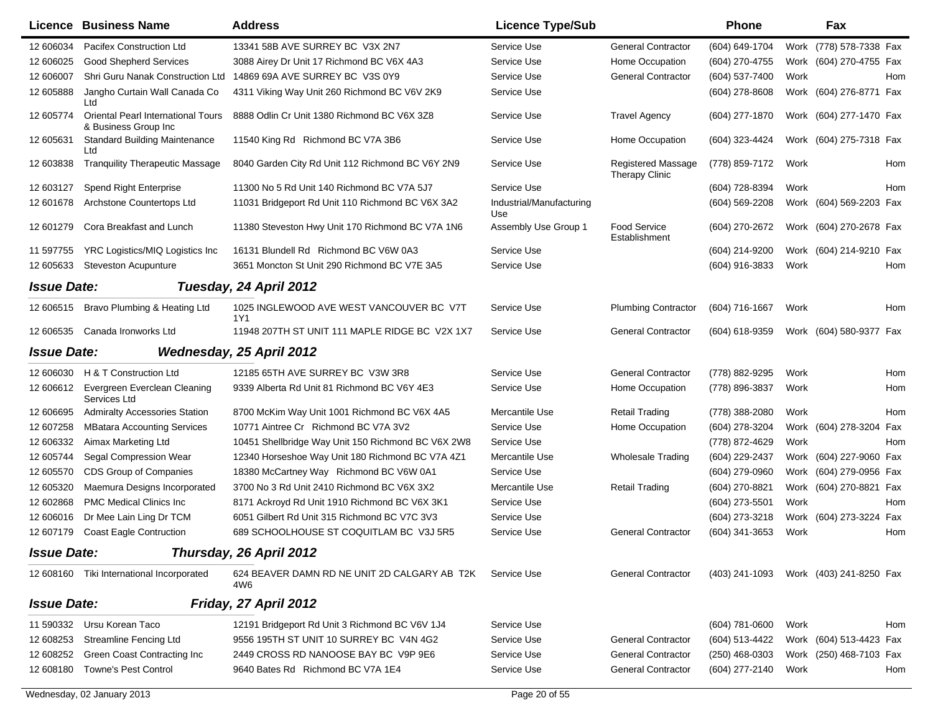|                    | <b>Licence Business Name</b>                               | <b>Address</b>                                                  | <b>Licence Type/Sub</b>         |                                             | Phone                                  |      | Fax                     |     |
|--------------------|------------------------------------------------------------|-----------------------------------------------------------------|---------------------------------|---------------------------------------------|----------------------------------------|------|-------------------------|-----|
| 12 606034          | Pacifex Construction Ltd                                   | 13341 58B AVE SURREY BC V3X 2N7                                 | Service Use                     | <b>General Contractor</b>                   | (604) 649-1704                         |      | Work (778) 578-7338 Fax |     |
| 12 606025          | <b>Good Shepherd Services</b>                              | 3088 Airey Dr Unit 17 Richmond BC V6X 4A3                       | Service Use                     | Home Occupation                             | (604) 270-4755                         |      | Work (604) 270-4755 Fax |     |
| 12 606007          | Shri Guru Nanak Construction Ltd                           | 14869 69A AVE SURREY BC V3S 0Y9                                 | Service Use                     | <b>General Contractor</b>                   | (604) 537-7400                         | Work |                         | Hom |
| 12 605888          | Jangho Curtain Wall Canada Co<br>Ltd                       | 4311 Viking Way Unit 260 Richmond BC V6V 2K9                    | Service Use                     |                                             | (604) 278-8608                         |      | Work (604) 276-8771 Fax |     |
| 12 605774          | Oriental Pearl International Tours<br>& Business Group Inc | 8888 Odlin Cr Unit 1380 Richmond BC V6X 3Z8                     | Service Use                     | <b>Travel Agency</b>                        | (604) 277-1870                         |      | Work (604) 277-1470 Fax |     |
| 12 605631          | <b>Standard Building Maintenance</b><br>Ltd                | 11540 King Rd Richmond BC V7A 3B6                               | Service Use                     | Home Occupation                             | (604) 323-4424                         |      | Work (604) 275-7318 Fax |     |
| 12 603838          | <b>Tranquility Therapeutic Massage</b>                     | 8040 Garden City Rd Unit 112 Richmond BC V6Y 2N9                | Service Use                     | <b>Registered Massage</b><br>Therapy Clinic | (778) 859-7172                         | Work |                         | Hom |
| 12 603127          | Spend Right Enterprise                                     | 11300 No 5 Rd Unit 140 Richmond BC V7A 5J7                      | Service Use                     |                                             | (604) 728-8394                         | Work |                         | Hom |
| 12 601678          | Archstone Countertops Ltd                                  | 11031 Bridgeport Rd Unit 110 Richmond BC V6X 3A2                | Industrial/Manufacturing<br>Use |                                             | (604) 569-2208                         |      | Work (604) 569-2203 Fax |     |
| 12 601279          | Cora Breakfast and Lunch                                   | 11380 Steveston Hwy Unit 170 Richmond BC V7A 1N6                | Assembly Use Group 1            | <b>Food Service</b><br>Establishment        | (604) 270-2672                         |      | Work (604) 270-2678 Fax |     |
| 11 597755          | YRC Logistics/MIQ Logistics Inc                            | 16131 Blundell Rd Richmond BC V6W 0A3                           | Service Use                     |                                             | (604) 214-9200                         |      | Work (604) 214-9210 Fax |     |
| 12 605633          | <b>Steveston Acupunture</b>                                | 3651 Moncton St Unit 290 Richmond BC V7E 3A5                    | Service Use                     |                                             | (604) 916-3833                         | Work |                         | Hom |
| <b>Issue Date:</b> |                                                            | Tuesday, 24 April 2012                                          |                                 |                                             |                                        |      |                         |     |
| 12 606515          | Bravo Plumbing & Heating Ltd                               | 1025 INGLEWOOD AVE WEST VANCOUVER BC V7T<br>1Y1                 | Service Use                     | <b>Plumbing Contractor</b>                  | (604) 716-1667                         | Work |                         | Hom |
| 12 606535          | Canada Ironworks Ltd                                       | 11948 207TH ST UNIT 111 MAPLE RIDGE BC V2X 1X7                  | Service Use                     | <b>General Contractor</b>                   | (604) 618-9359                         |      | Work (604) 580-9377 Fax |     |
| <b>Issue Date:</b> |                                                            | <b>Wednesday, 25 April 2012</b>                                 |                                 |                                             |                                        |      |                         |     |
| 12 606030          | H & T Construction Ltd                                     | 12185 65TH AVE SURREY BC V3W 3R8                                | Service Use                     | <b>General Contractor</b>                   | (778) 882-9295                         | Work |                         | Hom |
| 12 606612          | Evergreen Everclean Cleaning<br>Services Ltd               | 9339 Alberta Rd Unit 81 Richmond BC V6Y 4E3                     | Service Use                     | Home Occupation                             | (778) 896-3837                         | Work |                         | Hom |
| 12 60 6695         | <b>Admiralty Accessories Station</b>                       | 8700 McKim Way Unit 1001 Richmond BC V6X 4A5                    | Mercantile Use                  | <b>Retail Trading</b>                       | (778) 388-2080                         | Work |                         | Hom |
| 12 607258          | <b>MBatara Accounting Services</b>                         | 10771 Aintree Cr Richmond BC V7A 3V2                            | Service Use                     | Home Occupation                             | (604) 278-3204                         |      | Work (604) 278-3204 Fax |     |
| 12 606332          | Aimax Marketing Ltd                                        | 10451 Shellbridge Way Unit 150 Richmond BC V6X 2W8              | Service Use                     |                                             | (778) 872-4629                         | Work |                         | Hom |
| 12 605744          | Segal Compression Wear                                     | 12340 Horseshoe Way Unit 180 Richmond BC V7A 4Z1                | Mercantile Use                  | <b>Wholesale Trading</b>                    | (604) 229-2437                         |      | Work (604) 227-9060 Fax |     |
| 12 605570          | CDS Group of Companies                                     | 18380 McCartney Way Richmond BC V6W 0A1                         | Service Use                     |                                             | (604) 279-0960                         |      | Work (604) 279-0956 Fax |     |
| 12 605320          | Maemura Designs Incorporated                               | 3700 No 3 Rd Unit 2410 Richmond BC V6X 3X2                      | Mercantile Use                  | <b>Retail Trading</b>                       | (604) 270-8821                         |      | Work (604) 270-8821 Fax |     |
| 12 602868          | <b>PMC Medical Clinics Inc.</b>                            | 8171 Ackroyd Rd Unit 1910 Richmond BC V6X 3K1                   | Service Use                     |                                             | (604) 273-5501                         | Work |                         | Hom |
| 12 606016          | Dr Mee Lain Ling Dr TCM                                    | 6051 Gilbert Rd Unit 315 Richmond BC V7C 3V3                    | Service Use                     |                                             | (604) 273-3218                         |      | Work (604) 273-3224 Fax |     |
| 12 607179          | <b>Coast Eagle Contruction</b>                             | 689 SCHOOLHOUSE ST COQUITLAM BC V3J 5R5                         | Service Use                     | <b>General Contractor</b>                   | (604) 341-3653                         | Work |                         | Hom |
| <b>Issue Date:</b> |                                                            | Thursday, 26 April 2012                                         |                                 |                                             |                                        |      |                         |     |
|                    | 12 608160 Tiki International Incorporated                  | 624 BEAVER DAMN RD NE UNIT 2D CALGARY AB T2K Service Use<br>4W6 |                                 | <b>General Contractor</b>                   | (403) 241-1093 Work (403) 241-8250 Fax |      |                         |     |
| <b>Issue Date:</b> |                                                            | Friday, 27 April 2012                                           |                                 |                                             |                                        |      |                         |     |
| 11 590332          | Ursu Korean Taco                                           | 12191 Bridgeport Rd Unit 3 Richmond BC V6V 1J4                  | Service Use                     |                                             | (604) 781-0600                         | Work |                         | Hom |
| 12 608253          | <b>Streamline Fencing Ltd</b>                              | 9556 195TH ST UNIT 10 SURREY BC V4N 4G2                         | Service Use                     | <b>General Contractor</b>                   | (604) 513-4422                         |      | Work (604) 513-4423 Fax |     |
| 12 608252          | Green Coast Contracting Inc                                | 2449 CROSS RD NANOOSE BAY BC V9P 9E6                            | Service Use                     | <b>General Contractor</b>                   | $(250)$ 468-0303                       |      | Work (250) 468-7103 Fax |     |
| 12 608180          | <b>Towne's Pest Control</b>                                | 9640 Bates Rd Richmond BC V7A 1E4                               | Service Use                     | <b>General Contractor</b>                   | (604) 277-2140                         | Work |                         | Hom |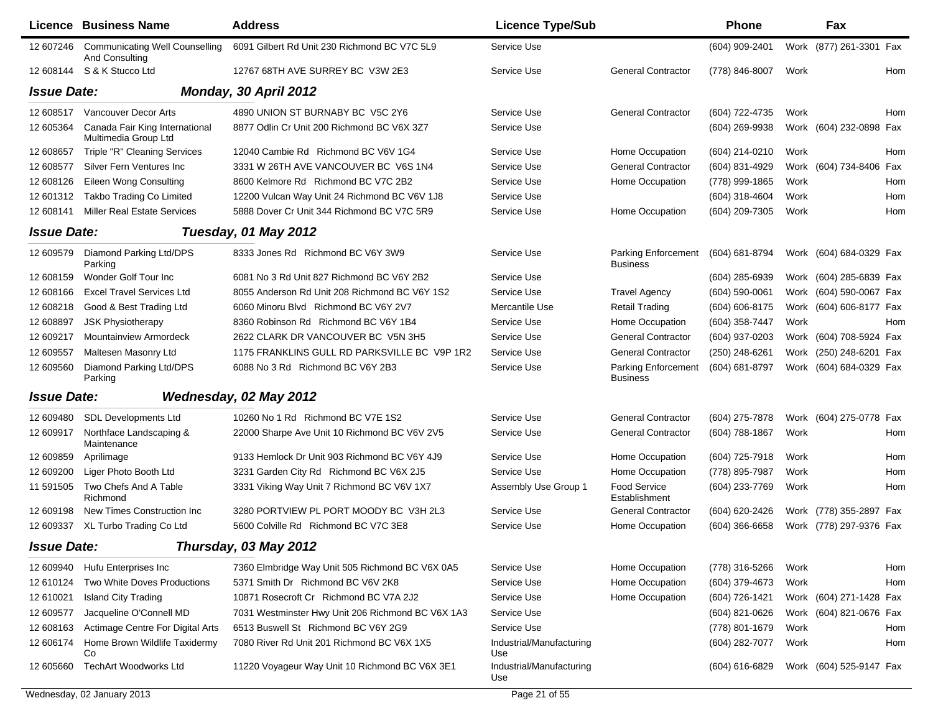|                    | <b>Licence Business Name</b>                            | <b>Address</b>                                    | <b>Licence Type/Sub</b>         |                                        | <b>Phone</b>     |      | Fax                     |     |
|--------------------|---------------------------------------------------------|---------------------------------------------------|---------------------------------|----------------------------------------|------------------|------|-------------------------|-----|
| 12 607246          | <b>Communicating Well Counselling</b><br>And Consulting | 6091 Gilbert Rd Unit 230 Richmond BC V7C 5L9      | Service Use                     |                                        | (604) 909-2401   |      | Work (877) 261-3301 Fax |     |
|                    | 12 608144 S & K Stucco Ltd                              | 12767 68TH AVE SURREY BC V3W 2E3                  | Service Use                     | <b>General Contractor</b>              | (778) 846-8007   | Work |                         | Hom |
| <b>Issue Date:</b> |                                                         | Monday, 30 April 2012                             |                                 |                                        |                  |      |                         |     |
| 12 608517          | <b>Vancouver Decor Arts</b>                             | 4890 UNION ST BURNABY BC V5C 2Y6                  | Service Use                     | <b>General Contractor</b>              | (604) 722-4735   | Work |                         | Hom |
| 12 605364          | Canada Fair King International<br>Multimedia Group Ltd  | 8877 Odlin Cr Unit 200 Richmond BC V6X 3Z7        | Service Use                     |                                        | (604) 269-9938   |      | Work (604) 232-0898 Fax |     |
| 12 608657          | Triple "R" Cleaning Services                            | 12040 Cambie Rd Richmond BC V6V 1G4               | Service Use                     | Home Occupation                        | (604) 214-0210   | Work |                         | Hom |
| 12 608577          | Silver Fern Ventures Inc                                | 3331 W 26TH AVE VANCOUVER BC V6S 1N4              | Service Use                     | <b>General Contractor</b>              | (604) 831-4929   |      | Work (604) 734-8406 Fax |     |
| 12 608126          | Eileen Wong Consulting                                  | 8600 Kelmore Rd Richmond BC V7C 2B2               | Service Use                     | Home Occupation                        | (778) 999-1865   | Work |                         | Hom |
| 12 601312          | Takbo Trading Co Limited                                | 12200 Vulcan Way Unit 24 Richmond BC V6V 1J8      | Service Use                     |                                        | (604) 318-4604   | Work |                         | Hom |
| 12 608141          | <b>Miller Real Estate Services</b>                      | 5888 Dover Cr Unit 344 Richmond BC V7C 5R9        | Service Use                     | Home Occupation                        | (604) 209-7305   | Work |                         | Hom |
| <b>Issue Date:</b> |                                                         | Tuesday, 01 May 2012                              |                                 |                                        |                  |      |                         |     |
| 12 609579          | Diamond Parking Ltd/DPS<br>Parking                      | 8333 Jones Rd Richmond BC V6Y 3W9                 | Service Use                     | Parking Enforcement<br><b>Business</b> | (604) 681-8794   |      | Work (604) 684-0329 Fax |     |
| 12 608159          | Wonder Golf Tour Inc                                    | 6081 No 3 Rd Unit 827 Richmond BC V6Y 2B2         | Service Use                     |                                        | (604) 285-6939   |      | Work (604) 285-6839 Fax |     |
| 12 608166          | <b>Excel Travel Services Ltd</b>                        | 8055 Anderson Rd Unit 208 Richmond BC V6Y 1S2     | Service Use                     | <b>Travel Agency</b>                   | $(604)$ 590-0061 |      | Work (604) 590-0067 Fax |     |
| 12 608218          | Good & Best Trading Ltd                                 | 6060 Minoru Blvd Richmond BC V6Y 2V7              | Mercantile Use                  | <b>Retail Trading</b>                  | (604) 606-8175   |      | Work (604) 606-8177 Fax |     |
| 12 608897          | <b>JSK Physiotherapy</b>                                | 8360 Robinson Rd Richmond BC V6Y 1B4              | Service Use                     | Home Occupation                        | (604) 358-7447   | Work |                         | Hom |
| 12 609217          | Mountainview Armordeck                                  | 2622 CLARK DR VANCOUVER BC V5N 3H5                | Service Use                     | <b>General Contractor</b>              | (604) 937-0203   |      | Work (604) 708-5924 Fax |     |
| 12 609557          | Maltesen Masonry Ltd                                    | 1175 FRANKLINS GULL RD PARKSVILLE BC V9P 1R2      | Service Use                     | <b>General Contractor</b>              | (250) 248-6261   |      | Work (250) 248-6201 Fax |     |
| 12 609560          | Diamond Parking Ltd/DPS<br>Parking                      | 6088 No 3 Rd Richmond BC V6Y 2B3                  | Service Use                     | Parking Enforcement<br><b>Business</b> | (604) 681-8797   |      | Work (604) 684-0329 Fax |     |
| <b>Issue Date:</b> |                                                         | Wednesday, 02 May 2012                            |                                 |                                        |                  |      |                         |     |
| 12 609480          | <b>SDL Developments Ltd</b>                             | 10260 No 1 Rd Richmond BC V7E 1S2                 | Service Use                     | <b>General Contractor</b>              | (604) 275-7878   |      | Work (604) 275-0778 Fax |     |
| 12 609917          | Northface Landscaping &<br>Maintenance                  | 22000 Sharpe Ave Unit 10 Richmond BC V6V 2V5      | Service Use                     | <b>General Contractor</b>              | (604) 788-1867   | Work |                         | Hom |
| 12 609859          | Aprilimage                                              | 9133 Hemlock Dr Unit 903 Richmond BC V6Y 4J9      | Service Use                     | Home Occupation                        | (604) 725-7918   | Work |                         | Hom |
| 12 609200          | Liger Photo Booth Ltd                                   | 3231 Garden City Rd Richmond BC V6X 2J5           | Service Use                     | Home Occupation                        | (778) 895-7987   | Work |                         | Hom |
| 11 591505          | Two Chefs And A Table<br>Richmond                       | 3331 Viking Way Unit 7 Richmond BC V6V 1X7        | Assembly Use Group 1            | <b>Food Service</b><br>Establishment   | (604) 233-7769   | Work |                         | Hom |
| 12 609198          | New Times Construction Inc.                             | 3280 PORTVIEW PL PORT MOODY BC V3H 2L3            | Service Use                     | <b>General Contractor</b>              | (604) 620-2426   |      | Work (778) 355-2897 Fax |     |
| 12 609337          | XL Turbo Trading Co Ltd                                 | 5600 Colville Rd Richmond BC V7C 3E8              | Service Use                     | Home Occupation                        | (604) 366-6658   |      | Work (778) 297-9376 Fax |     |
| <b>Issue Date:</b> |                                                         | Thursday, 03 May 2012                             |                                 |                                        |                  |      |                         |     |
| 12 609940          | Hufu Enterprises Inc                                    | 7360 Elmbridge Way Unit 505 Richmond BC V6X 0A5   | Service Use                     | Home Occupation                        | (778) 316-5266   | Work |                         | Hom |
| 12 610124          | Two White Doves Productions                             | 5371 Smith Dr Richmond BC V6V 2K8                 | Service Use                     | Home Occupation                        | (604) 379-4673   | Work |                         | Hom |
| 12 610021          | <b>Island City Trading</b>                              | 10871 Rosecroft Cr Richmond BC V7A 2J2            | Service Use                     | Home Occupation                        | (604) 726-1421   |      | Work (604) 271-1428 Fax |     |
| 12 609577          | Jacqueline O'Connell MD                                 | 7031 Westminster Hwy Unit 206 Richmond BC V6X 1A3 | Service Use                     |                                        | (604) 821-0626   |      | Work (604) 821-0676 Fax |     |
| 12 608163          | Actimage Centre For Digital Arts                        | 6513 Buswell St Richmond BC V6Y 2G9               | Service Use                     |                                        | (778) 801-1679   | Work |                         | Hom |
| 12 606174          | Home Brown Wildlife Taxidermy<br>Co                     | 7080 River Rd Unit 201 Richmond BC V6X 1X5        | Industrial/Manufacturing<br>Use |                                        | (604) 282-7077   | Work |                         | Hom |
| 12 605660          | <b>TechArt Woodworks Ltd</b>                            | 11220 Voyageur Way Unit 10 Richmond BC V6X 3E1    | Industrial/Manufacturing<br>Use |                                        | (604) 616-6829   |      | Work (604) 525-9147 Fax |     |
|                    | Wednesday, 02 January 2013                              |                                                   | Page 21 of 55                   |                                        |                  |      |                         |     |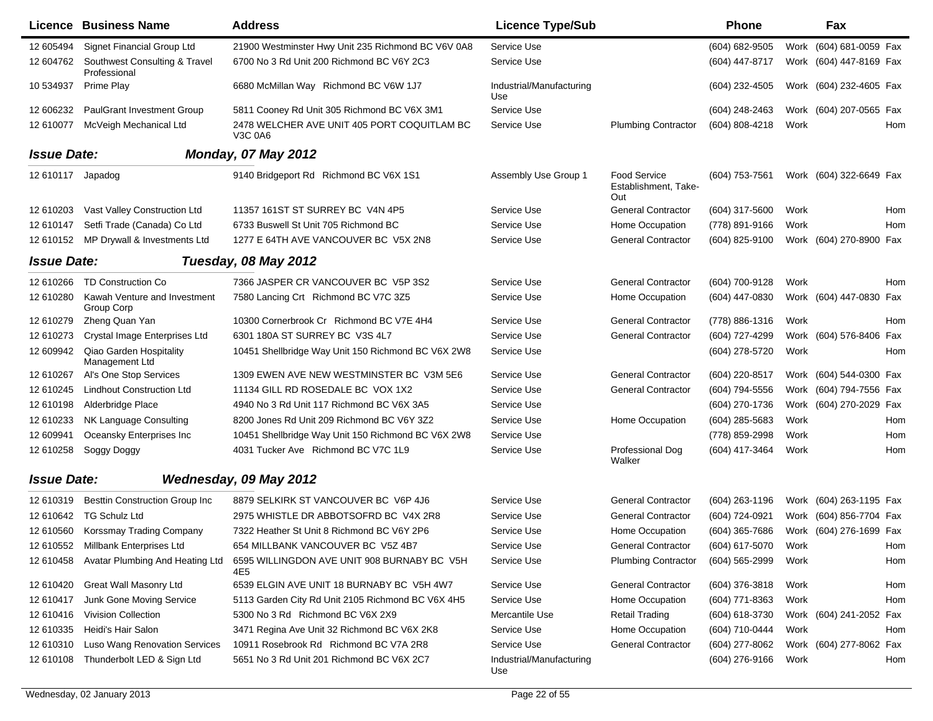|                    | Licence Business Name                         | <b>Address</b>                                                | <b>Licence Type/Sub</b>         |                                                    | <b>Phone</b>     |      | Fax                     |
|--------------------|-----------------------------------------------|---------------------------------------------------------------|---------------------------------|----------------------------------------------------|------------------|------|-------------------------|
| 12 605494          | Signet Financial Group Ltd                    | 21900 Westminster Hwy Unit 235 Richmond BC V6V 0A8            | Service Use                     |                                                    | (604) 682-9505   |      | Work (604) 681-0059 Fax |
| 12 604762          | Southwest Consulting & Travel<br>Professional | 6700 No 3 Rd Unit 200 Richmond BC V6Y 2C3                     | Service Use                     |                                                    | (604) 447-8717   |      | Work (604) 447-8169 Fax |
| 10 534937          | Prime Play                                    | 6680 McMillan Way Richmond BC V6W 1J7                         | Industrial/Manufacturing<br>Use |                                                    | (604) 232-4505   |      | Work (604) 232-4605 Fax |
| 12 606232          | <b>PaulGrant Investment Group</b>             | 5811 Cooney Rd Unit 305 Richmond BC V6X 3M1                   | Service Use                     |                                                    | (604) 248-2463   |      | Work (604) 207-0565 Fax |
| 12 610077          | McVeigh Mechanical Ltd                        | 2478 WELCHER AVE UNIT 405 PORT COQUITLAM BC<br><b>V3C 0A6</b> | Service Use                     | <b>Plumbing Contractor</b>                         | (604) 808-4218   | Work | Hom                     |
| <b>Issue Date:</b> |                                               | <b>Monday, 07 May 2012</b>                                    |                                 |                                                    |                  |      |                         |
| 12 610117 Japadog  |                                               | 9140 Bridgeport Rd Richmond BC V6X 1S1                        | Assembly Use Group 1            | <b>Food Service</b><br>Establishment, Take-<br>Out | (604) 753-7561   |      | Work (604) 322-6649 Fax |
| 12 610203          | Vast Valley Construction Ltd                  | 11357 161ST ST SURREY BC V4N 4P5                              | Service Use                     | <b>General Contractor</b>                          | (604) 317-5600   | Work | Hom                     |
| 12 610147          | Setfi Trade (Canada) Co Ltd                   | 6733 Buswell St Unit 705 Richmond BC                          | Service Use                     | Home Occupation                                    | (778) 891-9166   | Work | Hom                     |
| 12 610152          | MP Drywall & Investments Ltd                  | 1277 E 64TH AVE VANCOUVER BC V5X 2N8                          | Service Use                     | <b>General Contractor</b>                          | (604) 825-9100   |      | Work (604) 270-8900 Fax |
| <b>Issue Date:</b> |                                               | Tuesday, 08 May 2012                                          |                                 |                                                    |                  |      |                         |
| 12 610266          | TD Construction Co                            | 7366 JASPER CR VANCOUVER BC V5P 3S2                           | Service Use                     | <b>General Contractor</b>                          | (604) 700-9128   | Work | Hom                     |
| 12 610280          | Kawah Venture and Investment<br>Group Corp    | 7580 Lancing Crt Richmond BC V7C 3Z5                          | Service Use                     | Home Occupation                                    | (604) 447-0830   |      | Work (604) 447-0830 Fax |
| 12 610279          | Zheng Quan Yan                                | 10300 Cornerbrook Cr Richmond BC V7E 4H4                      | Service Use                     | <b>General Contractor</b>                          | (778) 886-1316   | Work | Hom                     |
| 12 610273          | Crystal Image Enterprises Ltd                 | 6301 180A ST SURREY BC V3S 4L7                                | Service Use                     | <b>General Contractor</b>                          | (604) 727-4299   | Work | (604) 576-8406<br>Fax   |
| 12 609942          | Qiao Garden Hospitality<br>Management Ltd     | 10451 Shellbridge Way Unit 150 Richmond BC V6X 2W8            | Service Use                     |                                                    | (604) 278-5720   | Work | Hom                     |
| 12 610267          | Al's One Stop Services                        | 1309 EWEN AVE NEW WESTMINSTER BC V3M 5E6                      | Service Use                     | <b>General Contractor</b>                          | (604) 220-8517   | Work | (604) 544-0300 Fax      |
| 12 610245          | <b>Lindhout Construction Ltd</b>              | 11134 GILL RD ROSEDALE BC VOX 1X2                             | Service Use                     | <b>General Contractor</b>                          | (604) 794-5556   |      | Work (604) 794-7556 Fax |
| 12 610198          | Alderbridge Place                             | 4940 No 3 Rd Unit 117 Richmond BC V6X 3A5                     | Service Use                     |                                                    | (604) 270-1736   |      | Work (604) 270-2029 Fax |
| 12 610233          | NK Language Consulting                        | 8200 Jones Rd Unit 209 Richmond BC V6Y 3Z2                    | Service Use                     | Home Occupation                                    | (604) 285-5683   | Work | Hom                     |
| 12 609941          | Oceansky Enterprises Inc                      | 10451 Shellbridge Way Unit 150 Richmond BC V6X 2W8            | Service Use                     |                                                    | (778) 859-2998   | Work | Hom                     |
| 12 610258          | Soggy Doggy                                   | 4031 Tucker Ave Richmond BC V7C 1L9                           | Service Use                     | Professional Dog<br>Walker                         | (604) 417-3464   | Work | Hom                     |
| <b>Issue Date:</b> |                                               | Wednesday, 09 May 2012                                        |                                 |                                                    |                  |      |                         |
| 12 610319          | <b>Besttin Construction Group Inc</b>         | 8879 SELKIRK ST VANCOUVER BC V6P 4J6                          | Service Use                     | <b>General Contractor</b>                          | (604) 263-1196   |      | Work (604) 263-1195 Fax |
| 12 610642          | <b>TG Schulz Ltd</b>                          | 2975 WHISTLE DR ABBOTSOFRD BC V4X 2R8                         | Service Use                     | <b>General Contractor</b>                          | (604) 724-0921   |      | Work (604) 856-7704 Fax |
| 12 610560          | Korssmay Trading Company                      | 7322 Heather St Unit 8 Richmond BC V6Y 2P6                    | Service Use                     | Home Occupation                                    | (604) 365-7686   |      | Work (604) 276-1699 Fax |
|                    | 12 610552 Millbank Enterprises Ltd            | 654 MILLBANK VANCOUVER BC V5Z 4B7                             | Service Use                     | <b>General Contractor</b>                          | (604) 617-5070   | Work | Hom                     |
| 12 610458          | Avatar Plumbing And Heating Ltd               | 6595 WILLINGDON AVE UNIT 908 BURNABY BC V5H<br>4E5            | Service Use                     | <b>Plumbing Contractor</b>                         | $(604)$ 565-2999 | Work | Hom                     |
| 12 610420          | <b>Great Wall Masonry Ltd</b>                 | 6539 ELGIN AVE UNIT 18 BURNABY BC V5H 4W7                     | Service Use                     | <b>General Contractor</b>                          | (604) 376-3818   | Work | Hom                     |
| 12 610417          | Junk Gone Moving Service                      | 5113 Garden City Rd Unit 2105 Richmond BC V6X 4H5             | Service Use                     | Home Occupation                                    | (604) 771-8363   | Work | Hom                     |
| 12 610416          | <b>Vivision Collection</b>                    | 5300 No 3 Rd Richmond BC V6X 2X9                              | Mercantile Use                  | <b>Retail Trading</b>                              | (604) 618-3730   |      | Work (604) 241-2052 Fax |
| 12 610335          | Heidi's Hair Salon                            | 3471 Regina Ave Unit 32 Richmond BC V6X 2K8                   | Service Use                     | Home Occupation                                    | (604) 710-0444   | Work | Hom                     |
| 12 610310          | Luso Wang Renovation Services                 | 10911 Rosebrook Rd Richmond BC V7A 2R8                        | Service Use                     | <b>General Contractor</b>                          | (604) 277-8062   |      | Work (604) 277-8062 Fax |
| 12 610108          | Thunderbolt LED & Sign Ltd                    | 5651 No 3 Rd Unit 201 Richmond BC V6X 2C7                     | Industrial/Manufacturing<br>Use |                                                    | (604) 276-9166   | Work | Hom                     |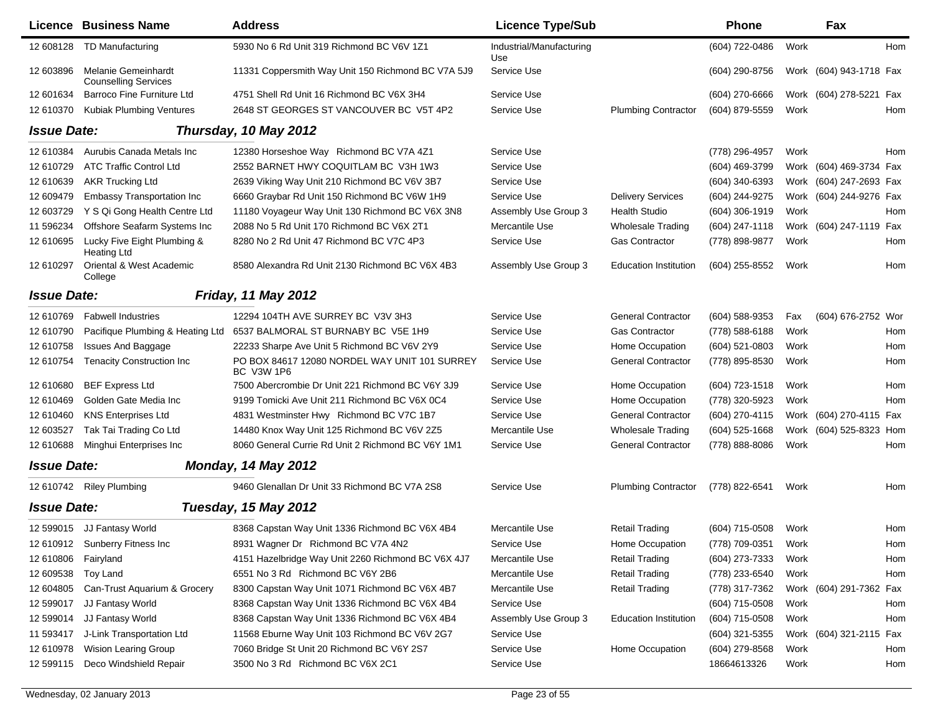|                       | Licence Business Name                                     | <b>Address</b>                                                     | <b>Licence Type/Sub</b>         |                              | Phone            |      | Fax                     |     |
|-----------------------|-----------------------------------------------------------|--------------------------------------------------------------------|---------------------------------|------------------------------|------------------|------|-------------------------|-----|
| 12 608128             | <b>TD Manufacturing</b>                                   | 5930 No 6 Rd Unit 319 Richmond BC V6V 1Z1                          | Industrial/Manufacturing<br>Use |                              | (604) 722-0486   | Work |                         | Hom |
| 12 603896             | <b>Melanie Gemeinhardt</b><br><b>Counselling Services</b> | 11331 Coppersmith Way Unit 150 Richmond BC V7A 5J9                 | Service Use                     |                              | (604) 290-8756   |      | Work (604) 943-1718 Fax |     |
| 12 601634             | Barroco Fine Furniture Ltd                                | 4751 Shell Rd Unit 16 Richmond BC V6X 3H4                          | Service Use                     |                              | (604) 270-6666   |      | Work (604) 278-5221 Fax |     |
| 12 610370             | <b>Kubiak Plumbing Ventures</b>                           | 2648 ST GEORGES ST VANCOUVER BC V5T 4P2                            | Service Use                     | <b>Plumbing Contractor</b>   | (604) 879-5559   | Work |                         | Hom |
| <b>Issue Date:</b>    |                                                           | Thursday, 10 May 2012                                              |                                 |                              |                  |      |                         |     |
| 12 610384             | Aurubis Canada Metals Inc                                 | 12380 Horseshoe Way Richmond BC V7A 4Z1                            | Service Use                     |                              | (778) 296-4957   | Work |                         | Hom |
| 12 610729             | <b>ATC Traffic Control Ltd</b>                            | 2552 BARNET HWY COQUITLAM BC V3H 1W3                               | Service Use                     |                              | (604) 469-3799   |      | Work (604) 469-3734 Fax |     |
| 12 610639             | <b>AKR Trucking Ltd</b>                                   | 2639 Viking Way Unit 210 Richmond BC V6V 3B7                       | Service Use                     |                              | (604) 340-6393   |      | Work (604) 247-2693 Fax |     |
| 12 609479             | Embassy Transportation Inc                                | 6660 Graybar Rd Unit 150 Richmond BC V6W 1H9                       | Service Use                     | <b>Delivery Services</b>     | (604) 244-9275   |      | Work (604) 244-9276 Fax |     |
| 12 603729             | Y S Qi Gong Health Centre Ltd                             | 11180 Voyageur Way Unit 130 Richmond BC V6X 3N8                    | Assembly Use Group 3            | <b>Health Studio</b>         | (604) 306-1919   | Work |                         | Hom |
| 11 596234             | Offshore Seafarm Systems Inc                              | 2088 No 5 Rd Unit 170 Richmond BC V6X 2T1                          | Mercantile Use                  | <b>Wholesale Trading</b>     | (604) 247-1118   |      | Work (604) 247-1119 Fax |     |
| 12 610695             | Lucky Five Eight Plumbing &<br><b>Heating Ltd</b>         | 8280 No 2 Rd Unit 47 Richmond BC V7C 4P3                           | Service Use                     | <b>Gas Contractor</b>        | (778) 898-9877   | Work |                         | Hom |
| 12 610297             | Oriental & West Academic<br>College                       | 8580 Alexandra Rd Unit 2130 Richmond BC V6X 4B3                    | Assembly Use Group 3            | <b>Education Institution</b> | (604) 255-8552   | Work |                         | Hom |
| <b>Issue Date:</b>    |                                                           | <b>Friday, 11 May 2012</b>                                         |                                 |                              |                  |      |                         |     |
| 12 610769             | <b>Fabwell Industries</b>                                 | 12294 104TH AVE SURREY BC V3V 3H3                                  | Service Use                     | <b>General Contractor</b>    | $(604)$ 588-9353 | Fax  | (604) 676-2752 Wor      |     |
| 12 610790             | Pacifique Plumbing & Heating Ltd                          | 6537 BALMORAL ST BURNABY BC V5E 1H9                                | Service Use                     | <b>Gas Contractor</b>        | (778) 588-6188   | Work |                         | Hom |
| 12 610758             | <b>Issues And Baggage</b>                                 | 22233 Sharpe Ave Unit 5 Richmond BC V6V 2Y9                        | Service Use                     | Home Occupation              | (604) 521-0803   | Work |                         | Hom |
| 12 610754             | <b>Tenacity Construction Inc</b>                          | PO BOX 84617 12080 NORDEL WAY UNIT 101 SURREY<br><b>BC V3W 1P6</b> | Service Use                     | <b>General Contractor</b>    | (778) 895-8530   | Work |                         | Hom |
| 12 610680             | <b>BEF Express Ltd</b>                                    | 7500 Abercrombie Dr Unit 221 Richmond BC V6Y 3J9                   | Service Use                     | Home Occupation              | (604) 723-1518   | Work |                         | Hom |
| 12 610469             | Golden Gate Media Inc                                     | 9199 Tomicki Ave Unit 211 Richmond BC V6X 0C4                      | Service Use                     | Home Occupation              | (778) 320-5923   | Work |                         | Hom |
| 12 610460             | <b>KNS Enterprises Ltd</b>                                | 4831 Westminster Hwy Richmond BC V7C 1B7                           | Service Use                     | <b>General Contractor</b>    | (604) 270-4115   |      | Work (604) 270-4115 Fax |     |
| 12 603527             | Tak Tai Trading Co Ltd                                    | 14480 Knox Way Unit 125 Richmond BC V6V 2Z5                        | Mercantile Use                  | <b>Wholesale Trading</b>     | $(604)$ 525-1668 |      | Work (604) 525-8323 Hom |     |
| 12 610688             | Minghui Enterprises Inc                                   | 8060 General Currie Rd Unit 2 Richmond BC V6Y 1M1                  | Service Use                     | <b>General Contractor</b>    | (778) 888-8086   | Work |                         | Hom |
| <b>Issue Date:</b>    |                                                           | <b>Monday, 14 May 2012</b>                                         |                                 |                              |                  |      |                         |     |
|                       | 12 610742 Riley Plumbing                                  | 9460 Glenallan Dr Unit 33 Richmond BC V7A 2S8                      | Service Use                     | <b>Plumbing Contractor</b>   | (778) 822-6541   | Work |                         | Hom |
| <b>Issue Date:</b>    |                                                           | Tuesday, 15 May 2012                                               |                                 |                              |                  |      |                         |     |
|                       | 12 599015 JJ Fantasy World                                | 8368 Capstan Way Unit 1336 Richmond BC V6X 4B4                     | Mercantile Use                  | Retail Trading               | (604) 715-0508   | Work |                         | Hom |
|                       | 12 610912 Sunberry Fitness Inc                            | 8931 Wagner Dr Richmond BC V7A 4N2                                 | Service Use                     | Home Occupation              | (778) 709-0351   | Work |                         | Hom |
| 12 610806   Fairyland |                                                           | 4151 Hazelbridge Way Unit 2260 Richmond BC V6X 4J7                 | Mercantile Use                  | <b>Retail Trading</b>        | (604) 273-7333   | Work |                         | Hom |
| 12 609538 Toy Land    |                                                           | 6551 No 3 Rd Richmond BC V6Y 2B6                                   | Mercantile Use                  | <b>Retail Trading</b>        | (778) 233-6540   | Work |                         | Hom |
| 12 604805             | Can-Trust Aquarium & Grocery                              | 8300 Capstan Way Unit 1071 Richmond BC V6X 4B7                     | Mercantile Use                  | <b>Retail Trading</b>        | (778) 317-7362   |      | Work (604) 291-7362 Fax |     |
| 12 599017             | JJ Fantasy World                                          | 8368 Capstan Way Unit 1336 Richmond BC V6X 4B4                     | Service Use                     |                              | (604) 715-0508   | Work |                         | Hom |
| 12 599014             | JJ Fantasy World                                          | 8368 Capstan Way Unit 1336 Richmond BC V6X 4B4                     | Assembly Use Group 3            | <b>Education Institution</b> | (604) 715-0508   | Work |                         | Hom |
| 11 593417             | J-Link Transportation Ltd                                 | 11568 Eburne Way Unit 103 Richmond BC V6V 2G7                      | Service Use                     |                              | (604) 321-5355   |      | Work (604) 321-2115 Fax |     |
| 12 610978             | Wision Learing Group                                      | 7060 Bridge St Unit 20 Richmond BC V6Y 2S7                         | Service Use                     | Home Occupation              | (604) 279-8568   | Work |                         | Hom |
| 12 599115             | Deco Windshield Repair                                    | 3500 No 3 Rd Richmond BC V6X 2C1                                   | Service Use                     |                              | 18664613326      | Work |                         | Hom |
|                       |                                                           |                                                                    |                                 |                              |                  |      |                         |     |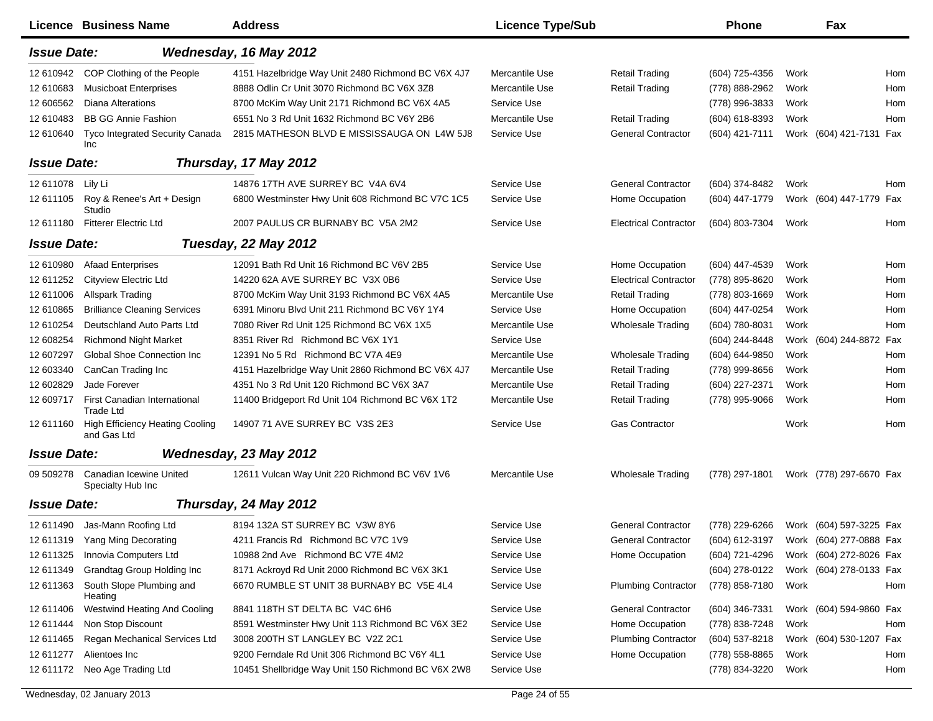|                    | Licence Business Name                                 | <b>Address</b>                                     | <b>Licence Type/Sub</b> |                              | <b>Phone</b>                           |      | Fax                     |     |
|--------------------|-------------------------------------------------------|----------------------------------------------------|-------------------------|------------------------------|----------------------------------------|------|-------------------------|-----|
| <b>Issue Date:</b> |                                                       | Wednesday, 16 May 2012                             |                         |                              |                                        |      |                         |     |
| 12 610942          | COP Clothing of the People                            | 4151 Hazelbridge Way Unit 2480 Richmond BC V6X 4J7 | Mercantile Use          | <b>Retail Trading</b>        | (604) 725-4356                         | Work |                         | Hom |
| 12 610683          | <b>Musicboat Enterprises</b>                          | 8888 Odlin Cr Unit 3070 Richmond BC V6X 3Z8        | Mercantile Use          | <b>Retail Trading</b>        | (778) 888-2962                         | Work |                         | Hom |
| 12 606562          | <b>Diana Alterations</b>                              | 8700 McKim Way Unit 2171 Richmond BC V6X 4A5       | Service Use             |                              | (778) 996-3833                         | Work |                         | Hom |
| 12 610483          | <b>BB GG Annie Fashion</b>                            | 6551 No 3 Rd Unit 1632 Richmond BC V6Y 2B6         | Mercantile Use          | <b>Retail Trading</b>        | (604) 618-8393                         | Work |                         | Hom |
| 12 610640          | <b>Tyco Integrated Security Canada</b><br>Inc         | 2815 MATHESON BLVD E MISSISSAUGA ON L4W 5J8        | Service Use             | <b>General Contractor</b>    | (604) 421-7111                         |      | Work (604) 421-7131 Fax |     |
| <b>Issue Date:</b> |                                                       | Thursday, 17 May 2012                              |                         |                              |                                        |      |                         |     |
| 12 611078          | Lily Li                                               | 14876 17TH AVE SURREY BC V4A 6V4                   | Service Use             | <b>General Contractor</b>    | (604) 374-8482                         | Work |                         | Hom |
| 12 611105          | Roy & Renee's Art + Design<br>Studio                  | 6800 Westminster Hwy Unit 608 Richmond BC V7C 1C5  | Service Use             | Home Occupation              | (604) 447-1779                         |      | Work (604) 447-1779 Fax |     |
| 12 611180          | <b>Fitterer Electric Ltd</b>                          | 2007 PAULUS CR BURNABY BC V5A 2M2                  | Service Use             | <b>Electrical Contractor</b> | (604) 803-7304                         | Work |                         | Hom |
| <b>Issue Date:</b> |                                                       | Tuesday, 22 May 2012                               |                         |                              |                                        |      |                         |     |
| 12 610980          | <b>Afaad Enterprises</b>                              | 12091 Bath Rd Unit 16 Richmond BC V6V 2B5          | Service Use             | Home Occupation              | (604) 447-4539                         | Work |                         | Hom |
| 12 611252          | Cityview Electric Ltd                                 | 14220 62A AVE SURREY BC V3X 0B6                    | Service Use             | <b>Electrical Contractor</b> | (778) 895-8620                         | Work |                         | Hom |
| 12 611006          | <b>Allspark Trading</b>                               | 8700 McKim Way Unit 3193 Richmond BC V6X 4A5       | Mercantile Use          | <b>Retail Trading</b>        | (778) 803-1669                         | Work |                         | Hom |
| 12 610865          | <b>Brilliance Cleaning Services</b>                   | 6391 Minoru Blvd Unit 211 Richmond BC V6Y 1Y4      | Service Use             | Home Occupation              | (604) 447-0254                         | Work |                         | Hom |
| 12 610254          | Deutschland Auto Parts Ltd                            | 7080 River Rd Unit 125 Richmond BC V6X 1X5         | Mercantile Use          | <b>Wholesale Trading</b>     | (604) 780-8031                         | Work |                         | Hom |
| 12 608254          | <b>Richmond Night Market</b>                          | 8351 River Rd Richmond BC V6X 1Y1                  | Service Use             |                              | (604) 244-8448                         |      | Work (604) 244-8872 Fax |     |
| 12 607297          | Global Shoe Connection Inc                            | 12391 No 5 Rd Richmond BC V7A 4E9                  | Mercantile Use          | <b>Wholesale Trading</b>     | (604) 644-9850                         | Work |                         | Hom |
| 12 603340          | CanCan Trading Inc                                    | 4151 Hazelbridge Way Unit 2860 Richmond BC V6X 4J7 | Mercantile Use          | <b>Retail Trading</b>        | (778) 999-8656                         | Work |                         | Hom |
| 12 602829          | Jade Forever                                          | 4351 No 3 Rd Unit 120 Richmond BC V6X 3A7          | Mercantile Use          | <b>Retail Trading</b>        | (604) 227-2371                         | Work |                         | Hom |
| 12 609717          | First Canadian International<br><b>Trade Ltd</b>      | 11400 Bridgeport Rd Unit 104 Richmond BC V6X 1T2   | Mercantile Use          | <b>Retail Trading</b>        | (778) 995-9066                         | Work |                         | Hom |
| 12 611160          | <b>High Efficiency Heating Cooling</b><br>and Gas Ltd | 14907 71 AVE SURREY BC V3S 2E3                     | Service Use             | <b>Gas Contractor</b>        |                                        | Work |                         | Hom |
| <b>Issue Date:</b> |                                                       | Wednesday, 23 May 2012                             |                         |                              |                                        |      |                         |     |
| 09 509278          | Canadian Icewine United<br>Specialty Hub Inc          | 12611 Vulcan Way Unit 220 Richmond BC V6V 1V6      | Mercantile Use          | <b>Wholesale Trading</b>     | (778) 297-1801                         |      | Work (778) 297-6670 Fax |     |
| <b>Issue Date:</b> |                                                       | Thursday, 24 May 2012                              |                         |                              |                                        |      |                         |     |
| 12 611490          | Jas-Mann Roofing Ltd                                  | 8194 132A ST SURREY BC V3W 8Y6                     | Service Use             | <b>General Contractor</b>    | (778) 229-6266                         |      | Work (604) 597-3225 Fax |     |
|                    | 12 611319 Yang Ming Decorating                        | 4211 Francis Rd Richmond BC V7C 1V9                | Service Use             | General Contractor           | (604) 612-3197 Work (604) 277-0888 Fax |      |                         |     |
| 12 611325          | Innovia Computers Ltd                                 | 10988 2nd Ave Richmond BC V7E 4M2                  | Service Use             | Home Occupation              | (604) 721-4296                         |      | Work (604) 272-8026 Fax |     |
| 12 611349          | Grandtag Group Holding Inc                            | 8171 Ackroyd Rd Unit 2000 Richmond BC V6X 3K1      | Service Use             |                              | (604) 278-0122                         |      | Work (604) 278-0133 Fax |     |
| 12 611363          | South Slope Plumbing and<br>Heating                   | 6670 RUMBLE ST UNIT 38 BURNABY BC V5E 4L4          | Service Use             | <b>Plumbing Contractor</b>   | (778) 858-7180                         | Work |                         | Hom |
| 12 611406          | Westwind Heating And Cooling                          | 8841 118TH ST DELTA BC V4C 6H6                     | Service Use             | <b>General Contractor</b>    | (604) 346-7331                         |      | Work (604) 594-9860 Fax |     |
| 12 611444          | Non Stop Discount                                     | 8591 Westminster Hwy Unit 113 Richmond BC V6X 3E2  | Service Use             | Home Occupation              | (778) 838-7248                         | Work |                         | Hom |
| 12 611465          | Regan Mechanical Services Ltd                         | 3008 200TH ST LANGLEY BC V2Z 2C1                   | Service Use             | <b>Plumbing Contractor</b>   | (604) 537-8218                         |      | Work (604) 530-1207 Fax |     |
| 12 611277          | Alientoes Inc                                         | 9200 Ferndale Rd Unit 306 Richmond BC V6Y 4L1      | Service Use             | Home Occupation              | (778) 558-8865                         | Work |                         | Hom |
| 12 611172          | Neo Age Trading Ltd                                   | 10451 Shellbridge Way Unit 150 Richmond BC V6X 2W8 | Service Use             |                              | (778) 834-3220                         | Work |                         | Hom |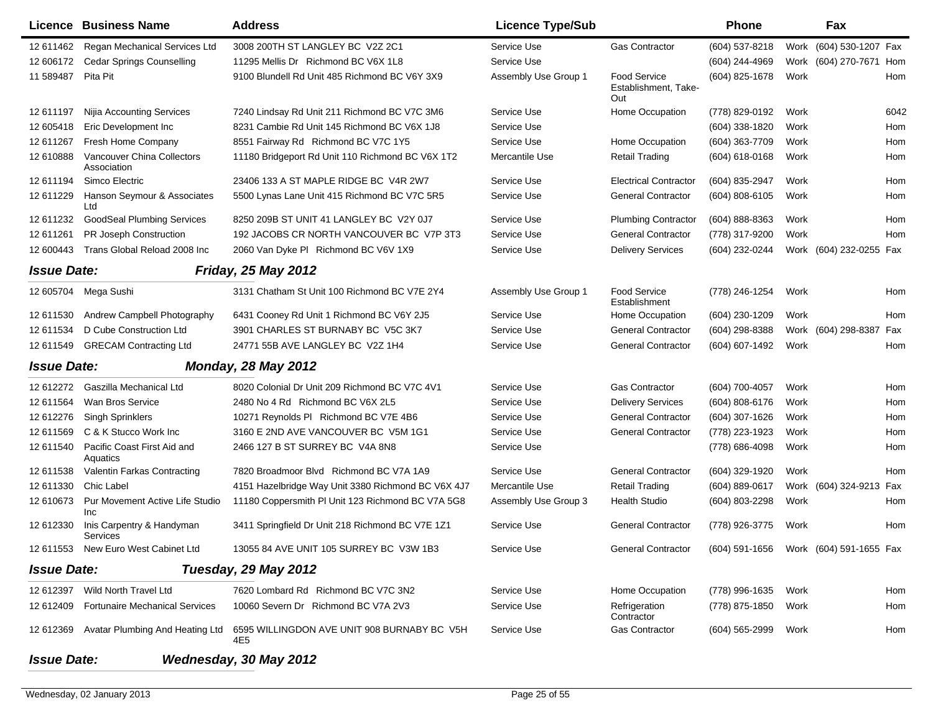|                    | <b>Licence Business Name</b>              | <b>Address</b>                                     | <b>Licence Type/Sub</b> |                                                    | Phone                                  |      | Fax                     |      |
|--------------------|-------------------------------------------|----------------------------------------------------|-------------------------|----------------------------------------------------|----------------------------------------|------|-------------------------|------|
| 12 611462          | Regan Mechanical Services Ltd             | 3008 200TH ST LANGLEY BC V2Z 2C1                   | Service Use             | <b>Gas Contractor</b>                              | (604) 537-8218                         |      | Work (604) 530-1207 Fax |      |
| 12 606172          | <b>Cedar Springs Counselling</b>          | 11295 Mellis Dr Richmond BC V6X 1L8                | Service Use             |                                                    | (604) 244-4969                         |      | Work (604) 270-7671 Hom |      |
| 11 589487          | Pita Pit                                  | 9100 Blundell Rd Unit 485 Richmond BC V6Y 3X9      | Assembly Use Group 1    | <b>Food Service</b><br>Establishment, Take-<br>Out | (604) 825-1678                         | Work |                         | Hom  |
| 12 611197          | Nijia Accounting Services                 | 7240 Lindsay Rd Unit 211 Richmond BC V7C 3M6       | Service Use             | Home Occupation                                    | (778) 829-0192                         | Work |                         | 6042 |
| 12 605418          | Eric Development Inc                      | 8231 Cambie Rd Unit 145 Richmond BC V6X 1J8        | Service Use             |                                                    | (604) 338-1820                         | Work |                         | Hom  |
| 12 611 267         | Fresh Home Company                        | 8551 Fairway Rd Richmond BC V7C 1Y5                | Service Use             | Home Occupation                                    | (604) 363-7709                         | Work |                         | Hom  |
| 12 610888          | Vancouver China Collectors<br>Association | 11180 Bridgeport Rd Unit 110 Richmond BC V6X 1T2   | Mercantile Use          | <b>Retail Trading</b>                              | (604) 618-0168                         | Work |                         | Hom  |
| 12 611194          | Simco Electric                            | 23406 133 A ST MAPLE RIDGE BC V4R 2W7              | Service Use             | <b>Electrical Contractor</b>                       | (604) 835-2947                         | Work |                         | Hom  |
| 12 611229          | Hanson Seymour & Associates<br>Ltd        | 5500 Lynas Lane Unit 415 Richmond BC V7C 5R5       | Service Use             | <b>General Contractor</b>                          | (604) 808-6105                         | Work |                         | Hom  |
| 12 611232          | <b>GoodSeal Plumbing Services</b>         | 8250 209B ST UNIT 41 LANGLEY BC V2Y 0J7            | Service Use             | <b>Plumbing Contractor</b>                         | (604) 888-8363                         | Work |                         | Hom  |
| 12 611261          | PR Joseph Construction                    | 192 JACOBS CR NORTH VANCOUVER BC V7P 3T3           | Service Use             | <b>General Contractor</b>                          | (778) 317-9200                         | Work |                         | Hom  |
| 12 600443          | Trans Global Reload 2008 Inc              | 2060 Van Dyke PI Richmond BC V6V 1X9               | Service Use             | <b>Delivery Services</b>                           | (604) 232-0244                         |      | Work (604) 232-0255 Fax |      |
| <b>Issue Date:</b> |                                           | <b>Friday, 25 May 2012</b>                         |                         |                                                    |                                        |      |                         |      |
| 12 605704          | Mega Sushi                                | 3131 Chatham St Unit 100 Richmond BC V7E 2Y4       | Assembly Use Group 1    | Food Service<br>Establishment                      | (778) 246-1254                         | Work |                         | Hom  |
| 12 611530          | Andrew Campbell Photography               | 6431 Cooney Rd Unit 1 Richmond BC V6Y 2J5          | Service Use             | Home Occupation                                    | (604) 230-1209                         | Work |                         | Hom  |
| 12 611534          | D Cube Construction Ltd                   | 3901 CHARLES ST BURNABY BC V5C 3K7                 | Service Use             | <b>General Contractor</b>                          | (604) 298-8388                         |      | Work (604) 298-8387     | Fax  |
| 12 611549          | <b>GRECAM Contracting Ltd</b>             | 24771 55B AVE LANGLEY BC V2Z 1H4                   | Service Use             | <b>General Contractor</b>                          | (604) 607-1492                         | Work |                         | Hom  |
| <b>Issue Date:</b> |                                           | <b>Monday, 28 May 2012</b>                         |                         |                                                    |                                        |      |                         |      |
| 12 612272          | Gaszilla Mechanical Ltd                   | 8020 Colonial Dr Unit 209 Richmond BC V7C 4V1      | Service Use             | <b>Gas Contractor</b>                              | (604) 700-4057                         | Work |                         | Hom  |
| 12 611564          | Wan Bros Service                          | 2480 No 4 Rd Richmond BC V6X 2L5                   | Service Use             | <b>Delivery Services</b>                           | (604) 808-6176                         | Work |                         | Hom  |
| 12 612276          | <b>Singh Sprinklers</b>                   | 10271 Reynolds PI Richmond BC V7E 4B6              | Service Use             | <b>General Contractor</b>                          | (604) 307-1626                         | Work |                         | Hom  |
| 12 611569          | C & K Stucco Work Inc                     | 3160 E 2ND AVE VANCOUVER BC V5M 1G1                | Service Use             | <b>General Contractor</b>                          | (778) 223-1923                         | Work |                         | Hom  |
| 12 611540          | Pacific Coast First Aid and<br>Aquatics   | 2466 127 B ST SURREY BC V4A 8N8                    | Service Use             |                                                    | (778) 686-4098                         | Work |                         | Hom  |
| 12 611538          | Valentin Farkas Contracting               | 7820 Broadmoor Blvd Richmond BC V7A 1A9            | Service Use             | <b>General Contractor</b>                          | (604) 329-1920                         | Work |                         | Hom  |
| 12 611330          | Chic Label                                | 4151 Hazelbridge Way Unit 3380 Richmond BC V6X 4J7 | Mercantile Use          | <b>Retail Trading</b>                              | (604) 889-0617                         |      | Work (604) 324-9213 Fax |      |
| 12 610673          | Pur Movement Active Life Studio<br>Inc    | 11180 Coppersmith PI Unit 123 Richmond BC V7A 5G8  | Assembly Use Group 3    | <b>Health Studio</b>                               | (604) 803-2298                         | Work |                         | Hom  |
| 12 612330          | Inis Carpentry & Handyman<br>Services     | 3411 Springfield Dr Unit 218 Richmond BC V7E 1Z1   | Service Use             | <b>General Contractor</b>                          | (778) 926-3775                         | Work |                         | Hom  |
|                    | 12 611553 New Euro West Cabinet Ltd       | 13055 84 AVE UNIT 105 SURREY BC V3W 1B3            | Service Use             | <b>General Contractor</b>                          | (604) 591-1656 Work (604) 591-1655 Fax |      |                         |      |
| <b>Issue Date:</b> |                                           | Tuesday, 29 May 2012                               |                         |                                                    |                                        |      |                         |      |
| 12 612397          | Wild North Travel Ltd                     | 7620 Lombard Rd Richmond BC V7C 3N2                | Service Use             | Home Occupation                                    | (778) 996-1635                         | Work |                         | Hom  |
| 12 612409          | <b>Fortunaire Mechanical Services</b>     | 10060 Severn Dr Richmond BC V7A 2V3                | Service Use             | Refrigeration<br>Contractor                        | (778) 875-1850                         | Work |                         | Hom  |
| 12 612369          | Avatar Plumbing And Heating Ltd           | 6595 WILLINGDON AVE UNIT 908 BURNABY BC V5H<br>4E5 | Service Use             | <b>Gas Contractor</b>                              | (604) 565-2999                         | Work |                         | Hom  |
| <b>Issue Date:</b> |                                           | Wednesday, 30 May 2012                             |                         |                                                    |                                        |      |                         |      |

 $\blacksquare$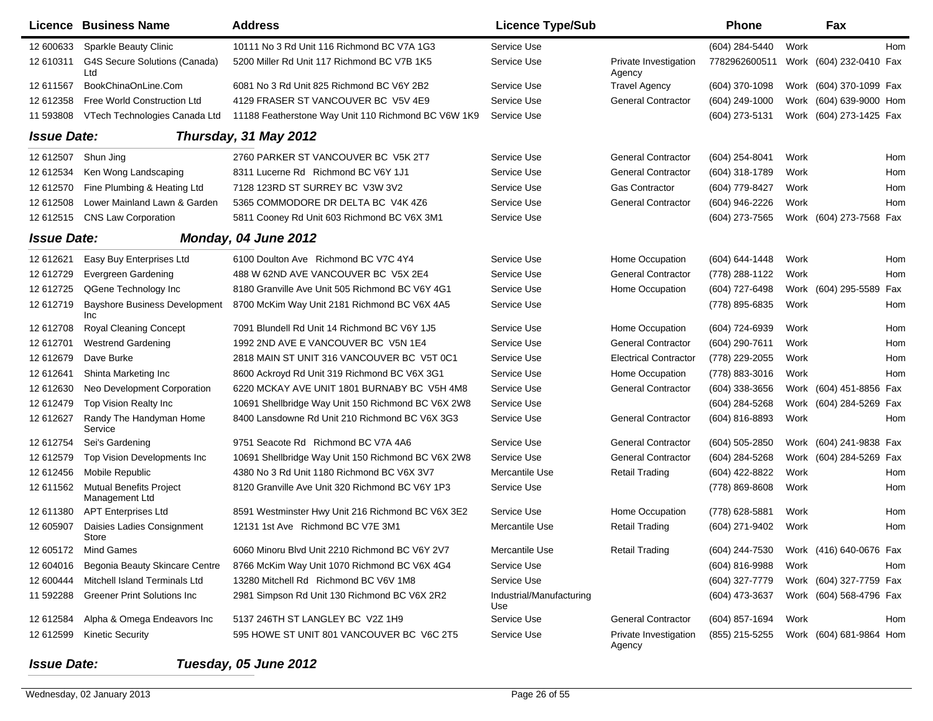|                    | <b>Licence Business Name</b>                     | <b>Address</b>                                      | <b>Licence Type/Sub</b>         |                                 | <b>Phone</b>   |      | Fax                     |     |
|--------------------|--------------------------------------------------|-----------------------------------------------------|---------------------------------|---------------------------------|----------------|------|-------------------------|-----|
| 12 600633          | Sparkle Beauty Clinic                            | 10111 No 3 Rd Unit 116 Richmond BC V7A 1G3          | Service Use                     |                                 | (604) 284-5440 | Work |                         | Hom |
| 12 610311          | G4S Secure Solutions (Canada)<br>Ltd             | 5200 Miller Rd Unit 117 Richmond BC V7B 1K5         | Service Use                     | Private Investigation<br>Agency | 7782962600511  |      | Work (604) 232-0410 Fax |     |
| 12 611567          | BookChinaOnLine.Com                              | 6081 No 3 Rd Unit 825 Richmond BC V6Y 2B2           | Service Use                     | <b>Travel Agency</b>            | (604) 370-1098 |      | Work (604) 370-1099 Fax |     |
| 12 612358          | Free World Construction Ltd                      | 4129 FRASER ST VANCOUVER BC V5V 4E9                 | Service Use                     | <b>General Contractor</b>       | (604) 249-1000 |      | Work (604) 639-9000 Hom |     |
| 11 593808          | VTech Technologies Canada Ltd                    | 11188 Featherstone Way Unit 110 Richmond BC V6W 1K9 | Service Use                     |                                 | (604) 273-5131 |      | Work (604) 273-1425 Fax |     |
| <b>Issue Date:</b> |                                                  | Thursday, 31 May 2012                               |                                 |                                 |                |      |                         |     |
| 12 612507          | Shun Jing                                        | 2760 PARKER ST VANCOUVER BC V5K 2T7                 | Service Use                     | <b>General Contractor</b>       | (604) 254-8041 | Work |                         | Hom |
| 12 612534          | Ken Wong Landscaping                             | 8311 Lucerne Rd Richmond BC V6Y 1J1                 | Service Use                     | <b>General Contractor</b>       | (604) 318-1789 | Work |                         | Hom |
| 12 612570          | Fine Plumbing & Heating Ltd                      | 7128 123RD ST SURREY BC V3W 3V2                     | Service Use                     | Gas Contractor                  | (604) 779-8427 | Work |                         | Hom |
| 12 612508          | Lower Mainland Lawn & Garden                     | 5365 COMMODORE DR DELTA BC V4K 4Z6                  | Service Use                     | <b>General Contractor</b>       | (604) 946-2226 | Work |                         | Hom |
| 12 612515          | <b>CNS Law Corporation</b>                       | 5811 Cooney Rd Unit 603 Richmond BC V6X 3M1         | Service Use                     |                                 | (604) 273-7565 |      | Work (604) 273-7568 Fax |     |
| <b>Issue Date:</b> |                                                  | Monday, 04 June 2012                                |                                 |                                 |                |      |                         |     |
| 12 612621          | Easy Buy Enterprises Ltd                         | 6100 Doulton Ave Richmond BC V7C 4Y4                | Service Use                     | Home Occupation                 | (604) 644-1448 | Work |                         | Hom |
| 12 612729          | Evergreen Gardening                              | 488 W 62ND AVE VANCOUVER BC V5X 2E4                 | Service Use                     | <b>General Contractor</b>       | (778) 288-1122 | Work |                         | Hom |
| 12 612725          | QGene Technology Inc                             | 8180 Granville Ave Unit 505 Richmond BC V6Y 4G1     | Service Use                     | Home Occupation                 | (604) 727-6498 |      | Work (604) 295-5589     | Fax |
| 12 612719          | <b>Bayshore Business Development</b><br>Inc      | 8700 McKim Way Unit 2181 Richmond BC V6X 4A5        | Service Use                     |                                 | (778) 895-6835 | Work |                         | Hom |
| 12 612708          | <b>Royal Cleaning Concept</b>                    | 7091 Blundell Rd Unit 14 Richmond BC V6Y 1J5        | Service Use                     | Home Occupation                 | (604) 724-6939 | Work |                         | Hom |
| 12 612701          | <b>Westrend Gardening</b>                        | 1992 2ND AVE E VANCOUVER BC V5N 1E4                 | Service Use                     | <b>General Contractor</b>       | (604) 290-7611 | Work |                         | Hom |
| 12 612679          | Dave Burke                                       | 2818 MAIN ST UNIT 316 VANCOUVER BC V5T 0C1          | Service Use                     | <b>Electrical Contractor</b>    | (778) 229-2055 | Work |                         | Hom |
| 12 612641          | Shinta Marketing Inc                             | 8600 Ackroyd Rd Unit 319 Richmond BC V6X 3G1        | Service Use                     | Home Occupation                 | (778) 883-3016 | Work |                         | Hom |
| 12 612630          | Neo Development Corporation                      | 6220 MCKAY AVE UNIT 1801 BURNABY BC V5H 4M8         | Service Use                     | <b>General Contractor</b>       | (604) 338-3656 |      | Work (604) 451-8856 Fax |     |
| 12 612479          | <b>Top Vision Realty Inc</b>                     | 10691 Shellbridge Way Unit 150 Richmond BC V6X 2W8  | Service Use                     |                                 | (604) 284-5268 |      | Work (604) 284-5269 Fax |     |
| 12 612627          | Randy The Handyman Home<br>Service               | 8400 Lansdowne Rd Unit 210 Richmond BC V6X 3G3      | Service Use                     | <b>General Contractor</b>       | (604) 816-8893 | Work |                         | Hom |
| 12 612754          | Sei's Gardening                                  | 9751 Seacote Rd Richmond BC V7A 4A6                 | Service Use                     | <b>General Contractor</b>       | (604) 505-2850 |      | Work (604) 241-9838 Fax |     |
| 12 612579          | Top Vision Developments Inc                      | 10691 Shellbridge Way Unit 150 Richmond BC V6X 2W8  | Service Use                     | <b>General Contractor</b>       | (604) 284-5268 |      | Work (604) 284-5269 Fax |     |
| 12 612456          | Mobile Republic                                  | 4380 No 3 Rd Unit 1180 Richmond BC V6X 3V7          | Mercantile Use                  | <b>Retail Trading</b>           | (604) 422-8822 | Work |                         | Hom |
| 12 611562          | <b>Mutual Benefits Project</b><br>Management Ltd | 8120 Granville Ave Unit 320 Richmond BC V6Y 1P3     | Service Use                     |                                 | (778) 869-8608 | Work |                         | Hom |
| 12 611380          | <b>APT Enterprises Ltd</b>                       | 8591 Westminster Hwy Unit 216 Richmond BC V6X 3E2   | Service Use                     | Home Occupation                 | (778) 628-5881 | Work |                         | Hom |
| 12 605907          | Daisies Ladies Consignment<br><b>Store</b>       | 12131 1st Ave Richmond BC V7E 3M1                   | Mercantile Use                  | <b>Retail Trading</b>           | (604) 271-9402 | Work |                         | Hom |
|                    | 12 605172 Mind Games                             | 6060 Minoru Blvd Unit 2210 Richmond BC V6Y 2V7      | Mercantile Use                  | <b>Retail Trading</b>           | (604) 244-7530 |      | Work (416) 640-0676 Fax |     |
| 12 604016          | Begonia Beauty Skincare Centre                   | 8766 McKim Way Unit 1070 Richmond BC V6X 4G4        | Service Use                     |                                 | (604) 816-9988 | Work |                         | Hom |
| 12 600444          | Mitchell Island Terminals Ltd                    | 13280 Mitchell Rd Richmond BC V6V 1M8               | Service Use                     |                                 | (604) 327-7779 |      | Work (604) 327-7759 Fax |     |
| 11 592288          | <b>Greener Print Solutions Inc</b>               | 2981 Simpson Rd Unit 130 Richmond BC V6X 2R2        | Industrial/Manufacturing<br>Use |                                 | (604) 473-3637 |      | Work (604) 568-4796 Fax |     |
| 12 612584          | Alpha & Omega Endeavors Inc                      | 5137 246TH ST LANGLEY BC V2Z 1H9                    | Service Use                     | <b>General Contractor</b>       | (604) 857-1694 | Work |                         | Hom |
| 12 612599          | <b>Kinetic Security</b>                          | 595 HOWE ST UNIT 801 VANCOUVER BC V6C 2T5           | Service Use                     | Private Investigation<br>Agency | (855) 215-5255 |      | Work (604) 681-9864 Hom |     |

## *Issue Date:Tuesday, 05 June 2012*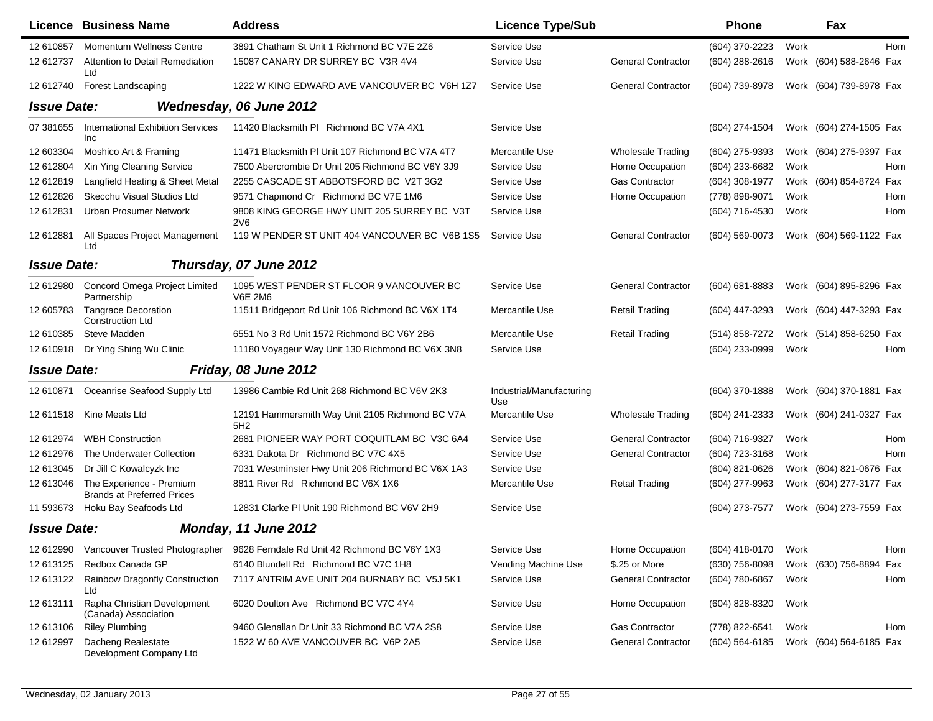|                    | <b>Licence Business Name</b>                                  | <b>Address</b>                                                     | <b>Licence Type/Sub</b>         |                           | <b>Phone</b>       |      | Fax                     |            |
|--------------------|---------------------------------------------------------------|--------------------------------------------------------------------|---------------------------------|---------------------------|--------------------|------|-------------------------|------------|
| 12 610857          | <b>Momentum Wellness Centre</b>                               | 3891 Chatham St Unit 1 Richmond BC V7E 2Z6                         | Service Use                     |                           | (604) 370-2223     | Work |                         | <b>Hom</b> |
| 12 612737          | Attention to Detail Remediation<br>Ltd                        | 15087 CANARY DR SURREY BC V3R 4V4                                  | Service Use                     | <b>General Contractor</b> | (604) 288-2616     |      | Work (604) 588-2646 Fax |            |
| 12 612740          | <b>Forest Landscaping</b>                                     | 1222 W KING EDWARD AVE VANCOUVER BC V6H 1Z7                        | Service Use                     | <b>General Contractor</b> | (604) 739-8978     |      | Work (604) 739-8978 Fax |            |
| <b>Issue Date:</b> |                                                               | Wednesday, 06 June 2012                                            |                                 |                           |                    |      |                         |            |
| 07 381655          | <b>International Exhibition Services</b><br>Inc               | 11420 Blacksmith PI Richmond BC V7A 4X1                            | Service Use                     |                           | (604) 274-1504     |      | Work (604) 274-1505 Fax |            |
| 12 603304          | Moshico Art & Framing                                         | 11471 Blacksmith PI Unit 107 Richmond BC V7A 4T7                   | Mercantile Use                  | <b>Wholesale Trading</b>  | (604) 275-9393     |      | Work (604) 275-9397 Fax |            |
| 12 612804          | Xin Ying Cleaning Service                                     | 7500 Abercrombie Dr Unit 205 Richmond BC V6Y 3J9                   | Service Use                     | Home Occupation           | (604) 233-6682     | Work |                         | Hom        |
| 12 612819          | Langfield Heating & Sheet Metal                               | 2255 CASCADE ST ABBOTSFORD BC V2T 3G2                              | Service Use                     | <b>Gas Contractor</b>     | (604) 308-1977     |      | Work (604) 854-8724 Fax |            |
| 12 612826          | Skecchu Visual Studios Ltd                                    | 9571 Chapmond Cr Richmond BC V7E 1M6                               | Service Use                     | Home Occupation           | (778) 898-9071     | Work |                         | Hom        |
| 12 612831          | <b>Urban Prosumer Network</b>                                 | 9808 KING GEORGE HWY UNIT 205 SURREY BC V3T<br>2V6                 | Service Use                     |                           | (604) 716-4530     | Work |                         | Hom        |
| 12 612881          | All Spaces Project Management<br>Ltd                          | 119 W PENDER ST UNIT 404 VANCOUVER BC V6B 1S5                      | Service Use                     | <b>General Contractor</b> | (604) 569-0073     |      | Work (604) 569-1122 Fax |            |
| <b>Issue Date:</b> |                                                               | Thursday, 07 June 2012                                             |                                 |                           |                    |      |                         |            |
| 12 612980          | Concord Omega Project Limited<br>Partnership                  | 1095 WEST PENDER ST FLOOR 9 VANCOUVER BC<br><b>V6E 2M6</b>         | Service Use                     | <b>General Contractor</b> | $(604) 681 - 8883$ |      | Work (604) 895-8296 Fax |            |
| 12 605783          | <b>Tangrace Decoration</b><br><b>Construction Ltd</b>         | 11511 Bridgeport Rd Unit 106 Richmond BC V6X 1T4                   | Mercantile Use                  | <b>Retail Trading</b>     | (604) 447-3293     |      | Work (604) 447-3293 Fax |            |
| 12 610385          | Steve Madden                                                  | 6551 No 3 Rd Unit 1572 Richmond BC V6Y 2B6                         | Mercantile Use                  | <b>Retail Trading</b>     | (514) 858-7272     |      | Work (514) 858-6250 Fax |            |
| 12 610918          | Dr Ying Shing Wu Clinic                                       | 11180 Voyageur Way Unit 130 Richmond BC V6X 3N8                    | Service Use                     |                           | (604) 233-0999     | Work |                         | Hom        |
| <b>Issue Date:</b> |                                                               | Friday, 08 June 2012                                               |                                 |                           |                    |      |                         |            |
| 12 610871          | Oceanrise Seafood Supply Ltd                                  | 13986 Cambie Rd Unit 268 Richmond BC V6V 2K3                       | Industrial/Manufacturing<br>Use |                           | $(604)$ 370-1888   |      | Work (604) 370-1881 Fax |            |
| 12 611518          | Kine Meats Ltd                                                | 12191 Hammersmith Way Unit 2105 Richmond BC V7A<br>5H <sub>2</sub> | Mercantile Use                  | <b>Wholesale Trading</b>  | (604) 241-2333     |      | Work (604) 241-0327 Fax |            |
| 12 612974          | <b>WBH Construction</b>                                       | 2681 PIONEER WAY PORT COQUITLAM BC V3C 6A4                         | Service Use                     | <b>General Contractor</b> | (604) 716-9327     | Work |                         | Hom        |
| 12 612976          | The Underwater Collection                                     | 6331 Dakota Dr Richmond BC V7C 4X5                                 | Service Use                     | <b>General Contractor</b> | (604) 723-3168     | Work |                         | Hom        |
| 12 613045          | Dr Jill C Kowalcyzk Inc                                       | 7031 Westminster Hwy Unit 206 Richmond BC V6X 1A3                  | Service Use                     |                           | (604) 821-0626     |      | Work (604) 821-0676 Fax |            |
| 12 613046          | The Experience - Premium<br><b>Brands at Preferred Prices</b> | 8811 River Rd Richmond BC V6X 1X6                                  | Mercantile Use                  | <b>Retail Trading</b>     | (604) 277-9963     |      | Work (604) 277-3177 Fax |            |
| 11 593673          | Hoku Bay Seafoods Ltd                                         | 12831 Clarke PI Unit 190 Richmond BC V6V 2H9                       | Service Use                     |                           | (604) 273-7577     |      | Work (604) 273-7559 Fax |            |
| <b>Issue Date:</b> |                                                               | Monday, 11 June 2012                                               |                                 |                           |                    |      |                         |            |
| 12 612990          | Vancouver Trusted Photographer                                | 9628 Ferndale Rd Unit 42 Richmond BC V6Y 1X3                       | Service Use                     | Home Occupation           | (604) 418-0170     | Work |                         | Hom        |
| 12 613125          | Redbox Canada GP                                              | 6140 Blundell Rd Richmond BC V7C 1H8                               | Vending Machine Use             | \$.25 or More             | (630) 756-8098     |      | Work (630) 756-8894 Fax |            |
| 12 613122          | Rainbow Dragonfly Construction<br>Ltd                         | 7117 ANTRIM AVE UNIT 204 BURNABY BC V5J 5K1                        | Service Use                     | <b>General Contractor</b> | (604) 780-6867     | Work |                         | Hom        |
| 12 613111          | Rapha Christian Development<br>(Canada) Association           | 6020 Doulton Ave Richmond BC V7C 4Y4                               | Service Use                     | Home Occupation           | (604) 828-8320     | Work |                         |            |
| 12 613106          | <b>Riley Plumbing</b>                                         | 9460 Glenallan Dr Unit 33 Richmond BC V7A 2S8                      | Service Use                     | Gas Contractor            | (778) 822-6541     | Work |                         | Hom        |
| 12 612997          | Dacheng Realestate<br>Development Company Ltd                 | 1522 W 60 AVE VANCOUVER BC V6P 2A5                                 | Service Use                     | <b>General Contractor</b> | $(604)$ 564-6185   |      | Work (604) 564-6185 Fax |            |

 $\blacksquare$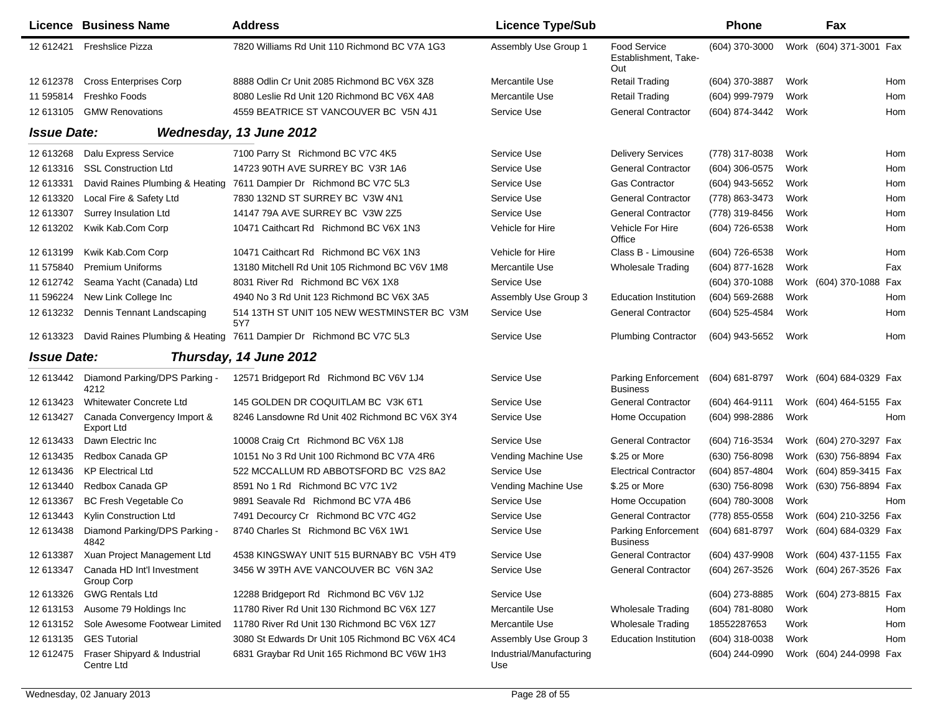|                    | Licence Business Name                      | <b>Address</b>                                                      | <b>Licence Type/Sub</b>         |                                                    | <b>Phone</b>     |      | Fax                     |     |
|--------------------|--------------------------------------------|---------------------------------------------------------------------|---------------------------------|----------------------------------------------------|------------------|------|-------------------------|-----|
| 12 612421          | <b>Freshslice Pizza</b>                    | 7820 Williams Rd Unit 110 Richmond BC V7A 1G3                       | Assembly Use Group 1            | <b>Food Service</b><br>Establishment, Take-<br>Out | (604) 370-3000   | Work | (604) 371-3001 Fax      |     |
| 12 612378          | <b>Cross Enterprises Corp</b>              | 8888 Odlin Cr Unit 2085 Richmond BC V6X 3Z8                         | Mercantile Use                  | Retail Trading                                     | (604) 370-3887   | Work |                         | Hom |
| 11 595814          | Freshko Foods                              | 8080 Leslie Rd Unit 120 Richmond BC V6X 4A8                         | Mercantile Use                  | Retail Trading                                     | (604) 999-7979   | Work |                         | Hom |
| 12 613105          | <b>GMW Renovations</b>                     | 4559 BEATRICE ST VANCOUVER BC V5N 4J1                               | Service Use                     | <b>General Contractor</b>                          | (604) 874-3442   | Work |                         | Hom |
| <b>Issue Date:</b> |                                            | Wednesday, 13 June 2012                                             |                                 |                                                    |                  |      |                         |     |
| 12 613268          | Dalu Express Service                       | 7100 Parry St Richmond BC V7C 4K5                                   | Service Use                     | <b>Delivery Services</b>                           | (778) 317-8038   | Work |                         | Hom |
| 12 613316          | <b>SSL Construction Ltd</b>                | 14723 90TH AVE SURREY BC V3R 1A6                                    | Service Use                     | <b>General Contractor</b>                          | (604) 306-0575   | Work |                         | Hom |
| 12 613331          | David Raines Plumbing & Heating            | 7611 Dampier Dr Richmond BC V7C 5L3                                 | Service Use                     | <b>Gas Contractor</b>                              | (604) 943-5652   | Work |                         | Hom |
| 12 613320          | Local Fire & Safety Ltd                    | 7830 132ND ST SURREY BC V3W 4N1                                     | Service Use                     | <b>General Contractor</b>                          | (778) 863-3473   | Work |                         | Hom |
| 12 613307          | Surrey Insulation Ltd                      | 14147 79A AVE SURREY BC V3W 2Z5                                     | Service Use                     | <b>General Contractor</b>                          | (778) 319-8456   | Work |                         | Hom |
| 12 613202          | Kwik Kab.Com Corp                          | 10471 Caithcart Rd Richmond BC V6X 1N3                              | Vehicle for Hire                | Vehicle For Hire<br>Office                         | (604) 726-6538   | Work |                         | Hom |
| 12 613199          | Kwik Kab.Com Corp                          | 10471 Caithcart Rd Richmond BC V6X 1N3                              | Vehicle for Hire                | Class B - Limousine                                | (604) 726-6538   | Work |                         | Hom |
| 11 575840          | <b>Premium Uniforms</b>                    | 13180 Mitchell Rd Unit 105 Richmond BC V6V 1M8                      | Mercantile Use                  | <b>Wholesale Trading</b>                           | (604) 877-1628   | Work |                         | Fax |
| 12 612742          | Seama Yacht (Canada) Ltd                   | 8031 River Rd Richmond BC V6X 1X8                                   | Service Use                     |                                                    | (604) 370-1088   | Work | (604) 370-1088 Fax      |     |
| 11 596224          | New Link College Inc                       | 4940 No 3 Rd Unit 123 Richmond BC V6X 3A5                           | Assembly Use Group 3            | <b>Education Institution</b>                       | (604) 569-2688   | Work |                         | Hom |
| 12 613232          | Dennis Tennant Landscaping                 | 514 13TH ST UNIT 105 NEW WESTMINSTER BC V3M<br>5Y7                  | Service Use                     | <b>General Contractor</b>                          | (604) 525-4584   | Work |                         | Hom |
| 12 613323          |                                            | David Raines Plumbing & Heating 7611 Dampier Dr Richmond BC V7C 5L3 | Service Use                     | <b>Plumbing Contractor</b>                         | (604) 943-5652   | Work |                         | Hom |
| <b>Issue Date:</b> |                                            | Thursday, 14 June 2012                                              |                                 |                                                    |                  |      |                         |     |
| 12 613442          | Diamond Parking/DPS Parking -<br>4212      | 12571 Bridgeport Rd Richmond BC V6V 1J4                             | Service Use                     | Parking Enforcement<br><b>Business</b>             | (604) 681-8797   |      | Work (604) 684-0329 Fax |     |
| 12 613423          | Whitewater Concrete Ltd                    | 145 GOLDEN DR COQUITLAM BC V3K 6T1                                  | Service Use                     | <b>General Contractor</b>                          | (604) 464-9111   |      | Work (604) 464-5155 Fax |     |
| 12 613427          | Canada Convergency Import &<br>Export Ltd  | 8246 Lansdowne Rd Unit 402 Richmond BC V6X 3Y4                      | Service Use                     | Home Occupation                                    | (604) 998-2886   | Work |                         | Hom |
| 12 613433          | Dawn Electric Inc                          | 10008 Craig Crt Richmond BC V6X 1J8                                 | Service Use                     | <b>General Contractor</b>                          | (604) 716-3534   | Work | (604) 270-3297 Fax      |     |
| 12 613435          | Redbox Canada GP                           | 10151 No 3 Rd Unit 100 Richmond BC V7A 4R6                          | Vending Machine Use             | \$.25 or More                                      | (630) 756-8098   | Work | (630) 756-8894 Fax      |     |
| 12 613436          | <b>KP Electrical Ltd</b>                   | 522 MCCALLUM RD ABBOTSFORD BC V2S 8A2                               | Service Use                     | <b>Electrical Contractor</b>                       | (604) 857-4804   | Work | (604) 859-3415 Fax      |     |
| 12 613440          | Redbox Canada GP                           | 8591 No 1 Rd Richmond BC V7C 1V2                                    | Vending Machine Use             | \$.25 or More                                      | (630) 756-8098   | Work | (630) 756-8894 Fax      |     |
| 12 613367          | <b>BC Fresh Vegetable Co</b>               | 9891 Seavale Rd Richmond BC V7A 4B6                                 | Service Use                     | Home Occupation                                    | (604) 780-3008   | Work |                         | Hom |
| 12 613443          | Kylin Construction Ltd                     | 7491 Decourcy Cr Richmond BC V7C 4G2                                | Service Use                     | <b>General Contractor</b>                          | (778) 855-0558   | Work | (604) 210-3256 Fax      |     |
| 12 613438          | Diamond Parking/DPS Parking -<br>4842      | 8740 Charles St Richmond BC V6X 1W1                                 | Service Use                     | Parking Enforcement<br>Business                    | (604) 681-8797   |      | Work (604) 684-0329 Fax |     |
| 12 613387          | Xuan Project Management Ltd                | 4538 KINGSWAY UNIT 515 BURNABY BC V5H 4T9                           | Service Use                     | <b>General Contractor</b>                          | (604) 437-9908   |      | Work (604) 437-1155 Fax |     |
| 12 613347          | Canada HD Int'l Investment<br>Group Corp   | 3456 W 39TH AVE VANCOUVER BC V6N 3A2                                | Service Use                     | <b>General Contractor</b>                          | (604) 267-3526   |      | Work (604) 267-3526 Fax |     |
| 12 613326          | <b>GWG Rentals Ltd</b>                     | 12288 Bridgeport Rd Richmond BC V6V 1J2                             | Service Use                     |                                                    | (604) 273-8885   |      | Work (604) 273-8815 Fax |     |
| 12 613153          | Ausome 79 Holdings Inc                     | 11780 River Rd Unit 130 Richmond BC V6X 1Z7                         | Mercantile Use                  | <b>Wholesale Trading</b>                           | (604) 781-8080   | Work |                         | Hom |
| 12 613152          | Sole Awesome Footwear Limited              | 11780 River Rd Unit 130 Richmond BC V6X 1Z7                         | Mercantile Use                  | <b>Wholesale Trading</b>                           | 18552287653      | Work |                         | Hom |
| 12 613135          | <b>GES Tutorial</b>                        | 3080 St Edwards Dr Unit 105 Richmond BC V6X 4C4                     | Assembly Use Group 3            | <b>Education Institution</b>                       | $(604)$ 318-0038 | Work |                         | Hom |
| 12 612475          | Fraser Shipyard & Industrial<br>Centre Ltd | 6831 Graybar Rd Unit 165 Richmond BC V6W 1H3                        | Industrial/Manufacturing<br>Use |                                                    | (604) 244-0990   |      | Work (604) 244-0998 Fax |     |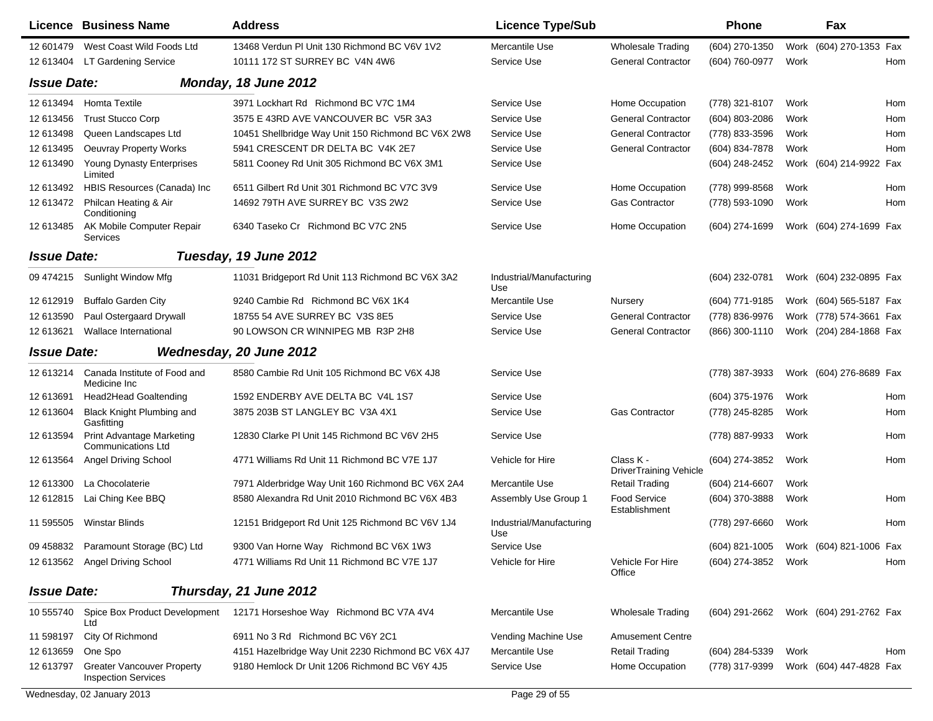|                    | <b>Licence Business Name</b>                                    | <b>Address</b>                                     | <b>Licence Type/Sub</b>         |                                      | <b>Phone</b>                           |      | Fax                     |     |
|--------------------|-----------------------------------------------------------------|----------------------------------------------------|---------------------------------|--------------------------------------|----------------------------------------|------|-------------------------|-----|
| 12 601479          | West Coast Wild Foods Ltd                                       | 13468 Verdun PI Unit 130 Richmond BC V6V 1V2       | Mercantile Use                  | <b>Wholesale Trading</b>             | (604) 270-1350                         |      | Work (604) 270-1353 Fax |     |
| 12 613404          | LT Gardening Service                                            | 10111 172 ST SURREY BC V4N 4W6                     | Service Use                     | <b>General Contractor</b>            | (604) 760-0977                         | Work |                         | Hom |
| <b>Issue Date:</b> |                                                                 | Monday, 18 June 2012                               |                                 |                                      |                                        |      |                         |     |
| 12 613494          | <b>Homta Textile</b>                                            | 3971 Lockhart Rd Richmond BC V7C 1M4               | Service Use                     | Home Occupation                      | (778) 321-8107                         | Work |                         | Hom |
| 12 613456          | <b>Trust Stucco Corp</b>                                        | 3575 E 43RD AVE VANCOUVER BC V5R 3A3               | Service Use                     | <b>General Contractor</b>            | (604) 803-2086                         | Work |                         | Hom |
| 12 613498          | Queen Landscapes Ltd                                            | 10451 Shellbridge Way Unit 150 Richmond BC V6X 2W8 | Service Use                     | <b>General Contractor</b>            | (778) 833-3596                         | Work |                         | Hom |
| 12 613495          | <b>Oeuvray Property Works</b>                                   | 5941 CRESCENT DR DELTA BC V4K 2E7                  | Service Use                     | <b>General Contractor</b>            | (604) 834-7878                         | Work |                         | Hom |
| 12 613490          | Young Dynasty Enterprises<br>Limited                            | 5811 Cooney Rd Unit 305 Richmond BC V6X 3M1        | Service Use                     |                                      | (604) 248-2452                         |      | Work (604) 214-9922 Fax |     |
| 12 613492          | HBIS Resources (Canada) Inc                                     | 6511 Gilbert Rd Unit 301 Richmond BC V7C 3V9       | Service Use                     | Home Occupation                      | (778) 999-8568                         | Work |                         | Hom |
| 12 613472          | Philcan Heating & Air<br>Conditioning                           | 14692 79TH AVE SURREY BC V3S 2W2                   | Service Use                     | <b>Gas Contractor</b>                | (778) 593-1090                         | Work |                         | Hom |
| 12 613485          | AK Mobile Computer Repair<br>Services                           | 6340 Taseko Cr Richmond BC V7C 2N5                 | Service Use                     | Home Occupation                      | (604) 274-1699                         |      | Work (604) 274-1699 Fax |     |
| <b>Issue Date:</b> |                                                                 | Tuesday, 19 June 2012                              |                                 |                                      |                                        |      |                         |     |
| 09 474215          | Sunlight Window Mfg                                             | 11031 Bridgeport Rd Unit 113 Richmond BC V6X 3A2   | Industrial/Manufacturing<br>Use |                                      | (604) 232-0781                         |      | Work (604) 232-0895 Fax |     |
| 12 612919          | <b>Buffalo Garden City</b>                                      | 9240 Cambie Rd Richmond BC V6X 1K4                 | Mercantile Use                  | <b>Nursery</b>                       | (604) 771-9185                         |      | Work (604) 565-5187 Fax |     |
| 12 613590          | Paul Ostergaard Drywall                                         | 18755 54 AVE SURREY BC V3S 8E5                     | Service Use                     | <b>General Contractor</b>            | (778) 836-9976                         |      | Work (778) 574-3661 Fax |     |
| 12 613621          | Wallace International                                           | 90 LOWSON CR WINNIPEG MB R3P 2H8                   | Service Use                     | <b>General Contractor</b>            | (866) 300-1110                         |      | Work (204) 284-1868 Fax |     |
| <b>Issue Date:</b> |                                                                 | Wednesday, 20 June 2012                            |                                 |                                      |                                        |      |                         |     |
| 12 613214          | Canada Institute of Food and<br>Medicine Inc                    | 8580 Cambie Rd Unit 105 Richmond BC V6X 4J8        | Service Use                     |                                      | (778) 387-3933                         |      | Work (604) 276-8689 Fax |     |
| 12 613691          | Head2Head Goaltending                                           | 1592 ENDERBY AVE DELTA BC V4L 1S7                  | Service Use                     |                                      | (604) 375-1976                         | Work |                         | Hom |
| 12 613604          | Black Knight Plumbing and<br>Gasfitting                         | 3875 203B ST LANGLEY BC V3A 4X1                    | Service Use                     | <b>Gas Contractor</b>                | (778) 245-8285                         | Work |                         | Hom |
| 12 613594          | <b>Print Advantage Marketing</b><br><b>Communications Ltd</b>   | 12830 Clarke PI Unit 145 Richmond BC V6V 2H5       | Service Use                     |                                      | (778) 887-9933                         | Work |                         | Hom |
| 12 613564          | <b>Angel Driving School</b>                                     | 4771 Williams Rd Unit 11 Richmond BC V7E 1J7       | Vehicle for Hire                | Class K -<br>DriverTraining Vehicle  | (604) 274-3852                         | Work |                         | Hom |
| 12 613300          | La Chocolaterie                                                 | 7971 Alderbridge Way Unit 160 Richmond BC V6X 2A4  | Mercantile Use                  | <b>Retail Trading</b>                | $(604)$ 214-6607                       | Work |                         |     |
| 12 612815          | Lai Ching Kee BBQ                                               | 8580 Alexandra Rd Unit 2010 Richmond BC V6X 4B3    | Assembly Use Group 1            | <b>Food Service</b><br>Establishment | (604) 370-3888                         | Work |                         | Hom |
| 11 595505          | Winstar Blinds                                                  | 12151 Bridgeport Rd Unit 125 Richmond BC V6V 1J4   | Industrial/Manufacturing<br>Use |                                      | (778) 297-6660                         | Work |                         | Hom |
|                    | 09 458832 Paramount Storage (BC) Ltd                            | 9300 Van Horne Way Richmond BC V6X 1W3             | Service Use                     |                                      | (604) 821-1005 Work (604) 821-1006 Fax |      |                         |     |
|                    | 12 613562 Angel Driving School                                  | 4771 Williams Rd Unit 11 Richmond BC V7E 1J7       | Vehicle for Hire                | Vehicle For Hire<br>Office           | (604) 274-3852                         | Work |                         | Hom |
| <b>Issue Date:</b> |                                                                 | Thursday, 21 June 2012                             |                                 |                                      |                                        |      |                         |     |
| 10 555740          | Spice Box Product Development<br>Ltd                            | 12171 Horseshoe Way Richmond BC V7A 4V4            | Mercantile Use                  | <b>Wholesale Trading</b>             | (604) 291-2662                         |      | Work (604) 291-2762 Fax |     |
| 11 598197          | City Of Richmond                                                | 6911 No 3 Rd Richmond BC V6Y 2C1                   | Vending Machine Use             | <b>Amusement Centre</b>              |                                        |      |                         |     |
| 12 613659          | One Spo                                                         | 4151 Hazelbridge Way Unit 2230 Richmond BC V6X 4J7 | Mercantile Use                  | <b>Retail Trading</b>                | (604) 284-5339                         | Work |                         | Hom |
| 12 613797          | <b>Greater Vancouver Property</b><br><b>Inspection Services</b> | 9180 Hemlock Dr Unit 1206 Richmond BC V6Y 4J5      | Service Use                     | Home Occupation                      | (778) 317-9399                         |      | Work (604) 447-4828 Fax |     |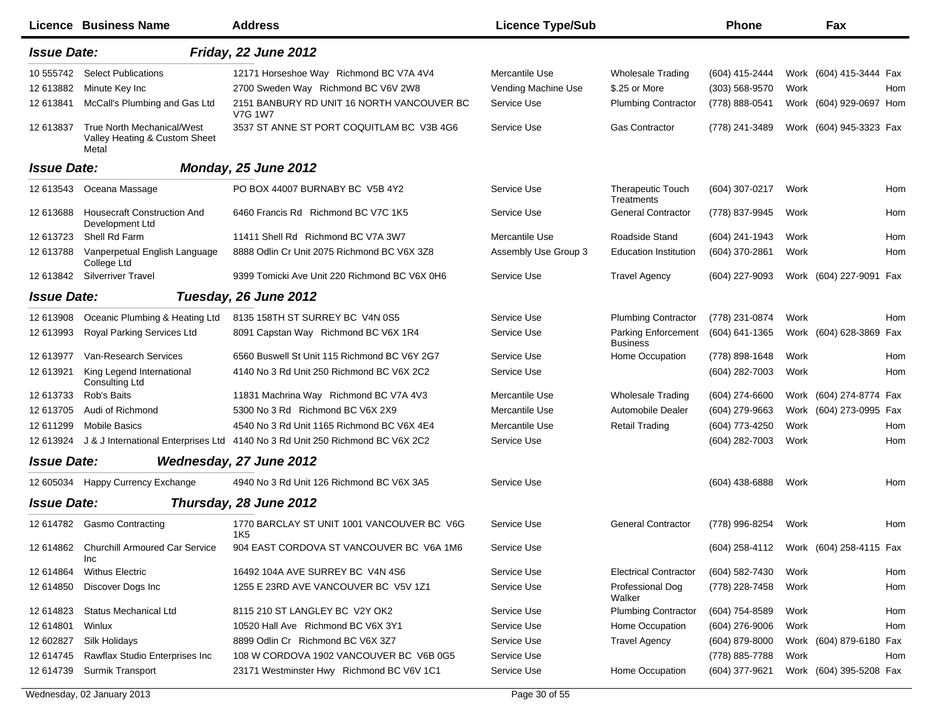|                    | Licence Business Name                                                       | <b>Address</b>                                                                | <b>Licence Type/Sub</b> |                                        | <b>Phone</b>                           |      | Fax                     |            |
|--------------------|-----------------------------------------------------------------------------|-------------------------------------------------------------------------------|-------------------------|----------------------------------------|----------------------------------------|------|-------------------------|------------|
| <b>Issue Date:</b> |                                                                             | Friday, 22 June 2012                                                          |                         |                                        |                                        |      |                         |            |
| 10 555742          | <b>Select Publications</b>                                                  | 12171 Horseshoe Way Richmond BC V7A 4V4                                       | Mercantile Use          | <b>Wholesale Trading</b>               | (604) 415-2444                         |      | Work (604) 415-3444 Fax |            |
| 12 613882          | Minute Key Inc                                                              | 2700 Sweden Way Richmond BC V6V 2W8                                           | Vending Machine Use     | \$.25 or More                          | (303) 568-9570                         | Work |                         | Hom        |
| 12 613841          | McCall's Plumbing and Gas Ltd                                               | 2151 BANBURY RD UNIT 16 NORTH VANCOUVER BC<br><b>V7G 1W7</b>                  | Service Use             | <b>Plumbing Contractor</b>             | (778) 888-0541                         |      | Work (604) 929-0697 Hom |            |
| 12 613837          | <b>True North Mechanical/West</b><br>Valley Heating & Custom Sheet<br>Metal | 3537 ST ANNE ST PORT COQUITLAM BC V3B 4G6                                     | Service Use             | <b>Gas Contractor</b>                  | (778) 241-3489                         |      | Work (604) 945-3323 Fax |            |
| <b>Issue Date:</b> |                                                                             | Monday, 25 June 2012                                                          |                         |                                        |                                        |      |                         |            |
| 12 613543          | Oceana Massage                                                              | PO BOX 44007 BURNABY BC V5B 4Y2                                               | Service Use             | <b>Therapeutic Touch</b><br>Treatments | (604) 307-0217                         | Work |                         | <b>Hom</b> |
| 12 613688          | <b>Housecraft Construction And</b><br>Development Ltd                       | 6460 Francis Rd Richmond BC V7C 1K5                                           | Service Use             | <b>General Contractor</b>              | (778) 837-9945                         | Work |                         | Hom        |
| 12 613723          | Shell Rd Farm                                                               | 11411 Shell Rd Richmond BC V7A 3W7                                            | Mercantile Use          | Roadside Stand                         | (604) 241-1943                         | Work |                         | Hom        |
| 12 613788          | Vanperpetual English Language<br>College Ltd                                | 8888 Odlin Cr Unit 2075 Richmond BC V6X 3Z8                                   | Assembly Use Group 3    | <b>Education Institution</b>           | (604) 370-2861                         | Work |                         | Hom        |
|                    | 12 613842 Silverriver Travel                                                | 9399 Tomicki Ave Unit 220 Richmond BC V6X 0H6                                 | Service Use             | <b>Travel Agency</b>                   | (604) 227-9093                         |      | Work (604) 227-9091 Fax |            |
| <b>Issue Date:</b> |                                                                             | Tuesday, 26 June 2012                                                         |                         |                                        |                                        |      |                         |            |
| 12 613908          | Oceanic Plumbing & Heating Ltd                                              | 8135 158TH ST SURREY BC V4N 0S5                                               | Service Use             | <b>Plumbing Contractor</b>             | (778) 231-0874                         | Work |                         | Hom        |
| 12 613993          | Royal Parking Services Ltd                                                  | 8091 Capstan Way Richmond BC V6X 1R4                                          | Service Use             | Parking Enforcement<br><b>Business</b> | (604) 641-1365                         |      | Work (604) 628-3869 Fax |            |
| 12 613977          | Van-Research Services                                                       | 6560 Buswell St Unit 115 Richmond BC V6Y 2G7                                  | Service Use             | Home Occupation                        | (778) 898-1648                         | Work |                         | <b>Hom</b> |
| 12 613921          | King Legend International<br>Consulting Ltd                                 | 4140 No 3 Rd Unit 250 Richmond BC V6X 2C2                                     | Service Use             |                                        | (604) 282-7003                         | Work |                         | Hom        |
| 12 613733          | Rob's Baits                                                                 | 11831 Machrina Way Richmond BC V7A 4V3                                        | Mercantile Use          | <b>Wholesale Trading</b>               | (604) 274-6600                         |      | Work (604) 274-8774 Fax |            |
| 12 613705          | Audi of Richmond                                                            | 5300 No 3 Rd Richmond BC V6X 2X9                                              | Mercantile Use          | Automobile Dealer                      | (604) 279-9663                         |      | Work (604) 273-0995 Fax |            |
| 12 611299          | <b>Mobile Basics</b>                                                        | 4540 No 3 Rd Unit 1165 Richmond BC V6X 4E4                                    | Mercantile Use          | <b>Retail Trading</b>                  | (604) 773-4250                         | Work |                         | Hom        |
| 12 613924          |                                                                             | J & J International Enterprises Ltd 4140 No 3 Rd Unit 250 Richmond BC V6X 2C2 | Service Use             |                                        | (604) 282-7003                         | Work |                         | Hom        |
| <b>Issue Date:</b> |                                                                             | Wednesday, 27 June 2012                                                       |                         |                                        |                                        |      |                         |            |
| 12 605034          | Happy Currency Exchange                                                     | 4940 No 3 Rd Unit 126 Richmond BC V6X 3A5                                     | Service Use             |                                        | $(604)$ 438-6888                       | Work |                         | Hom        |
| <b>Issue Date:</b> |                                                                             | Thursday, 28 June 2012                                                        |                         |                                        |                                        |      |                         |            |
| 12 614782          | <b>Gasmo Contracting</b>                                                    | 1770 BARCLAY ST UNIT 1001 VANCOUVER BC V6G<br>1K5                             | Service Use             | <b>General Contractor</b>              | (778) 996-8254                         | Work |                         | Hom        |
| 12 614862          | <b>Churchill Armoured Car Service</b><br>Inc                                | 904 EAST CORDOVA ST VANCOUVER BC V6A 1M6                                      | Service Use             |                                        | (604) 258-4112 Work (604) 258-4115 Fax |      |                         |            |
| 12 614864          | <b>Withus Electric</b>                                                      | 16492 104A AVE SURREY BC V4N 4S6                                              | Service Use             | <b>Electrical Contractor</b>           | (604) 582-7430                         | Work |                         | Hom        |
| 12 614850          | Discover Dogs Inc                                                           | 1255 E 23RD AVE VANCOUVER BC V5V 1Z1                                          | Service Use             | Professional Dog<br>Walker             | (778) 228-7458                         | Work |                         | Hom        |
| 12 614823          | Status Mechanical Ltd                                                       | 8115 210 ST LANGLEY BC V2Y OK2                                                | Service Use             | <b>Plumbing Contractor</b>             | (604) 754-8589                         | Work |                         | Hom        |
| 12 614801          | Winlux                                                                      | 10520 Hall Ave Richmond BC V6X 3Y1                                            | Service Use             | Home Occupation                        | $(604)$ 276-9006                       | Work |                         | Hom        |
| 12 602827          | Silk Holidays                                                               | 8899 Odlin Cr Richmond BC V6X 3Z7                                             | Service Use             | <b>Travel Agency</b>                   | (604) 879-8000                         |      | Work (604) 879-6180 Fax |            |
| 12 614745          | Rawflax Studio Enterprises Inc                                              | 108 W CORDOVA 1902 VANCOUVER BC V6B 0G5                                       | Service Use             |                                        | (778) 885-7788                         | Work |                         | Hom        |
| 12 614739          | Surmik Transport                                                            | 23171 Westminster Hwy Richmond BC V6V 1C1                                     | Service Use             | Home Occupation                        | (604) 377-9621                         |      | Work (604) 395-5208 Fax |            |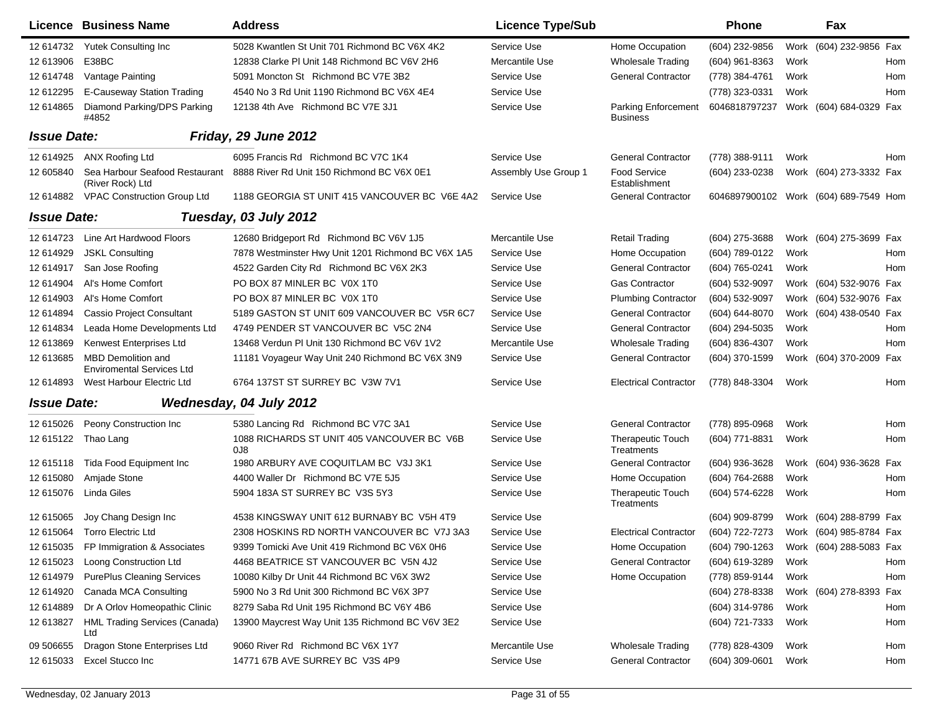|                    | <b>Licence Business Name</b>                                  | <b>Address</b>                                     | <b>Licence Type/Sub</b> |                                               | <b>Phone</b>                          |      | Fax                     |     |
|--------------------|---------------------------------------------------------------|----------------------------------------------------|-------------------------|-----------------------------------------------|---------------------------------------|------|-------------------------|-----|
| 12 614732          | Yutek Consulting Inc                                          | 5028 Kwantlen St Unit 701 Richmond BC V6X 4K2      | Service Use             | Home Occupation                               | (604) 232-9856                        |      | Work (604) 232-9856 Fax |     |
| 12 613906          | E38BC                                                         | 12838 Clarke PI Unit 148 Richmond BC V6V 2H6       | Mercantile Use          | <b>Wholesale Trading</b>                      | (604) 961-8363                        | Work |                         | Hom |
| 12 614748          | Vantage Painting                                              | 5091 Moncton St Richmond BC V7E 3B2                | Service Use             | <b>General Contractor</b>                     | (778) 384-4761                        | Work |                         | Hom |
| 12 612295          | E-Causeway Station Trading                                    | 4540 No 3 Rd Unit 1190 Richmond BC V6X 4E4         | Service Use             |                                               | (778) 323-0331                        | Work |                         | Hom |
| 12 614865          | Diamond Parking/DPS Parking<br>#4852                          | 12138 4th Ave Richmond BC V7E 3J1                  | Service Use             | <b>Parking Enforcement</b><br><b>Business</b> | 6046818797237                         |      | Work (604) 684-0329 Fax |     |
| <b>Issue Date:</b> |                                                               | Friday, 29 June 2012                               |                         |                                               |                                       |      |                         |     |
| 12 614925          | ANX Roofing Ltd                                               | 6095 Francis Rd Richmond BC V7C 1K4                | Service Use             | <b>General Contractor</b>                     | (778) 388-9111                        | Work |                         | Hom |
| 12 605840          | Sea Harbour Seafood Restaurant<br>(River Rock) Ltd            | 8888 River Rd Unit 150 Richmond BC V6X 0E1         | Assembly Use Group 1    | <b>Food Service</b><br>Establishment          | (604) 233-0238                        |      | Work (604) 273-3332 Fax |     |
| 12 614882          | <b>VPAC Construction Group Ltd</b>                            | 1188 GEORGIA ST UNIT 415 VANCOUVER BC V6E 4A2      | Service Use             | <b>General Contractor</b>                     | 6046897900102 Work (604) 689-7549 Hom |      |                         |     |
| <b>Issue Date:</b> |                                                               | Tuesday, 03 July 2012                              |                         |                                               |                                       |      |                         |     |
| 12 614723          | Line Art Hardwood Floors                                      | 12680 Bridgeport Rd Richmond BC V6V 1J5            | Mercantile Use          | <b>Retail Trading</b>                         | (604) 275-3688                        |      | Work (604) 275-3699 Fax |     |
| 12 614929          | <b>JSKL Consulting</b>                                        | 7878 Westminster Hwy Unit 1201 Richmond BC V6X 1A5 | Service Use             | Home Occupation                               | (604) 789-0122                        | Work |                         | Hom |
| 12 614917          | San Jose Roofing                                              | 4522 Garden City Rd Richmond BC V6X 2K3            | Service Use             | <b>General Contractor</b>                     | (604) 765-0241                        | Work |                         | Hom |
| 12 614904          | Al's Home Comfort                                             | PO BOX 87 MINLER BC V0X 1T0                        | Service Use             | <b>Gas Contractor</b>                         | (604) 532-9097                        |      | Work (604) 532-9076 Fax |     |
| 12 614903          | Al's Home Comfort                                             | PO BOX 87 MINLER BC V0X 1T0                        | Service Use             | <b>Plumbing Contractor</b>                    | (604) 532-9097                        | Work | (604) 532-9076 Fax      |     |
| 12 614894          | <b>Cassio Project Consultant</b>                              | 5189 GASTON ST UNIT 609 VANCOUVER BC V5R 6C7       | Service Use             | <b>General Contractor</b>                     | (604) 644-8070                        | Work | (604) 438-0540 Fax      |     |
| 12 614834          | Leada Home Developments Ltd                                   | 4749 PENDER ST VANCOUVER BC V5C 2N4                | Service Use             | <b>General Contractor</b>                     | (604) 294-5035                        | Work |                         | Hom |
| 12 613869          | Kenwest Enterprises Ltd                                       | 13468 Verdun PI Unit 130 Richmond BC V6V 1V2       | Mercantile Use          | <b>Wholesale Trading</b>                      | (604) 836-4307                        | Work |                         | Hom |
| 12 613685          | <b>MBD Demolition and</b><br><b>Enviromental Services Ltd</b> | 11181 Voyageur Way Unit 240 Richmond BC V6X 3N9    | Service Use             | <b>General Contractor</b>                     | (604) 370-1599                        |      | Work (604) 370-2009 Fax |     |
| 12 614893          | West Harbour Electric Ltd                                     | 6764 137ST ST SURREY BC V3W 7V1                    | Service Use             | <b>Electrical Contractor</b>                  | (778) 848-3304                        | Work |                         | Hom |
| <b>Issue Date:</b> |                                                               | Wednesday, 04 July 2012                            |                         |                                               |                                       |      |                         |     |
| 12 615026          | Peony Construction Inc                                        | 5380 Lancing Rd Richmond BC V7C 3A1                | Service Use             | <b>General Contractor</b>                     | (778) 895-0968                        | Work |                         | Hom |
| 12 615122          | Thao Lang                                                     | 1088 RICHARDS ST UNIT 405 VANCOUVER BC V6B<br>0J8  | Service Use             | <b>Therapeutic Touch</b><br>Treatments        | (604) 771-8831                        | Work |                         | Hom |
| 12 615118          | Tida Food Equipment Inc                                       | 1980 ARBURY AVE COQUITLAM BC V3J 3K1               | Service Use             | <b>General Contractor</b>                     | $(604)$ 936-3628                      |      | Work (604) 936-3628 Fax |     |
| 12 615080          | Amjade Stone                                                  | 4400 Waller Dr Richmond BC V7E 5J5                 | Service Use             | Home Occupation                               | (604) 764-2688                        | Work |                         | Hom |
| 12 615076          | Linda Giles                                                   | 5904 183A ST SURREY BC V3S 5Y3                     | Service Use             | <b>Therapeutic Touch</b><br>Treatments        | (604) 574-6228                        | Work |                         | Hom |
| 12 615065          | Joy Chang Design Inc.                                         | 4538 KINGSWAY UNIT 612 BURNABY BC V5H 4T9          | Service Use             |                                               | (604) 909-8799                        |      | Work (604) 288-8799 Fax |     |
| 12 615064          | <b>Torro Electric Ltd</b>                                     | 2308 HOSKINS RD NORTH VANCOUVER BC V7J 3A3         | Service Use             | <b>Electrical Contractor</b>                  | (604) 722-7273                        |      | Work (604) 985-8784 Fax |     |
| 12 615035          | FP Immigration & Associates                                   | 9399 Tomicki Ave Unit 419 Richmond BC V6X 0H6      | Service Use             | Home Occupation                               | (604) 790-1263                        |      | Work (604) 288-5083 Fax |     |
| 12 615023          | Loong Construction Ltd                                        | 4468 BEATRICE ST VANCOUVER BC V5N 4J2              | Service Use             | <b>General Contractor</b>                     | (604) 619-3289                        | Work |                         | Hom |
| 12 614979          | <b>PurePlus Cleaning Services</b>                             | 10080 Kilby Dr Unit 44 Richmond BC V6X 3W2         | Service Use             | Home Occupation                               | (778) 859-9144                        | Work |                         | Hom |
| 12 614920          | Canada MCA Consulting                                         | 5900 No 3 Rd Unit 300 Richmond BC V6X 3P7          | Service Use             |                                               | (604) 278-8338                        |      | Work (604) 278-8393 Fax |     |
| 12 614889          | Dr A Orlov Homeopathic Clinic                                 | 8279 Saba Rd Unit 195 Richmond BC V6Y 4B6          | Service Use             |                                               | (604) 314-9786                        | Work |                         | Hom |
| 12 613827          | <b>HML Trading Services (Canada)</b><br>Ltd                   | 13900 Maycrest Way Unit 135 Richmond BC V6V 3E2    | Service Use             |                                               | (604) 721-7333                        | Work |                         | Hom |
| 09 50 6655         | Dragon Stone Enterprises Ltd                                  | 9060 River Rd Richmond BC V6X 1Y7                  | Mercantile Use          | <b>Wholesale Trading</b>                      | (778) 828-4309                        | Work |                         | Hom |
| 12 615033          | Excel Stucco Inc                                              | 14771 67B AVE SURREY BC V3S 4P9                    | Service Use             | <b>General Contractor</b>                     | $(604)$ 309-0601                      | Work |                         | Hom |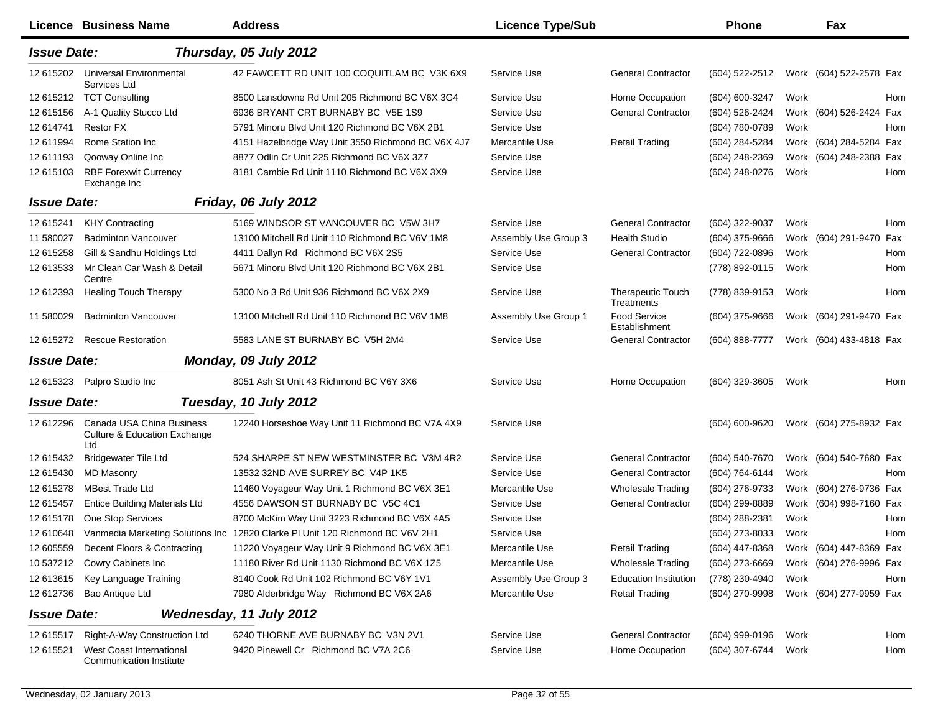|                    | Licence Business Name                                                       | <b>Address</b>                                                                | <b>Licence Type/Sub</b> |                                        | <b>Phone</b>     |      | Fax                     |     |
|--------------------|-----------------------------------------------------------------------------|-------------------------------------------------------------------------------|-------------------------|----------------------------------------|------------------|------|-------------------------|-----|
| <b>Issue Date:</b> |                                                                             | Thursday, 05 July 2012                                                        |                         |                                        |                  |      |                         |     |
| 12 615202          | <b>Universal Environmental</b><br>Services Ltd                              | 42 FAWCETT RD UNIT 100 COQUITLAM BC V3K 6X9                                   | Service Use             | <b>General Contractor</b>              | (604) 522-2512   |      | Work (604) 522-2578 Fax |     |
| 12 615212          | <b>TCT Consulting</b>                                                       | 8500 Lansdowne Rd Unit 205 Richmond BC V6X 3G4                                | Service Use             | Home Occupation                        | (604) 600-3247   | Work |                         | Hom |
| 12 615156          | A-1 Quality Stucco Ltd                                                      | 6936 BRYANT CRT BURNABY BC V5E 1S9                                            | Service Use             | <b>General Contractor</b>              | (604) 526-2424   |      | Work (604) 526-2424 Fax |     |
| 12 614741          | <b>Restor FX</b>                                                            | 5791 Minoru Blvd Unit 120 Richmond BC V6X 2B1                                 | Service Use             |                                        | (604) 780-0789   | Work |                         | Hom |
| 12 611994          | Rome Station Inc.                                                           | 4151 Hazelbridge Way Unit 3550 Richmond BC V6X 4J7                            | Mercantile Use          | <b>Retail Trading</b>                  | (604) 284-5284   |      | Work (604) 284-5284 Fax |     |
| 12 611193          | Qooway Online Inc                                                           | 8877 Odlin Cr Unit 225 Richmond BC V6X 3Z7                                    | Service Use             |                                        | (604) 248-2369   |      | Work (604) 248-2388 Fax |     |
| 12 615103          | <b>RBF Forexwit Currency</b><br>Exchange Inc                                | 8181 Cambie Rd Unit 1110 Richmond BC V6X 3X9                                  | Service Use             |                                        | (604) 248-0276   | Work |                         | Hom |
| <b>Issue Date:</b> |                                                                             | Friday, 06 July 2012                                                          |                         |                                        |                  |      |                         |     |
| 12 615241          | <b>KHY Contracting</b>                                                      | 5169 WINDSOR ST VANCOUVER BC V5W 3H7                                          | Service Use             | <b>General Contractor</b>              | (604) 322-9037   | Work |                         | Hom |
| 11 580027          | <b>Badminton Vancouver</b>                                                  | 13100 Mitchell Rd Unit 110 Richmond BC V6V 1M8                                | Assembly Use Group 3    | <b>Health Studio</b>                   | (604) 375-9666   |      | Work (604) 291-9470 Fax |     |
| 12 615258          | Gill & Sandhu Holdings Ltd                                                  | 4411 Dallyn Rd Richmond BC V6X 2S5                                            | Service Use             | <b>General Contractor</b>              | (604) 722-0896   | Work |                         | Hom |
| 12 613533          | Mr Clean Car Wash & Detail<br>Centre                                        | 5671 Minoru Blvd Unit 120 Richmond BC V6X 2B1                                 | Service Use             |                                        | (778) 892-0115   | Work |                         | Hom |
| 12 612393          | <b>Healing Touch Therapy</b>                                                | 5300 No 3 Rd Unit 936 Richmond BC V6X 2X9                                     | Service Use             | <b>Therapeutic Touch</b><br>Treatments | (778) 839-9153   | Work |                         | Hom |
| 11 580029          | <b>Badminton Vancouver</b>                                                  | 13100 Mitchell Rd Unit 110 Richmond BC V6V 1M8                                | Assembly Use Group 1    | <b>Food Service</b><br>Establishment   | (604) 375-9666   |      | Work (604) 291-9470 Fax |     |
| 12 615272          | <b>Rescue Restoration</b>                                                   | 5583 LANE ST BURNABY BC V5H 2M4                                               | Service Use             | <b>General Contractor</b>              | (604) 888-7777   |      | Work (604) 433-4818 Fax |     |
| <b>Issue Date:</b> |                                                                             | Monday, 09 July 2012                                                          |                         |                                        |                  |      |                         |     |
| 12 615323          | Palpro Studio Inc                                                           | 8051 Ash St Unit 43 Richmond BC V6Y 3X6                                       | Service Use             | Home Occupation                        | (604) 329-3605   | Work |                         | Hom |
| <b>Issue Date:</b> |                                                                             | Tuesday, 10 July 2012                                                         |                         |                                        |                  |      |                         |     |
| 12 612296          | Canada USA China Business<br><b>Culture &amp; Education Exchange</b><br>Ltd | 12240 Horseshoe Way Unit 11 Richmond BC V7A 4X9                               | Service Use             |                                        | (604) 600-9620   |      | Work (604) 275-8932 Fax |     |
| 12 615432          | <b>Bridgewater Tile Ltd</b>                                                 | 524 SHARPE ST NEW WESTMINSTER BC V3M 4R2                                      | Service Use             | <b>General Contractor</b>              | (604) 540-7670   |      | Work (604) 540-7680 Fax |     |
| 12 615430          | <b>MD Masonry</b>                                                           | 13532 32ND AVE SURREY BC V4P 1K5                                              | Service Use             | <b>General Contractor</b>              | (604) 764-6144   | Work |                         | Hom |
| 12 615278          | <b>MBest Trade Ltd</b>                                                      | 11460 Voyageur Way Unit 1 Richmond BC V6X 3E1                                 | Mercantile Use          | <b>Wholesale Trading</b>               | (604) 276-9733   |      | Work (604) 276-9736 Fax |     |
| 12 615457          | <b>Entice Building Materials Ltd</b>                                        | 4556 DAWSON ST BURNABY BC V5C 4C1                                             | Service Use             | <b>General Contractor</b>              | (604) 299-8889   |      | Work (604) 998-7160 Fax |     |
| 12 615178          | One Stop Services                                                           | 8700 McKim Way Unit 3223 Richmond BC V6X 4A5                                  | Service Use             |                                        | (604) 288-2381   | Work |                         | Hom |
| 12 610648          |                                                                             | Vanmedia Marketing Solutions Inc 12820 Clarke PI Unit 120 Richmond BC V6V 2H1 | Service Use             |                                        | (604) 273-8033   | Work |                         | Hom |
| 12 605559          | Decent Floors & Contracting                                                 | 11220 Voyageur Way Unit 9 Richmond BC V6X 3E1                                 | Mercantile Use          | <b>Retail Trading</b>                  | (604) 447-8368   |      | Work (604) 447-8369 Fax |     |
| 10 537212          | Cowry Cabinets Inc                                                          | 11180 River Rd Unit 1130 Richmond BC V6X 1Z5                                  | Mercantile Use          | <b>Wholesale Trading</b>               | (604) 273-6669   |      | Work (604) 276-9996 Fax |     |
| 12 613615          | Key Language Training                                                       | 8140 Cook Rd Unit 102 Richmond BC V6Y 1V1                                     | Assembly Use Group 3    | <b>Education Institution</b>           | (778) 230-4940   | Work |                         | Hom |
| 12 612736          | Bao Antique Ltd                                                             | 7980 Alderbridge Way Richmond BC V6X 2A6                                      | Mercantile Use          | <b>Retail Trading</b>                  | (604) 270-9998   |      | Work (604) 277-9959 Fax |     |
| <b>Issue Date:</b> |                                                                             | Wednesday, 11 July 2012                                                       |                         |                                        |                  |      |                         |     |
| 12 615517          | Right-A-Way Construction Ltd                                                | 6240 THORNE AVE BURNABY BC V3N 2V1                                            | Service Use             | <b>General Contractor</b>              | $(604)$ 999-0196 | Work |                         | Hom |
| 12 615521          | <b>West Coast International</b><br><b>Communication Institute</b>           | 9420 Pinewell Cr Richmond BC V7A 2C6                                          | Service Use             | Home Occupation                        | (604) 307-6744   | Work |                         | Hom |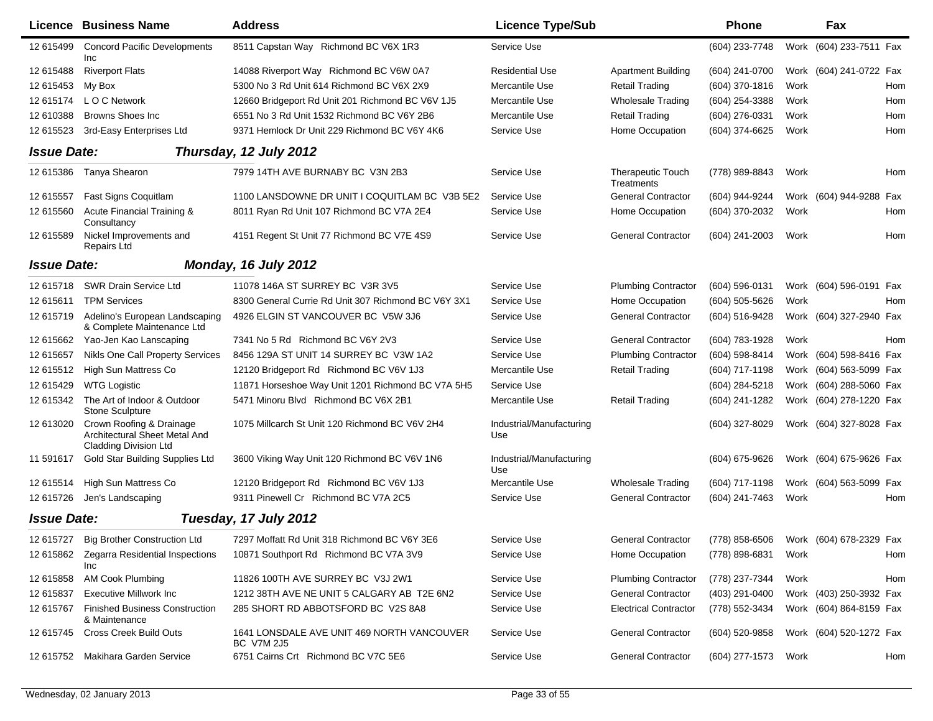|                    | <b>Licence Business Name</b>                                                              | <b>Address</b>                                           | <b>Licence Type/Sub</b>         |                                        | Phone            |      | Fax                     |     |
|--------------------|-------------------------------------------------------------------------------------------|----------------------------------------------------------|---------------------------------|----------------------------------------|------------------|------|-------------------------|-----|
| 12 615499          | <b>Concord Pacific Developments</b><br>Inc                                                | 8511 Capstan Way Richmond BC V6X 1R3                     | Service Use                     |                                        | (604) 233-7748   |      | Work (604) 233-7511 Fax |     |
| 12 615488          | <b>Riverport Flats</b>                                                                    | 14088 Riverport Way Richmond BC V6W 0A7                  | Residential Use                 | <b>Apartment Building</b>              | (604) 241-0700   |      | Work (604) 241-0722 Fax |     |
| 12 615453          | My Box                                                                                    | 5300 No 3 Rd Unit 614 Richmond BC V6X 2X9                | Mercantile Use                  | <b>Retail Trading</b>                  | (604) 370-1816   | Work |                         | Hom |
| 12 615174          | L O C Network                                                                             | 12660 Bridgeport Rd Unit 201 Richmond BC V6V 1J5         | Mercantile Use                  | <b>Wholesale Trading</b>               | (604) 254-3388   | Work |                         | Hom |
| 12 610388          | <b>Browns Shoes Inc.</b>                                                                  | 6551 No 3 Rd Unit 1532 Richmond BC V6Y 2B6               | Mercantile Use                  | <b>Retail Trading</b>                  | (604) 276-0331   | Work |                         | Hom |
| 12 615523          | 3rd-Easy Enterprises Ltd                                                                  | 9371 Hemlock Dr Unit 229 Richmond BC V6Y 4K6             | Service Use                     | Home Occupation                        | (604) 374-6625   | Work |                         | Hom |
| <b>Issue Date:</b> |                                                                                           | Thursday, 12 July 2012                                   |                                 |                                        |                  |      |                         |     |
| 12 615386          | Tanya Shearon                                                                             | 7979 14TH AVE BURNABY BC V3N 2B3                         | Service Use                     | <b>Therapeutic Touch</b><br>Treatments | (778) 989-8843   | Work |                         | Hom |
| 12 615557          | Fast Signs Coquitlam                                                                      | 1100 LANSDOWNE DR UNIT I COQUITLAM BC V3B 5E2            | Service Use                     | <b>General Contractor</b>              | (604) 944-9244   |      | Work (604) 944-9288 Fax |     |
| 12 615560          | Acute Financial Training &<br>Consultancy                                                 | 8011 Ryan Rd Unit 107 Richmond BC V7A 2E4                | Service Use                     | Home Occupation                        | (604) 370-2032   | Work |                         | Hom |
| 12 615589          | Nickel Improvements and<br><b>Repairs Ltd</b>                                             | 4151 Regent St Unit 77 Richmond BC V7E 4S9               | Service Use                     | <b>General Contractor</b>              | $(604)$ 241-2003 | Work |                         | Hom |
| <b>Issue Date:</b> |                                                                                           | Monday, 16 July 2012                                     |                                 |                                        |                  |      |                         |     |
| 12 615718          | SWR Drain Service Ltd                                                                     | 11078 146A ST SURREY BC V3R 3V5                          | Service Use                     | <b>Plumbing Contractor</b>             | (604) 596-0131   |      | Work (604) 596-0191 Fax |     |
| 12 615611          | <b>TPM Services</b>                                                                       | 8300 General Currie Rd Unit 307 Richmond BC V6Y 3X1      | Service Use                     | Home Occupation                        | (604) 505-5626   | Work |                         | Hom |
| 12 615719          | Adelino's European Landscaping<br>& Complete Maintenance Ltd                              | 4926 ELGIN ST VANCOUVER BC V5W 3J6                       | Service Use                     | <b>General Contractor</b>              | (604) 516-9428   |      | Work (604) 327-2940 Fax |     |
| 12 615662          | Yao-Jen Kao Lanscaping                                                                    | 7341 No 5 Rd Richmond BC V6Y 2V3                         | Service Use                     | <b>General Contractor</b>              | (604) 783-1928   | Work |                         | Hom |
| 12 615657          | Nikls One Call Property Services                                                          | 8456 129A ST UNIT 14 SURREY BC V3W 1A2                   | Service Use                     | <b>Plumbing Contractor</b>             | (604) 598-8414   |      | Work (604) 598-8416 Fax |     |
| 12 615512          | High Sun Mattress Co                                                                      | 12120 Bridgeport Rd Richmond BC V6V 1J3                  | Mercantile Use                  | <b>Retail Trading</b>                  | (604) 717-1198   |      | Work (604) 563-5099 Fax |     |
| 12 615429          | <b>WTG Logistic</b>                                                                       | 11871 Horseshoe Way Unit 1201 Richmond BC V7A 5H5        | Service Use                     |                                        | (604) 284-5218   |      | Work (604) 288-5060 Fax |     |
| 12 615342          | The Art of Indoor & Outdoor<br>Stone Sculpture                                            | 5471 Minoru Blvd Richmond BC V6X 2B1                     | Mercantile Use                  | <b>Retail Trading</b>                  | (604) 241-1282   |      | Work (604) 278-1220 Fax |     |
| 12 613020          | Crown Roofing & Drainage<br>Architectural Sheet Metal And<br><b>Cladding Division Ltd</b> | 1075 Millcarch St Unit 120 Richmond BC V6V 2H4           | Industrial/Manufacturing<br>Use |                                        | (604) 327-8029   |      | Work (604) 327-8028 Fax |     |
| 11 591617          | Gold Star Building Supplies Ltd                                                           | 3600 Viking Way Unit 120 Richmond BC V6V 1N6             | Industrial/Manufacturing<br>Use |                                        | (604) 675-9626   |      | Work (604) 675-9626 Fax |     |
| 12 615514          | High Sun Mattress Co                                                                      | 12120 Bridgeport Rd Richmond BC V6V 1J3                  | Mercantile Use                  | <b>Wholesale Trading</b>               | (604) 717-1198   |      | Work (604) 563-5099 Fax |     |
| 12 615726          | Jen's Landscaping                                                                         | 9311 Pinewell Cr Richmond BC V7A 2C5                     | Service Use                     | <b>General Contractor</b>              | (604) 241-7463   | Work |                         | Hom |
| <b>Issue Date:</b> |                                                                                           | Tuesday, 17 July 2012                                    |                                 |                                        |                  |      |                         |     |
| 12 615727          | <b>Big Brother Construction Ltd</b>                                                       | 7297 Moffatt Rd Unit 318 Richmond BC V6Y 3E6             | Service Use                     | <b>General Contractor</b>              | (778) 858-6506   |      | Work (604) 678-2329 Fax |     |
| 12 615862          | Zegarra Residential Inspections<br>Inc                                                    | 10871 Southport Rd Richmond BC V7A 3V9                   | Service Use                     | Home Occupation                        | (778) 898-6831   | Work |                         | Hom |
| 12 615858          | <b>AM Cook Plumbing</b>                                                                   | 11826 100TH AVE SURREY BC V3J 2W1                        | Service Use                     | <b>Plumbing Contractor</b>             | (778) 237-7344   | Work |                         | Hom |
| 12 615837          | <b>Executive Millwork Inc.</b>                                                            | 1212 38TH AVE NE UNIT 5 CALGARY AB T2E 6N2               | Service Use                     | <b>General Contractor</b>              | (403) 291-0400   |      | Work (403) 250-3932 Fax |     |
| 12 615767          | <b>Finished Business Construction</b><br>& Maintenance                                    | 285 SHORT RD ABBOTSFORD BC V2S 8A8                       | Service Use                     | <b>Electrical Contractor</b>           | (778) 552-3434   |      | Work (604) 864-8159 Fax |     |
| 12 615745          | Cross Creek Build Outs                                                                    | 1641 LONSDALE AVE UNIT 469 NORTH VANCOUVER<br>BC V7M 2J5 | Service Use                     | <b>General Contractor</b>              | $(604)$ 520-9858 |      | Work (604) 520-1272 Fax |     |
| 12 615752          | Makihara Garden Service                                                                   | 6751 Cairns Crt Richmond BC V7C 5E6                      | Service Use                     | <b>General Contractor</b>              | (604) 277-1573   | Work |                         | Hom |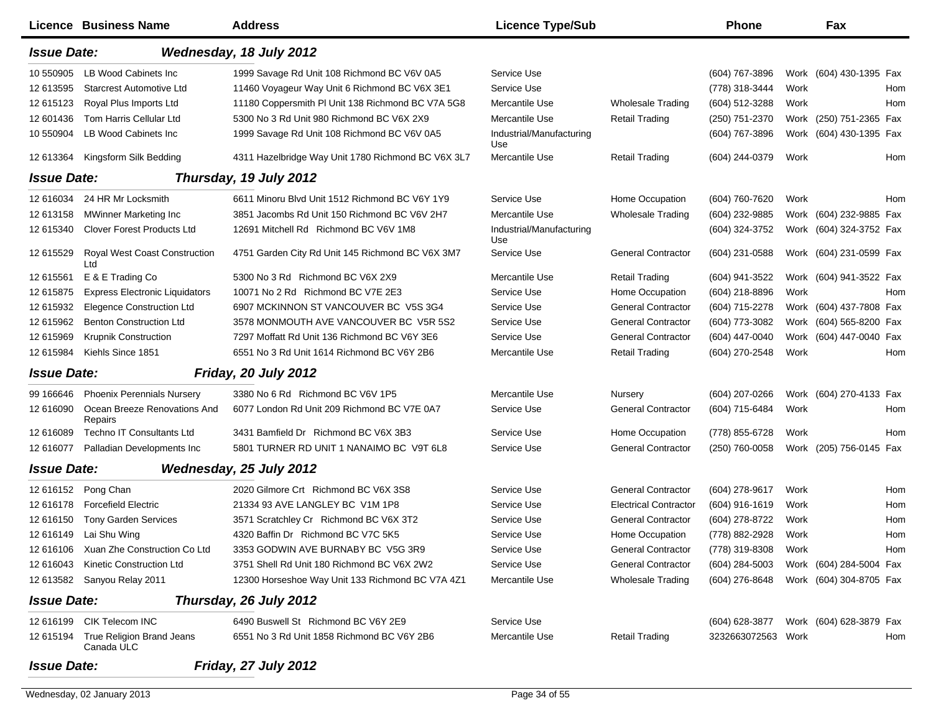|                    | <b>Licence Business Name</b>            | <b>Address</b>                                     | <b>Licence Type/Sub</b>         |                              | <b>Phone</b>       |      | Fax                     |     |
|--------------------|-----------------------------------------|----------------------------------------------------|---------------------------------|------------------------------|--------------------|------|-------------------------|-----|
| <b>Issue Date:</b> |                                         | Wednesday, 18 July 2012                            |                                 |                              |                    |      |                         |     |
| 10 550905          | LB Wood Cabinets Inc                    | 1999 Savage Rd Unit 108 Richmond BC V6V 0A5        | Service Use                     |                              | (604) 767-3896     |      | Work (604) 430-1395 Fax |     |
| 12 613595          | <b>Starcrest Automotive Ltd</b>         | 11460 Voyageur Way Unit 6 Richmond BC V6X 3E1      | Service Use                     |                              | (778) 318-3444     | Work |                         | Hom |
| 12 615123          | Royal Plus Imports Ltd                  | 11180 Coppersmith PI Unit 138 Richmond BC V7A 5G8  | Mercantile Use                  | <b>Wholesale Trading</b>     | (604) 512-3288     | Work |                         | Hom |
| 12 601436          | Tom Harris Cellular Ltd                 | 5300 No 3 Rd Unit 980 Richmond BC V6X 2X9          | Mercantile Use                  | <b>Retail Trading</b>        | (250) 751-2370     |      | Work (250) 751-2365 Fax |     |
| 10 550904          | LB Wood Cabinets Inc                    | 1999 Savage Rd Unit 108 Richmond BC V6V 0A5        | Industrial/Manufacturing<br>Use |                              | (604) 767-3896     |      | Work (604) 430-1395 Fax |     |
| 12 613364          | Kingsform Silk Bedding                  | 4311 Hazelbridge Way Unit 1780 Richmond BC V6X 3L7 | Mercantile Use                  | <b>Retail Trading</b>        | (604) 244-0379     | Work |                         | Hom |
| <b>Issue Date:</b> |                                         | Thursday, 19 July 2012                             |                                 |                              |                    |      |                         |     |
| 12 616034          | 24 HR Mr Locksmith                      | 6611 Minoru Blvd Unit 1512 Richmond BC V6Y 1Y9     | Service Use                     | Home Occupation              | (604) 760-7620     | Work |                         | Hom |
| 12 613158          | <b>MWinner Marketing Inc.</b>           | 3851 Jacombs Rd Unit 150 Richmond BC V6V 2H7       | Mercantile Use                  | <b>Wholesale Trading</b>     | (604) 232-9885     |      | Work (604) 232-9885 Fax |     |
| 12 615340          | <b>Clover Forest Products Ltd</b>       | 12691 Mitchell Rd Richmond BC V6V 1M8              | Industrial/Manufacturing<br>Use |                              | (604) 324-3752     |      | Work (604) 324-3752 Fax |     |
| 12 615529          | Royal West Coast Construction<br>Ltd    | 4751 Garden City Rd Unit 145 Richmond BC V6X 3M7   | Service Use                     | <b>General Contractor</b>    | (604) 231-0588     |      | Work (604) 231-0599 Fax |     |
| 12 615561          | E & E Trading Co                        | 5300 No 3 Rd Richmond BC V6X 2X9                   | Mercantile Use                  | <b>Retail Trading</b>        | (604) 941-3522     |      | Work (604) 941-3522 Fax |     |
| 12 615875          | <b>Express Electronic Liquidators</b>   | 10071 No 2 Rd Richmond BC V7E 2E3                  | Service Use                     | Home Occupation              | (604) 218-8896     | Work |                         | Hom |
| 12 615932          | <b>Elegence Construction Ltd</b>        | 6907 MCKINNON ST VANCOUVER BC V5S 3G4              | Service Use                     | <b>General Contractor</b>    | (604) 715-2278     |      | Work (604) 437-7808 Fax |     |
| 12 615962          | <b>Benton Construction Ltd</b>          | 3578 MONMOUTH AVE VANCOUVER BC V5R 5S2             | Service Use                     | <b>General Contractor</b>    | (604) 773-3082     |      | Work (604) 565-8200 Fax |     |
| 12 615969          | <b>Krupnik Construction</b>             | 7297 Moffatt Rd Unit 136 Richmond BC V6Y 3E6       | Service Use                     | <b>General Contractor</b>    | (604) 447-0040     |      | Work (604) 447-0040 Fax |     |
| 12 615984          | Kiehls Since 1851                       | 6551 No 3 Rd Unit 1614 Richmond BC V6Y 2B6         | Mercantile Use                  | <b>Retail Trading</b>        | (604) 270-2548     | Work |                         | Hom |
| <b>Issue Date:</b> |                                         | Friday, 20 July 2012                               |                                 |                              |                    |      |                         |     |
| 99 166646          | <b>Phoenix Perennials Nursery</b>       | 3380 No 6 Rd Richmond BC V6V 1P5                   | Mercantile Use                  | Nursery                      | (604) 207-0266     |      | Work (604) 270-4133 Fax |     |
| 12 616090          | Ocean Breeze Renovations And<br>Repairs | 6077 London Rd Unit 209 Richmond BC V7E 0A7        | Service Use                     | <b>General Contractor</b>    | (604) 715-6484     | Work |                         | Hom |
| 12 616089          | <b>Techno IT Consultants Ltd</b>        | 3431 Bamfield Dr Richmond BC V6X 3B3               | Service Use                     | Home Occupation              | (778) 855-6728     | Work |                         | Hom |
| 12 616077          | Palladian Developments Inc              | 5801 TURNER RD UNIT 1 NANAIMO BC V9T 6L8           | Service Use                     | <b>General Contractor</b>    | (250) 760-0058     |      | Work (205) 756-0145 Fax |     |
| <b>Issue Date:</b> |                                         | Wednesday, 25 July 2012                            |                                 |                              |                    |      |                         |     |
| 12 616152          | Pong Chan                               | 2020 Gilmore Crt Richmond BC V6X 3S8               | Service Use                     | <b>General Contractor</b>    | (604) 278-9617     | Work |                         | Hom |
| 12 61 61 78        | <b>Forcefield Electric</b>              | 21334 93 AVE LANGLEY BC V1M 1P8                    | Service Use                     | <b>Electrical Contractor</b> | $(604)$ 916-1619   | Work |                         | Hom |
| 12 616150          | <b>Tony Garden Services</b>             | 3571 Scratchley Cr Richmond BC V6X 3T2             | Service Use                     | <b>General Contractor</b>    | (604) 278-8722     | Work |                         | Hom |
| 12 616149          | Lai Shu Wing                            | 4320 Baffin Dr Richmond BC V7C 5K5                 | Service Use                     | Home Occupation              | (778) 882-2928     | Work |                         | Hom |
|                    | 12 616106 Xuan Zhe Construction Co Ltd  | 3353 GODWIN AVE BURNABY BC V5G 3R9                 | Service Use                     | <b>General Contractor</b>    | (778) 319-8308     | Work |                         | Hom |
| 12 61 6043         | <b>Kinetic Construction Ltd</b>         | 3751 Shell Rd Unit 180 Richmond BC V6X 2W2         | Service Use                     | <b>General Contractor</b>    | $(604)$ 284-5003   |      | Work (604) 284-5004 Fax |     |
| 12 613582          | Sanyou Relay 2011                       | 12300 Horseshoe Way Unit 133 Richmond BC V7A 4Z1   | Mercantile Use                  | <b>Wholesale Trading</b>     | (604) 276-8648     |      | Work (604) 304-8705 Fax |     |
| <b>Issue Date:</b> |                                         | Thursday, 26 July 2012                             |                                 |                              |                    |      |                         |     |
| 12 616199          | CIK Telecom INC                         | 6490 Buswell St Richmond BC V6Y 2E9                | Service Use                     |                              | (604) 628-3877     |      | Work (604) 628-3879 Fax |     |
| 12 615194          | True Religion Brand Jeans<br>Canada ULC | 6551 No 3 Rd Unit 1858 Richmond BC V6Y 2B6         | Mercantile Use                  | <b>Retail Trading</b>        | 3232663072563 Work |      |                         | Hom |
| <b>Issue Date:</b> |                                         | Friday, 27 July 2012                               |                                 |                              |                    |      |                         |     |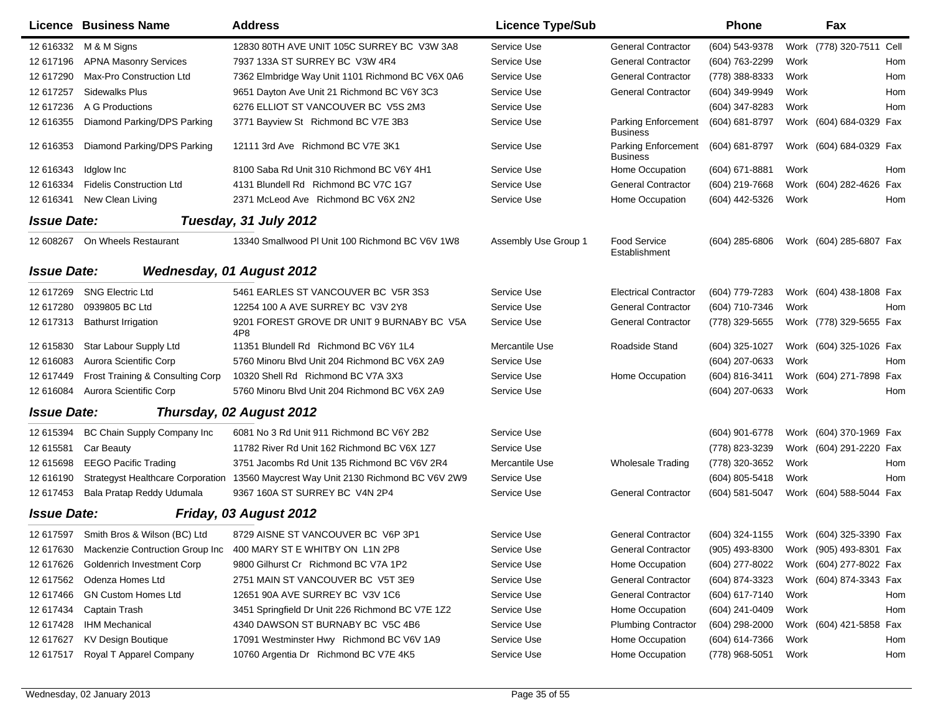|                    | Licence Business Name                  | <b>Address</b>                                                                     | <b>Licence Type/Sub</b> |                                               | <b>Phone</b>     |      | Fax                     |      |
|--------------------|----------------------------------------|------------------------------------------------------------------------------------|-------------------------|-----------------------------------------------|------------------|------|-------------------------|------|
| 12 616332          | M & M Signs                            | 12830 80TH AVE UNIT 105C SURREY BC V3W 3A8                                         | Service Use             | <b>General Contractor</b>                     | (604) 543-9378   | Work | (778) 320-7511          | Cell |
| 12 617196          | <b>APNA Masonry Services</b>           | 7937 133A ST SURREY BC V3W 4R4                                                     | Service Use             | <b>General Contractor</b>                     | (604) 763-2299   | Work |                         | Hom  |
| 12 617290          | Max-Pro Construction Ltd               | 7362 Elmbridge Way Unit 1101 Richmond BC V6X 0A6                                   | Service Use             | <b>General Contractor</b>                     | (778) 388-8333   | Work |                         | Hom  |
| 12 617257          | <b>Sidewalks Plus</b>                  | 9651 Dayton Ave Unit 21 Richmond BC V6Y 3C3                                        | Service Use             | <b>General Contractor</b>                     | (604) 349-9949   | Work |                         | Hom  |
| 12 617236          | A G Productions                        | 6276 ELLIOT ST VANCOUVER BC V5S 2M3                                                | Service Use             |                                               | (604) 347-8283   | Work |                         | Hom  |
| 12 616355          | Diamond Parking/DPS Parking            | 3771 Bayview St Richmond BC V7E 3B3                                                | Service Use             | Parking Enforcement<br><b>Business</b>        | (604) 681-8797   |      | Work (604) 684-0329 Fax |      |
| 12 616353          | Diamond Parking/DPS Parking            | 12111 3rd Ave Richmond BC V7E 3K1                                                  | Service Use             | <b>Parking Enforcement</b><br><b>Business</b> | (604) 681-8797   |      | Work (604) 684-0329 Fax |      |
| 12 616343          | Idglow Inc                             | 8100 Saba Rd Unit 310 Richmond BC V6Y 4H1                                          | Service Use             | Home Occupation                               | (604) 671-8881   | Work |                         | Hom  |
| 12 616334          | <b>Fidelis Construction Ltd</b>        | 4131 Blundell Rd Richmond BC V7C 1G7                                               | Service Use             | <b>General Contractor</b>                     | (604) 219-7668   | Work | (604) 282-4626          | Fax  |
| 12 616341          | New Clean Living                       | 2371 McLeod Ave Richmond BC V6X 2N2                                                | Service Use             | Home Occupation                               | (604) 442-5326   | Work |                         | Hom  |
| <b>Issue Date:</b> |                                        | Tuesday, 31 July 2012                                                              |                         |                                               |                  |      |                         |      |
| 12 608267          | On Wheels Restaurant                   | 13340 Smallwood PI Unit 100 Richmond BC V6V 1W8                                    | Assembly Use Group 1    | <b>Food Service</b><br>Establishment          | (604) 285-6806   |      | Work (604) 285-6807 Fax |      |
| <b>Issue Date:</b> |                                        | <b>Wednesday, 01 August 2012</b>                                                   |                         |                                               |                  |      |                         |      |
| 12 617269          | <b>SNG Electric Ltd</b>                | 5461 EARLES ST VANCOUVER BC V5R 3S3                                                | Service Use             | <b>Electrical Contractor</b>                  | (604) 779-7283   |      | Work (604) 438-1808 Fax |      |
| 12 617280          | 0939805 BC Ltd                         | 12254 100 A AVE SURREY BC V3V 2Y8                                                  | Service Use             | <b>General Contractor</b>                     | (604) 710-7346   | Work |                         | Hom  |
| 12 617313          | <b>Bathurst Irrigation</b>             | 9201 FOREST GROVE DR UNIT 9 BURNABY BC V5A<br>4P8                                  | Service Use             | <b>General Contractor</b>                     | (778) 329-5655   |      | Work (778) 329-5655 Fax |      |
| 12 615830          | Star Labour Supply Ltd                 | 11351 Blundell Rd Richmond BC V6Y 1L4                                              | Mercantile Use          | Roadside Stand                                | (604) 325-1027   |      | Work (604) 325-1026 Fax |      |
| 12 616083          | Aurora Scientific Corp                 | 5760 Minoru Blvd Unit 204 Richmond BC V6X 2A9                                      | Service Use             |                                               | (604) 207-0633   | Work |                         | Hom  |
| 12 617449          | Frost Training & Consulting Corp       | 10320 Shell Rd Richmond BC V7A 3X3                                                 | Service Use             | Home Occupation                               | (604) 816-3411   |      | Work (604) 271-7898     | Fax  |
| 12 616084          | Aurora Scientific Corp                 | 5760 Minoru Blvd Unit 204 Richmond BC V6X 2A9                                      | Service Use             |                                               | (604) 207-0633   | Work |                         | Hom  |
| <b>Issue Date:</b> |                                        | Thursday, 02 August 2012                                                           |                         |                                               |                  |      |                         |      |
| 12 615394          | BC Chain Supply Company Inc            | 6081 No 3 Rd Unit 911 Richmond BC V6Y 2B2                                          | Service Use             |                                               | (604) 901-6778   |      | Work (604) 370-1969 Fax |      |
| 12 615581          | Car Beauty                             | 11782 River Rd Unit 162 Richmond BC V6X 1Z7                                        | Service Use             |                                               | (778) 823-3239   |      | Work (604) 291-2220     | Fax  |
| 12 615698          | <b>EEGO Pacific Trading</b>            | 3751 Jacombs Rd Unit 135 Richmond BC V6V 2R4                                       | Mercantile Use          | <b>Wholesale Trading</b>                      | (778) 320-3652   | Work |                         | Hom  |
| 12 616190          |                                        | Strategyst Healthcare Corporation 13560 Maycrest Way Unit 2130 Richmond BC V6V 2W9 | Service Use             |                                               | (604) 805-5418   | Work |                         | Hom  |
| 12 617453          | Bala Pratap Reddy Udumala              | 9367 160A ST SURREY BC V4N 2P4                                                     | Service Use             | <b>General Contractor</b>                     | (604) 581-5047   | Work | (604) 588-5044 Fax      |      |
| <b>Issue Date:</b> |                                        | Friday, 03 August 2012                                                             |                         |                                               |                  |      |                         |      |
|                    | 12 617597 Smith Bros & Wilson (BC) Ltd | 8729 AISNE ST VANCOUVER BC V6P 3P1                                                 | Service Use             | <b>General Contractor</b>                     | (604) 324-1155   |      | Work (604) 325-3390 Fax |      |
| 12 617630          | Mackenzie Contruction Group Inc        | 400 MARY ST E WHITBY ON L1N 2P8                                                    | Service Use             | <b>General Contractor</b>                     | $(905)$ 493-8300 |      | Work (905) 493-8301 Fax |      |
| 12 617626          | Goldenrich Investment Corp             | 9800 Gilhurst Cr Richmond BC V7A 1P2                                               | Service Use             | Home Occupation                               | (604) 277-8022   |      | Work (604) 277-8022 Fax |      |
| 12 617562          | Odenza Homes Ltd                       | 2751 MAIN ST VANCOUVER BC V5T 3E9                                                  | Service Use             | <b>General Contractor</b>                     | (604) 874-3323   |      | Work (604) 874-3343 Fax |      |
| 12 617466          | <b>GN Custom Homes Ltd</b>             | 12651 90A AVE SURREY BC V3V 1C6                                                    | Service Use             | <b>General Contractor</b>                     | (604) 617-7140   | Work |                         | Hom  |
| 12 617434          | Captain Trash                          | 3451 Springfield Dr Unit 226 Richmond BC V7E 1Z2                                   | Service Use             | Home Occupation                               | (604) 241-0409   | Work |                         | Hom  |
| 12 617428          | <b>IHM Mechanical</b>                  | 4340 DAWSON ST BURNABY BC V5C 4B6                                                  | Service Use             | <b>Plumbing Contractor</b>                    | (604) 298-2000   |      | Work (604) 421-5858 Fax |      |
| 12 617627          | KV Design Boutique                     | 17091 Westminster Hwy Richmond BC V6V 1A9                                          | Service Use             | Home Occupation                               | (604) 614-7366   | Work |                         | Hom  |
| 12 617517          | Royal T Apparel Company                | 10760 Argentia Dr Richmond BC V7E 4K5                                              | Service Use             | Home Occupation                               | (778) 968-5051   | Work |                         | Hom  |

 $\blacksquare$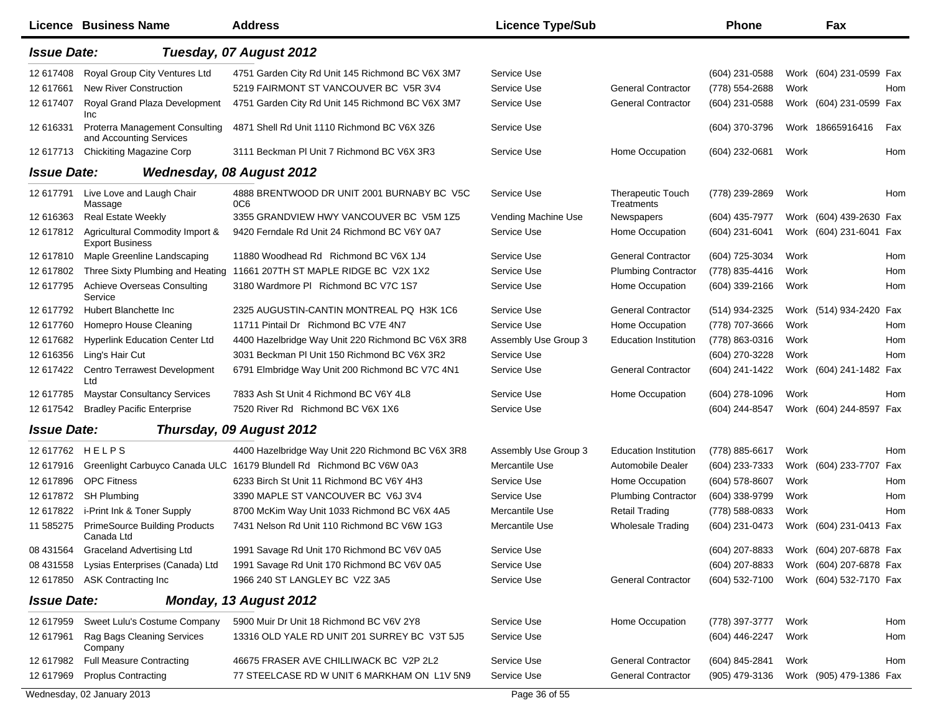|                    | Licence Business Name                                     | <b>Address</b>                                                       | <b>Licence Type/Sub</b> |                                        | <b>Phone</b>     |      | Fax                     |     |
|--------------------|-----------------------------------------------------------|----------------------------------------------------------------------|-------------------------|----------------------------------------|------------------|------|-------------------------|-----|
| <b>Issue Date:</b> |                                                           | Tuesday, 07 August 2012                                              |                         |                                        |                  |      |                         |     |
| 12 617408          | Royal Group City Ventures Ltd                             | 4751 Garden City Rd Unit 145 Richmond BC V6X 3M7                     | Service Use             |                                        | $(604)$ 231-0588 |      | Work (604) 231-0599 Fax |     |
| 12 617661          | <b>New River Construction</b>                             | 5219 FAIRMONT ST VANCOUVER BC V5R 3V4                                | Service Use             | <b>General Contractor</b>              | (778) 554-2688   | Work |                         | Hom |
| 12 617407          | Royal Grand Plaza Development<br>Inc                      | 4751 Garden City Rd Unit 145 Richmond BC V6X 3M7                     | Service Use             | <b>General Contractor</b>              | (604) 231-0588   |      | Work (604) 231-0599 Fax |     |
| 12 616331          | Proterra Management Consulting<br>and Accounting Services | 4871 Shell Rd Unit 1110 Richmond BC V6X 3Z6                          | Service Use             |                                        | (604) 370-3796   |      | Work 18665916416        | Fax |
| 12 617713          | <b>Chickiting Magazine Corp</b>                           | 3111 Beckman PI Unit 7 Richmond BC V6X 3R3                           | Service Use             | Home Occupation                        | (604) 232-0681   | Work |                         | Hom |
| <b>Issue Date:</b> |                                                           | <b>Wednesday, 08 August 2012</b>                                     |                         |                                        |                  |      |                         |     |
| 12 617791          | Live Love and Laugh Chair<br>Massage                      | 4888 BRENTWOOD DR UNIT 2001 BURNABY BC V5C<br>0C6                    | Service Use             | <b>Therapeutic Touch</b><br>Treatments | (778) 239-2869   | Work |                         | Hom |
| 12 616363          | <b>Real Estate Weekly</b>                                 | 3355 GRANDVIEW HWY VANCOUVER BC V5M 1Z5                              | Vending Machine Use     | Newspapers                             | (604) 435-7977   |      | Work (604) 439-2630 Fax |     |
| 12 617812          | Agricultural Commodity Import &<br><b>Export Business</b> | 9420 Ferndale Rd Unit 24 Richmond BC V6Y 0A7                         | Service Use             | Home Occupation                        | (604) 231-6041   |      | Work (604) 231-6041     | Fax |
| 12 617810          | Maple Greenline Landscaping                               | 11880 Woodhead Rd Richmond BC V6X 1J4                                | Service Use             | <b>General Contractor</b>              | (604) 725-3034   | Work |                         | Hom |
| 12 617802          | Three Sixty Plumbing and Heating                          | 11661 207TH ST MAPLE RIDGE BC V2X 1X2                                | Service Use             | <b>Plumbing Contractor</b>             | (778) 835-4416   | Work |                         | Hom |
| 12 617795          | Achieve Overseas Consulting<br>Service                    | 3180 Wardmore PI Richmond BC V7C 1S7                                 | Service Use             | Home Occupation                        | (604) 339-2166   | Work |                         | Hom |
| 12 617792          | Hubert Blanchette Inc                                     | 2325 AUGUSTIN-CANTIN MONTREAL PQ H3K 1C6                             | Service Use             | <b>General Contractor</b>              | (514) 934-2325   |      | Work (514) 934-2420     | Fax |
| 12 617760          | Homepro House Cleaning                                    | 11711 Pintail Dr Richmond BC V7E 4N7                                 | Service Use             | Home Occupation                        | (778) 707-3666   | Work |                         | Hom |
| 12 617682          | <b>Hyperlink Education Center Ltd</b>                     | 4400 Hazelbridge Way Unit 220 Richmond BC V6X 3R8                    | Assembly Use Group 3    | <b>Education Institution</b>           | (778) 863-0316   | Work |                         | Hom |
| 12 616356          | Ling's Hair Cut                                           | 3031 Beckman PI Unit 150 Richmond BC V6X 3R2                         | Service Use             |                                        | (604) 270-3228   | Work |                         | Hom |
| 12 617422          | <b>Centro Terrawest Development</b><br>Ltd                | 6791 Elmbridge Way Unit 200 Richmond BC V7C 4N1                      | Service Use             | <b>General Contractor</b>              | (604) 241-1422   |      | Work (604) 241-1482 Fax |     |
| 12 617785          | <b>Maystar Consultancy Services</b>                       | 7833 Ash St Unit 4 Richmond BC V6Y 4L8                               | Service Use             | Home Occupation                        | (604) 278-1096   | Work |                         | Hom |
| 12 617542          | <b>Bradley Pacific Enterprise</b>                         | 7520 River Rd Richmond BC V6X 1X6                                    | Service Use             |                                        | (604) 244-8547   |      | Work (604) 244-8597 Fax |     |
| <b>Issue Date:</b> |                                                           | Thursday, 09 August 2012                                             |                         |                                        |                  |      |                         |     |
| 12 617762          | <b>HELPS</b>                                              | 4400 Hazelbridge Way Unit 220 Richmond BC V6X 3R8                    | Assembly Use Group 3    | <b>Education Institution</b>           | (778) 885-6617   | Work |                         | Hom |
| 12 617916          |                                                           | Greenlight Carbuyco Canada ULC 16179 Blundell Rd Richmond BC V6W 0A3 | Mercantile Use          | Automobile Dealer                      | (604) 233-7333   |      | Work (604) 233-7707     | Fax |
| 12 617896          | <b>OPC Fitness</b>                                        | 6233 Birch St Unit 11 Richmond BC V6Y 4H3                            | Service Use             | Home Occupation                        | (604) 578-8607   | Work |                         | Hom |
| 12 617872          | <b>SH Plumbing</b>                                        | 3390 MAPLE ST VANCOUVER BC V6J 3V4                                   | Service Use             | <b>Plumbing Contractor</b>             | (604) 338-9799   | Work |                         | Hom |
| 12 617822          | i-Print Ink & Toner Supply                                | 8700 McKim Way Unit 1033 Richmond BC V6X 4A5                         | Mercantile Use          | <b>Retail Trading</b>                  | (778) 588-0833   | Work |                         | Hom |
| 11 585275          | <b>PrimeSource Building Products</b><br>Canada Ltd        | 7431 Nelson Rd Unit 110 Richmond BC V6W 1G3                          | Mercantile Use          | <b>Wholesale Trading</b>               | (604) 231-0473   |      | Work (604) 231-0413 Fax |     |
| 08 431564          | <b>Graceland Advertising Ltd</b>                          | 1991 Savage Rd Unit 170 Richmond BC V6V 0A5                          | Service Use             |                                        | (604) 207-8833   |      | Work (604) 207-6878 Fax |     |
| 08 431558          | Lysias Enterprises (Canada) Ltd                           | 1991 Savage Rd Unit 170 Richmond BC V6V 0A5                          | Service Use             |                                        | (604) 207-8833   |      | Work (604) 207-6878 Fax |     |
| 12 617850          | <b>ASK Contracting Inc</b>                                | 1966 240 ST LANGLEY BC V2Z 3A5                                       | Service Use             | <b>General Contractor</b>              | (604) 532-7100   |      | Work (604) 532-7170 Fax |     |
| <b>Issue Date:</b> |                                                           | Monday, 13 August 2012                                               |                         |                                        |                  |      |                         |     |
| 12 617959          | Sweet Lulu's Costume Company                              | 5900 Muir Dr Unit 18 Richmond BC V6V 2Y8                             | Service Use             | Home Occupation                        | (778) 397-3777   | Work |                         | Hom |
| 12 617961          | Rag Bags Cleaning Services<br>Company                     | 13316 OLD YALE RD UNIT 201 SURREY BC V3T 5J5                         | Service Use             |                                        | (604) 446-2247   | Work |                         | Hom |
| 12 617982          | <b>Full Measure Contracting</b>                           | 46675 FRASER AVE CHILLIWACK BC V2P 2L2                               | Service Use             | <b>General Contractor</b>              | (604) 845-2841   | Work |                         | Hom |
| 12 617969          | <b>Proplus Contracting</b>                                | 77 STEELCASE RD W UNIT 6 MARKHAM ON L1V 5N9                          | Service Use             | <b>General Contractor</b>              | (905) 479-3136   |      | Work (905) 479-1386 Fax |     |
|                    | Wednesday, 02 January 2013                                |                                                                      | Page 36 of 55           |                                        |                  |      |                         |     |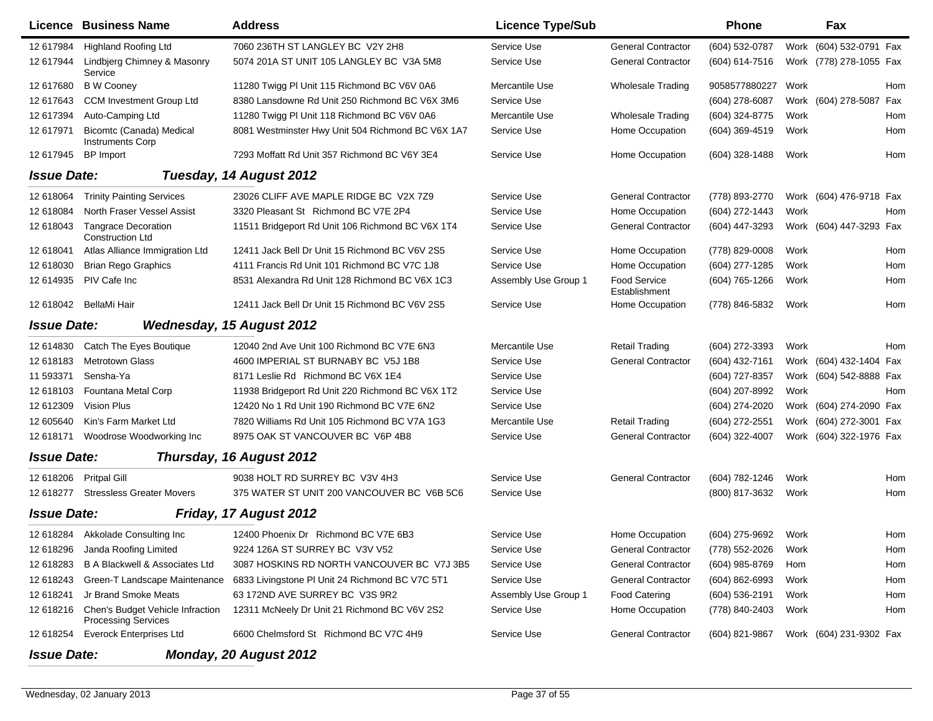|                    | Licence Business Name                                          | <b>Address</b>                                    | <b>Licence Type/Sub</b> |                                      | <b>Phone</b>     |      | Fax                     |     |
|--------------------|----------------------------------------------------------------|---------------------------------------------------|-------------------------|--------------------------------------|------------------|------|-------------------------|-----|
| 12 617984          | <b>Highland Roofing Ltd</b>                                    | 7060 236TH ST LANGLEY BC V2Y 2H8                  | Service Use             | <b>General Contractor</b>            | (604) 532-0787   |      | Work (604) 532-0791 Fax |     |
| 12 617944          | Lindbjerg Chimney & Masonry<br>Service                         | 5074 201A ST UNIT 105 LANGLEY BC V3A 5M8          | Service Use             | <b>General Contractor</b>            | (604) 614-7516   |      | Work (778) 278-1055 Fax |     |
| 12 617680          | <b>B</b> W Cooney                                              | 11280 Twigg PI Unit 115 Richmond BC V6V 0A6       | Mercantile Use          | <b>Wholesale Trading</b>             | 9058577880227    | Work |                         | Hom |
| 12 617643          | <b>CCM Investment Group Ltd</b>                                | 8380 Lansdowne Rd Unit 250 Richmond BC V6X 3M6    | Service Use             |                                      | (604) 278-6087   |      | Work (604) 278-5087 Fax |     |
| 12 617394          | Auto-Camping Ltd                                               | 11280 Twigg PI Unit 118 Richmond BC V6V 0A6       | Mercantile Use          | <b>Wholesale Trading</b>             | (604) 324-8775   | Work |                         | Hom |
| 12 617971          | Bicomtc (Canada) Medical<br><b>Instruments Corp</b>            | 8081 Westminster Hwy Unit 504 Richmond BC V6X 1A7 | Service Use             | Home Occupation                      | $(604)$ 369-4519 | Work |                         | Hom |
| 12 617945          | <b>BP</b> Import                                               | 7293 Moffatt Rd Unit 357 Richmond BC V6Y 3E4      | Service Use             | Home Occupation                      | (604) 328-1488   | Work |                         | Hom |
| <b>Issue Date:</b> |                                                                | Tuesday, 14 August 2012                           |                         |                                      |                  |      |                         |     |
| 12 618064          | <b>Trinity Painting Services</b>                               | 23026 CLIFF AVE MAPLE RIDGE BC V2X 7Z9            | Service Use             | <b>General Contractor</b>            | (778) 893-2770   |      | Work (604) 476-9718 Fax |     |
| 12 618084          | North Fraser Vessel Assist                                     | 3320 Pleasant St Richmond BC V7E 2P4              | Service Use             | Home Occupation                      | (604) 272-1443   | Work |                         | Hom |
| 12 618043          | <b>Tangrace Decoration</b><br><b>Construction Ltd</b>          | 11511 Bridgeport Rd Unit 106 Richmond BC V6X 1T4  | Service Use             | <b>General Contractor</b>            | (604) 447-3293   |      | Work (604) 447-3293 Fax |     |
| 12 618041          | Atlas Alliance Immigration Ltd                                 | 12411 Jack Bell Dr Unit 15 Richmond BC V6V 2S5    | Service Use             | Home Occupation                      | (778) 829-0008   | Work |                         | Hom |
| 12 618030          | <b>Brian Rego Graphics</b>                                     | 4111 Francis Rd Unit 101 Richmond BC V7C 1J8      | Service Use             | Home Occupation                      | (604) 277-1285   | Work |                         | Hom |
| 12 614935          | PIV Cafe Inc                                                   | 8531 Alexandra Rd Unit 128 Richmond BC V6X 1C3    | Assembly Use Group 1    | <b>Food Service</b><br>Establishment | (604) 765-1266   | Work |                         | Hom |
| 12 618042          | BellaMi Hair                                                   | 12411 Jack Bell Dr Unit 15 Richmond BC V6V 2S5    | Service Use             | Home Occupation                      | (778) 846-5832   | Work |                         | Hom |
| <b>Issue Date:</b> |                                                                | <b>Wednesday, 15 August 2012</b>                  |                         |                                      |                  |      |                         |     |
| 12 614830          | Catch The Eyes Boutique                                        | 12040 2nd Ave Unit 100 Richmond BC V7E 6N3        | Mercantile Use          | <b>Retail Trading</b>                | (604) 272-3393   | Work |                         | Hom |
| 12 618183          | <b>Metrotown Glass</b>                                         | 4600 IMPERIAL ST BURNABY BC V5J 1B8               | Service Use             | <b>General Contractor</b>            | (604) 432-7161   |      | Work (604) 432-1404 Fax |     |
| 11 593371          | Sensha-Ya                                                      | 8171 Leslie Rd Richmond BC V6X 1E4                | Service Use             |                                      | (604) 727-8357   |      | Work (604) 542-8888 Fax |     |
| 12 618103          | Fountana Metal Corp                                            | 11938 Bridgeport Rd Unit 220 Richmond BC V6X 1T2  | Service Use             |                                      | (604) 207-8992   | Work |                         | Hom |
| 12 612309          | <b>Vision Plus</b>                                             | 12420 No 1 Rd Unit 190 Richmond BC V7E 6N2        | Service Use             |                                      | (604) 274-2020   |      | Work (604) 274-2090 Fax |     |
| 12 605640          | Kin's Farm Market Ltd                                          | 7820 Williams Rd Unit 105 Richmond BC V7A 1G3     | Mercantile Use          | <b>Retail Trading</b>                | (604) 272-2551   |      | Work (604) 272-3001 Fax |     |
| 12 618171          | Woodrose Woodworking Inc                                       | 8975 OAK ST VANCOUVER BC V6P 4B8                  | Service Use             | <b>General Contractor</b>            | (604) 322-4007   |      | Work (604) 322-1976 Fax |     |
| <b>Issue Date:</b> |                                                                | Thursday, 16 August 2012                          |                         |                                      |                  |      |                         |     |
| 12 618206          | <b>Pritpal Gill</b>                                            | 9038 HOLT RD SURREY BC V3V 4H3                    | Service Use             | <b>General Contractor</b>            | (604) 782-1246   | Work |                         | Hom |
| 12 618277          | <b>Stressless Greater Movers</b>                               | 375 WATER ST UNIT 200 VANCOUVER BC V6B 5C6        | Service Use             |                                      | (800) 817-3632   | Work |                         | Hom |
| <b>Issue Date:</b> |                                                                | Friday, 17 August 2012                            |                         |                                      |                  |      |                         |     |
|                    | 12 618284 Akkolade Consulting Inc                              | 12400 Phoenix Dr Richmond BC V7E 6B3              | Service Use             | Home Occupation                      | (604) 275-9692   | Work |                         | Hom |
| 12 618296          | Janda Roofing Limited                                          | 9224 126A ST SURREY BC V3V V52                    | Service Use             | <b>General Contractor</b>            | (778) 552-2026   | Work |                         | Hom |
| 12 618283          | B A Blackwell & Associates Ltd                                 | 3087 HOSKINS RD NORTH VANCOUVER BC V7J 3B5        | Service Use             | <b>General Contractor</b>            | (604) 985-8769   | Hom  |                         | Hom |
| 12 618243          | Green-T Landscape Maintenance                                  | 6833 Livingstone PI Unit 24 Richmond BC V7C 5T1   | Service Use             | <b>General Contractor</b>            | $(604)$ 862-6993 | Work |                         | Hom |
| 12 618241          | Jr Brand Smoke Meats                                           | 63 172ND AVE SURREY BC V3S 9R2                    | Assembly Use Group 1    | Food Catering                        | (604) 536-2191   | Work |                         | Hom |
| 12 618216          | Chen's Budget Vehicle Infraction<br><b>Processing Services</b> | 12311 McNeely Dr Unit 21 Richmond BC V6V 2S2      | Service Use             | Home Occupation                      | (778) 840-2403   | Work |                         | Hom |
| 12 618254          | <b>Everock Enterprises Ltd</b>                                 | 6600 Chelmsford St Richmond BC V7C 4H9            | Service Use             | <b>General Contractor</b>            | (604) 821-9867   |      | Work (604) 231-9302 Fax |     |
| <b>Issue Date:</b> |                                                                | <b>Monday, 20 August 2012</b>                     |                         |                                      |                  |      |                         |     |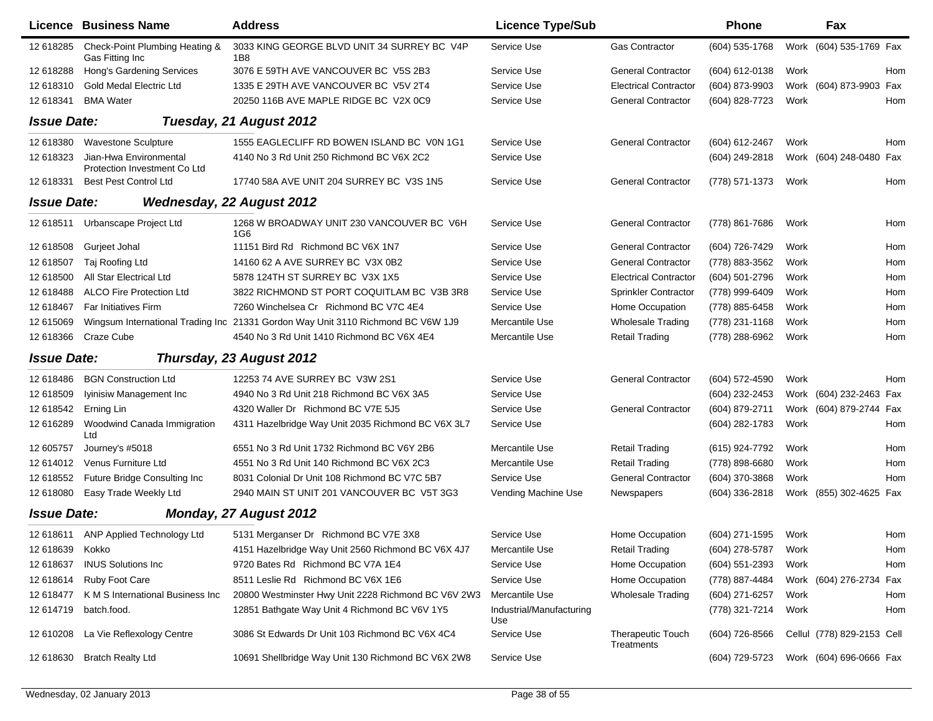|                    | <b>Licence Business Name</b>                           | <b>Address</b>                                                                   | <b>Licence Type/Sub</b>         |                                 | <b>Phone</b>     |      | Fax                        |            |
|--------------------|--------------------------------------------------------|----------------------------------------------------------------------------------|---------------------------------|---------------------------------|------------------|------|----------------------------|------------|
| 12 618285          | Check-Point Plumbing Heating &<br>Gas Fitting Inc      | 3033 KING GEORGE BLVD UNIT 34 SURREY BC V4P<br>1 <sub>B8</sub>                   | Service Use                     | <b>Gas Contractor</b>           | (604) 535-1768   |      | Work (604) 535-1769 Fax    |            |
| 12 618288          | Hong's Gardening Services                              | 3076 E 59TH AVE VANCOUVER BC V5S 2B3                                             | Service Use                     | <b>General Contractor</b>       | (604) 612-0138   | Work |                            | Hom        |
| 12 618310          | <b>Gold Medal Electric Ltd</b>                         | 1335 E 29TH AVE VANCOUVER BC V5V 2T4                                             | Service Use                     | <b>Electrical Contractor</b>    | (604) 873-9903   |      | Work (604) 873-9903 Fax    |            |
| 12 618341          | <b>BMA Water</b>                                       | 20250 116B AVE MAPLE RIDGE BC V2X 0C9                                            | Service Use                     | <b>General Contractor</b>       | (604) 828-7723   | Work |                            | Hom        |
| <b>Issue Date:</b> |                                                        | Tuesday, 21 August 2012                                                          |                                 |                                 |                  |      |                            |            |
| 12 618380          | <b>Wavestone Sculpture</b>                             | 1555 EAGLECLIFF RD BOWEN ISLAND BC VON 1G1                                       | Service Use                     | <b>General Contractor</b>       | (604) 612-2467   | Work |                            | Hom        |
| 12 618323          | Jian-Hwa Environmental<br>Protection Investment Co Ltd | 4140 No 3 Rd Unit 250 Richmond BC V6X 2C2                                        | Service Use                     |                                 | (604) 249-2818   |      | Work (604) 248-0480 Fax    |            |
| 12 618331          | <b>Best Pest Control Ltd</b>                           | 17740 58A AVE UNIT 204 SURREY BC V3S 1N5                                         | Service Use                     | <b>General Contractor</b>       | (778) 571-1373   | Work |                            | Hom        |
| <b>Issue Date:</b> |                                                        | <b>Wednesday, 22 August 2012</b>                                                 |                                 |                                 |                  |      |                            |            |
| 12 618511          | Urbanscape Project Ltd                                 | 1268 W BROADWAY UNIT 230 VANCOUVER BC V6H<br>1G6                                 | Service Use                     | <b>General Contractor</b>       | (778) 861-7686   | Work |                            | Hom        |
| 12 618508          | Gurjeet Johal                                          | 11151 Bird Rd Richmond BC V6X 1N7                                                | Service Use                     | <b>General Contractor</b>       | (604) 726-7429   | Work |                            | Hom        |
| 12 618507          | Taj Roofing Ltd                                        | 14160 62 A AVE SURREY BC V3X 0B2                                                 | Service Use                     | <b>General Contractor</b>       | (778) 883-3562   | Work |                            | Hom        |
| 12 618500          | All Star Electrical Ltd                                | 5878 124TH ST SURREY BC V3X 1X5                                                  | Service Use                     | <b>Electrical Contractor</b>    | (604) 501-2796   | Work |                            | Hom        |
| 12 618488          | <b>ALCO Fire Protection Ltd</b>                        | 3822 RICHMOND ST PORT COQUITLAM BC V3B 3R8                                       | Service Use                     | <b>Sprinkler Contractor</b>     | (778) 999-6409   | Work |                            | Hom        |
| 12 618467          | <b>Far Initiatives Firm</b>                            | 7260 Winchelsea Cr Richmond BC V7C 4E4                                           | Service Use                     | Home Occupation                 | (778) 885-6458   | Work |                            | Hom        |
| 12 615069          |                                                        | Wingsum International Trading Inc 21331 Gordon Way Unit 3110 Richmond BC V6W 1J9 | Mercantile Use                  | <b>Wholesale Trading</b>        | (778) 231-1168   | Work |                            | Hom        |
| 12 618366          | Craze Cube                                             | 4540 No 3 Rd Unit 1410 Richmond BC V6X 4E4                                       | Mercantile Use                  | <b>Retail Trading</b>           | (778) 288-6962   | Work |                            | Hom        |
| <b>Issue Date:</b> |                                                        | Thursday, 23 August 2012                                                         |                                 |                                 |                  |      |                            |            |
| 12 618486          | <b>BGN Construction Ltd</b>                            | 12253 74 AVE SURREY BC V3W 2S1                                                   | Service Use                     | <b>General Contractor</b>       | (604) 572-4590   | Work |                            | <b>Hom</b> |
| 12 618509          | Iyinisiw Management Inc                                | 4940 No 3 Rd Unit 218 Richmond BC V6X 3A5                                        | Service Use                     |                                 | (604) 232-2453   |      | Work (604) 232-2463 Fax    |            |
| 12 618542          | Erning Lin                                             | 4320 Waller Dr Richmond BC V7E 5J5                                               | Service Use                     | <b>General Contractor</b>       | (604) 879-2711   |      | Work (604) 879-2744 Fax    |            |
| 12 616289          | Woodwind Canada Immigration<br>Ltd                     | 4311 Hazelbridge Way Unit 2035 Richmond BC V6X 3L7                               | Service Use                     |                                 | (604) 282-1783   | Work |                            | Hom        |
| 12 605757          | Journey's #5018                                        | 6551 No 3 Rd Unit 1732 Richmond BC V6Y 2B6                                       | Mercantile Use                  | <b>Retail Trading</b>           | (615) 924-7792   | Work |                            | <b>Hom</b> |
| 12 614012          | Venus Furniture Ltd                                    | 4551 No 3 Rd Unit 140 Richmond BC V6X 2C3                                        | Mercantile Use                  | <b>Retail Trading</b>           | (778) 898-6680   | Work |                            | Hom        |
| 12 618552          | Future Bridge Consulting Inc                           | 8031 Colonial Dr Unit 108 Richmond BC V7C 5B7                                    | Service Use                     | <b>General Contractor</b>       | (604) 370-3868   | Work |                            | Hom        |
| 12 618080          | Easy Trade Weekly Ltd                                  | 2940 MAIN ST UNIT 201 VANCOUVER BC V5T 3G3                                       | Vending Machine Use             | Newspapers                      | (604) 336-2818   |      | Work (855) 302-4625 Fax    |            |
| <b>Issue Date:</b> |                                                        | Monday, 27 August 2012                                                           |                                 |                                 |                  |      |                            |            |
|                    | 12 618611 ANP Applied Technology Ltd                   | 5131 Merganser Dr Richmond BC V7E 3X8                                            | Service Use                     | Home Occupation                 | (604) 271-1595   | Work |                            | Hom        |
| 12 618639          | Kokko                                                  | 4151 Hazelbridge Way Unit 2560 Richmond BC V6X 4J7                               | Mercantile Use                  | Retail Trading                  | (604) 278-5787   | Work |                            | Hom        |
| 12 618637          | <b>INUS Solutions Inc</b>                              | 9720 Bates Rd Richmond BC V7A 1E4                                                | Service Use                     | Home Occupation                 | (604) 551-2393   | Work |                            | Hom        |
| 12 618614          | Ruby Foot Care                                         | 8511 Leslie Rd Richmond BC V6X 1E6                                               | Service Use                     | Home Occupation                 | (778) 887-4484   |      | Work (604) 276-2734 Fax    |            |
| 12 618477          | K M S International Business Inc                       | 20800 Westminster Hwy Unit 2228 Richmond BC V6V 2W3                              | Mercantile Use                  | Wholesale Trading               | (604) 271-6257   | Work |                            | Hom        |
| 12 614719          | batch.food.                                            | 12851 Bathgate Way Unit 4 Richmond BC V6V 1Y5                                    | Industrial/Manufacturing<br>Use |                                 | (778) 321-7214   | Work |                            | Hom        |
| 12 610208          | La Vie Reflexology Centre                              | 3086 St Edwards Dr Unit 103 Richmond BC V6X 4C4                                  | Service Use                     | Therapeutic Touch<br>Treatments | $(604)$ 726-8566 |      | Cellul (778) 829-2153 Cell |            |
| 12 618630          | <b>Bratch Realty Ltd</b>                               | 10691 Shellbridge Way Unit 130 Richmond BC V6X 2W8                               | Service Use                     |                                 | (604) 729-5723   |      | Work (604) 696-0666 Fax    |            |

 $\blacksquare$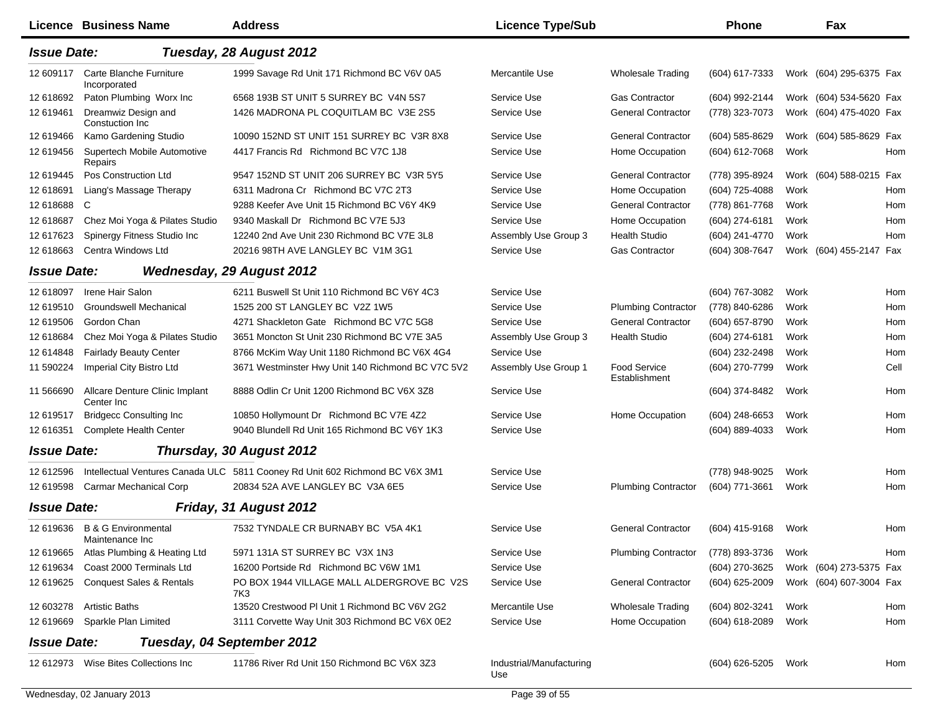|                    | <b>Licence Business Name</b>                     | <b>Address</b>                                                               | <b>Licence Type/Sub</b>         |                                      | <b>Phone</b>     |      | Fax                     |      |
|--------------------|--------------------------------------------------|------------------------------------------------------------------------------|---------------------------------|--------------------------------------|------------------|------|-------------------------|------|
| <b>Issue Date:</b> |                                                  | Tuesday, 28 August 2012                                                      |                                 |                                      |                  |      |                         |      |
| 12 609117          | Carte Blanche Furniture<br>Incorporated          | 1999 Savage Rd Unit 171 Richmond BC V6V 0A5                                  | Mercantile Use                  | <b>Wholesale Trading</b>             | (604) 617-7333   |      | Work (604) 295-6375 Fax |      |
| 12 618692          | Paton Plumbing Worx Inc                          | 6568 193B ST UNIT 5 SURREY BC V4N 5S7                                        | Service Use                     | <b>Gas Contractor</b>                | (604) 992-2144   |      | Work (604) 534-5620 Fax |      |
| 12 619461          | Dreamwiz Design and<br>Constuction Inc           | 1426 MADRONA PL COQUITLAM BC V3E 2S5                                         | Service Use                     | <b>General Contractor</b>            | (778) 323-7073   |      | Work (604) 475-4020 Fax |      |
| 12 619466          | Kamo Gardening Studio                            | 10090 152ND ST UNIT 151 SURREY BC V3R 8X8                                    | Service Use                     | <b>General Contractor</b>            | (604) 585-8629   |      | Work (604) 585-8629 Fax |      |
| 12 619456          | Supertech Mobile Automotive<br>Repairs           | 4417 Francis Rd Richmond BC V7C 1J8                                          | Service Use                     | Home Occupation                      | (604) 612-7068   | Work |                         | Hom  |
| 12 619445          | Pos Construction Ltd                             | 9547 152ND ST UNIT 206 SURREY BC V3R 5Y5                                     | Service Use                     | <b>General Contractor</b>            | (778) 395-8924   |      | Work (604) 588-0215 Fax |      |
| 12 618691          | Liang's Massage Therapy                          | 6311 Madrona Cr Richmond BC V7C 2T3                                          | Service Use                     | Home Occupation                      | (604) 725-4088   | Work |                         | Hom  |
| 12 618688          | C.                                               | 9288 Keefer Ave Unit 15 Richmond BC V6Y 4K9                                  | Service Use                     | <b>General Contractor</b>            | (778) 861-7768   | Work |                         | Hom  |
| 12 618687          | Chez Moi Yoga & Pilates Studio                   | 9340 Maskall Dr Richmond BC V7E 5J3                                          | Service Use                     | Home Occupation                      | (604) 274-6181   | Work |                         | Hom  |
| 12 617623          | Spinergy Fitness Studio Inc                      | 12240 2nd Ave Unit 230 Richmond BC V7E 3L8                                   | Assembly Use Group 3            | <b>Health Studio</b>                 | (604) 241-4770   | Work |                         | Hom  |
| 12 618663          | Centra Windows Ltd                               | 20216 98TH AVE LANGLEY BC V1M 3G1                                            | Service Use                     | <b>Gas Contractor</b>                | (604) 308-7647   |      | Work (604) 455-2147 Fax |      |
| <b>Issue Date:</b> |                                                  | <b>Wednesday, 29 August 2012</b>                                             |                                 |                                      |                  |      |                         |      |
| 12 618097          | Irene Hair Salon                                 | 6211 Buswell St Unit 110 Richmond BC V6Y 4C3                                 | Service Use                     |                                      | (604) 767-3082   | Work |                         | Hom  |
| 12 619510          | Groundswell Mechanical                           | 1525 200 ST LANGLEY BC V2Z 1W5                                               | Service Use                     | <b>Plumbing Contractor</b>           | (778) 840-6286   | Work |                         | Hom  |
| 12 619506          | Gordon Chan                                      | 4271 Shackleton Gate Richmond BC V7C 5G8                                     | Service Use                     | <b>General Contractor</b>            | (604) 657-8790   | Work |                         | Hom  |
| 12 618684          | Chez Moi Yoga & Pilates Studio                   | 3651 Moncton St Unit 230 Richmond BC V7E 3A5                                 | Assembly Use Group 3            | <b>Health Studio</b>                 | (604) 274-6181   | Work |                         | Hom  |
| 12 614848          | <b>Fairlady Beauty Center</b>                    | 8766 McKim Way Unit 1180 Richmond BC V6X 4G4                                 | Service Use                     |                                      | (604) 232-2498   | Work |                         | Hom  |
| 11 590224          | Imperial City Bistro Ltd                         | 3671 Westminster Hwy Unit 140 Richmond BC V7C 5V2                            | Assembly Use Group 1            | <b>Food Service</b><br>Establishment | (604) 270-7799   | Work |                         | Cell |
| 11 566690          | Allcare Denture Clinic Implant<br>Center Inc     | 8888 Odlin Cr Unit 1200 Richmond BC V6X 3Z8                                  | Service Use                     |                                      | (604) 374-8482   | Work |                         | Hom  |
| 12 619517          | <b>Bridgecc Consulting Inc</b>                   | 10850 Hollymount Dr Richmond BC V7E 4Z2                                      | Service Use                     | Home Occupation                      | $(604)$ 248-6653 | Work |                         | Hom  |
| 12 61 6351         | <b>Complete Health Center</b>                    | 9040 Blundell Rd Unit 165 Richmond BC V6Y 1K3                                | Service Use                     |                                      | (604) 889-4033   | Work |                         | Hom  |
| <b>Issue Date:</b> |                                                  | Thursday, 30 August 2012                                                     |                                 |                                      |                  |      |                         |      |
| 12 612596          |                                                  | Intellectual Ventures Canada ULC 5811 Cooney Rd Unit 602 Richmond BC V6X 3M1 | Service Use                     |                                      | (778) 948-9025   | Work |                         | Hom  |
| 12 619598          | <b>Carmar Mechanical Corp</b>                    | 20834 52A AVE LANGLEY BC V3A 6E5                                             | Service Use                     | <b>Plumbing Contractor</b>           | (604) 771-3661   | Work |                         | Hom  |
| <b>Issue Date:</b> |                                                  | Friday, 31 August 2012                                                       |                                 |                                      |                  |      |                         |      |
|                    | 12 619636 B & G Environmental<br>Maintenance Inc | 7532 TYNDALE CR BURNABY BC V5A 4K1                                           | Service Use                     | <b>General Contractor</b>            | (604) 415-9168   | Work |                         | Hom  |
| 12 619665          | Atlas Plumbing & Heating Ltd                     | 5971 131A ST SURREY BC V3X 1N3                                               | Service Use                     | <b>Plumbing Contractor</b>           | (778) 893-3736   | Work |                         | Hom  |
| 12 619634          | Coast 2000 Terminals Ltd                         | 16200 Portside Rd Richmond BC V6W 1M1                                        | Service Use                     |                                      | (604) 270-3625   |      | Work (604) 273-5375 Fax |      |
| 12 619625          | <b>Conquest Sales &amp; Rentals</b>              | PO BOX 1944 VILLAGE MALL ALDERGROVE BC V2S<br>7K3                            | Service Use                     | <b>General Contractor</b>            | (604) 625-2009   |      | Work (604) 607-3004 Fax |      |
| 12 603278          | <b>Artistic Baths</b>                            | 13520 Crestwood PI Unit 1 Richmond BC V6V 2G2                                | Mercantile Use                  | <b>Wholesale Trading</b>             | (604) 802-3241   | Work |                         | Hom  |
| 12 619669          | Sparkle Plan Limited                             | 3111 Corvette Way Unit 303 Richmond BC V6X 0E2                               | Service Use                     | Home Occupation                      | (604) 618-2089   | Work |                         | Hom  |
| <b>Issue Date:</b> |                                                  | Tuesday, 04 September 2012                                                   |                                 |                                      |                  |      |                         |      |
|                    | 12 612973 Wise Bites Collections Inc             | 11786 River Rd Unit 150 Richmond BC V6X 3Z3                                  | Industrial/Manufacturing<br>Use |                                      | (604) 626-5205   | Work |                         | Hom  |
|                    | Wednesday, 02 January 2013                       |                                                                              | Page 39 of 55                   |                                      |                  |      |                         |      |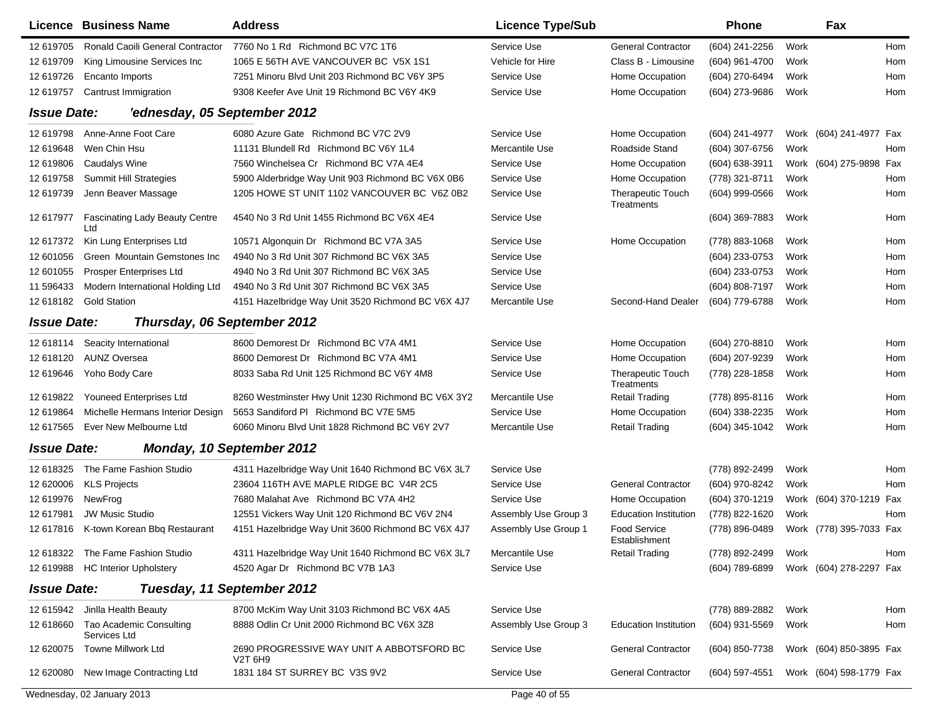|                    | <b>Licence Business Name</b>                 | <b>Address</b>                                                                | <b>Licence Type/Sub</b> |                                        | <b>Phone</b>     |      | Fax                     |     |
|--------------------|----------------------------------------------|-------------------------------------------------------------------------------|-------------------------|----------------------------------------|------------------|------|-------------------------|-----|
| 12 619705          | Ronald Caoili General Contractor             | 7760 No 1 Rd Richmond BC V7C 1T6                                              | Service Use             | <b>General Contractor</b>              | (604) 241-2256   | Work |                         | Hom |
| 12 619709          | King Limousine Services Inc                  | 1065 E 56TH AVE VANCOUVER BC V5X 1S1                                          | Vehicle for Hire        | Class B - Limousine                    | (604) 961-4700   | Work |                         | Hom |
| 12 619726          | Encanto Imports                              | 7251 Minoru Blvd Unit 203 Richmond BC V6Y 3P5                                 | Service Use             | Home Occupation                        | (604) 270-6494   | Work |                         | Hom |
| 12 619757          | Cantrust Immigration                         | 9308 Keefer Ave Unit 19 Richmond BC V6Y 4K9                                   | Service Use             | Home Occupation                        | (604) 273-9686   | Work |                         | Hom |
| <b>Issue Date:</b> | 'ednesday, 05 September 2012                 |                                                                               |                         |                                        |                  |      |                         |     |
| 12 619798          | Anne-Anne Foot Care                          | 6080 Azure Gate Richmond BC V7C 2V9                                           | Service Use             | Home Occupation                        | (604) 241-4977   |      | Work (604) 241-4977 Fax |     |
| 12 619648          | Wen Chin Hsu                                 | 11131 Blundell Rd Richmond BC V6Y 1L4                                         | Mercantile Use          | Roadside Stand                         | (604) 307-6756   | Work |                         | Hom |
| 12 619806          | <b>Caudalys Wine</b>                         | 7560 Winchelsea Cr Richmond BC V7A 4E4                                        | Service Use             | Home Occupation                        | (604) 638-3911   |      | Work (604) 275-9898 Fax |     |
| 12 619758          | <b>Summit Hill Strategies</b>                | 5900 Alderbridge Way Unit 903 Richmond BC V6X 0B6                             | Service Use             | Home Occupation                        | (778) 321-8711   | Work |                         | Hom |
| 12 619739          | Jenn Beaver Massage                          | 1205 HOWE ST UNIT 1102 VANCOUVER BC V6Z 0B2                                   | Service Use             | Therapeutic Touch<br>Treatments        | (604) 999-0566   | Work |                         | Hom |
| 12 617977          | <b>Fascinating Lady Beauty Centre</b><br>Ltd | 4540 No 3 Rd Unit 1455 Richmond BC V6X 4E4                                    | Service Use             |                                        | (604) 369-7883   | Work |                         | Hom |
| 12 617372          | Kin Lung Enterprises Ltd                     | 10571 Algonquin Dr Richmond BC V7A 3A5                                        | Service Use             | Home Occupation                        | (778) 883-1068   | Work |                         | Hom |
| 12 601056          | Green Mountain Gemstones Inc                 | 4940 No 3 Rd Unit 307 Richmond BC V6X 3A5                                     | Service Use             |                                        | (604) 233-0753   | Work |                         | Hom |
| 12 601055          | Prosper Enterprises Ltd                      | 4940 No 3 Rd Unit 307 Richmond BC V6X 3A5                                     | Service Use             |                                        | (604) 233-0753   | Work |                         | Hom |
| 11 59 6433         | Modern International Holding Ltd             | 4940 No 3 Rd Unit 307 Richmond BC V6X 3A5                                     | Service Use             |                                        | (604) 808-7197   | Work |                         | Hom |
| 12 618182          | <b>Gold Station</b>                          | 4151 Hazelbridge Way Unit 3520 Richmond BC V6X 4J7                            | Mercantile Use          | Second-Hand Dealer                     | (604) 779-6788   | Work |                         | Hom |
| <b>Issue Date:</b> | Thursday, 06 September 2012                  |                                                                               |                         |                                        |                  |      |                         |     |
| 12 618114          | Seacity International                        | 8600 Demorest Dr Richmond BC V7A 4M1                                          | Service Use             | Home Occupation                        | (604) 270-8810   | Work |                         | Hom |
| 12 618120          | <b>AUNZ Oversea</b>                          | 8600 Demorest Dr Richmond BC V7A 4M1                                          | Service Use             | Home Occupation                        | (604) 207-9239   | Work |                         | Hom |
| 12 619646          | Yoho Body Care                               | 8033 Saba Rd Unit 125 Richmond BC V6Y 4M8                                     | Service Use             | <b>Therapeutic Touch</b><br>Treatments | (778) 228-1858   | Work |                         | Hom |
| 12 619822          | Youneed Enterprises Ltd                      | 8260 Westminster Hwy Unit 1230 Richmond BC V6X 3Y2                            | Mercantile Use          | <b>Retail Trading</b>                  | (778) 895-8116   | Work |                         | Hom |
| 12 619864          | Michelle Hermans Interior Design             | 5653 Sandiford PI Richmond BC V7E 5M5                                         | Service Use             | Home Occupation                        | (604) 338-2235   | Work |                         | Hom |
| 12 617565          | Ever New Melbourne Ltd                       | 6060 Minoru Blvd Unit 1828 Richmond BC V6Y 2V7                                | Mercantile Use          | <b>Retail Trading</b>                  | (604) 345-1042   | Work |                         | Hom |
| <b>Issue Date:</b> |                                              | Monday, 10 September 2012                                                     |                         |                                        |                  |      |                         |     |
| 12 618325          | The Fame Fashion Studio                      | 4311 Hazelbridge Way Unit 1640 Richmond BC V6X 3L7                            | Service Use             |                                        | (778) 892-2499   | Work |                         | Hom |
| 12 620006          | <b>KLS Projects</b>                          | 23604 116TH AVE MAPLE RIDGE BC V4R 2C5                                        | Service Use             | <b>General Contractor</b>              | (604) 970-8242   | Work |                         | Hom |
| 12 619976          | NewFrog                                      | 7680 Malahat Ave Richmond BC V7A 4H2                                          | Service Use             | Home Occupation                        | (604) 370-1219   |      | Work (604) 370-1219 Fax |     |
| 12 617981          | <b>JW Music Studio</b>                       | 12551 Vickers Way Unit 120 Richmond BC V6V 2N4                                | Assembly Use Group 3    | <b>Education Institution</b>           | (778) 822-1620   | Work |                         | Hom |
| 12 617816          | K-town Korean Bbq Restaurant                 | 4151 Hazelbridge Way Unit 3600 Richmond BC V6X 4J7                            | Assembly Use Group 1    | Food Service<br>Establishment          | (778) 896-0489   |      | Work (778) 395-7033 Fax |     |
|                    | 12 618322 The Fame Fashion Studio            | 4311 Hazelbridge Way Unit 1640 Richmond BC V6X 3L7                            | Mercantile Use          | <b>Retail Trading</b>                  | (778) 892-2499   | Work |                         | Hom |
|                    | 12 619988 HC Interior Upholstery             | 4520 Agar Dr Richmond BC V7B 1A3                                              | Service Use             |                                        | (604) 789-6899   |      | Work (604) 278-2297 Fax |     |
| <b>Issue Date:</b> |                                              | Tuesday, 11 September 2012                                                    |                         |                                        |                  |      |                         |     |
| 12 615942          | Jinlla Health Beauty                         | 8700 McKim Way Unit 3103 Richmond BC V6X 4A5                                  | Service Use             |                                        | (778) 889-2882   | Work |                         | Hom |
| 12 618660          | Tao Academic Consulting<br>Services Ltd      | 8888 Odlin Cr Unit 2000 Richmond BC V6X 3Z8                                   | Assembly Use Group 3    | <b>Education Institution</b>           | (604) 931-5569   | Work |                         | Hom |
| 12 620075          | <b>Towne Millwork Ltd</b>                    | 2690 PROGRESSIVE WAY UNIT A ABBOTSFORD BC<br>V <sub>2</sub> T 6H <sub>9</sub> | Service Use             | <b>General Contractor</b>              | (604) 850-7738   |      | Work (604) 850-3895 Fax |     |
| 12 620080          | New Image Contracting Ltd                    | 1831 184 ST SURREY BC V3S 9V2                                                 | Service Use             | <b>General Contractor</b>              | $(604)$ 597-4551 |      | Work (604) 598-1779 Fax |     |
|                    | Wednesday, 02 January 2013                   |                                                                               | Page 40 of 55           |                                        |                  |      |                         |     |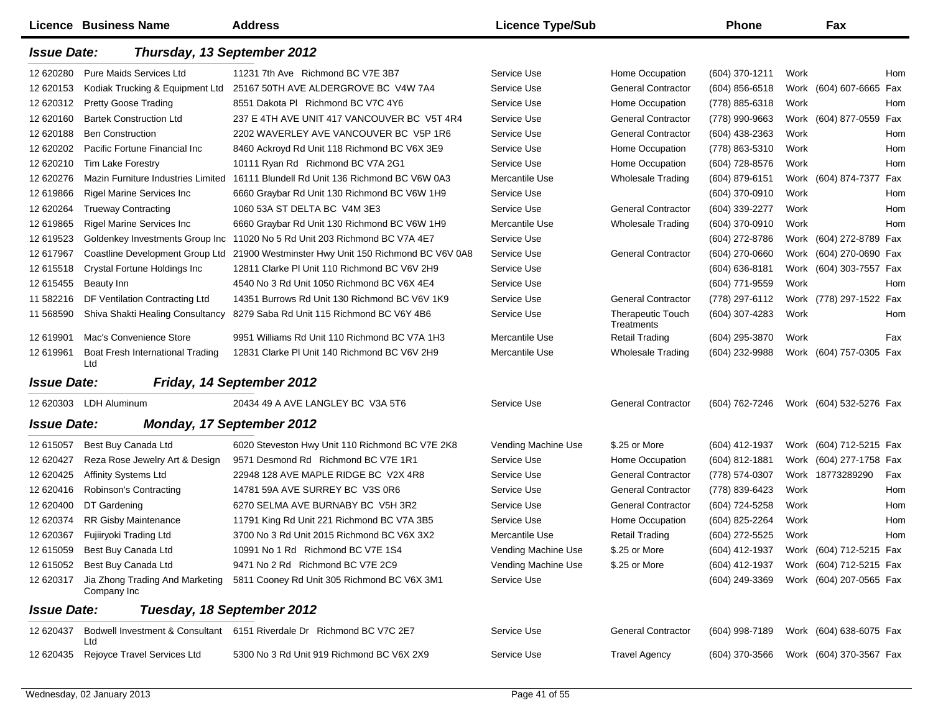|                    | <b>Licence Business Name</b>            | <b>Address</b>                                                              | <b>Licence Type/Sub</b> |                                               | <b>Phone</b>     |      | Fax                     |  |
|--------------------|-----------------------------------------|-----------------------------------------------------------------------------|-------------------------|-----------------------------------------------|------------------|------|-------------------------|--|
| <b>Issue Date:</b> | Thursday, 13 September 2012             |                                                                             |                         |                                               |                  |      |                         |  |
| 12 620280          | Pure Maids Services Ltd                 | 11231 7th Ave Richmond BC V7E 3B7                                           | Service Use             | Home Occupation                               | (604) 370-1211   | Work | Hom                     |  |
| 12 620153          | Kodiak Trucking & Equipment Ltd         | 25167 50TH AVE ALDERGROVE BC V4W 7A4                                        | Service Use             | <b>General Contractor</b>                     | $(604)$ 856-6518 |      | Work (604) 607-6665 Fax |  |
| 12 620312          | <b>Pretty Goose Trading</b>             | 8551 Dakota PI Richmond BC V7C 4Y6                                          | Service Use             | Home Occupation                               | (778) 885-6318   | Work | Hom                     |  |
| 12 620160          | <b>Bartek Construction Ltd</b>          | 237 E 4TH AVE UNIT 417 VANCOUVER BC V5T 4R4                                 | Service Use             | <b>General Contractor</b>                     | (778) 990-9663   |      | Work (604) 877-0559 Fax |  |
| 12 620188          | <b>Ben Construction</b>                 | 2202 WAVERLEY AVE VANCOUVER BC V5P 1R6                                      | Service Use             | <b>General Contractor</b>                     | (604) 438-2363   | Work | Hom                     |  |
| 12 620202          | Pacific Fortune Financial Inc           | 8460 Ackroyd Rd Unit 118 Richmond BC V6X 3E9                                | Service Use             | Home Occupation                               | (778) 863-5310   | Work | Hom                     |  |
| 12 620210          | <b>Tim Lake Forestry</b>                | 10111 Ryan Rd Richmond BC V7A 2G1                                           | Service Use             | Home Occupation                               | (604) 728-8576   | Work | Hom                     |  |
| 12 620276          | Mazin Furniture Industries Limited      | 16111 Blundell Rd Unit 136 Richmond BC V6W 0A3                              | Mercantile Use          | <b>Wholesale Trading</b>                      | (604) 879-6151   |      | Work (604) 874-7377 Fax |  |
| 12 619866          | Rigel Marine Services Inc.              | 6660 Graybar Rd Unit 130 Richmond BC V6W 1H9                                | Service Use             |                                               | (604) 370-0910   | Work | Hom                     |  |
| 12 620264          | <b>Trueway Contracting</b>              | 1060 53A ST DELTA BC V4M 3E3                                                | Service Use             | <b>General Contractor</b>                     | (604) 339-2277   | Work | Hom                     |  |
| 12 619865          | <b>Rigel Marine Services Inc</b>        | 6660 Graybar Rd Unit 130 Richmond BC V6W 1H9                                | Mercantile Use          | <b>Wholesale Trading</b>                      | (604) 370-0910   | Work | Hom                     |  |
| 12 619523          | Goldenkey Investments Group Inc         | 11020 No 5 Rd Unit 203 Richmond BC V7A 4E7                                  | Service Use             |                                               | (604) 272-8786   |      | Work (604) 272-8789 Fax |  |
| 12 617967          | Coastline Development Group Ltd         | 21900 Westminster Hwy Unit 150 Richmond BC V6V 0A8                          | Service Use             | <b>General Contractor</b>                     | (604) 270-0660   |      | Work (604) 270-0690 Fax |  |
| 12 615518          | <b>Crystal Fortune Holdings Inc</b>     | 12811 Clarke PI Unit 110 Richmond BC V6V 2H9                                | Service Use             |                                               | (604) 636-8181   |      | Work (604) 303-7557 Fax |  |
| 12 615455          | Beauty Inn                              | 4540 No 3 Rd Unit 1050 Richmond BC V6X 4E4                                  | Service Use             |                                               | (604) 771-9559   | Work | Hom                     |  |
| 11 582216          | DF Ventilation Contracting Ltd          | 14351 Burrows Rd Unit 130 Richmond BC V6V 1K9                               | Service Use             | <b>General Contractor</b>                     | (778) 297-6112   |      | Work (778) 297-1522 Fax |  |
| 11 568590          | Shiva Shakti Healing Consultancy        | 8279 Saba Rd Unit 115 Richmond BC V6Y 4B6                                   | Service Use             | <b>Therapeutic Touch</b><br><b>Treatments</b> | (604) 307-4283   | Work | Hom                     |  |
| 12 619901          | Mac's Convenience Store                 | 9951 Williams Rd Unit 110 Richmond BC V7A 1H3                               | Mercantile Use          | <b>Retail Trading</b>                         | (604) 295-3870   | Work | Fax                     |  |
| 12 619961          | Boat Fresh International Trading<br>Ltd | 12831 Clarke PI Unit 140 Richmond BC V6V 2H9                                | Mercantile Use          | <b>Wholesale Trading</b>                      | (604) 232-9988   |      | Work (604) 757-0305 Fax |  |
| <b>Issue Date:</b> |                                         | Friday, 14 September 2012                                                   |                         |                                               |                  |      |                         |  |
|                    | 12 620303 LDH Aluminum                  | 20434 49 A AVE LANGLEY BC V3A 5T6                                           | Service Use             | <b>General Contractor</b>                     | (604) 762-7246   |      | Work (604) 532-5276 Fax |  |
| <b>Issue Date:</b> |                                         | <b>Monday, 17 September 2012</b>                                            |                         |                                               |                  |      |                         |  |
| 12 615057          | Best Buy Canada Ltd                     | 6020 Steveston Hwy Unit 110 Richmond BC V7E 2K8                             | Vending Machine Use     | \$.25 or More                                 | (604) 412-1937   |      | Work (604) 712-5215 Fax |  |
| 12 620427          | Reza Rose Jewelry Art & Design          | 9571 Desmond Rd Richmond BC V7E 1R1                                         | Service Use             | Home Occupation                               | $(604)$ 812-1881 |      | Work (604) 277-1758 Fax |  |
| 12 620425          | <b>Affinity Systems Ltd</b>             | 22948 128 AVE MAPLE RIDGE BC V2X 4R8                                        | Service Use             | <b>General Contractor</b>                     | (778) 574-0307   |      | Work 18773289290<br>Fax |  |
| 12 620416          | Robinson's Contracting                  | 14781 59A AVE SURREY BC V3S 0R6                                             | Service Use             | <b>General Contractor</b>                     | (778) 839-6423   | Work | Hom                     |  |
| 12 620400          | DT Gardening                            | 6270 SELMA AVE BURNABY BC V5H 3R2                                           | Service Use             | <b>General Contractor</b>                     | (604) 724-5258   | Work | Hom                     |  |
| 12 620374          | <b>RR Gisby Maintenance</b>             | 11791 King Rd Unit 221 Richmond BC V7A 3B5                                  | Service Use             | Home Occupation                               | (604) 825-2264   | Work | Hom                     |  |
| 12 620367          | Fujiiryoki Trading Ltd                  | 3700 No 3 Rd Unit 2015 Richmond BC V6X 3X2                                  | Mercantile Use          | <b>Retail Trading</b>                         | (604) 272-5525   | Work | Hom                     |  |
|                    | 12 615059 Best Buy Canada Ltd           | 10991 No 1 Rd Richmond BC V7E 1S4                                           | Vending Machine Use     | \$.25 or More                                 | (604) 412-1937   |      | Work (604) 712-5215 Fax |  |
| 12 615052          | Best Buy Canada Ltd                     | 9471 No 2 Rd Richmond BC V7E 2C9                                            | Vending Machine Use     | \$.25 or More                                 | (604) 412-1937   |      | Work (604) 712-5215 Fax |  |
| 12 620317          | Company Inc                             | Jia Zhong Trading And Marketing 5811 Cooney Rd Unit 305 Richmond BC V6X 3M1 | Service Use             |                                               | (604) 249-3369   |      | Work (604) 207-0565 Fax |  |
| <b>Issue Date:</b> |                                         | Tuesday, 18 September 2012                                                  |                         |                                               |                  |      |                         |  |
| 12 620437          | Ltd                                     | Bodwell Investment & Consultant 6151 Riverdale Dr Richmond BC V7C 2E7       | Service Use             | <b>General Contractor</b>                     | (604) 998-7189   |      | Work (604) 638-6075 Fax |  |
| 12 620435          | Rejoyce Travel Services Ltd             | 5300 No 3 Rd Unit 919 Richmond BC V6X 2X9                                   | Service Use             | <b>Travel Agency</b>                          | (604) 370-3566   |      | Work (604) 370-3567 Fax |  |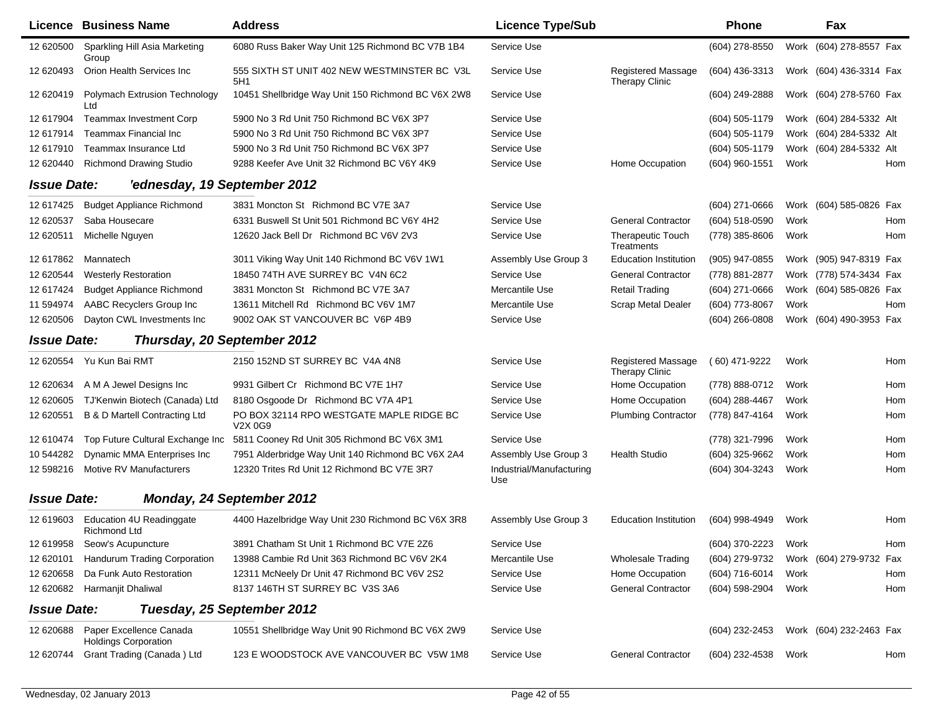|                    | <b>Licence Business Name</b>                           | <b>Address</b>                                      | <b>Licence Type/Sub</b>         |                                             | <b>Phone</b>     |      | Fax                     |     |
|--------------------|--------------------------------------------------------|-----------------------------------------------------|---------------------------------|---------------------------------------------|------------------|------|-------------------------|-----|
| 12 620500          | Sparkling Hill Asia Marketing<br>Group                 | 6080 Russ Baker Way Unit 125 Richmond BC V7B 1B4    | Service Use                     |                                             | (604) 278-8550   |      | Work (604) 278-8557 Fax |     |
| 12 620493          | Orion Health Services Inc                              | 555 SIXTH ST UNIT 402 NEW WESTMINSTER BC V3L<br>5H1 | Service Use                     | Registered Massage<br><b>Therapy Clinic</b> | (604) 436-3313   |      | Work (604) 436-3314 Fax |     |
| 12 620419          | Polymach Extrusion Technology<br>Ltd                   | 10451 Shellbridge Way Unit 150 Richmond BC V6X 2W8  | Service Use                     |                                             | (604) 249-2888   |      | Work (604) 278-5760 Fax |     |
| 12 617904          | <b>Teammax Investment Corp</b>                         | 5900 No 3 Rd Unit 750 Richmond BC V6X 3P7           | Service Use                     |                                             | (604) 505-1179   |      | Work (604) 284-5332 Alt |     |
| 12 617914          | <b>Teammax Financial Inc</b>                           | 5900 No 3 Rd Unit 750 Richmond BC V6X 3P7           | Service Use                     |                                             | (604) 505-1179   |      | Work (604) 284-5332 Alt |     |
| 12 617910          | Teammax Insurance Ltd                                  | 5900 No 3 Rd Unit 750 Richmond BC V6X 3P7           | Service Use                     |                                             | (604) 505-1179   |      | Work (604) 284-5332 Alt |     |
| 12 620440          | <b>Richmond Drawing Studio</b>                         | 9288 Keefer Ave Unit 32 Richmond BC V6Y 4K9         | Service Use                     | Home Occupation                             | (604) 960-1551   | Work |                         | Hom |
| <b>Issue Date:</b> | 'ednesday, 19 September 2012                           |                                                     |                                 |                                             |                  |      |                         |     |
| 12 617425          | <b>Budget Appliance Richmond</b>                       | 3831 Moncton St Richmond BC V7E 3A7                 | Service Use                     |                                             | $(604)$ 271-0666 |      | Work (604) 585-0826 Fax |     |
| 12 620537          | Saba Housecare                                         | 6331 Buswell St Unit 501 Richmond BC V6Y 4H2        | Service Use                     | <b>General Contractor</b>                   | (604) 518-0590   | Work |                         | Hom |
| 12 620511          | Michelle Nguyen                                        | 12620 Jack Bell Dr Richmond BC V6V 2V3              | Service Use                     | <b>Therapeutic Touch</b><br>Treatments      | (778) 385-8606   | Work |                         | Hom |
| 12 617862          | Mannatech                                              | 3011 Viking Way Unit 140 Richmond BC V6V 1W1        | Assembly Use Group 3            | <b>Education Institution</b>                | (905) 947-0855   |      | Work (905) 947-8319 Fax |     |
| 12 620544          | <b>Westerly Restoration</b>                            | 18450 74TH AVE SURREY BC V4N 6C2                    | Service Use                     | <b>General Contractor</b>                   | (778) 881-2877   |      | Work (778) 574-3434 Fax |     |
| 12 617424          | <b>Budget Appliance Richmond</b>                       | 3831 Moncton St Richmond BC V7E 3A7                 | Mercantile Use                  | <b>Retail Trading</b>                       | (604) 271-0666   |      | Work (604) 585-0826 Fax |     |
| 11 594974          | AABC Recyclers Group Inc                               | 13611 Mitchell Rd Richmond BC V6V 1M7               | Mercantile Use                  | <b>Scrap Metal Dealer</b>                   | (604) 773-8067   | Work |                         | Hom |
| 12 620506          | Dayton CWL Investments Inc                             | 9002 OAK ST VANCOUVER BC V6P 4B9                    | Service Use                     |                                             | $(604)$ 266-0808 |      | Work (604) 490-3953 Fax |     |
| <b>Issue Date:</b> | Thursday, 20 September 2012                            |                                                     |                                 |                                             |                  |      |                         |     |
| 12 620554          | Yu Kun Bai RMT                                         | 2150 152ND ST SURREY BC V4A 4N8                     | Service Use                     | <b>Registered Massage</b><br>Therapy Clinic | (60) 471-9222    | Work |                         | Hom |
| 12 620634          | A M A Jewel Designs Inc.                               | 9931 Gilbert Cr Richmond BC V7E 1H7                 | Service Use                     | Home Occupation                             | (778) 888-0712   | Work |                         | Hom |
| 12 620605          | TJ'Kenwin Biotech (Canada) Ltd                         | 8180 Osgoode Dr Richmond BC V7A 4P1                 | Service Use                     | Home Occupation                             | (604) 288-4467   | Work |                         | Hom |
| 12 620551          | <b>B &amp; D Martell Contracting Ltd</b>               | PO BOX 32114 RPO WESTGATE MAPLE RIDGE BC<br>V2X 0G9 | Service Use                     | <b>Plumbing Contractor</b>                  | (778) 847-4164   | Work |                         | Hom |
| 12 610474          | Top Future Cultural Exchange Inc                       | 5811 Cooney Rd Unit 305 Richmond BC V6X 3M1         | Service Use                     |                                             | (778) 321-7996   | Work |                         | Hom |
| 10 544282          | Dynamic MMA Enterprises Inc                            | 7951 Alderbridge Way Unit 140 Richmond BC V6X 2A4   | Assembly Use Group 3            | <b>Health Studio</b>                        | $(604)$ 325-9662 | Work |                         | Hom |
| 12 598216          | Motive RV Manufacturers                                | 12320 Trites Rd Unit 12 Richmond BC V7E 3R7         | Industrial/Manufacturing<br>Use |                                             | (604) 304-3243   | Work |                         | Hom |
| <b>Issue Date:</b> |                                                        | Monday, 24 September 2012                           |                                 |                                             |                  |      |                         |     |
| 12 619603          | Education 4U Readinggate<br>Richmond Ltd               | 4400 Hazelbridge Way Unit 230 Richmond BC V6X 3R8   | Assembly Use Group 3            | <b>Education Institution</b>                | (604) 998-4949   | Work |                         | Hom |
|                    | 12 619958 Seow's Acupuncture                           | 3891 Chatham St Unit 1 Richmond BC V7E 2Z6          | Service Use                     |                                             | (604) 370-2223   | Work |                         | Hom |
|                    | 12 620101 Handurum Trading Corporation                 | 13988 Cambie Rd Unit 363 Richmond BC V6V 2K4        | Mercantile Use                  | <b>Wholesale Trading</b>                    | (604) 279-9732   |      | Work (604) 279-9732 Fax |     |
| 12 620658          | Da Funk Auto Restoration                               | 12311 McNeely Dr Unit 47 Richmond BC V6V 2S2        | Service Use                     | Home Occupation                             | (604) 716-6014   | Work |                         | Hom |
| 12 620682          | Harmanjit Dhaliwal                                     | 8137 146TH ST SURREY BC V3S 3A6                     | Service Use                     | <b>General Contractor</b>                   | (604) 598-2904   | Work |                         | Hom |
| <b>Issue Date:</b> |                                                        | Tuesday, 25 September 2012                          |                                 |                                             |                  |      |                         |     |
| 12 620688          | Paper Excellence Canada<br><b>Holdings Corporation</b> | 10551 Shellbridge Way Unit 90 Richmond BC V6X 2W9   | Service Use                     |                                             | (604) 232-2453   |      | Work (604) 232-2463 Fax |     |
| 12 620744          | Grant Trading (Canada) Ltd                             | 123 E WOODSTOCK AVE VANCOUVER BC V5W 1M8            | Service Use                     | <b>General Contractor</b>                   | (604) 232-4538   | Work |                         | Hom |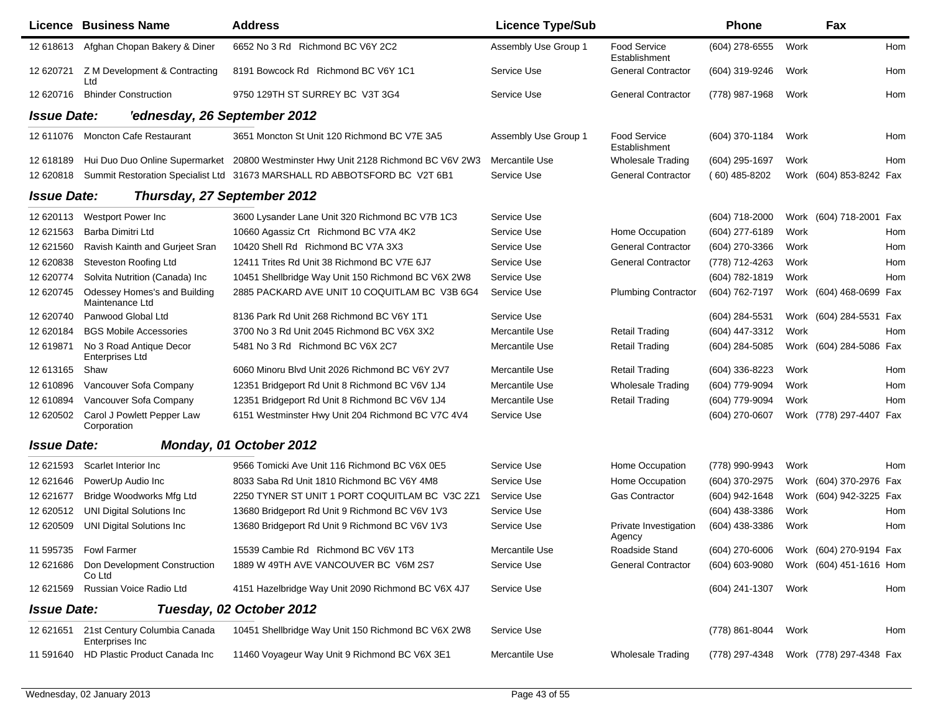|                    | <b>Licence Business Name</b>                    | <b>Address</b>                                                            | <b>Licence Type/Sub</b> |                                 | Phone              |      | Fax                     |     |
|--------------------|-------------------------------------------------|---------------------------------------------------------------------------|-------------------------|---------------------------------|--------------------|------|-------------------------|-----|
| 12 618613          | Afghan Chopan Bakery & Diner                    | 6652 No 3 Rd Richmond BC V6Y 2C2                                          | Assembly Use Group 1    | Food Service<br>Establishment   | (604) 278-6555     | Work |                         | Hom |
| 12 620721          | Z M Development & Contracting<br>Ltd            | 8191 Bowcock Rd Richmond BC V6Y 1C1                                       | Service Use             | <b>General Contractor</b>       | (604) 319-9246     | Work |                         | Hom |
| 12 620716          | <b>Bhinder Construction</b>                     | 9750 129TH ST SURREY BC V3T 3G4                                           | Service Use             | <b>General Contractor</b>       | (778) 987-1968     | Work |                         | Hom |
| <b>Issue Date:</b> | 'ednesday, 26 September 2012                    |                                                                           |                         |                                 |                    |      |                         |     |
| 12 611076          | <b>Moncton Cafe Restaurant</b>                  | 3651 Moncton St Unit 120 Richmond BC V7E 3A5                              | Assembly Use Group 1    | Food Service<br>Establishment   | (604) 370-1184     | Work |                         | Hom |
| 12 618189          | Hui Duo Duo Online Supermarket                  | 20800 Westminster Hwy Unit 2128 Richmond BC V6V 2W3                       | Mercantile Use          | <b>Wholesale Trading</b>        | (604) 295-1697     | Work |                         | Hom |
| 12 620818          |                                                 | Summit Restoration Specialist Ltd 31673 MARSHALL RD ABBOTSFORD BC V2T 6B1 | Service Use             | <b>General Contractor</b>       | $(60)$ 485-8202    |      | Work (604) 853-8242 Fax |     |
| <b>Issue Date:</b> | Thursday, 27 September 2012                     |                                                                           |                         |                                 |                    |      |                         |     |
| 12 620113          | Westport Power Inc                              | 3600 Lysander Lane Unit 320 Richmond BC V7B 1C3                           | Service Use             |                                 | $(604)$ 718-2000   |      | Work (604) 718-2001     | Fax |
| 12 621563          | Barba Dimitri Ltd                               | 10660 Agassiz Crt Richmond BC V7A 4K2                                     | Service Use             | Home Occupation                 | (604) 277-6189     | Work |                         | Hom |
| 12 621560          | Ravish Kainth and Gurjeet Sran                  | 10420 Shell Rd Richmond BC V7A 3X3                                        | Service Use             | <b>General Contractor</b>       | (604) 270-3366     | Work |                         | Hom |
| 12 620838          | <b>Steveston Roofing Ltd</b>                    | 12411 Trites Rd Unit 38 Richmond BC V7E 6J7                               | Service Use             | <b>General Contractor</b>       | (778) 712-4263     | Work |                         | Hom |
| 12 620774          | Solvita Nutrition (Canada) Inc                  | 10451 Shellbridge Way Unit 150 Richmond BC V6X 2W8                        | Service Use             |                                 | (604) 782-1819     | Work |                         | Hom |
| 12 620745          | Odessey Homes's and Building<br>Maintenance Ltd | 2885 PACKARD AVE UNIT 10 COQUITLAM BC V3B 6G4                             | Service Use             | <b>Plumbing Contractor</b>      | (604) 762-7197     |      | Work (604) 468-0699 Fax |     |
| 12 620740          | Panwood Global Ltd                              | 8136 Park Rd Unit 268 Richmond BC V6Y 1T1                                 | Service Use             |                                 | (604) 284-5531     |      | Work (604) 284-5531 Fax |     |
| 12 620184          | <b>BGS Mobile Accessories</b>                   | 3700 No 3 Rd Unit 2045 Richmond BC V6X 3X2                                | Mercantile Use          | <b>Retail Trading</b>           | (604) 447-3312     | Work |                         | Hom |
| 12 619871          | No 3 Road Antique Decor<br>Enterprises Ltd      | 5481 No 3 Rd Richmond BC V6X 2C7                                          | Mercantile Use          | <b>Retail Trading</b>           | (604) 284-5085     |      | Work (604) 284-5086 Fax |     |
| 12 613165          | Shaw                                            | 6060 Minoru Blvd Unit 2026 Richmond BC V6Y 2V7                            | Mercantile Use          | <b>Retail Trading</b>           | (604) 336-8223     | Work |                         | Hom |
| 12 610896          | Vancouver Sofa Company                          | 12351 Bridgeport Rd Unit 8 Richmond BC V6V 1J4                            | Mercantile Use          | <b>Wholesale Trading</b>        | (604) 779-9094     | Work |                         | Hom |
| 12 610894          | Vancouver Sofa Company                          | 12351 Bridgeport Rd Unit 8 Richmond BC V6V 1J4                            | Mercantile Use          | <b>Retail Trading</b>           | (604) 779-9094     | Work |                         | Hom |
| 12 620502          | Carol J Powlett Pepper Law<br>Corporation       | 6151 Westminster Hwy Unit 204 Richmond BC V7C 4V4                         | Service Use             |                                 | (604) 270-0607     |      | Work (778) 297-4407 Fax |     |
| <b>Issue Date:</b> |                                                 | Monday, 01 October 2012                                                   |                         |                                 |                    |      |                         |     |
| 12 621593          | Scarlet Interior Inc                            | 9566 Tomicki Ave Unit 116 Richmond BC V6X 0E5                             | Service Use             | Home Occupation                 | (778) 990-9943     | Work |                         | Hom |
| 12 621646          | PowerUp Audio Inc                               | 8033 Saba Rd Unit 1810 Richmond BC V6Y 4M8                                | Service Use             | Home Occupation                 | (604) 370-2975     |      | Work (604) 370-2976 Fax |     |
| 12 621677          | Bridge Woodworks Mfg Ltd                        | 2250 TYNER ST UNIT 1 PORT COQUITLAM BC V3C 2Z1                            | Service Use             | <b>Gas Contractor</b>           | (604) 942-1648     |      | Work (604) 942-3225 Fax |     |
| 12 620512          | <b>UNI Digital Solutions Inc.</b>               | 13680 Bridgeport Rd Unit 9 Richmond BC V6V 1V3                            | Service Use             |                                 | (604) 438-3386     | Work |                         | Hom |
| 12 620509          | <b>UNI Digital Solutions Inc.</b>               | 13680 Bridgeport Rd Unit 9 Richmond BC V6V 1V3                            | Service Use             | Private Investigation<br>Agency | (604) 438-3386     | Work |                         | Hom |
|                    | 11 595735    Fowl Farmer                        | 15539 Cambie Rd Richmond BC V6V 1T3                                       | Mercantile Use          | Roadside Stand                  | $(604)$ 270-6006   |      | Work (604) 270-9194 Fax |     |
| 12 621 686         | Don Development Construction<br>Co Ltd          | 1889 W 49TH AVE VANCOUVER BC V6M 2S7                                      | Service Use             | <b>General Contractor</b>       | $(604) 603 - 9080$ |      | Work (604) 451-1616 Hom |     |
| 12 621569          | Russian Voice Radio Ltd                         | 4151 Hazelbridge Way Unit 2090 Richmond BC V6X 4J7                        | Service Use             |                                 | (604) 241-1307     | Work |                         | Hom |
| <b>Issue Date:</b> |                                                 | Tuesday, 02 October 2012                                                  |                         |                                 |                    |      |                         |     |
| 12 621651          | 21st Century Columbia Canada<br>Enterprises Inc | 10451 Shellbridge Way Unit 150 Richmond BC V6X 2W8                        | Service Use             |                                 | (778) 861-8044     | Work |                         | Hom |
| 11 591640          | HD Plastic Product Canada Inc                   | 11460 Voyageur Way Unit 9 Richmond BC V6X 3E1                             | Mercantile Use          | <b>Wholesale Trading</b>        | (778) 297-4348     |      | Work (778) 297-4348 Fax |     |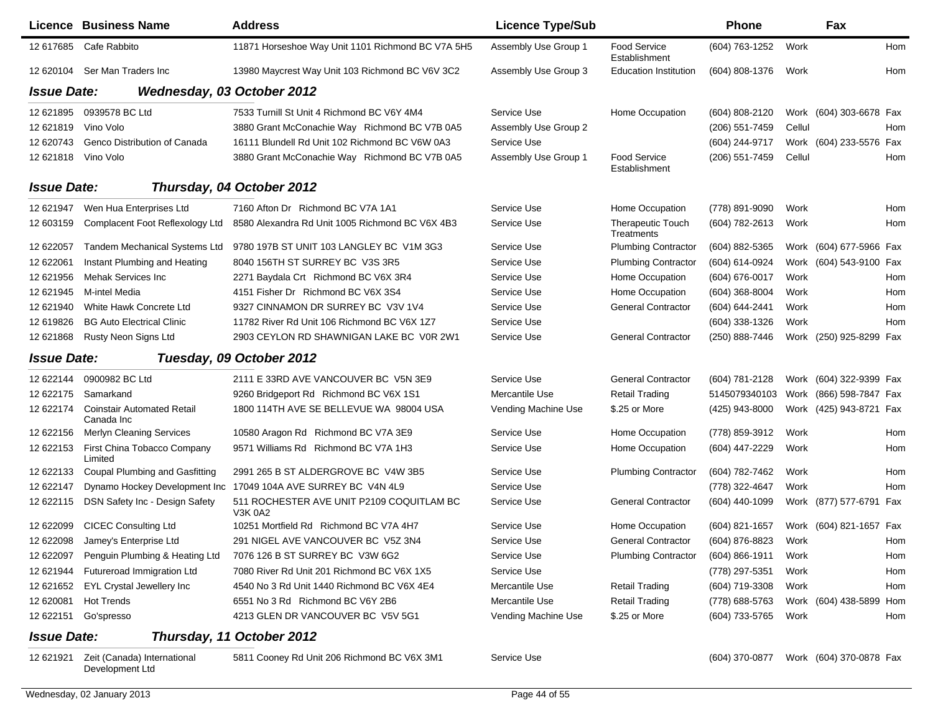|                    | Licence Business Name                           | <b>Address</b>                                              | <b>Licence Type/Sub</b> |                                        | <b>Phone</b>                           |        | Fax                     |            |
|--------------------|-------------------------------------------------|-------------------------------------------------------------|-------------------------|----------------------------------------|----------------------------------------|--------|-------------------------|------------|
| 12 617685          | Cafe Rabbito                                    | 11871 Horseshoe Way Unit 1101 Richmond BC V7A 5H5           | Assembly Use Group 1    | <b>Food Service</b><br>Establishment   | (604) 763-1252                         | Work   |                         | Hom        |
|                    | 12 620104 Ser Man Traders Inc                   | 13980 Maycrest Way Unit 103 Richmond BC V6V 3C2             | Assembly Use Group 3    | <b>Education Institution</b>           | (604) 808-1376                         | Work   |                         | <b>Hom</b> |
| <b>Issue Date:</b> |                                                 | Wednesday, 03 October 2012                                  |                         |                                        |                                        |        |                         |            |
| 12 621895          | 0939578 BC Ltd                                  | 7533 Turnill St Unit 4 Richmond BC V6Y 4M4                  | Service Use             | Home Occupation                        | (604) 808-2120                         |        | Work (604) 303-6678 Fax |            |
| 12 621819          | Vino Volo                                       | 3880 Grant McConachie Way Richmond BC V7B 0A5               | Assembly Use Group 2    |                                        | (206) 551-7459                         | Cellul |                         | Hom        |
| 12 620743          | Genco Distribution of Canada                    | 16111 Blundell Rd Unit 102 Richmond BC V6W 0A3              | Service Use             |                                        | (604) 244-9717                         |        | Work (604) 233-5576 Fax |            |
| 12 621818          | Vino Volo                                       | 3880 Grant McConachie Way Richmond BC V7B 0A5               | Assembly Use Group 1    | <b>Food Service</b><br>Establishment   | (206) 551-7459                         | Cellul |                         | Hom        |
| <b>Issue Date:</b> |                                                 | Thursday, 04 October 2012                                   |                         |                                        |                                        |        |                         |            |
| 12 621947          | Wen Hua Enterprises Ltd                         | 7160 Afton Dr Richmond BC V7A 1A1                           | Service Use             | Home Occupation                        | (778) 891-9090                         | Work   |                         | Hom        |
| 12 603159          | Complacent Foot Reflexology Ltd                 | 8580 Alexandra Rd Unit 1005 Richmond BC V6X 4B3             | Service Use             | <b>Therapeutic Touch</b><br>Treatments | (604) 782-2613                         | Work   |                         | Hom        |
| 12 622057          | <b>Tandem Mechanical Systems Ltd</b>            | 9780 197B ST UNIT 103 LANGLEY BC V1M 3G3                    | Service Use             | <b>Plumbing Contractor</b>             | (604) 882-5365                         |        | Work (604) 677-5966 Fax |            |
| 12 622061          | Instant Plumbing and Heating                    | 8040 156TH ST SURREY BC V3S 3R5                             | Service Use             | <b>Plumbing Contractor</b>             | (604) 614-0924                         |        | Work (604) 543-9100 Fax |            |
| 12 621956          | Mehak Services Inc                              | 2271 Baydala Crt Richmond BC V6X 3R4                        | Service Use             | Home Occupation                        | (604) 676-0017                         | Work   |                         | Hom        |
| 12 621945          | M-intel Media                                   | 4151 Fisher Dr Richmond BC V6X 3S4                          | Service Use             | Home Occupation                        | (604) 368-8004                         | Work   |                         | Hom        |
| 12 621940          | White Hawk Concrete Ltd                         | 9327 CINNAMON DR SURREY BC V3V 1V4                          | Service Use             | <b>General Contractor</b>              | (604) 644-2441                         | Work   |                         | Hom        |
| 12 619826          | <b>BG Auto Electrical Clinic</b>                | 11782 River Rd Unit 106 Richmond BC V6X 1Z7                 | Service Use             |                                        | (604) 338-1326                         | Work   |                         | Hom        |
| 12 621868          | Rusty Neon Signs Ltd                            | 2903 CEYLON RD SHAWNIGAN LAKE BC VOR 2W1                    | Service Use             | <b>General Contractor</b>              | (250) 888-7446                         |        | Work (250) 925-8299 Fax |            |
| <b>Issue Date:</b> |                                                 | Tuesday, 09 October 2012                                    |                         |                                        |                                        |        |                         |            |
| 12 622144          | 0900982 BC Ltd                                  | 2111 E 33RD AVE VANCOUVER BC V5N 3E9                        | Service Use             | <b>General Contractor</b>              | (604) 781-2128                         |        | Work (604) 322-9399 Fax |            |
| 12 622175          | Samarkand                                       | 9260 Bridgeport Rd Richmond BC V6X 1S1                      | Mercantile Use          | <b>Retail Trading</b>                  | 5145079340103                          |        | Work (866) 598-7847 Fax |            |
| 12 622174          | <b>Coinstair Automated Retail</b><br>Canada Inc | 1800 114TH AVE SE BELLEVUE WA 98004 USA                     | Vending Machine Use     | \$.25 or More                          | (425) 943-8000                         |        | Work (425) 943-8721 Fax |            |
| 12 622156          | <b>Merlyn Cleaning Services</b>                 | 10580 Aragon Rd Richmond BC V7A 3E9                         | Service Use             | Home Occupation                        | (778) 859-3912                         | Work   |                         | Hom        |
| 12 622153          | First China Tobacco Company<br>Limited          | 9571 Williams Rd Richmond BC V7A 1H3                        | Service Use             | Home Occupation                        | (604) 447-2229                         | Work   |                         | Hom        |
| 12 622133          | Coupal Plumbing and Gasfitting                  | 2991 265 B ST ALDERGROVE BC V4W 3B5                         | Service Use             | <b>Plumbing Contractor</b>             | (604) 782-7462                         | Work   |                         | Hom        |
| 12 622147          | Dynamo Hockey Development Inc                   | 17049 104A AVE SURREY BC V4N 4L9                            | Service Use             |                                        | (778) 322-4647                         | Work   |                         | Hom        |
| 12 622115          | DSN Safety Inc - Design Safety                  | 511 ROCHESTER AVE UNIT P2109 COQUITLAM BC<br><b>V3K 0A2</b> | Service Use             | <b>General Contractor</b>              | (604) 440-1099                         |        | Work (877) 577-6791 Fax |            |
| 12 622099          | <b>CICEC Consulting Ltd</b>                     | 10251 Mortfield Rd Richmond BC V7A 4H7                      | Service Use             | Home Occupation                        | (604) 821-1657                         |        | Work (604) 821-1657 Fax |            |
|                    | 12 622098 Jamey's Enterprise Ltd                | 291 NIGEL AVE VANCOUVER BC V5Z 3N4                          | Service Use             | <b>General Contractor</b>              | (604) 876-8823                         | Work   |                         | Hom        |
|                    | 12 622097 Penguin Plumbing & Heating Ltd        | 7076 126 B ST SURREY BC V3W 6G2                             | Service Use             | <b>Plumbing Contractor</b>             | $(604) 866 - 1911$                     | Work   |                         | Hom        |
| 12 621944          | Futureroad Immigration Ltd                      | 7080 River Rd Unit 201 Richmond BC V6X 1X5                  | Service Use             |                                        | (778) 297-5351                         | Work   |                         | Hom        |
| 12 621652          | <b>EYL Crystal Jewellery Inc</b>                | 4540 No 3 Rd Unit 1440 Richmond BC V6X 4E4                  | Mercantile Use          | <b>Retail Trading</b>                  | (604) 719-3308                         | Work   |                         | Hom        |
| 12 620081          | <b>Hot Trends</b>                               | 6551 No 3 Rd Richmond BC V6Y 2B6                            | Mercantile Use          | <b>Retail Trading</b>                  | (778) 688-5763                         |        | Work (604) 438-5899     | Hom        |
| 12 622151          | Go'spresso                                      | 4213 GLEN DR VANCOUVER BC V5V 5G1                           | Vending Machine Use     | \$.25 or More                          | (604) 733-5765                         | Work   |                         | Hom        |
| <b>Issue Date:</b> |                                                 | Thursday, 11 October 2012                                   |                         |                                        |                                        |        |                         |            |
|                    | 12 621921 Zeit (Canada) International           | 5811 Cooney Rd Unit 206 Richmond BC V6X 3M1                 | Service Use             |                                        | (604) 370-0877 Work (604) 370-0878 Fax |        |                         |            |

Development Ltd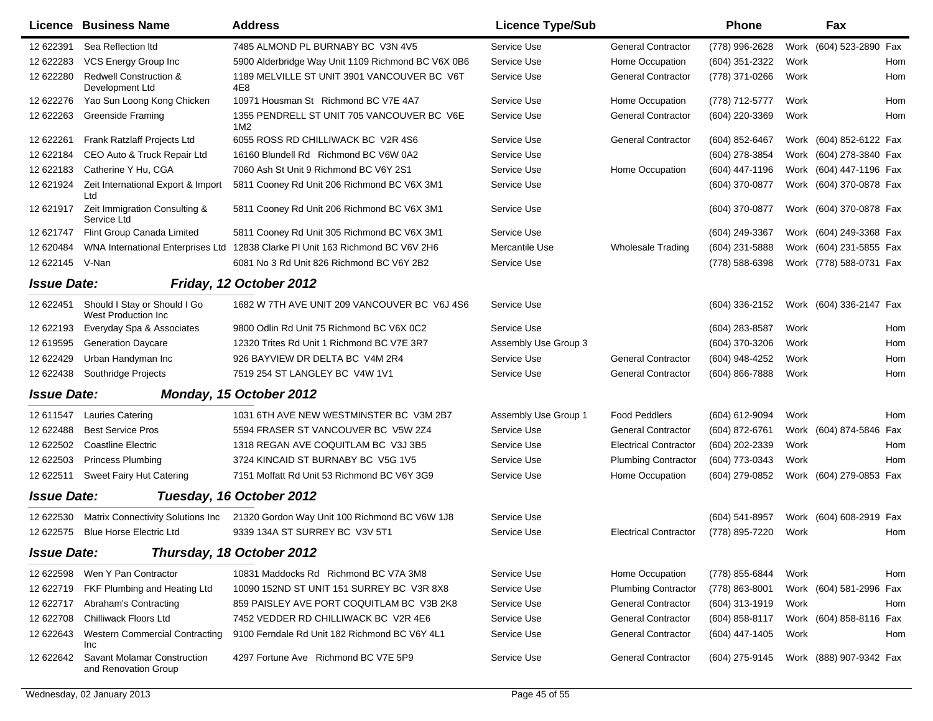|                    | <b>Licence Business Name</b>                               | <b>Address</b>                                                | <b>Licence Type/Sub</b> |                              | <b>Phone</b>   |      | Fax                     |            |
|--------------------|------------------------------------------------------------|---------------------------------------------------------------|-------------------------|------------------------------|----------------|------|-------------------------|------------|
| 12 622391          | Sea Reflection Itd                                         | 7485 ALMOND PL BURNABY BC V3N 4V5                             | Service Use             | <b>General Contractor</b>    | (778) 996-2628 |      | Work (604) 523-2890 Fax |            |
| 12 622283          | VCS Energy Group Inc                                       | 5900 Alderbridge Way Unit 1109 Richmond BC V6X 0B6            | Service Use             | Home Occupation              | (604) 351-2322 | Work |                         | Hom        |
| 12 622280          | <b>Redwell Construction &amp;</b><br>Development Ltd       | 1189 MELVILLE ST UNIT 3901 VANCOUVER BC V6T<br>4E8            | Service Use             | <b>General Contractor</b>    | (778) 371-0266 | Work |                         | Hom        |
| 12 622276          | Yao Sun Loong Kong Chicken                                 | 10971 Housman St Richmond BC V7E 4A7                          | Service Use             | Home Occupation              | (778) 712-5777 | Work |                         | Hom        |
| 12 622263          | <b>Greenside Framing</b>                                   | 1355 PENDRELL ST UNIT 705 VANCOUVER BC V6E<br>1M <sub>2</sub> | Service Use             | <b>General Contractor</b>    | (604) 220-3369 | Work |                         | Hom        |
| 12 622261          | Frank Ratzlaff Projects Ltd                                | 6055 ROSS RD CHILLIWACK BC V2R 4S6                            | Service Use             | <b>General Contractor</b>    | (604) 852-6467 |      | Work (604) 852-6122 Fax |            |
| 12 622184          | CEO Auto & Truck Repair Ltd                                | 16160 Blundell Rd Richmond BC V6W 0A2                         | Service Use             |                              | (604) 278-3854 |      | Work (604) 278-3840 Fax |            |
| 12 622183          | Catherine Y Hu, CGA                                        | 7060 Ash St Unit 9 Richmond BC V6Y 2S1                        | Service Use             | Home Occupation              | (604) 447-1196 | Work | (604) 447-1196 Fax      |            |
| 12 621924          | Zeit International Export & Import<br>Ltd                  | 5811 Cooney Rd Unit 206 Richmond BC V6X 3M1                   | Service Use             |                              | (604) 370-0877 | Work | (604) 370-0878 Fax      |            |
| 12 621917          | Zeit Immigration Consulting &<br>Service Ltd               | 5811 Cooney Rd Unit 206 Richmond BC V6X 3M1                   | Service Use             |                              | (604) 370-0877 |      | Work (604) 370-0878 Fax |            |
| 12 621747          | Flint Group Canada Limited                                 | 5811 Cooney Rd Unit 305 Richmond BC V6X 3M1                   | Service Use             |                              | (604) 249-3367 |      | Work (604) 249-3368 Fax |            |
| 12 620484          | WNA International Enterprises Ltd                          | 12838 Clarke PI Unit 163 Richmond BC V6V 2H6                  | Mercantile Use          | <b>Wholesale Trading</b>     | (604) 231-5888 |      | Work (604) 231-5855 Fax |            |
| 12 622145          | V-Nan                                                      | 6081 No 3 Rd Unit 826 Richmond BC V6Y 2B2                     | Service Use             |                              | (778) 588-6398 |      | Work (778) 588-0731 Fax |            |
| <b>Issue Date:</b> |                                                            | Friday, 12 October 2012                                       |                         |                              |                |      |                         |            |
| 12 622451          | Should I Stay or Should I Go<br><b>West Production Inc</b> | 1682 W 7TH AVE UNIT 209 VANCOUVER BC V6J 4S6                  | Service Use             |                              | (604) 336-2152 |      | Work (604) 336-2147 Fax |            |
| 12 622193          | Everyday Spa & Associates                                  | 9800 Odlin Rd Unit 75 Richmond BC V6X 0C2                     | Service Use             |                              | (604) 283-8587 | Work |                         | Hom        |
| 12 619595          | <b>Generation Daycare</b>                                  | 12320 Trites Rd Unit 1 Richmond BC V7E 3R7                    | Assembly Use Group 3    |                              | (604) 370-3206 | Work |                         | Hom        |
| 12 622429          | Urban Handyman Inc                                         | 926 BAYVIEW DR DELTA BC V4M 2R4                               | Service Use             | <b>General Contractor</b>    | (604) 948-4252 | Work |                         | Hom        |
| 12 622438          | Southridge Projects                                        | 7519 254 ST LANGLEY BC V4W 1V1                                | Service Use             | <b>General Contractor</b>    | (604) 866-7888 | Work |                         | Hom        |
| <b>Issue Date:</b> |                                                            | Monday, 15 October 2012                                       |                         |                              |                |      |                         |            |
| 12 611547          | Lauries Catering                                           | 1031 6TH AVE NEW WESTMINSTER BC V3M 2B7                       | Assembly Use Group 1    | <b>Food Peddlers</b>         | (604) 612-9094 | Work |                         | Hom        |
| 12 622488          | <b>Best Service Pros</b>                                   | 5594 FRASER ST VANCOUVER BC V5W 2Z4                           | Service Use             | <b>General Contractor</b>    | (604) 872-6761 |      | Work (604) 874-5846 Fax |            |
| 12 622502          | <b>Coastline Electric</b>                                  | 1318 REGAN AVE COQUITLAM BC V3J 3B5                           | Service Use             | <b>Electrical Contractor</b> | (604) 202-2339 | Work |                         | <b>Hom</b> |
| 12 622503          | <b>Princess Plumbing</b>                                   | 3724 KINCAID ST BURNABY BC V5G 1V5                            | Service Use             | <b>Plumbing Contractor</b>   | (604) 773-0343 | Work |                         | Hom        |
| 12 622511          | Sweet Fairy Hut Catering                                   | 7151 Moffatt Rd Unit 53 Richmond BC V6Y 3G9                   | Service Use             | Home Occupation              | (604) 279-0852 |      | Work (604) 279-0853 Fax |            |
| <b>Issue Date:</b> |                                                            | Tuesday, 16 October 2012                                      |                         |                              |                |      |                         |            |
| 12 622530          | Matrix Connectivity Solutions Inc                          | 21320 Gordon Way Unit 100 Richmond BC V6W 1J8                 | Service Use             |                              | (604) 541-8957 |      | Work (604) 608-2919 Fax |            |
| 12 622575          | <b>Blue Horse Electric Ltd</b>                             | 9339 134A ST SURREY BC V3V 5T1                                | Service Use             | <b>Electrical Contractor</b> | (778) 895-7220 | Work |                         | Hom        |
| <b>Issue Date:</b> |                                                            | Thursday, 18 October 2012                                     |                         |                              |                |      |                         |            |
| 12 622598          | Wen Y Pan Contractor                                       | 10831 Maddocks Rd Richmond BC V7A 3M8                         | Service Use             | Home Occupation              | (778) 855-6844 | Work |                         | Hom        |
| 12 622719          | FKF Plumbing and Heating Ltd                               | 10090 152ND ST UNIT 151 SURREY BC V3R 8X8                     | Service Use             | <b>Plumbing Contractor</b>   | (778) 863-8001 |      | Work (604) 581-2996 Fax |            |
| 12 622717          | Abraham's Contracting                                      | 859 PAISLEY AVE PORT COQUITLAM BC V3B 2K8                     | Service Use             | <b>General Contractor</b>    | (604) 313-1919 | Work |                         | Hom        |
| 12 622708          | Chilliwack Floors Ltd                                      | 7452 VEDDER RD CHILLIWACK BC V2R 4E6                          | Service Use             | <b>General Contractor</b>    | (604) 858-8117 |      | Work (604) 858-8116 Fax |            |
| 12 622643          | Western Commercial Contracting<br>Inc                      | 9100 Ferndale Rd Unit 182 Richmond BC V6Y 4L1                 | Service Use             | <b>General Contractor</b>    | (604) 447-1405 | Work |                         | Hom        |
| 12 622642          | Savant Molamar Construction<br>and Renovation Group        | 4297 Fortune Ave Richmond BC V7E 5P9                          | Service Use             | <b>General Contractor</b>    | (604) 275-9145 |      | Work (888) 907-9342 Fax |            |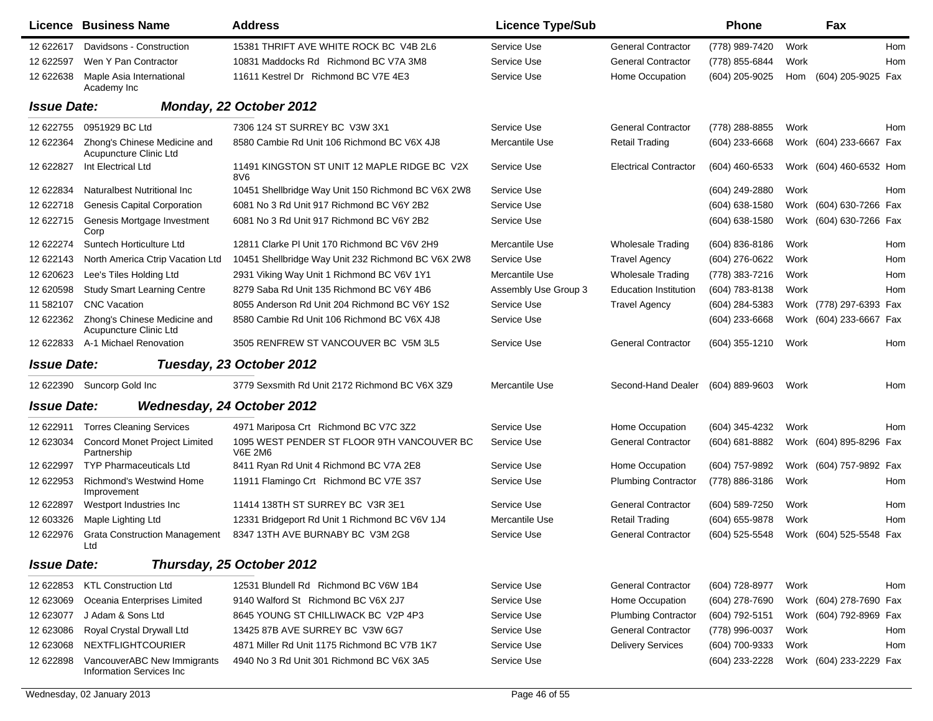|                    | <b>Licence Business Name</b>                            | <b>Address</b>                                               | <b>Licence Type/Sub</b> |                              | Phone          |      | Fax                     |            |
|--------------------|---------------------------------------------------------|--------------------------------------------------------------|-------------------------|------------------------------|----------------|------|-------------------------|------------|
| 12 622617          | Davidsons - Construction                                | 15381 THRIFT AVE WHITE ROCK BC V4B 2L6                       | Service Use             | <b>General Contractor</b>    | (778) 989-7420 | Work |                         | <b>Hom</b> |
| 12 622597          | Wen Y Pan Contractor                                    | 10831 Maddocks Rd Richmond BC V7A 3M8                        | Service Use             | <b>General Contractor</b>    | (778) 855-6844 | Work |                         | Hom        |
| 12 622638          | Maple Asia International<br>Academy Inc                 | 11611 Kestrel Dr Richmond BC V7E 4E3                         | Service Use             | Home Occupation              | (604) 205-9025 | Hom  | (604) 205-9025 Fax      |            |
| <b>Issue Date:</b> |                                                         | Monday, 22 October 2012                                      |                         |                              |                |      |                         |            |
| 12 622755          | 0951929 BC Ltd                                          | 7306 124 ST SURREY BC V3W 3X1                                | Service Use             | <b>General Contractor</b>    | (778) 288-8855 | Work |                         | Hom        |
| 12 622364          | Zhong's Chinese Medicine and<br>Acupuncture Clinic Ltd  | 8580 Cambie Rd Unit 106 Richmond BC V6X 4J8                  | Mercantile Use          | <b>Retail Trading</b>        | (604) 233-6668 |      | Work (604) 233-6667 Fax |            |
| 12 622827          | Int Electrical Ltd                                      | 11491 KINGSTON ST UNIT 12 MAPLE RIDGE BC V2X<br>8V6          | Service Use             | <b>Electrical Contractor</b> | (604) 460-6533 |      | Work (604) 460-6532 Hom |            |
| 12 622834          | Naturalbest Nutritional Inc                             | 10451 Shellbridge Way Unit 150 Richmond BC V6X 2W8           | Service Use             |                              | (604) 249-2880 | Work |                         | Hom        |
| 12 622718          | Genesis Capital Corporation                             | 6081 No 3 Rd Unit 917 Richmond BC V6Y 2B2                    | Service Use             |                              | (604) 638-1580 | Work | (604) 630-7266 Fax      |            |
| 12 622715          | Genesis Mortgage Investment<br>Corp                     | 6081 No 3 Rd Unit 917 Richmond BC V6Y 2B2                    | Service Use             |                              | (604) 638-1580 |      | Work (604) 630-7266 Fax |            |
| 12 622274          | Suntech Horticulture Ltd                                | 12811 Clarke PI Unit 170 Richmond BC V6V 2H9                 | Mercantile Use          | <b>Wholesale Trading</b>     | (604) 836-8186 | Work |                         | Hom        |
| 12 622143          | North America Ctrip Vacation Ltd                        | 10451 Shellbridge Way Unit 232 Richmond BC V6X 2W8           | Service Use             | <b>Travel Agency</b>         | (604) 276-0622 | Work |                         | Hom        |
| 12 620623          | Lee's Tiles Holding Ltd                                 | 2931 Viking Way Unit 1 Richmond BC V6V 1Y1                   | Mercantile Use          | <b>Wholesale Trading</b>     | (778) 383-7216 | Work |                         | Hom        |
| 12 620598          | <b>Study Smart Learning Centre</b>                      | 8279 Saba Rd Unit 135 Richmond BC V6Y 4B6                    | Assembly Use Group 3    | <b>Education Institution</b> | (604) 783-8138 | Work |                         | Hom        |
| 11 582107          | <b>CNC</b> Vacation                                     | 8055 Anderson Rd Unit 204 Richmond BC V6Y 1S2                | Service Use             | <b>Travel Agency</b>         | (604) 284-5383 |      | Work (778) 297-6393 Fax |            |
| 12 622362          | Zhong's Chinese Medicine and<br>Acupuncture Clinic Ltd  | 8580 Cambie Rd Unit 106 Richmond BC V6X 4J8                  | Service Use             |                              | (604) 233-6668 |      | Work (604) 233-6667 Fax |            |
| 12 622833          | A-1 Michael Renovation                                  | 3505 RENFREW ST VANCOUVER BC V5M 3L5                         | Service Use             | <b>General Contractor</b>    | (604) 355-1210 | Work |                         | Hom        |
| <b>Issue Date:</b> |                                                         | Tuesday, 23 October 2012                                     |                         |                              |                |      |                         |            |
| 12 622390          | Suncorp Gold Inc                                        | 3779 Sexsmith Rd Unit 2172 Richmond BC V6X 3Z9               | Mercantile Use          | Second-Hand Dealer           | (604) 889-9603 | Work |                         | Hom        |
| <b>Issue Date:</b> |                                                         | <b>Wednesday, 24 October 2012</b>                            |                         |                              |                |      |                         |            |
| 12 622911          | <b>Torres Cleaning Services</b>                         | 4971 Mariposa Crt Richmond BC V7C 3Z2                        | Service Use             | Home Occupation              | (604) 345-4232 | Work |                         | Hom        |
| 12 623034          | <b>Concord Monet Project Limited</b><br>Partnership     | 1095 WEST PENDER ST FLOOR 9TH VANCOUVER BC<br><b>V6E 2M6</b> | Service Use             | <b>General Contractor</b>    | (604) 681-8882 |      | Work (604) 895-8296 Fax |            |
| 12 622997          | <b>TYP Pharmaceuticals Ltd</b>                          | 8411 Ryan Rd Unit 4 Richmond BC V7A 2E8                      | Service Use             | Home Occupation              | (604) 757-9892 |      | Work (604) 757-9892 Fax |            |
| 12 622953          | <b>Richmond's Westwind Home</b><br>Improvement          | 11911 Flamingo Crt Richmond BC V7E 3S7                       | Service Use             | <b>Plumbing Contractor</b>   | (778) 886-3186 | Work |                         | Hom        |
| 12 622897          | Westport Industries Inc                                 | 11414 138TH ST SURREY BC V3R 3E1                             | Service Use             | <b>General Contractor</b>    | (604) 589-7250 | Work |                         | Hom        |
| 12 603326          | Maple Lighting Ltd                                      | 12331 Bridgeport Rd Unit 1 Richmond BC V6V 1J4               | Mercantile Use          | <b>Retail Trading</b>        | (604) 655-9878 | Work |                         | Hom        |
| 12 622976          | <b>Grata Construction Management</b><br>Lta             | 8347 13TH AVE BURNABY BC V3M 2G8                             | Service Use             | <b>General Contractor</b>    | (604) 525-5548 |      | Work (604) 525-5548 Fax |            |
| <b>Issue Date:</b> |                                                         | Thursday, 25 October 2012                                    |                         |                              |                |      |                         |            |
| 12 622853          | <b>KTL Construction Ltd</b>                             | 12531 Blundell Rd Richmond BC V6W 1B4                        | Service Use             | <b>General Contractor</b>    | (604) 728-8977 | Work |                         | Hom        |
| 12 623069          | Oceania Enterprises Limited                             | 9140 Walford St Richmond BC V6X 2J7                          | Service Use             | Home Occupation              | (604) 278-7690 |      | Work (604) 278-7690 Fax |            |
| 12 623077          | J Adam & Sons Ltd                                       | 8645 YOUNG ST CHILLIWACK BC V2P 4P3                          | Service Use             | <b>Plumbing Contractor</b>   | (604) 792-5151 |      | Work (604) 792-8969 Fax |            |
| 12 623086          | Royal Crystal Drywall Ltd                               | 13425 87B AVE SURREY BC V3W 6G7                              | Service Use             | <b>General Contractor</b>    | (778) 996-0037 | Work |                         | Hom        |
| 12 623068          | <b>NEXTFLIGHTCOURIER</b>                                | 4871 Miller Rd Unit 1175 Richmond BC V7B 1K7                 | Service Use             | <b>Delivery Services</b>     | (604) 700-9333 | Work |                         | Hom        |
| 12 622898          | VancouverABC New Immigrants<br>Information Services Inc | 4940 No 3 Rd Unit 301 Richmond BC V6X 3A5                    | Service Use             |                              | (604) 233-2228 |      | Work (604) 233-2229 Fax |            |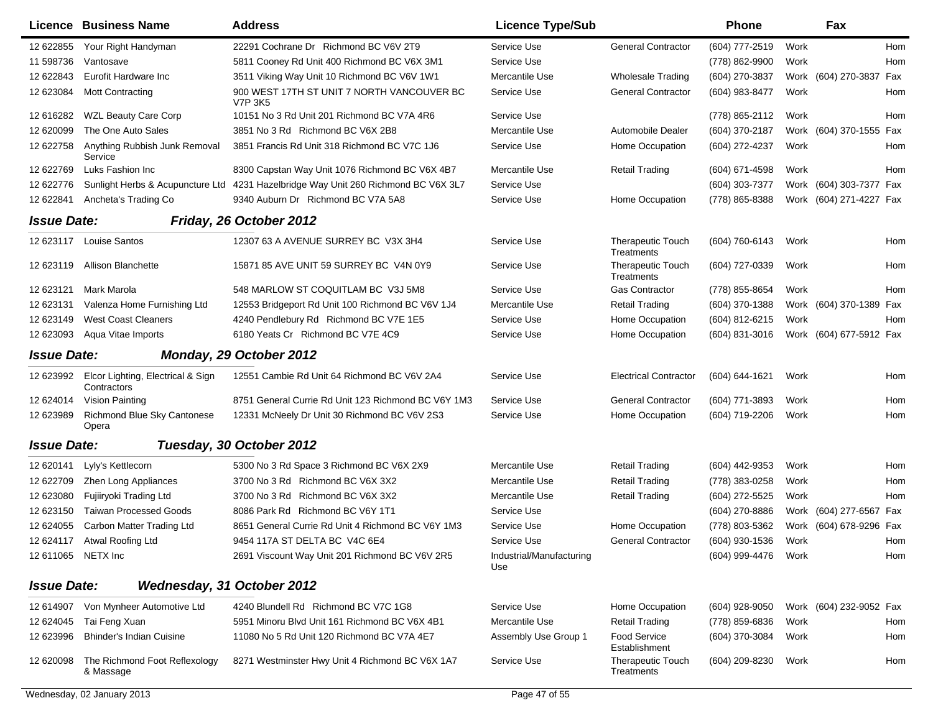|                    | <b>Licence Business Name</b>                     | <b>Address</b>                                        | <b>Licence Type/Sub</b>         |                                        | <b>Phone</b>       | Fax                     |            |
|--------------------|--------------------------------------------------|-------------------------------------------------------|---------------------------------|----------------------------------------|--------------------|-------------------------|------------|
| 12 622855          | Your Right Handyman                              | 22291 Cochrane Dr Richmond BC V6V 2T9                 | Service Use                     | <b>General Contractor</b>              | (604) 777-2519     | Work                    | <b>Hom</b> |
| 11 598736          | Vantosave                                        | 5811 Cooney Rd Unit 400 Richmond BC V6X 3M1           | Service Use                     |                                        | (778) 862-9900     | Work                    | Hom        |
| 12 622843          | Eurofit Hardware Inc                             | 3511 Viking Way Unit 10 Richmond BC V6V 1W1           | Mercantile Use                  | <b>Wholesale Trading</b>               | (604) 270-3837     | Work (604) 270-3837 Fax |            |
| 12 623084          | <b>Mott Contracting</b>                          | 900 WEST 17TH ST UNIT 7 NORTH VANCOUVER BC<br>V7P 3K5 | Service Use                     | <b>General Contractor</b>              | (604) 983-8477     | Work                    | Hom        |
| 12 616282          | <b>WZL Beauty Care Corp</b>                      | 10151 No 3 Rd Unit 201 Richmond BC V7A 4R6            | Service Use                     |                                        | (778) 865-2112     | Work                    | Hom        |
| 12 620099          | The One Auto Sales                               | 3851 No 3 Rd Richmond BC V6X 2B8                      | Mercantile Use                  | Automobile Dealer                      | (604) 370-2187     | Work (604) 370-1555 Fax |            |
| 12 622758          | Anything Rubbish Junk Removal<br>Service         | 3851 Francis Rd Unit 318 Richmond BC V7C 1J6          | Service Use                     | Home Occupation                        | (604) 272-4237     | Work                    | Hom        |
| 12 622769          | Luks Fashion Inc                                 | 8300 Capstan Way Unit 1076 Richmond BC V6X 4B7        | Mercantile Use                  | <b>Retail Trading</b>                  | (604) 671-4598     | Work                    | Hom        |
| 12 622776          | Sunlight Herbs & Acupuncture Ltd                 | 4231 Hazelbridge Way Unit 260 Richmond BC V6X 3L7     | Service Use                     |                                        | (604) 303-7377     | Work (604) 303-7377 Fax |            |
| 12 622841          | Ancheta's Trading Co                             | 9340 Auburn Dr Richmond BC V7A 5A8                    | Service Use                     | Home Occupation                        | (778) 865-8388     | Work (604) 271-4227 Fax |            |
| <b>Issue Date:</b> |                                                  | Friday, 26 October 2012                               |                                 |                                        |                    |                         |            |
| 12 623117          | <b>Louise Santos</b>                             | 12307 63 A AVENUE SURREY BC V3X 3H4                   | Service Use                     | <b>Therapeutic Touch</b><br>Treatments | (604) 760-6143     | Work                    | Hom        |
| 12 623119          | <b>Allison Blanchette</b>                        | 15871 85 AVE UNIT 59 SURREY BC V4N 0Y9                | Service Use                     | <b>Therapeutic Touch</b><br>Treatments | (604) 727-0339     | Work                    | Hom        |
| 12 623121          | Mark Marola                                      | 548 MARLOW ST COQUITLAM BC V3J 5M8                    | Service Use                     | <b>Gas Contractor</b>                  | (778) 855-8654     | Work                    | Hom        |
| 12 623131          | Valenza Home Furnishing Ltd                      | 12553 Bridgeport Rd Unit 100 Richmond BC V6V 1J4      | Mercantile Use                  | <b>Retail Trading</b>                  | (604) 370-1388     | Work (604) 370-1389 Fax |            |
| 12 623149          | <b>West Coast Cleaners</b>                       | 4240 Pendlebury Rd Richmond BC V7E 1E5                | Service Use                     | Home Occupation                        | (604) 812-6215     | Work                    | Hom        |
| 12 623093          | Aqua Vitae Imports                               | 6180 Yeats Cr Richmond BC V7E 4C9                     | Service Use                     | Home Occupation                        | (604) 831-3016     | Work (604) 677-5912 Fax |            |
| <b>Issue Date:</b> |                                                  | Monday, 29 October 2012                               |                                 |                                        |                    |                         |            |
| 12 623992          | Elcor Lighting, Electrical & Sign<br>Contractors | 12551 Cambie Rd Unit 64 Richmond BC V6V 2A4           | Service Use                     | <b>Electrical Contractor</b>           | $(604) 644 - 1621$ | Work                    | Hom        |
| 12 624014          | Vision Painting                                  | 8751 General Currie Rd Unit 123 Richmond BC V6Y 1M3   | Service Use                     | <b>General Contractor</b>              | (604) 771-3893     | Work                    | Hom        |
| 12 623989          | Richmond Blue Sky Cantonese<br>Opera             | 12331 McNeely Dr Unit 30 Richmond BC V6V 2S3          | Service Use                     | Home Occupation                        | (604) 719-2206     | Work                    | Hom        |
| <b>Issue Date:</b> |                                                  | Tuesday, 30 October 2012                              |                                 |                                        |                    |                         |            |
| 12 620141          | Lyly's Kettlecorn                                | 5300 No 3 Rd Space 3 Richmond BC V6X 2X9              | Mercantile Use                  | <b>Retail Trading</b>                  | (604) 442-9353     | Work                    | Hom        |
| 12 622709          | Zhen Long Appliances                             | 3700 No 3 Rd Richmond BC V6X 3X2                      | Mercantile Use                  | <b>Retail Trading</b>                  | (778) 383-0258     | Work                    | Hom        |
| 12 623080          | Fujiiryoki Trading Ltd                           | 3700 No 3 Rd Richmond BC V6X 3X2                      | Mercantile Use                  | <b>Retail Trading</b>                  | (604) 272-5525     | Work                    | Hom        |
| 12 623150          | <b>Taiwan Processed Goods</b>                    | 8086 Park Rd Richmond BC V6Y 1T1                      | Service Use                     |                                        | (604) 270-8886     | Work (604) 277-6567 Fax |            |
| 12 624055          | Carbon Matter Trading Ltd                        | 8651 General Currie Rd Unit 4 Richmond BC V6Y 1M3     | Service Use                     | Home Occupation                        | (778) 803-5362     | Work (604) 678-9296 Fax |            |
| 12 624117          | Atwal Roofing Ltd                                | 9454 117A ST DELTA BC V4C 6E4                         | Service Use                     | <b>General Contractor</b>              | (604) 930-1536     | Work                    | Hom        |
|                    | 12 611065 NETX Inc                               | 2691 Viscount Way Unit 201 Richmond BC V6V 2R5        | Industrial/Manufacturing<br>Use |                                        | (604) 999-4476     | Work                    | Hom        |
| <b>Issue Date:</b> |                                                  | Wednesday, 31 October 2012                            |                                 |                                        |                    |                         |            |
| 12 614907          | Von Mynheer Automotive Ltd                       | 4240 Blundell Rd Richmond BC V7C 1G8                  | Service Use                     | Home Occupation                        | (604) 928-9050     | Work (604) 232-9052 Fax |            |
| 12 624045          | Tai Feng Xuan                                    | 5951 Minoru Blvd Unit 161 Richmond BC V6X 4B1         | Mercantile Use                  | <b>Retail Trading</b>                  | (778) 859-6836     | Work                    | Hom        |
| 12 623996          | <b>Bhinder's Indian Cuisine</b>                  | 11080 No 5 Rd Unit 120 Richmond BC V7A 4E7            | Assembly Use Group 1            | <b>Food Service</b><br>Establishment   | (604) 370-3084     | Work                    | Hom        |
| 12 620098          | The Richmond Foot Reflexology<br>& Massage       | 8271 Westminster Hwy Unit 4 Richmond BC V6X 1A7       | Service Use                     | <b>Therapeutic Touch</b><br>Treatments | (604) 209-8230     | Work                    | Hom        |
|                    | Wednesday, 02 January 2013                       |                                                       | Page 47 of 55                   |                                        |                    |                         |            |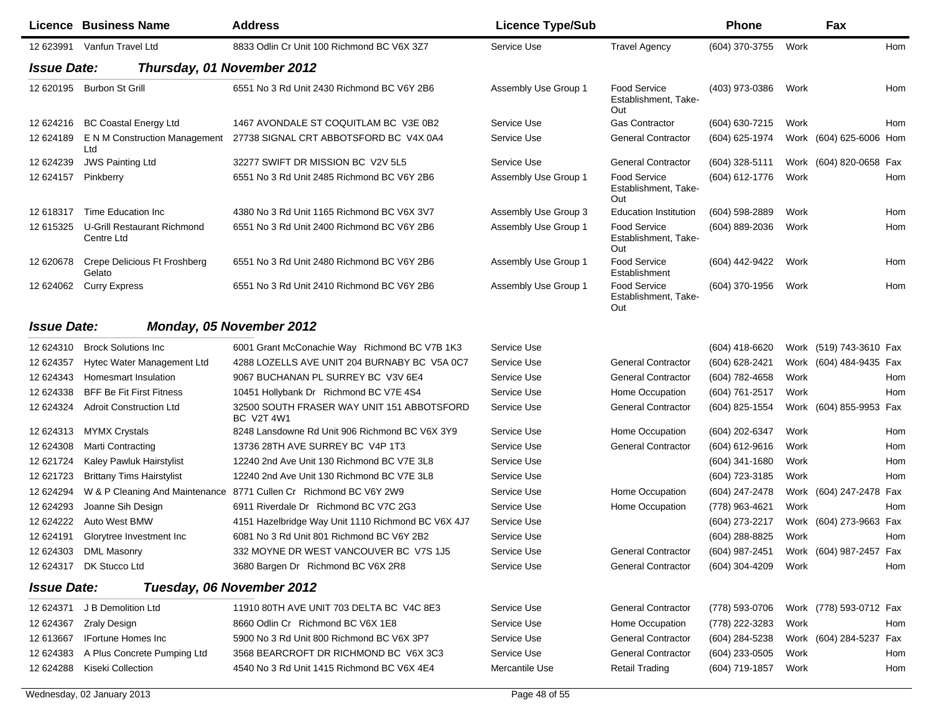|                    | <b>Licence Business Name</b>              | <b>Address</b>                                                  | <b>Licence Type/Sub</b> |                                                    | <b>Phone</b>   |      | Fax                     |     |
|--------------------|-------------------------------------------|-----------------------------------------------------------------|-------------------------|----------------------------------------------------|----------------|------|-------------------------|-----|
|                    | 12 623991 Vanfun Travel Ltd               | 8833 Odlin Cr Unit 100 Richmond BC V6X 3Z7                      | Service Use             | <b>Travel Agency</b>                               | (604) 370-3755 | Work |                         | Hom |
| <b>Issue Date:</b> | Thursday, 01 November 2012                |                                                                 |                         |                                                    |                |      |                         |     |
| 12 620195          | <b>Burbon St Grill</b>                    | 6551 No 3 Rd Unit 2430 Richmond BC V6Y 2B6                      | Assembly Use Group 1    | <b>Food Service</b><br>Establishment, Take-<br>Out | (403) 973-0386 | Work |                         | Hom |
| 12 624216          | <b>BC Coastal Energy Ltd</b>              | 1467 AVONDALE ST COQUITLAM BC V3E 0B2                           | Service Use             | <b>Gas Contractor</b>                              | (604) 630-7215 | Work |                         | Hom |
| 12 624189          | E N M Construction Management<br>Ltd      | 27738 SIGNAL CRT ABBOTSFORD BC V4X 0A4                          | Service Use             | <b>General Contractor</b>                          | (604) 625-1974 |      | Work (604) 625-6006 Hom |     |
| 12 624239          | <b>JWS Painting Ltd</b>                   | 32277 SWIFT DR MISSION BC V2V 5L5                               | Service Use             | <b>General Contractor</b>                          | (604) 328-5111 |      | Work (604) 820-0658 Fax |     |
| 12 624157          | Pinkberry                                 | 6551 No 3 Rd Unit 2485 Richmond BC V6Y 2B6                      | Assembly Use Group 1    | Food Service<br>Establishment, Take-<br>Out        | (604) 612-1776 | Work |                         | Hom |
| 12 618317          | Time Education Inc                        | 4380 No 3 Rd Unit 1165 Richmond BC V6X 3V7                      | Assembly Use Group 3    | <b>Education Institution</b>                       | (604) 598-2889 | Work |                         | Hom |
| 12 615325          | U-Grill Restaurant Richmond<br>Centre Ltd | 6551 No 3 Rd Unit 2400 Richmond BC V6Y 2B6                      | Assembly Use Group 1    | Food Service<br>Establishment, Take-<br>Out        | (604) 889-2036 | Work |                         | Hom |
| 12 620678          | Crepe Delicious Ft Froshberg<br>Gelato    | 6551 No 3 Rd Unit 2480 Richmond BC V6Y 2B6                      | Assembly Use Group 1    | Food Service<br>Establishment                      | (604) 442-9422 | Work |                         | Hom |
| 12 624062          | <b>Curry Express</b>                      | 6551 No 3 Rd Unit 2410 Richmond BC V6Y 2B6                      | Assembly Use Group 1    | Food Service<br>Establishment, Take-<br>Out        | (604) 370-1956 | Work |                         | Hom |
| <b>Issue Date:</b> |                                           | Monday, 05 November 2012                                        |                         |                                                    |                |      |                         |     |
| 12 624310          | <b>Brock Solutions Inc</b>                | 6001 Grant McConachie Way Richmond BC V7B 1K3                   | Service Use             |                                                    | (604) 418-6620 |      | Work (519) 743-3610 Fax |     |
| 12 624357          | Hytec Water Management Ltd                | 4288 LOZELLS AVE UNIT 204 BURNABY BC V5A 0C7                    | Service Use             | <b>General Contractor</b>                          | (604) 628-2421 |      | Work (604) 484-9435 Fax |     |
| 12 624343          | Homesmart Insulation                      | 9067 BUCHANAN PL SURREY BC V3V 6E4                              | Service Use             | <b>General Contractor</b>                          | (604) 782-4658 | Work |                         | Hom |
| 12 624338          | <b>BFF Be Fit First Fitness</b>           | 10451 Hollybank Dr Richmond BC V7E 4S4                          | Service Use             | Home Occupation                                    | (604) 761-2517 | Work |                         | Hom |
| 12 624324          | <b>Adroit Construction Ltd</b>            | 32500 SOUTH FRASER WAY UNIT 151 ABBOTSFORD<br><b>BC V2T 4W1</b> | Service Use             | <b>General Contractor</b>                          | (604) 825-1554 |      | Work (604) 855-9953 Fax |     |
| 12 624313          | <b>MYMX Crystals</b>                      | 8248 Lansdowne Rd Unit 906 Richmond BC V6X 3Y9                  | Service Use             | Home Occupation                                    | (604) 202-6347 | Work |                         | Hom |
| 12 624308          | <b>Marti Contracting</b>                  | 13736 28TH AVE SURREY BC V4P 1T3                                | Service Use             | <b>General Contractor</b>                          | (604) 612-9616 | Work |                         | Hom |
| 12 621724          | Kaley Pawluk Hairstylist                  | 12240 2nd Ave Unit 130 Richmond BC V7E 3L8                      | Service Use             |                                                    | (604) 341-1680 | Work |                         | Hom |
| 12 621723          | <b>Brittany Tims Hairstylist</b>          | 12240 2nd Ave Unit 130 Richmond BC V7E 3L8                      | Service Use             |                                                    | (604) 723-3185 | Work |                         | Hom |
| 12 624294          | W & P Cleaning And Maintenance            | 8771 Cullen Cr Richmond BC V6Y 2W9                              | Service Use             | Home Occupation                                    | (604) 247-2478 |      | Work (604) 247-2478 Fax |     |
| 12 624293          | Joanne Sih Design                         | 6911 Riverdale Dr Richmond BC V7C 2G3                           | Service Use             | Home Occupation                                    | (778) 963-4621 | Work |                         | Hom |
| 12 624222          | Auto West BMW                             | 4151 Hazelbridge Way Unit 1110 Richmond BC V6X 4J7              | Service Use             |                                                    | (604) 273-2217 |      | Work (604) 273-9663 Fax |     |
| 12 624191          | Glorytree Investment Inc                  | 6081 No 3 Rd Unit 801 Richmond BC V6Y 2B2                       | Service Use             |                                                    | (604) 288-8825 | Work |                         | Hom |
|                    | 12 624303 DML Masonry                     | 332 MOYNE DR WEST VANCOUVER BC V7S 1J5                          | Service Use             | <b>General Contractor</b>                          | (604) 987-2451 |      | Work (604) 987-2457 Fax |     |
| 12 624317          | DK Stucco Ltd                             | 3680 Bargen Dr Richmond BC V6X 2R8                              | Service Use             | <b>General Contractor</b>                          | (604) 304-4209 | Work |                         | Hom |
| <b>Issue Date:</b> |                                           | Tuesday, 06 November 2012                                       |                         |                                                    |                |      |                         |     |
| 12 624371          | J B Demolition Ltd                        | 11910 80TH AVE UNIT 703 DELTA BC V4C 8E3                        | Service Use             | <b>General Contractor</b>                          | (778) 593-0706 |      | Work (778) 593-0712 Fax |     |
| 12 624367          | Zraly Design                              | 8660 Odlin Cr Richmond BC V6X 1E8                               | Service Use             | Home Occupation                                    | (778) 222-3283 | Work |                         | Hom |
| 12 613667          | <b>IFortune Homes Inc</b>                 | 5900 No 3 Rd Unit 800 Richmond BC V6X 3P7                       | Service Use             | <b>General Contractor</b>                          | (604) 284-5238 |      | Work (604) 284-5237 Fax |     |
| 12 624383          | A Plus Concrete Pumping Ltd               | 3568 BEARCROFT DR RICHMOND BC V6X 3C3                           | Service Use             | <b>General Contractor</b>                          | (604) 233-0505 | Work |                         | Hom |
| 12 624288          | Kiseki Collection                         | 4540 No 3 Rd Unit 1415 Richmond BC V6X 4E4                      | Mercantile Use          | <b>Retail Trading</b>                              | (604) 719-1857 | Work |                         | Hom |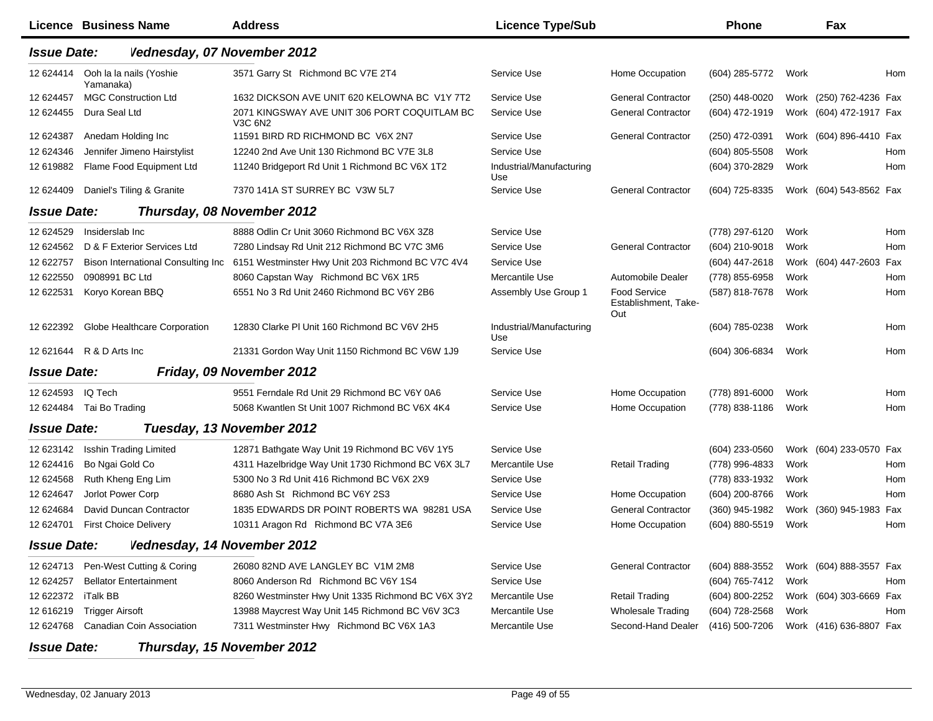|                    | <b>Licence Business Name</b>         | <b>Address</b>                                          | <b>Licence Type/Sub</b>         |                                                    | Phone          |      | Fax                     |            |
|--------------------|--------------------------------------|---------------------------------------------------------|---------------------------------|----------------------------------------------------|----------------|------|-------------------------|------------|
| <b>Issue Date:</b> | Vednesday, 07 November 2012          |                                                         |                                 |                                                    |                |      |                         |            |
| 12 624414          | Ooh la la nails (Yoshie<br>Yamanaka) | 3571 Garry St Richmond BC V7E 2T4                       | Service Use                     | Home Occupation                                    | (604) 285-5772 | Work |                         | Hom        |
| 12 624457          | <b>MGC Construction Ltd</b>          | 1632 DICKSON AVE UNIT 620 KELOWNA BC V1Y 7T2            | Service Use                     | <b>General Contractor</b>                          | (250) 448-0020 |      | Work (250) 762-4236 Fax |            |
| 12 624455          | Dura Seal Ltd                        | 2071 KINGSWAY AVE UNIT 306 PORT COQUITLAM BC<br>V3C 6N2 | Service Use                     | <b>General Contractor</b>                          | (604) 472-1919 |      | Work (604) 472-1917 Fax |            |
| 12 624387          | Anedam Holding Inc                   | 11591 BIRD RD RICHMOND BC V6X 2N7                       | Service Use                     | <b>General Contractor</b>                          | (250) 472-0391 |      | Work (604) 896-4410 Fax |            |
| 12 624346          | Jennifer Jimeno Hairstylist          | 12240 2nd Ave Unit 130 Richmond BC V7E 3L8              | Service Use                     |                                                    | (604) 805-5508 | Work |                         | <b>Hom</b> |
| 12 619882          | Flame Food Equipment Ltd             | 11240 Bridgeport Rd Unit 1 Richmond BC V6X 1T2          | Industrial/Manufacturing<br>Use |                                                    | (604) 370-2829 | Work |                         | Hom        |
| 12 624409          | Daniel's Tiling & Granite            | 7370 141A ST SURREY BC V3W 5L7                          | Service Use                     | <b>General Contractor</b>                          | (604) 725-8335 |      | Work (604) 543-8562 Fax |            |
| <b>Issue Date:</b> |                                      | Thursday, 08 November 2012                              |                                 |                                                    |                |      |                         |            |
| 12 624529          | Insiderslab Inc                      | 8888 Odlin Cr Unit 3060 Richmond BC V6X 3Z8             | Service Use                     |                                                    | (778) 297-6120 | Work |                         | Hom        |
| 12 624562          | D & F Exterior Services Ltd          | 7280 Lindsay Rd Unit 212 Richmond BC V7C 3M6            | Service Use                     | <b>General Contractor</b>                          | (604) 210-9018 | Work |                         | Hom        |
| 12 622757          | Bison International Consulting Inc   | 6151 Westminster Hwy Unit 203 Richmond BC V7C 4V4       | Service Use                     |                                                    | (604) 447-2618 |      | Work (604) 447-2603 Fax |            |
| 12 622550          | 0908991 BC Ltd                       | 8060 Capstan Way Richmond BC V6X 1R5                    | Mercantile Use                  | Automobile Dealer                                  | (778) 855-6958 | Work |                         | Hom        |
| 12 622531          | Koryo Korean BBQ                     | 6551 No 3 Rd Unit 2460 Richmond BC V6Y 2B6              | Assembly Use Group 1            | <b>Food Service</b><br>Establishment, Take-<br>Out | (587) 818-7678 | Work |                         | Hom        |
| 12 622392          | Globe Healthcare Corporation         | 12830 Clarke PI Unit 160 Richmond BC V6V 2H5            | Industrial/Manufacturing<br>Use |                                                    | (604) 785-0238 | Work |                         | Hom        |
| 12 621644          | R & D Arts Inc                       | 21331 Gordon Way Unit 1150 Richmond BC V6W 1J9          | Service Use                     |                                                    | (604) 306-6834 | Work |                         | Hom        |
| <b>Issue Date:</b> |                                      | Friday, 09 November 2012                                |                                 |                                                    |                |      |                         |            |
| 12 624593          | IQ Tech                              | 9551 Ferndale Rd Unit 29 Richmond BC V6Y 0A6            | Service Use                     | Home Occupation                                    | (778) 891-6000 | Work |                         | Hom        |
| 12 624484          | Tai Bo Trading                       | 5068 Kwantlen St Unit 1007 Richmond BC V6X 4K4          | Service Use                     | Home Occupation                                    | (778) 838-1186 | Work |                         | Hom        |
| <b>Issue Date:</b> |                                      | Tuesday, 13 November 2012                               |                                 |                                                    |                |      |                         |            |
| 12 623142          | <b>Isshin Trading Limited</b>        | 12871 Bathgate Way Unit 19 Richmond BC V6V 1Y5          | Service Use                     |                                                    | (604) 233-0560 |      | Work (604) 233-0570 Fax |            |
| 12 624416          | Bo Ngai Gold Co                      | 4311 Hazelbridge Way Unit 1730 Richmond BC V6X 3L7      | Mercantile Use                  | <b>Retail Trading</b>                              | (778) 996-4833 | Work |                         | Hom        |
| 12 624568          | Ruth Kheng Eng Lim                   | 5300 No 3 Rd Unit 416 Richmond BC V6X 2X9               | Service Use                     |                                                    | (778) 833-1932 | Work |                         | Hom        |
| 12 624647          | Jorlot Power Corp                    | 8680 Ash St Richmond BC V6Y 2S3                         | Service Use                     | Home Occupation                                    | (604) 200-8766 | Work |                         | Hom        |
| 12 624684          | David Duncan Contractor              | 1835 EDWARDS DR POINT ROBERTS WA 98281 USA              | Service Use                     | <b>General Contractor</b>                          | (360) 945-1982 |      | Work (360) 945-1983 Fax |            |
| 12 624701          | <b>First Choice Delivery</b>         | 10311 Aragon Rd Richmond BC V7A 3E6                     | Service Use                     | Home Occupation                                    | (604) 880-5519 | Work |                         | Hom        |
| <b>Issue Date:</b> | Vednesday, 14 November 2012          |                                                         |                                 |                                                    |                |      |                         |            |
| 12 624713          | Pen-West Cutting & Coring            | 26080 82ND AVE LANGLEY BC V1M 2M8                       | Service Use                     | <b>General Contractor</b>                          | (604) 888-3552 |      | Work (604) 888-3557 Fax |            |
| 12 624257          | <b>Bellator Entertainment</b>        | 8060 Anderson Rd Richmond BC V6Y 1S4                    | Service Use                     |                                                    | (604) 765-7412 | Work |                         | Hom        |
| 12 622372          | iTalk BB                             | 8260 Westminster Hwy Unit 1335 Richmond BC V6X 3Y2      | Mercantile Use                  | <b>Retail Trading</b>                              | (604) 800-2252 |      | Work (604) 303-6669 Fax |            |
| 12 616219          | <b>Trigger Airsoft</b>               | 13988 Maycrest Way Unit 145 Richmond BC V6V 3C3         | Mercantile Use                  | <b>Wholesale Trading</b>                           | (604) 728-2568 | Work |                         | Hom        |
| 12 624768          | Canadian Coin Association            | 7311 Westminster Hwy Richmond BC V6X 1A3                | Mercantile Use                  | Second-Hand Dealer                                 | (416) 500-7206 |      | Work (416) 636-8807 Fax |            |
| <b>Issue Date:</b> |                                      | Thursday, 15 November 2012                              |                                 |                                                    |                |      |                         |            |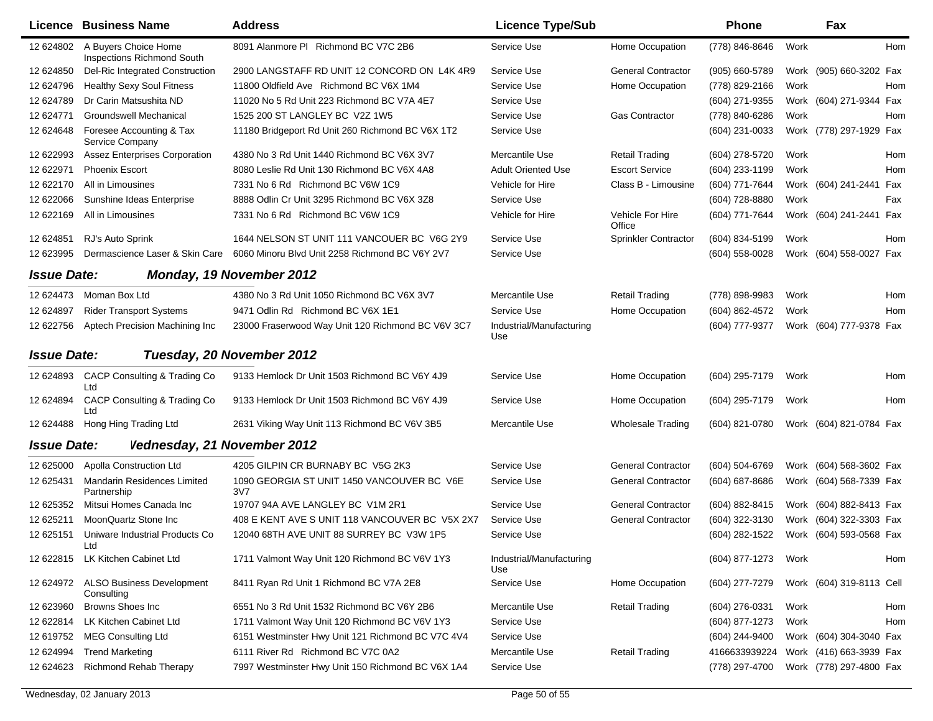|                    | <b>Licence Business Name</b>                              | <b>Address</b>                                    | <b>Licence Type/Sub</b>         |                             | Phone          |      | Fax                      |     |
|--------------------|-----------------------------------------------------------|---------------------------------------------------|---------------------------------|-----------------------------|----------------|------|--------------------------|-----|
| 12 624802          | A Buyers Choice Home<br><b>Inspections Richmond South</b> | 8091 Alanmore PI Richmond BC V7C 2B6              | Service Use                     | Home Occupation             | (778) 846-8646 | Work |                          | Hom |
| 12 624850          | Del-Ric Integrated Construction                           | 2900 LANGSTAFF RD UNIT 12 CONCORD ON L4K 4R9      | Service Use                     | <b>General Contractor</b>   | (905) 660-5789 |      | Work (905) 660-3202 Fax  |     |
| 12 624796          | <b>Healthy Sexy Soul Fitness</b>                          | 11800 Oldfield Ave Richmond BC V6X 1M4            | Service Use                     | Home Occupation             | (778) 829-2166 | Work |                          | Hom |
| 12 624789          | Dr Carin Matsushita ND                                    | 11020 No 5 Rd Unit 223 Richmond BC V7A 4E7        | Service Use                     |                             | (604) 271-9355 |      | Work (604) 271-9344 Fax  |     |
| 12 624771          | Groundswell Mechanical                                    | 1525 200 ST LANGLEY BC V2Z 1W5                    | Service Use                     | <b>Gas Contractor</b>       | (778) 840-6286 | Work |                          | Hom |
| 12 624648          | Foresee Accounting & Tax<br>Service Company               | 11180 Bridgeport Rd Unit 260 Richmond BC V6X 1T2  | Service Use                     |                             | (604) 231-0033 |      | Work (778) 297-1929 Fax  |     |
| 12 622993          | <b>Assez Enterprises Corporation</b>                      | 4380 No 3 Rd Unit 1440 Richmond BC V6X 3V7        | Mercantile Use                  | <b>Retail Trading</b>       | (604) 278-5720 | Work |                          | Hom |
| 12 622971          | <b>Phoenix Escort</b>                                     | 8080 Leslie Rd Unit 130 Richmond BC V6X 4A8       | <b>Adult Oriented Use</b>       | <b>Escort Service</b>       | (604) 233-1199 | Work |                          | Hom |
| 12 622170          | All in Limousines                                         | 7331 No 6 Rd Richmond BC V6W 1C9                  | Vehicle for Hire                | Class B - Limousine         | (604) 771-7644 |      | Work (604) 241-2441 Fax  |     |
| 12 622066          | Sunshine Ideas Enterprise                                 | 8888 Odlin Cr Unit 3295 Richmond BC V6X 3Z8       | Service Use                     |                             | (604) 728-8880 | Work |                          | Fax |
| 12 622169          | All in Limousines                                         | 7331 No 6 Rd Richmond BC V6W 1C9                  | Vehicle for Hire                | Vehicle For Hire<br>Office  | (604) 771-7644 |      | Work (604) 241-2441 Fax  |     |
| 12 624851          | RJ's Auto Sprink                                          | 1644 NELSON ST UNIT 111 VANCOUER BC V6G 2Y9       | Service Use                     | <b>Sprinkler Contractor</b> | (604) 834-5199 | Work |                          | Hom |
| 12 623995          | Dermascience Laser & Skin Care                            | 6060 Minoru Blvd Unit 2258 Richmond BC V6Y 2V7    | Service Use                     |                             | (604) 558-0028 |      | Work (604) 558-0027 Fax  |     |
| <b>Issue Date:</b> |                                                           | Monday, 19 November 2012                          |                                 |                             |                |      |                          |     |
| 12 624473          | Moman Box Ltd                                             | 4380 No 3 Rd Unit 1050 Richmond BC V6X 3V7        | Mercantile Use                  | <b>Retail Trading</b>       | (778) 898-9983 | Work |                          | Hom |
| 12 624897          | <b>Rider Transport Systems</b>                            | 9471 Odlin Rd Richmond BC V6X 1E1                 | Service Use                     | Home Occupation             | (604) 862-4572 | Work |                          | Hom |
| 12 622756          | Aptech Precision Machining Inc                            | 23000 Fraserwood Way Unit 120 Richmond BC V6V 3C7 | Industrial/Manufacturing<br>Use |                             | (604) 777-9377 |      | Work (604) 777-9378 Fax  |     |
| <b>Issue Date:</b> |                                                           | Tuesday, 20 November 2012                         |                                 |                             |                |      |                          |     |
| 12 624893          | CACP Consulting & Trading Co<br>Ltd                       | 9133 Hemlock Dr Unit 1503 Richmond BC V6Y 4J9     | Service Use                     | Home Occupation             | (604) 295-7179 | Work |                          | Hom |
| 12 624894          | CACP Consulting & Trading Co<br>Ltd                       | 9133 Hemlock Dr Unit 1503 Richmond BC V6Y 4J9     | Service Use                     | Home Occupation             | (604) 295-7179 | Work |                          | Hom |
| 12 624488          | Hong Hing Trading Ltd                                     | 2631 Viking Way Unit 113 Richmond BC V6V 3B5      | Mercantile Use                  | <b>Wholesale Trading</b>    | (604) 821-0780 |      | Work (604) 821-0784 Fax  |     |
| <b>Issue Date:</b> | Vednesday, 21 November 2012                               |                                                   |                                 |                             |                |      |                          |     |
| 12 625000          | Apolla Construction Ltd                                   | 4205 GILPIN CR BURNABY BC V5G 2K3                 | Service Use                     | <b>General Contractor</b>   | (604) 504-6769 |      | Work (604) 568-3602 Fax  |     |
| 12 625431          | Mandarin Residences Limited<br>Partnership                | 1090 GEORGIA ST UNIT 1450 VANCOUVER BC V6E<br>3V7 | Service Use                     | <b>General Contractor</b>   | (604) 687-8686 | Work | (604) 568-7339 Fax       |     |
| 12 625352          | Mitsui Homes Canada Inc                                   | 19707 94A AVE LANGLEY BC V1M 2R1                  | Service Use                     | <b>General Contractor</b>   | (604) 882-8415 |      | Work (604) 882-8413 Fax  |     |
| 12 625211          | MoonQuartz Stone Inc                                      | 408 E KENT AVE S UNIT 118 VANCOUVER BC V5X 2X7    | Service Use                     | <b>General Contractor</b>   | (604) 322-3130 |      | Work (604) 322-3303 Fax  |     |
| 12 625151          | Uniware Industrial Products Co                            | 12040 68TH AVE UNIT 88 SURREY BC V3W 1P5          | Service Use                     |                             | (604) 282-1522 |      | Work (604) 593-0568 Fax  |     |
| 12 622815          | LK Kitchen Cabinet Ltd                                    | 1711 Valmont Way Unit 120 Richmond BC V6V 1Y3     | Industrial/Manufacturing<br>Use |                             | (604) 877-1273 | Work |                          | Hom |
| 12 624972          | <b>ALSO Business Development</b><br>Consulting            | 8411 Ryan Rd Unit 1 Richmond BC V7A 2E8           | Service Use                     | Home Occupation             | (604) 277-7279 |      | Work (604) 319-8113 Cell |     |
| 12 623960          | Browns Shoes Inc                                          | 6551 No 3 Rd Unit 1532 Richmond BC V6Y 2B6        | Mercantile Use                  | <b>Retail Trading</b>       | (604) 276-0331 | Work |                          | Hom |
| 12 622814          | LK Kitchen Cabinet Ltd                                    | 1711 Valmont Way Unit 120 Richmond BC V6V 1Y3     | Service Use                     |                             | (604) 877-1273 | Work |                          | Hom |
| 12 619752          | <b>MEG Consulting Ltd</b>                                 | 6151 Westminster Hwy Unit 121 Richmond BC V7C 4V4 | Service Use                     |                             | (604) 244-9400 |      | Work (604) 304-3040 Fax  |     |
| 12 624994          | <b>Trend Marketing</b>                                    | 6111 River Rd Richmond BC V7C 0A2                 | Mercantile Use                  | <b>Retail Trading</b>       | 4166633939224  |      | Work (416) 663-3939 Fax  |     |
| 12 624623          | Richmond Rehab Therapy                                    | 7997 Westminster Hwy Unit 150 Richmond BC V6X 1A4 | Service Use                     |                             | (778) 297-4700 |      | Work (778) 297-4800 Fax  |     |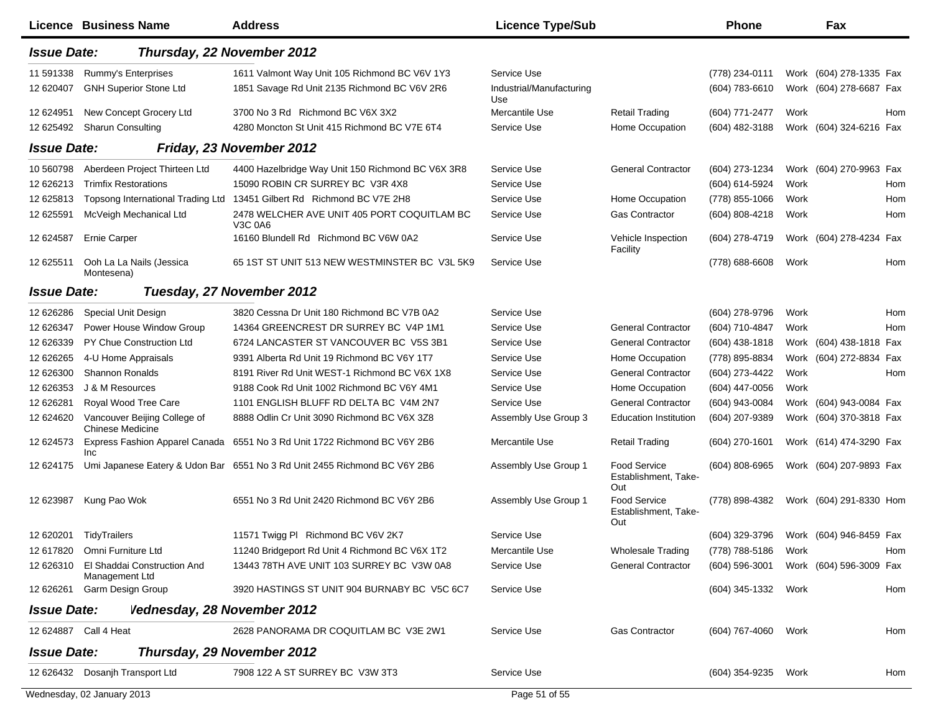|                        | Licence Business Name                                        | <b>Address</b>                                                                                | <b>Licence Type/Sub</b>                        |                                                    | <b>Phone</b>                     |      | Fax                                                |     |
|------------------------|--------------------------------------------------------------|-----------------------------------------------------------------------------------------------|------------------------------------------------|----------------------------------------------------|----------------------------------|------|----------------------------------------------------|-----|
| <b>Issue Date:</b>     | Thursday, 22 November 2012                                   |                                                                                               |                                                |                                                    |                                  |      |                                                    |     |
| 11 591338<br>12 620407 | Rummy's Enterprises<br><b>GNH Superior Stone Ltd</b>         | 1611 Valmont Way Unit 105 Richmond BC V6V 1Y3<br>1851 Savage Rd Unit 2135 Richmond BC V6V 2R6 | Service Use<br>Industrial/Manufacturing<br>Use |                                                    | (778) 234-0111<br>(604) 783-6610 |      | Work (604) 278-1335 Fax<br>Work (604) 278-6687 Fax |     |
| 12 624951<br>12 625492 | New Concept Grocery Ltd<br><b>Sharun Consulting</b>          | 3700 No 3 Rd Richmond BC V6X 3X2<br>4280 Moncton St Unit 415 Richmond BC V7E 6T4              | Mercantile Use<br>Service Use                  | <b>Retail Trading</b><br>Home Occupation           | (604) 771-2477<br>(604) 482-3188 | Work | Work (604) 324-6216 Fax                            | Hom |
| <b>Issue Date:</b>     |                                                              | Friday, 23 November 2012                                                                      |                                                |                                                    |                                  |      |                                                    |     |
| 10 560798<br>12 626213 | Aberdeen Project Thirteen Ltd<br><b>Trimfix Restorations</b> | 4400 Hazelbridge Way Unit 150 Richmond BC V6X 3R8<br>15090 ROBIN CR SURREY BC V3R 4X8         | Service Use<br>Service Use                     | <b>General Contractor</b>                          | (604) 273-1234<br>(604) 614-5924 | Work | Work (604) 270-9963 Fax                            | Hom |
| 12 625813              | Topsong International Trading Ltd                            | 13451 Gilbert Rd Richmond BC V7E 2H8                                                          | Service Use                                    | Home Occupation                                    | (778) 855-1066                   | Work |                                                    | Hom |
| 12 625591              | McVeigh Mechanical Ltd                                       | 2478 WELCHER AVE UNIT 405 PORT COQUITLAM BC<br>V3C 0A6                                        | Service Use                                    | <b>Gas Contractor</b>                              | (604) 808-4218                   | Work |                                                    | Hom |
| 12 624587              | <b>Ernie Carper</b>                                          | 16160 Blundell Rd Richmond BC V6W 0A2                                                         | Service Use                                    | Vehicle Inspection<br>Facility                     | (604) 278-4719                   |      | Work (604) 278-4234 Fax                            |     |
| 12 625511              | Ooh La La Nails (Jessica<br>Montesena)                       | 65 1ST ST UNIT 513 NEW WESTMINSTER BC V3L 5K9                                                 | Service Use                                    |                                                    | $(778)$ 688-6608                 | Work |                                                    | Hom |
| <b>Issue Date:</b>     |                                                              | Tuesday, 27 November 2012                                                                     |                                                |                                                    |                                  |      |                                                    |     |
| 12 626286              | Special Unit Design                                          | 3820 Cessna Dr Unit 180 Richmond BC V7B 0A2                                                   | Service Use                                    |                                                    | (604) 278-9796                   | Work |                                                    | Hom |
| 12 626347              | Power House Window Group                                     | 14364 GREENCREST DR SURREY BC V4P 1M1                                                         | Service Use                                    | <b>General Contractor</b>                          | (604) 710-4847                   | Work |                                                    | Hom |
| 12 626339              | PY Chue Construction Ltd                                     | 6724 LANCASTER ST VANCOUVER BC V5S 3B1                                                        | Service Use                                    | <b>General Contractor</b>                          | $(604)$ 438-1818                 |      | Work (604) 438-1818 Fax                            |     |
| 12 626265              | 4-U Home Appraisals                                          | 9391 Alberta Rd Unit 19 Richmond BC V6Y 1T7                                                   | Service Use                                    | Home Occupation                                    | (778) 895-8834                   |      | Work (604) 272-8834                                | Fax |
| 12 626300              | <b>Shannon Ronalds</b>                                       | 8191 River Rd Unit WEST-1 Richmond BC V6X 1X8                                                 | Service Use                                    | <b>General Contractor</b>                          | (604) 273-4422                   | Work |                                                    | Hom |
| 12 626353              | J & M Resources                                              | 9188 Cook Rd Unit 1002 Richmond BC V6Y 4M1                                                    | Service Use                                    | Home Occupation                                    | $(604)$ 447-0056                 | Work |                                                    |     |
| 12 626281              | Royal Wood Tree Care                                         | 1101 ENGLISH BLUFF RD DELTA BC V4M 2N7                                                        | Service Use                                    | <b>General Contractor</b>                          | (604) 943-0084                   |      | Work (604) 943-0084 Fax                            |     |
| 12 624620              | Vancouver Beijing College of<br><b>Chinese Medicine</b>      | 8888 Odlin Cr Unit 3090 Richmond BC V6X 3Z8                                                   | Assembly Use Group 3                           | <b>Education Institution</b>                       | (604) 207-9389                   |      | Work (604) 370-3818 Fax                            |     |
| 12 624573              | Express Fashion Apparel Canada<br>Inc                        | 6551 No 3 Rd Unit 1722 Richmond BC V6Y 2B6                                                    | Mercantile Use                                 | <b>Retail Trading</b>                              | $(604)$ 270-1601                 |      | Work (614) 474-3290 Fax                            |     |
| 12 624175              |                                                              | Umi Japanese Eatery & Udon Bar 6551 No 3 Rd Unit 2455 Richmond BC V6Y 2B6                     | Assembly Use Group 1                           | <b>Food Service</b><br>Establishment, Take-<br>Out | $(604)$ 808-6965                 |      | Work (604) 207-9893 Fax                            |     |
| 12 623987              | Kung Pao Wok                                                 | 6551 No 3 Rd Unit 2420 Richmond BC V6Y 2B6                                                    | Assembly Use Group 1                           | <b>Food Service</b><br>Establishment, Take-<br>Out | (778) 898-4382                   |      | Work (604) 291-8330 Hom                            |     |
| 12 620201              | TidyTrailers                                                 | 11571 Twigg PI Richmond BC V6V 2K7                                                            | Service Use                                    |                                                    | (604) 329-3796                   |      | Work (604) 946-8459 Fax                            |     |
| 12 617820              | Omni Furniture Ltd                                           | 11240 Bridgeport Rd Unit 4 Richmond BC V6X 1T2                                                | Mercantile Use                                 | <b>Wholesale Trading</b>                           | (778) 788-5186                   | Work |                                                    | Hom |
| 12 626310              | El Shaddai Construction And<br>Management Ltd                | 13443 78TH AVE UNIT 103 SURREY BC V3W 0A8                                                     | Service Use                                    | <b>General Contractor</b>                          | $(604)$ 596-3001                 |      | Work (604) 596-3009 Fax                            |     |
| 12 626261              | Garm Design Group                                            | 3920 HASTINGS ST UNIT 904 BURNABY BC V5C 6C7                                                  | Service Use                                    |                                                    | (604) 345-1332                   | Work |                                                    | Hom |
| <b>Issue Date:</b>     | Vednesday, 28 November 2012                                  |                                                                                               |                                                |                                                    |                                  |      |                                                    |     |
| 12 624887              | Call 4 Heat                                                  | 2628 PANORAMA DR COQUITLAM BC V3E 2W1                                                         | Service Use                                    | Gas Contractor                                     | (604) 767-4060                   | Work |                                                    | Hom |
| <b>Issue Date:</b>     |                                                              | Thursday, 29 November 2012                                                                    |                                                |                                                    |                                  |      |                                                    |     |
|                        | 12 626432 Dosanjh Transport Ltd                              | 7908 122 A ST SURREY BC V3W 3T3                                                               | Service Use                                    |                                                    | (604) 354-9235                   | Work |                                                    | Hom |
|                        | Wednesday, 02 January 2013                                   |                                                                                               | Page 51 of 55                                  |                                                    |                                  |      |                                                    |     |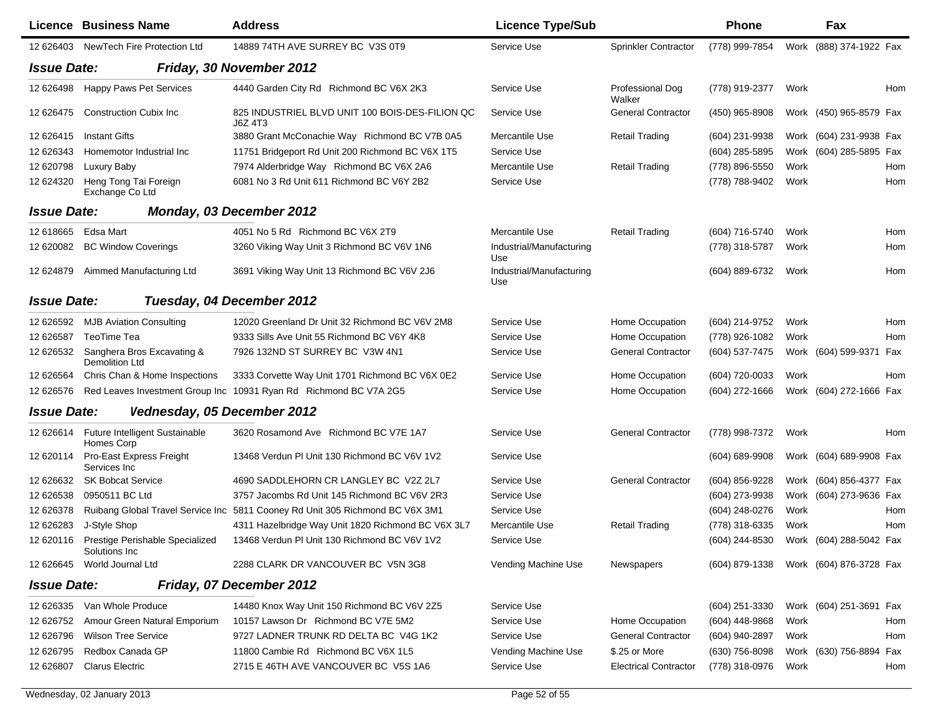|                    | Licence Business Name                                  | <b>Address</b>                                                                | <b>Licence Type/Sub</b>         |                              | <b>Phone</b>       |      | Fax                     |            |
|--------------------|--------------------------------------------------------|-------------------------------------------------------------------------------|---------------------------------|------------------------------|--------------------|------|-------------------------|------------|
| 12 626403          | NewTech Fire Protection Ltd                            | 14889 74TH AVE SURREY BC V3S 0T9                                              | Service Use                     | Sprinkler Contractor         | (778) 999-7854     |      | Work (888) 374-1922 Fax |            |
| <b>Issue Date:</b> |                                                        | Friday, 30 November 2012                                                      |                                 |                              |                    |      |                         |            |
| 12 626498          | Happy Paws Pet Services                                | 4440 Garden City Rd Richmond BC V6X 2K3                                       | Service Use                     | Professional Dog<br>Walker   | (778) 919-2377     | Work |                         | Hom        |
| 12 626475          | <b>Construction Cubix Inc.</b>                         | 825 INDUSTRIEL BLVD UNIT 100 BOIS-DES-FILION QC<br>J6Z 4T3                    | Service Use                     | <b>General Contractor</b>    | (450) 965-8908     |      | Work (450) 965-8579 Fax |            |
| 12 626415          | <b>Instant Gifts</b>                                   | 3880 Grant McConachie Way Richmond BC V7B 0A5                                 | Mercantile Use                  | <b>Retail Trading</b>        | (604) 231-9938     |      | Work (604) 231-9938 Fax |            |
| 12 626343          | Homemotor Industrial Inc                               | 11751 Bridgeport Rd Unit 200 Richmond BC V6X 1T5                              | Service Use                     |                              | (604) 285-5895     |      | Work (604) 285-5895 Fax |            |
| 12 620798          | Luxury Baby                                            | 7974 Alderbridge Way Richmond BC V6X 2A6                                      | Mercantile Use                  | <b>Retail Trading</b>        | (778) 896-5550     | Work |                         | Hom        |
| 12 624320          | Heng Tong Tai Foreign<br>Exchange Co Ltd               | 6081 No 3 Rd Unit 611 Richmond BC V6Y 2B2                                     | Service Use                     |                              | (778) 788-9402     | Work |                         | Hom        |
| <b>Issue Date:</b> |                                                        | Monday, 03 December 2012                                                      |                                 |                              |                    |      |                         |            |
| 12 618665          | Edsa Mart                                              | 4051 No 5 Rd Richmond BC V6X 2T9                                              | Mercantile Use                  | <b>Retail Trading</b>        | (604) 716-5740     | Work |                         | Hom        |
| 12 620082          | <b>BC Window Coverings</b>                             | 3260 Viking Way Unit 3 Richmond BC V6V 1N6                                    | Industrial/Manufacturing<br>Use |                              | (778) 318-5787     | Work |                         | Hom        |
| 12 624879          | Aimmed Manufacturing Ltd                               | 3691 Viking Way Unit 13 Richmond BC V6V 2J6                                   | Industrial/Manufacturing<br>Use |                              | (604) 889-6732     | Work |                         | Hom        |
| <b>Issue Date:</b> |                                                        | Tuesday, 04 December 2012                                                     |                                 |                              |                    |      |                         |            |
| 12 626592          | <b>MJB Aviation Consulting</b>                         | 12020 Greenland Dr Unit 32 Richmond BC V6V 2M8                                | Service Use                     | Home Occupation              | (604) 214-9752     | Work |                         | Hom        |
| 12 626587          | TeoTime Tea                                            | 9333 Sills Ave Unit 55 Richmond BC V6Y 4K8                                    | Service Use                     | Home Occupation              | (778) 926-1082     | Work |                         | Hom        |
| 12 626532          | Sanghera Bros Excavating &<br><b>Demolition Ltd</b>    | 7926 132ND ST SURREY BC V3W 4N1                                               | Service Use                     | <b>General Contractor</b>    | (604) 537-7475     |      | Work (604) 599-9371     | Fax        |
| 12 626564          | Chris Chan & Home Inspections                          | 3333 Corvette Way Unit 1701 Richmond BC V6X 0E2                               | Service Use                     | Home Occupation              | (604) 720-0033     | Work |                         | <b>Hom</b> |
| 12 62 6576         |                                                        | Red Leaves Investment Group Inc 10931 Ryan Rd Richmond BC V7A 2G5             | Service Use                     | Home Occupation              | (604) 272-1666     |      | Work (604) 272-1666 Fax |            |
| <b>Issue Date:</b> | Vednesday, 05 December 2012                            |                                                                               |                                 |                              |                    |      |                         |            |
|                    | 12 626614 Future Intelligent Sustainable<br>Homes Corp | 3620 Rosamond Ave Richmond BC V7E 1A7                                         | Service Use                     | <b>General Contractor</b>    | (778) 998-7372     | Work |                         | Hom        |
| 12 620114          | Pro-East Express Freight<br>Services Inc               | 13468 Verdun PI Unit 130 Richmond BC V6V 1V2                                  | Service Use                     |                              | $(604) 689 - 9908$ |      | Work (604) 689-9908 Fax |            |
| 12 62 632          | <b>SK Bobcat Service</b>                               | 4690 SADDLEHORN CR LANGLEY BC V2Z 2L7                                         | Service Use                     | <b>General Contractor</b>    | (604) 856-9228     |      | Work (604) 856-4377 Fax |            |
| 12 626538          | 0950511 BC Ltd                                         | 3757 Jacombs Rd Unit 145 Richmond BC V6V 2R3                                  | Service Use                     |                              | (604) 273-9938     |      | Work (604) 273-9636 Fax |            |
| 12 626378          |                                                        | Ruibang Global Travel Service Inc 5811 Cooney Rd Unit 305 Richmond BC V6X 3M1 | Service Use                     |                              | (604) 248-0276     | Work |                         | Hom        |
| 12 626283          | J-Style Shop                                           | 4311 Hazelbridge Way Unit 1820 Richmond BC V6X 3L7                            | Mercantile Use                  | Retail Trading               | (778) 318-6335     | Work |                         | Hom        |
| 12 620116          | Prestige Perishable Specialized<br>Solutions Inc       | 13468 Verdun PI Unit 130 Richmond BC V6V 1V2                                  | Service Use                     |                              | (604) 244-8530     |      | Work (604) 288-5042 Fax |            |
| 12 62 6645         | World Journal Ltd                                      | 2288 CLARK DR VANCOUVER BC V5N 3G8                                            | Vending Machine Use             | <b>Newspapers</b>            | (604) 879-1338     |      | Work (604) 876-3728 Fax |            |
| <b>Issue Date:</b> |                                                        | Friday, 07 December 2012                                                      |                                 |                              |                    |      |                         |            |
| 12 626335          | Van Whole Produce                                      | 14480 Knox Way Unit 150 Richmond BC V6V 2Z5                                   | Service Use                     |                              | (604) 251-3330     |      | Work (604) 251-3691 Fax |            |
| 12 626752          | Amour Green Natural Emporium                           | 10157 Lawson Dr Richmond BC V7E 5M2                                           | Service Use                     | Home Occupation              | $(604)$ 448-9868   | Work |                         | Hom        |
| 12 626796          | <b>Wilson Tree Service</b>                             | 9727 LADNER TRUNK RD DELTA BC V4G 1K2                                         | Service Use                     | <b>General Contractor</b>    | (604) 940-2897     | Work |                         | Hom        |
| 12 626795          | Redbox Canada GP                                       | 11800 Cambie Rd Richmond BC V6X 1L5                                           | Vending Machine Use             | \$.25 or More                | (630) 756-8098     |      | Work (630) 756-8894 Fax |            |
| 12 626807          | <b>Clarus Electric</b>                                 | 2715 E 46TH AVE VANCOUVER BC V5S 1A6                                          | Service Use                     | <b>Electrical Contractor</b> | (778) 318-0976     | Work |                         | Hom        |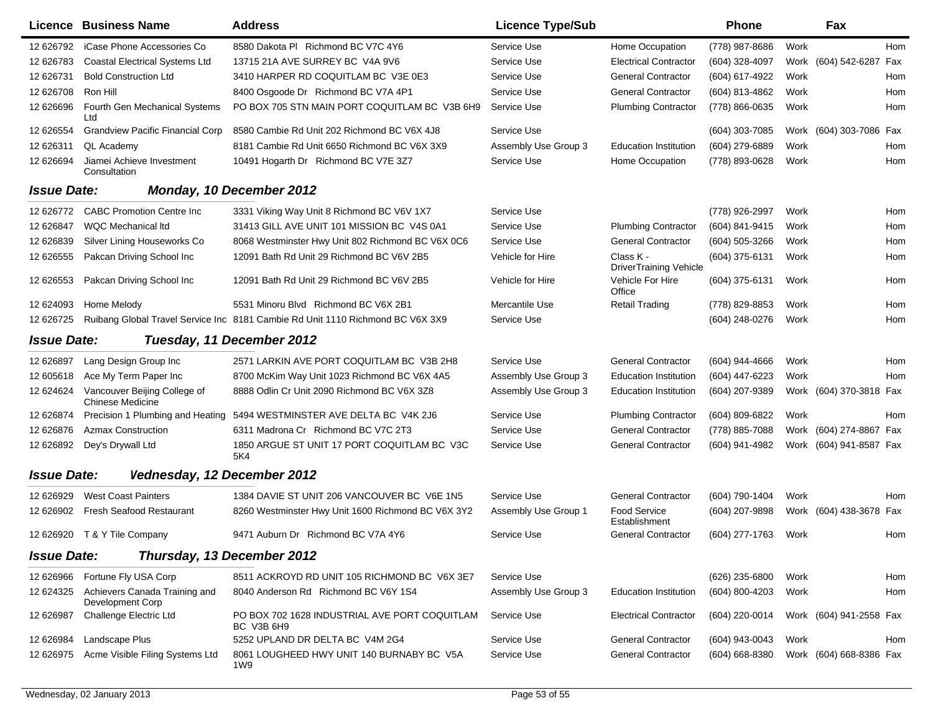|                    | Licence Business Name                                   | <b>Address</b>                                                                 | <b>Licence Type/Sub</b> |                                            | <b>Phone</b>   |      | Fax                     |     |
|--------------------|---------------------------------------------------------|--------------------------------------------------------------------------------|-------------------------|--------------------------------------------|----------------|------|-------------------------|-----|
| 12 626792          | iCase Phone Accessories Co                              | 8580 Dakota PI Richmond BC V7C 4Y6                                             | Service Use             | Home Occupation                            | (778) 987-8686 | Work |                         | Hom |
| 12 626783          | <b>Coastal Electrical Systems Ltd</b>                   | 13715 21A AVE SURREY BC V4A 9V6                                                | Service Use             | <b>Electrical Contractor</b>               | (604) 328-4097 |      | Work (604) 542-6287 Fax |     |
| 12 626731          | <b>Bold Construction Ltd</b>                            | 3410 HARPER RD COQUITLAM BC V3E 0E3                                            | Service Use             | <b>General Contractor</b>                  | (604) 617-4922 | Work |                         | Hom |
| 12 626708          | Ron Hill                                                | 8400 Osgoode Dr Richmond BC V7A 4P1                                            | Service Use             | <b>General Contractor</b>                  | (604) 813-4862 | Work |                         | Hom |
| 12 626696          | Fourth Gen Mechanical Systems<br>Ltd                    | PO BOX 705 STN MAIN PORT COQUITLAM BC V3B 6H9                                  | Service Use             | <b>Plumbing Contractor</b>                 | (778) 866-0635 | Work |                         | Hom |
| 12 626554          | <b>Grandview Pacific Financial Corp</b>                 | 8580 Cambie Rd Unit 202 Richmond BC V6X 4J8                                    | Service Use             |                                            | (604) 303-7085 |      | Work (604) 303-7086 Fax |     |
| 12 626311          | QL Academy                                              | 8181 Cambie Rd Unit 6650 Richmond BC V6X 3X9                                   | Assembly Use Group 3    | <b>Education Institution</b>               | (604) 279-6889 | Work |                         | Hom |
| 12 626694          | Jiamei Achieve Investment<br>Consultation               | 10491 Hogarth Dr Richmond BC V7E 3Z7                                           | Service Use             | Home Occupation                            | (778) 893-0628 | Work |                         | Hom |
| <b>Issue Date:</b> |                                                         | Monday, 10 December 2012                                                       |                         |                                            |                |      |                         |     |
| 12 626772          | <b>CABC Promotion Centre Inc.</b>                       | 3331 Viking Way Unit 8 Richmond BC V6V 1X7                                     | Service Use             |                                            | (778) 926-2997 | Work |                         | Hom |
| 12 626847          | WQC Mechanical Itd                                      | 31413 GILL AVE UNIT 101 MISSION BC V4S 0A1                                     | Service Use             | <b>Plumbing Contractor</b>                 | (604) 841-9415 | Work |                         | Hom |
| 12 626839          | Silver Lining Houseworks Co                             | 8068 Westminster Hwy Unit 802 Richmond BC V6X 0C6                              | Service Use             | <b>General Contractor</b>                  | (604) 505-3266 | Work |                         | Hom |
| 12 626555          | Pakcan Driving School Inc                               | 12091 Bath Rd Unit 29 Richmond BC V6V 2B5                                      | Vehicle for Hire        | Class K -<br><b>DriverTraining Vehicle</b> | (604) 375-6131 | Work |                         | Hom |
| 12 626553          | Pakcan Driving School Inc                               | 12091 Bath Rd Unit 29 Richmond BC V6V 2B5                                      | Vehicle for Hire        | Vehicle For Hire<br>Office                 | (604) 375-6131 | Work |                         | Hom |
| 12 624093          | Home Melody                                             | 5531 Minoru Blvd Richmond BC V6X 2B1                                           | Mercantile Use          | <b>Retail Trading</b>                      | (778) 829-8853 | Work |                         | Hom |
| 12 626725          |                                                         | Ruibang Global Travel Service Inc 8181 Cambie Rd Unit 1110 Richmond BC V6X 3X9 | Service Use             |                                            | (604) 248-0276 | Work |                         | Hom |
| <b>Issue Date:</b> |                                                         | Tuesday, 11 December 2012                                                      |                         |                                            |                |      |                         |     |
| 12 626897          | Lang Design Group Inc                                   | 2571 LARKIN AVE PORT COQUITLAM BC V3B 2H8                                      | Service Use             | <b>General Contractor</b>                  | (604) 944-4666 | Work |                         | Hom |
| 12 605618          | Ace My Term Paper Inc                                   | 8700 McKim Way Unit 1023 Richmond BC V6X 4A5                                   | Assembly Use Group 3    | <b>Education Institution</b>               | (604) 447-6223 | Work |                         | Hom |
| 12 624624          | Vancouver Beijing College of<br><b>Chinese Medicine</b> | 8888 Odlin Cr Unit 2090 Richmond BC V6X 3Z8                                    | Assembly Use Group 3    | <b>Education Institution</b>               | (604) 207-9389 |      | Work (604) 370-3818 Fax |     |
| 12 626874          | Precision 1 Plumbing and Heating                        | 5494 WESTMINSTER AVE DELTA BC V4K 2J6                                          | Service Use             | <b>Plumbing Contractor</b>                 | (604) 809-6822 | Work |                         | Hom |
| 12 626876          | <b>Azmax Construction</b>                               | 6311 Madrona Cr Richmond BC V7C 2T3                                            | Service Use             | <b>General Contractor</b>                  | (778) 885-7088 |      | Work (604) 274-8867 Fax |     |
| 12 626892          | Dey's Drywall Ltd                                       | 1850 ARGUE ST UNIT 17 PORT COQUITLAM BC V3C<br>5K4                             | Service Use             | <b>General Contractor</b>                  | (604) 941-4982 |      | Work (604) 941-8587 Fax |     |
| <b>Issue Date:</b> | Vednesday, 12 December 2012                             |                                                                                |                         |                                            |                |      |                         |     |
| 12 626929          | <b>West Coast Painters</b>                              | 1384 DAVIE ST UNIT 206 VANCOUVER BC V6E 1N5                                    | Service Use             | <b>General Contractor</b>                  | (604) 790-1404 | Work |                         | Hom |
| 12 626902          | <b>Fresh Seafood Restaurant</b>                         | 8260 Westminster Hwy Unit 1600 Richmond BC V6X 3Y2                             | Assembly Use Group 1    | <b>Food Service</b><br>Establishment       | (604) 207-9898 |      | Work (604) 438-3678 Fax |     |
|                    | 12 626920 T & Y Tile Company                            | 9471 Auburn Dr Richmond BC V7A 4Y6                                             | Service Use             | <b>General Contractor</b>                  | (604) 277-1763 | Work |                         | Hom |
| <b>Issue Date:</b> |                                                         | Thursday, 13 December 2012                                                     |                         |                                            |                |      |                         |     |
| 12 626966          | Fortune Fly USA Corp                                    | 8511 ACKROYD RD UNIT 105 RICHMOND BC V6X 3E7                                   | Service Use             |                                            | (626) 235-6800 | Work |                         | Hom |
| 12 624325          | Achievers Canada Training and<br>Development Corp       | 8040 Anderson Rd Richmond BC V6Y 1S4                                           | Assembly Use Group 3    | <b>Education Institution</b>               | (604) 800-4203 | Work |                         | Hom |
| 12 626987          | Challenge Electric Ltd                                  | PO BOX 702 1628 INDUSTRIAL AVE PORT COQUITLAM<br>BC V3B 6H9                    | Service Use             | <b>Electrical Contractor</b>               | (604) 220-0014 |      | Work (604) 941-2558 Fax |     |
| 12 626984          | Landscape Plus                                          | 5252 UPLAND DR DELTA BC V4M 2G4                                                | Service Use             | <b>General Contractor</b>                  | (604) 943-0043 | Work |                         | Hom |
| 12 626975          | Acme Visible Filing Systems Ltd                         | 8061 LOUGHEED HWY UNIT 140 BURNABY BC V5A<br>1W9                               | Service Use             | <b>General Contractor</b>                  | (604) 668-8380 |      | Work (604) 668-8386 Fax |     |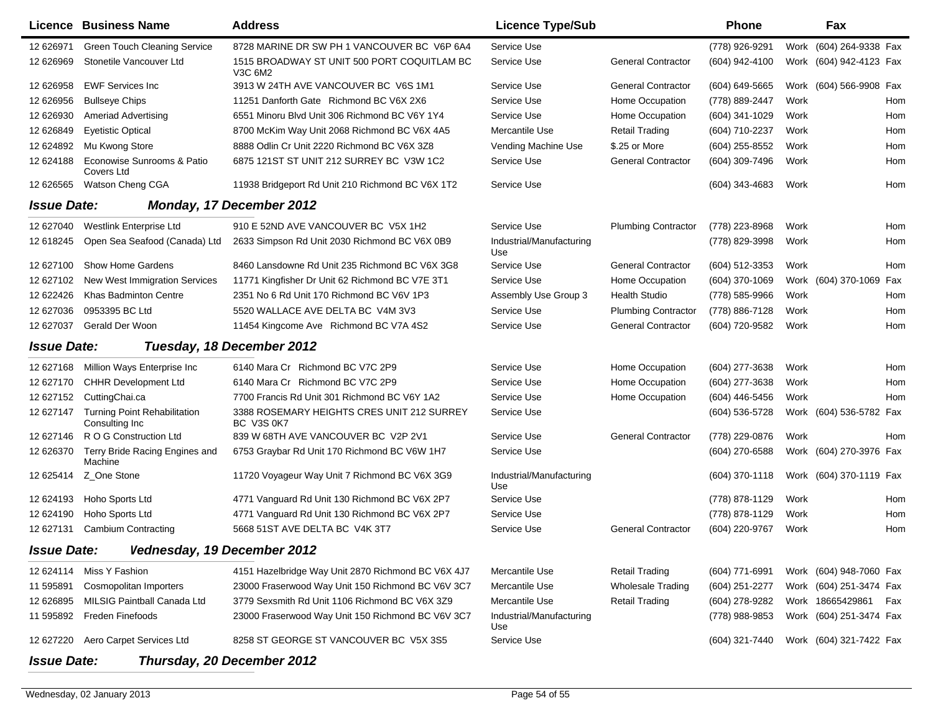|                    | Licence Business Name                                 | <b>Address</b>                                                  | <b>Licence Type/Sub</b>         |                            | <b>Phone</b>   |      | Fax                     |            |
|--------------------|-------------------------------------------------------|-----------------------------------------------------------------|---------------------------------|----------------------------|----------------|------|-------------------------|------------|
| 12 626971          | <b>Green Touch Cleaning Service</b>                   | 8728 MARINE DR SW PH 1 VANCOUVER BC V6P 6A4                     | Service Use                     |                            | (778) 926-9291 | Work | (604) 264-9338 Fax      |            |
| 12 626969          | Stonetile Vancouver Ltd                               | 1515 BROADWAY ST UNIT 500 PORT COQUITLAM BC<br>V3C 6M2          | Service Use                     | <b>General Contractor</b>  | (604) 942-4100 | Work | (604) 942-4123 Fax      |            |
| 12 626958          | <b>EWF Services Inc</b>                               | 3913 W 24TH AVE VANCOUVER BC V6S 1M1                            | Service Use                     | <b>General Contractor</b>  | (604) 649-5665 |      | Work (604) 566-9908 Fax |            |
| 12 626956          | <b>Bullseye Chips</b>                                 | 11251 Danforth Gate Richmond BC V6X 2X6                         | Service Use                     | Home Occupation            | (778) 889-2447 | Work |                         | Hom        |
| 12 626930          | <b>Ameriad Advertising</b>                            | 6551 Minoru Blvd Unit 306 Richmond BC V6Y 1Y4                   | Service Use                     | Home Occupation            | (604) 341-1029 | Work |                         | Hom        |
| 12 626849          | <b>Eyetistic Optical</b>                              | 8700 McKim Way Unit 2068 Richmond BC V6X 4A5                    | Mercantile Use                  | <b>Retail Trading</b>      | (604) 710-2237 | Work |                         | Hom        |
| 12 624892          | Mu Kwong Store                                        | 8888 Odlin Cr Unit 2220 Richmond BC V6X 3Z8                     | Vending Machine Use             | \$.25 or More              | (604) 255-8552 | Work |                         | Hom        |
| 12 624188          | Econowise Sunrooms & Patio<br>Covers Ltd              | 6875 121ST ST UNIT 212 SURREY BC V3W 1C2                        | Service Use                     | <b>General Contractor</b>  | (604) 309-7496 | Work |                         | Hom        |
| 12 62 6565         | Watson Cheng CGA                                      | 11938 Bridgeport Rd Unit 210 Richmond BC V6X 1T2                | Service Use                     |                            | (604) 343-4683 | Work |                         | Hom        |
| <b>Issue Date:</b> |                                                       | <b>Monday, 17 December 2012</b>                                 |                                 |                            |                |      |                         |            |
| 12 627040          | Westlink Enterprise Ltd                               | 910 E 52ND AVE VANCOUVER BC V5X 1H2                             | Service Use                     | <b>Plumbing Contractor</b> | (778) 223-8968 | Work |                         | Hom        |
| 12 618245          | Open Sea Seafood (Canada) Ltd                         | 2633 Simpson Rd Unit 2030 Richmond BC V6X 0B9                   | Industrial/Manufacturing<br>Use |                            | (778) 829-3998 | Work |                         | Hom        |
| 12 627100          | <b>Show Home Gardens</b>                              | 8460 Lansdowne Rd Unit 235 Richmond BC V6X 3G8                  | Service Use                     | <b>General Contractor</b>  | (604) 512-3353 | Work |                         | Hom        |
| 12 627102          | <b>New West Immigration Services</b>                  | 11771 Kingfisher Dr Unit 62 Richmond BC V7E 3T1                 | Service Use                     | Home Occupation            | (604) 370-1069 |      | Work (604) 370-1069 Fax |            |
| 12 622426          | <b>Khas Badminton Centre</b>                          | 2351 No 6 Rd Unit 170 Richmond BC V6V 1P3                       | Assembly Use Group 3            | <b>Health Studio</b>       | (778) 585-9966 | Work |                         | Hom        |
| 12 627036          | 0953395 BC Ltd                                        | 5520 WALLACE AVE DELTA BC V4M 3V3                               | Service Use                     | <b>Plumbing Contractor</b> | (778) 886-7128 | Work |                         | Hom        |
| 12 627037          | Gerald Der Woon                                       | 11454 Kingcome Ave Richmond BC V7A 4S2                          | Service Use                     | <b>General Contractor</b>  | (604) 720-9582 | Work |                         | Hom        |
| <b>Issue Date:</b> |                                                       | Tuesday, 18 December 2012                                       |                                 |                            |                |      |                         |            |
| 12 627168          | Million Ways Enterprise Inc                           | 6140 Mara Cr Richmond BC V7C 2P9                                | Service Use                     | Home Occupation            | (604) 277-3638 | Work |                         | Hom        |
| 12 627170          | <b>CHHR Development Ltd</b>                           | 6140 Mara Cr Richmond BC V7C 2P9                                | Service Use                     | Home Occupation            | (604) 277-3638 | Work |                         | Hom        |
| 12 627152          | CuttingChai.ca                                        | 7700 Francis Rd Unit 301 Richmond BC V6Y 1A2                    | Service Use                     | Home Occupation            | (604) 446-5456 | Work |                         | Hom        |
| 12 627147          | <b>Turning Point Rehabilitation</b><br>Consulting Inc | 3388 ROSEMARY HEIGHTS CRES UNIT 212 SURREY<br><b>BC V3S 0K7</b> | Service Use                     |                            | (604) 536-5728 |      | Work (604) 536-5782 Fax |            |
| 12 627146          | R O G Construction Ltd                                | 839 W 68TH AVE VANCOUVER BC V2P 2V1                             | Service Use                     | <b>General Contractor</b>  | (778) 229-0876 | Work |                         | <b>Hom</b> |
| 12 626370          | Terry Bride Racing Engines and<br>Machine             | 6753 Graybar Rd Unit 170 Richmond BC V6W 1H7                    | Service Use                     |                            | (604) 270-6588 | Work | (604) 270-3976 Fax      |            |
| 12 625414          | Z_One Stone                                           | 11720 Voyageur Way Unit 7 Richmond BC V6X 3G9                   | Industrial/Manufacturing<br>Use |                            | (604) 370-1118 |      | Work (604) 370-1119 Fax |            |
| 12 624193          | Hoho Sports Ltd                                       | 4771 Vanguard Rd Unit 130 Richmond BC V6X 2P7                   | Service Use                     |                            | (778) 878-1129 | Work |                         | Hom        |
| 12 624190          | Hoho Sports Ltd                                       | 4771 Vanguard Rd Unit 130 Richmond BC V6X 2P7                   | Service Use                     |                            | (778) 878-1129 | Work |                         | Hom        |
| 12 627131          | <b>Cambium Contracting</b>                            | 5668 51ST AVE DELTA BC V4K 3T7                                  | Service Use                     | <b>General Contractor</b>  | (604) 220-9767 | Work |                         | Hom        |
| <b>Issue Date:</b> | Vednesday, 19 December 2012                           |                                                                 |                                 |                            |                |      |                         |            |
| 12 624114          | Miss Y Fashion                                        | 4151 Hazelbridge Way Unit 2870 Richmond BC V6X 4J7              | Mercantile Use                  | <b>Retail Trading</b>      | (604) 771-6991 |      | Work (604) 948-7060 Fax |            |
| 11 595891          | Cosmopolitan Importers                                | 23000 Fraserwood Way Unit 150 Richmond BC V6V 3C7               | Mercantile Use                  | <b>Wholesale Trading</b>   | (604) 251-2277 |      | Work (604) 251-3474 Fax |            |
| 12 626895          | MILSIG Paintball Canada Ltd                           | 3779 Sexsmith Rd Unit 1106 Richmond BC V6X 3Z9                  | Mercantile Use                  | <b>Retail Trading</b>      | (604) 278-9282 |      | Work 18665429861 Fax    |            |
| 11 595892          | Freden Finefoods                                      | 23000 Fraserwood Way Unit 150 Richmond BC V6V 3C7               | Industrial/Manufacturing<br>Use |                            | (778) 988-9853 |      | Work (604) 251-3474 Fax |            |
| 12 627220          | Aero Carpet Services Ltd                              | 8258 ST GEORGE ST VANCOUVER BC V5X 3S5                          | Service Use                     |                            | (604) 321-7440 |      | Work (604) 321-7422 Fax |            |
| <b>Issue Date:</b> |                                                       | Thursday, 20 December 2012                                      |                                 |                            |                |      |                         |            |